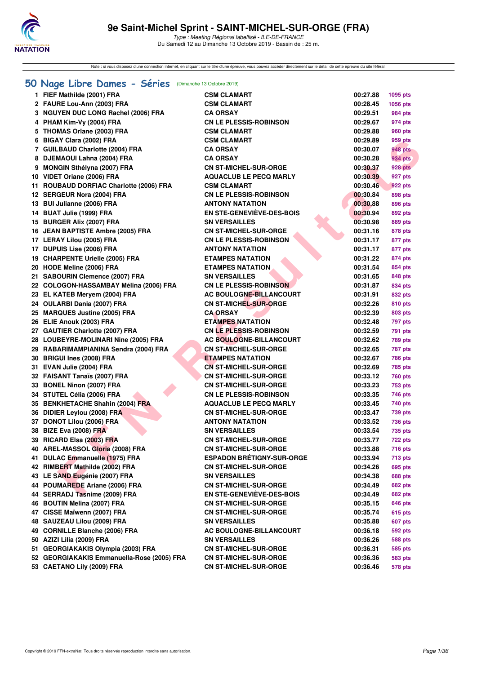

Note : si vous disposez d'une connection internet, en cliquant sur le titre d'une épreuve, vous pouvez accéder directement sur le détail de cette épreuve du site féféral.

## **[50 Nage Libre Dames - Séries](http://www.ffnatation.fr/webffn/resultats.php?idact=nat&go=epr&idcpt=62045&idepr=1)** (Dimanche 13 Octobre 2019)

|    | 1 FIEF Mathilde (2001) FRA                 | <b>CSM CLAMART</b>               | 00:27.88 | 1095 pts       |
|----|--------------------------------------------|----------------------------------|----------|----------------|
|    | 2 FAURE Lou-Ann (2003) FRA                 | <b>CSM CLAMART</b>               | 00:28.45 | 1056 pts       |
|    | 3 NGUYEN DUC LONG Rachel (2006) FRA        | <b>CA ORSAY</b>                  | 00:29.51 | 984 pts        |
|    | 4 PHAM Kim-Vy (2004) FRA                   | <b>CN LE PLESSIS-ROBINSON</b>    | 00:29.67 | 974 pts        |
|    | 5 THOMAS Orlane (2003) FRA                 | <b>CSM CLAMART</b>               | 00:29.88 | 960 pts        |
|    | 6 BIGAY Clara (2002) FRA                   | <b>CSM CLAMART</b>               | 00:29.89 | 959 pts        |
|    | 7 GUILBAUD Charlotte (2004) FRA            | <b>CA ORSAY</b>                  | 00:30.07 | <b>948 pts</b> |
| 8  | DJEMAOUI Lahna (2004) FRA                  | <b>CA ORSAY</b>                  | 00:30.28 | 934 pts        |
|    | 9 MONGIN Sthélyna (2007) FRA               | <b>CN ST-MICHEL-SUR-ORGE</b>     | 00:30.37 | <b>928 pts</b> |
|    | 10 VIDET Oriane (2006) FRA                 | <b>AQUACLUB LE PECQ MARLY</b>    | 00:30.39 | 927 pts        |
|    | 11 ROUBAUD DORFIAC Charlotte (2006) FRA    | <b>CSM CLAMART</b>               | 00:30.46 | <b>922 pts</b> |
|    | 12 SERGEUR Nora (2004) FRA                 | <b>CN LE PLESSIS-ROBINSON</b>    | 00:30.84 | 898 pts        |
|    | 13 BUI Julianne (2006) FRA                 | <b>ANTONY NATATION</b>           | 00:30.88 | 896 pts        |
|    | 14 BUAT Julie (1999) FRA                   | EN STE-GENEVIÈVE-DES-BOIS        | 00:30.94 | 892 pts        |
|    | 15 BURGER Alix (2007) FRA                  | <b>SN VERSAILLES</b>             | 00:30.98 | 889 pts        |
|    | 16 JEAN BAPTISTE Ambre (2005) FRA          | <b>CN ST-MICHEL-SUR-ORGE</b>     | 00:31.16 | 878 pts        |
|    | 17 LERAY Lilou (2005) FRA                  | <b>CN LE PLESSIS-ROBINSON</b>    | 00:31.17 | 877 pts        |
|    | 17 DUPUIS Lise (2006) FRA                  | <b>ANTONY NATATION</b>           | 00:31.17 | 877 pts        |
|    | 19 CHARPENTE Urielle (2005) FRA            | <b>ETAMPES NATATION</b>          | 00:31.22 | 874 pts        |
|    | 20 HODE Meline (2006) FRA                  | <b>ETAMPES NATATION</b>          | 00:31.54 | 854 pts        |
|    | 21 SABOURIN Clemence (2007) FRA            | <b>SN VERSAILLES</b>             | 00:31.65 | 848 pts        |
|    | 22 COLOGON-HASSAMBAY Mélina (2006) FRA     | <b>CN LE PLESSIS-ROBINSON</b>    | 00:31.87 | 834 pts        |
|    | 23 EL KATEB Meryem (2004) FRA              | <b>AC BOULOGNE-BILLANCOURT</b>   | 00:31.91 | 832 pts        |
|    | 24 OULARBI Dania (2007) FRA                | <b>CN ST-MICHEL-SUR-ORGE</b>     | 00:32.26 | <b>810 pts</b> |
|    | 25 MARQUES Justine (2005) FRA              | <b>CA ORSAY</b>                  | 00:32.39 | 803 pts        |
|    | 26 ELIE Anouk (2003) FRA                   | <b>ETAMPES NATATION</b>          | 00:32.48 | 797 pts        |
|    | 27 GAUTIER Charlotte (2007) FRA            | <b>CN LE PLESSIS-ROBINSON</b>    | 00:32.59 | 791 pts        |
|    | 28 LOUBEYRE-MOLINARI Nine (2005) FRA       | <b>AC BOULOGNE-BILLANCOURT</b>   | 00:32.62 | 789 pts        |
|    | 29 RABARIMAMPIANINA Sendra (2004) FRA      | <b>CN ST-MICHEL-SUR-ORGE</b>     | 00:32.65 | <b>787 pts</b> |
|    | 30 BRIGUI Ines (2008) FRA                  | <b>ETAMPES NATATION</b>          | 00:32.67 | <b>786 pts</b> |
|    | 31 EVAN Julie (2004) FRA                   | <b>CN ST-MICHEL-SUR-ORGE</b>     | 00:32.69 | 785 pts        |
|    | 32 FAISANT Tanaïs (2007) FRA               | <b>CN ST-MICHEL-SUR-ORGE</b>     | 00:33.12 | 760 pts        |
|    | 33 BONEL Ninon (2007) FRA                  | <b>CN ST-MICHEL-SUR-ORGE</b>     | 00:33.23 | 753 pts        |
|    | 34 STUTEL Célia (2006) FRA                 | <b>CN LE PLESSIS-ROBINSON</b>    | 00:33.35 | 746 pts        |
|    | 35 BENKHETACHE Shahin (2004) FRA           | <b>AQUACLUB LE PECQ MARLY</b>    | 00:33.45 | 740 pts        |
|    | 36 DIDIER Leylou (2008) FRA                | <b>CN ST-MICHEL-SUR-ORGE</b>     | 00:33.47 | 739 pts        |
|    | 37 DONOT Lilou (2006) FRA                  | ANTONY NATATION                  | 00:33.52 | 736 pts        |
|    | 38 BIZE Eva (2008) FRA                     | SN VERSAILLES                    | 00:33.54 | 735 pts        |
|    | 39 RICARD Elsa (2003) FRA                  | <b>CN ST-MICHEL-SUR-ORGE</b>     | 00:33.77 | 722 pts        |
|    | 40 AREL-MASSOL Gloria (2008) FRA           | CN ST-MICHEL-SUR-ORGE            | 00:33.88 | <b>716 pts</b> |
|    | 41 DULAC Emmanuelle (1975) FRA             | <b>ESPADON BRETIGNY-SUR-ORGE</b> | 00:33.94 | 713 pts        |
|    | 42 RIMBERT Mathilde (2002) FRA             | <b>CN ST-MICHEL-SUR-ORGE</b>     | 00:34.26 | 695 pts        |
|    | 43 LE SAND Eugénie (2007) FRA              | <b>SN VERSAILLES</b>             | 00:34.38 | 688 pts        |
| 44 | POUMAREDE Ariane (2006) FRA                | <b>CN ST-MICHEL-SUR-ORGE</b>     | 00:34.49 | <b>682 pts</b> |
|    | 44 SERRADJ Tasnime (2009) FRA              | <b>EN STE-GENEVIÈVE-DES-BOIS</b> | 00:34.49 | <b>682 pts</b> |
|    | 46 BOUTIN Melina (2007) FRA                | <b>CN ST-MICHEL-SUR-ORGE</b>     | 00:35.15 | 646 pts        |
|    | 47 CISSE Maïwenn (2007) FRA                | <b>CN ST-MICHEL-SUR-ORGE</b>     | 00:35.74 | 615 pts        |
|    | 48 SAUZEAU Lilou (2009) FRA                | <b>SN VERSAILLES</b>             | 00:35.88 | 607 pts        |
|    | 49 CORNILLE Blanche (2006) FRA             | AC BOULOGNE-BILLANCOURT          | 00:36.18 | 592 pts        |
|    | 50 AZIZI Lilia (2009) FRA                  | <b>SN VERSAILLES</b>             | 00:36.26 | 588 pts        |
|    | 51 GEORGIAKAKIS Olympia (2003) FRA         | <b>CN ST-MICHEL-SUR-ORGE</b>     | 00:36.31 | 585 pts        |
|    | 52 GEORGIAKAKIS Emmanuella-Rose (2005) FRA | <b>CN ST-MICHEL-SUR-ORGE</b>     | 00:36.36 | 583 pts        |
|    | 53 CAETANO Lily (2009) FRA                 | <b>CN ST-MICHEL-SUR-ORGE</b>     | 00:36.46 | <b>578 pts</b> |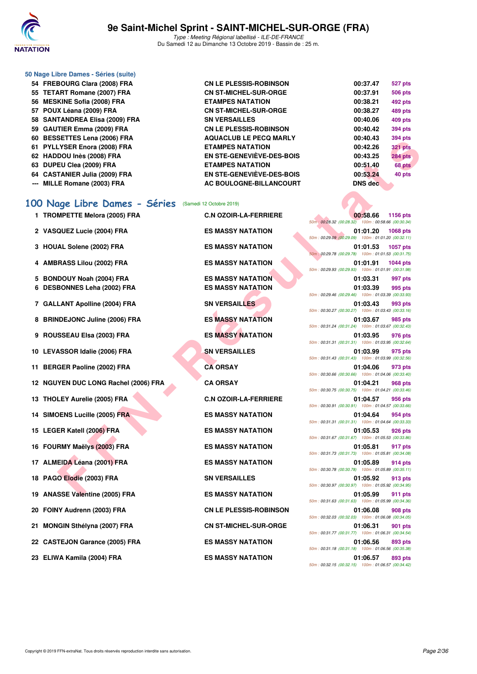

| 50 Nage Libre Dames - Séries (suite) |                                  |                |                |
|--------------------------------------|----------------------------------|----------------|----------------|
| 54 FREBOURG Clara (2008) FRA         | <b>CN LE PLESSIS-ROBINSON</b>    | 00:37.47       | 527 pts        |
| 55 TETART Romane (2007) FRA          | <b>CN ST-MICHEL-SUR-ORGE</b>     | 00:37.91       | <b>506 pts</b> |
| 56 MESKINE Sofia (2008) FRA          | <b>ETAMPES NATATION</b>          | 00:38.21       | 492 pts        |
| 57 POUX Léana (2009) FRA             | <b>CN ST-MICHEL-SUR-ORGE</b>     | 00:38.27       | 489 pts        |
| 58 SANTANDREA Elisa (2009) FRA       | <b>SN VERSAILLES</b>             | 00:40.06       | 409 pts        |
| 59 GAUTIER Emma (2009) FRA           | <b>CN LE PLESSIS-ROBINSON</b>    | 00:40.42       | <b>394 pts</b> |
| 60 BESSETTES Lena (2006) FRA         | <b>AQUACLUB LE PECQ MARLY</b>    | 00:40.43       | <b>394 pts</b> |
| 61 PYLLYSER Enora (2008) FRA         | <b>ETAMPES NATATION</b>          | 00:42.26       | <b>321 pts</b> |
| 62 HADDOU Inès (2008) FRA            | <b>EN STE-GENEVIÈVE-DES-BOIS</b> | 00:43.25       | <b>284 pts</b> |
| 63 DUPEU Clea (2009) FRA             | <b>ETAMPES NATATION</b>          | 00:51.40       | 68 pts         |
| 64 CASTANIER Julia (2009) FRA        | <b>EN STE-GENEVIÈVE-DES-BOIS</b> | 00:53.24       | 40 pts         |
| --- MILLE Romane (2003) FRA          | AC BOULOGNE-BILLANCOURT          | <b>DNS</b> dec |                |

# **[100 Nage Libre Dames - Séries](http://www.ffnatation.fr/webffn/resultats.php?idact=nat&go=epr&idcpt=62045&idepr=2)** (Samedi 12 Octobre 2019)

|    | 00 DESSETTES LUIG (2000) FRA         | AGOACLOD LE FECG MARL I          | vv.4v.43<br>ວອ <del>ฯ</del> µເຣ                                                   |
|----|--------------------------------------|----------------------------------|-----------------------------------------------------------------------------------|
|    | 61 PYLLYSER Enora (2008) FRA         | <b>ETAMPES NATATION</b>          | 00:42.26<br><b>321 pts</b>                                                        |
|    | 62 HADDOU Inès (2008) FRA            | <b>EN STE-GENEVIÈVE-DES-BOIS</b> | 00:43.25<br>284 pts                                                               |
|    | 63 DUPEU Clea (2009) FRA             | <b>ETAMPES NATATION</b>          | 00:51.40<br>68 pts                                                                |
|    | 64 CASTANIER Julia (2009) FRA        | <b>EN STE-GENEVIÈVE-DES-BOIS</b> | 40 pts<br>00:53.24                                                                |
|    | --- MILLE Romane (2003) FRA          | AC BOULOGNE-BILLANCOURT          | <b>DNS</b> dec                                                                    |
|    |                                      |                                  |                                                                                   |
|    | 100 Nage Libre Dames - Séries        | (Samedi 12 Octobre 2019)         |                                                                                   |
|    | 1 TROMPETTE Melora (2005) FRA        | <b>C.N OZOIR-LA-FERRIERE</b>     | 00:58.66<br>1156 pts<br>50m: 00:28.32 (00:28.32) 100m: 00:58.66 (00:30.34)        |
|    | 2 VASQUEZ Lucie (2004) FRA           | <b>ES MASSY NATATION</b>         | 01:01.20<br><b>1068 pts</b><br>50m: 00:29.09 (00:29.09) 100m: 01:01.20 (00:32.11) |
|    | 3 HOUAL Solene (2002) FRA            | <b>ES MASSY NATATION</b>         | 01:01.53<br><b>1057 pts</b><br>50m: 00:29.78 (00:29.78) 100m: 01:01.53 (00:31.75) |
| 4  | <b>AMBRASS Lilou (2002) FRA</b>      | <b>ES MASSY NATATION</b>         | 01:01.91<br><b>1044 pts</b><br>50m: 00:29.93 (00:29.93) 100m: 01:01.91 (00:31.98) |
| 5  | <b>BONDOUY Noah (2004) FRA</b>       | <b>ES MASSY NATATION</b>         | 01:03.31<br>997 pts                                                               |
| 6  | <b>DESBONNES Leha (2002) FRA</b>     | <b>ES MASSY NATATION</b>         | 01:03.39<br>995 pts                                                               |
|    |                                      |                                  | 50m: 00:29.46 (00:29.46) 100m: 01:03.39 (00:33.93)                                |
|    | 7 GALLANT Apolline (2004) FRA        | <b>SN VERSAILLES</b>             | 01:03.43<br>993 pts<br>50m: 00:30.27 (00:30.27) 100m: 01:03.43 (00:33.16)         |
|    | 8 BRINDEJONC Juline (2006) FRA       | <b>ES MASSY NATATION</b>         | 01:03.67<br>985 pts                                                               |
|    |                                      |                                  | 50m: 00:31.24 (00:31.24) 100m: 01:03.67 (00:32.43)                                |
|    | 9 ROUSSEAU Elsa (2003) FRA           | <b>ES MASSY NATATION</b>         | 01:03.95<br>976 pts                                                               |
|    |                                      |                                  | 50m: 00:31.31 (00:31.31) 100m: 01:03.95 (00:32.64)                                |
|    | 10 LEVASSOR Idalie (2006) FRA        | <b>SN VERSAILLES</b>             | 01:03.99<br>975 pts<br>50m: 00:31.43 (00:31.43) 100m: 01:03.99 (00:32.56)         |
|    | 11 BERGER Paoline (2002) FRA         | <b>CA ORSAY</b>                  | 01:04.06<br>973 pts                                                               |
|    |                                      |                                  | 50m: 00:30.66 (00:30.66) 100m: 01:04.06 (00:33.40)                                |
|    | 12 NGUYEN DUC LONG Rachel (2006) FRA | <b>CA ORSAY</b>                  | 01:04.21<br>968 pts                                                               |
|    |                                      |                                  | 50m: 00:30.75 (00:30.75) 100m: 01:04.21 (00:33.46)                                |
|    | 13 THOLEY Aurelie (2005) FRA         | <b>C.N OZOIR-LA-FERRIERE</b>     | 01:04.57<br>956 pts                                                               |
|    |                                      | <b>ES MASSY NATATION</b>         | 50m: 00:30.91 (00:30.91) 100m: 01:04.57 (00:33.66)                                |
|    | 14 SIMOENS Lucille (2005) FRA        |                                  | 01:04.64<br>954 pts<br>50m: 00:31.31 (00:31.31) 100m: 01:04.64 (00:33.33)         |
|    | 15 LEGER Katell (2006) FRA           | <b>ES MASSY NATATION</b>         | 01:05.53<br>926 pts                                                               |
|    |                                      |                                  | 50m: 00:31.67 (00:31.67) 100m: 01:05.53 (00:33.86)                                |
|    | 16 FOURMY Maëlys (2003) FRA          | <b>ES MASSY NATATION</b>         | 01:05.81<br>917 pts                                                               |
|    |                                      |                                  | 50m: 00:31.73 (00:31.73) 100m: 01:05.81 (00:34.08)                                |
|    | 17 ALMEIDA Léana (2001) FRA          | <b>ES MASSY NATATION</b>         | 01:05.89<br>914 pts<br>50m: 00:30.78 (00:30.78) 100m: 01:05.89 (00:35.11)         |
|    | 18 PAGO Elodie (2003) FRA            | <b>SN VERSAILLES</b>             | 01:05.92<br>913 pts                                                               |
|    |                                      |                                  | 50m: 00:30.97 (00:30.97) 100m: 01:05.92 (00:34.95)                                |
|    | 19 ANASSE Valentine (2005) FRA       | <b>ES MASSY NATATION</b>         | 01:05.99<br>911 pts                                                               |
|    |                                      |                                  | 50m: 00:31.63 (00:31.63) 100m: 01:05.99 (00:34.36)                                |
|    | 20 FOINY Audrenn (2003) FRA          | <b>CN LE PLESSIS-ROBINSON</b>    | 01:06.08<br>908 pts                                                               |
|    |                                      |                                  | 50m: 00:32.03 (00:32.03) 100m: 01:06.08 (00:34.05)                                |
| 21 | <b>MONGIN Sthélyna (2007) FRA</b>    | <b>CN ST-MICHEL-SUR-ORGE</b>     | 01:06.31<br>901 pts<br>50m: 00:31.77 (00:31.77) 100m: 01:06.31 (00:34.54)         |
|    | 22 CASTEJON Garance (2005) FRA       | <b>ES MASSY NATATION</b>         | 01:06.56<br>893 pts                                                               |
|    |                                      |                                  | 50m: 00:31.18 (00:31.18) 100m: 01:06.56 (00:35.38)                                |
|    | 23 ELIWA Kamila (2004) FRA           | <b>ES MASSY NATATION</b>         | 01:06.57<br>893 pts                                                               |
|    |                                      |                                  | 50m: 00:32.15 (00:32.15) 100m: 01:06.57 (00:34.42)                                |

|  |                          | 00:58.66                                           | 1156 pts       |
|--|--------------------------|----------------------------------------------------|----------------|
|  | 50m: 00:28.32 (00:28.32) | 100m: 00:58.66 (00:30.34)                          |                |
|  | 50m: 00:29.09 (00:29.09) | 01:01.20<br>100m: 01:01.20 (00:32.11)              | 1068 pts       |
|  |                          | 01:01.53                                           | 1057 pts       |
|  | 50m: 00:29.78 (00:29.78) | 100m: 01:01.53 (00:31.75)                          |                |
|  |                          | 01:01.91                                           | 1044 pts       |
|  |                          | 50m: 00:29.93 (00:29.93) 100m: 01:01.91 (00:31.98) |                |
|  |                          | 01:03.31                                           | 997 pts        |
|  | 50m: 00:29.46 (00:29.46) | 01:03.39<br>100m: 01:03.39 (00:33.93)              | 995 pts        |
|  |                          | 01:03.43                                           | 993 pts        |
|  | 50m: 00:30.27 (00:30.27) | 100m: 01:03.43 (00:33.16)                          |                |
|  |                          | 01:03.67                                           | 985 pts        |
|  | 50m: 00:31.24 (00:31.24) | 100m: 01:03.67 (00:32.43)                          |                |
|  | 50m: 00:31.31 (00:31.31) | 01:03.95<br>100m: 01:03.95 (00:32.64)              | 976 pts        |
|  |                          | 01:03.99                                           | 975 pts        |
|  | 50m: 00:31.43 (00:31.43) | 100m: 01:03.99 (00:32.56)                          |                |
|  |                          | 01:04.06                                           | 973 pts        |
|  | 50m: 00:30.66 (00:30.66) | 100m: 01:04.06 (00:33.40)                          |                |
|  | 50m: 00:30.75 (00:30.75) | 01:04.21<br>100m: 01:04.21 (00:33.46)              | <b>968 pts</b> |
|  |                          | 01:04.57                                           | 956 pts        |
|  | 50m: 00:30.91 (00:30.91) | 100m: 01:04.57 (00:33.66)                          |                |
|  |                          | 01:04.64                                           | 954 pts        |
|  | 50m: 00:31.31 (00:31.31) | 100m: 01:04.64 (00:33.33)                          |                |
|  | 50m: 00:31.67 (00:31.67) | 01:05.53<br>100m: 01:05.53 (00:33.86)              | 926 pts        |
|  |                          | 01:05.81                                           | 917 pts        |
|  | 50m: 00:31.73 (00:31.73) | 100m: 01:05.81 (00:34.08)                          |                |
|  |                          | 01:05.89                                           | 914 pts        |
|  | 50m: 00:30.78 (00:30.78) | 100m: 01:05.89 (00:35.11)                          |                |
|  | 50m: 00:30.97 (00:30.97) | 01:05.92<br>100m: 01:05.92 (00:34.95)              | 913 pts        |
|  |                          | 01:05.99                                           | 911 pts        |
|  | 50m: 00:31.63 (00:31.63) | 100m: 01:05.99 (00:34.36)                          |                |
|  |                          | 01:06.08                                           | 908 pts        |
|  | 50m: 00:32.03 (00:32.03) | 100m: 01:06.08 (00:34.05)                          |                |
|  | 50m: 00:31.77 (00:31.77) | 01:06.31<br>100m: 01:06.31 (00:34.54)              | <b>901 pts</b> |
|  |                          | 01:06.56                                           | 893 pts        |
|  | 50m: 00:31.18 (00:31.18) | 100m: 01:06.56 (00:35.38)                          |                |
|  |                          | 01:06.57                                           | 893 pts        |
|  | 50m: 00:32.15 (00:32.15) | 100m: 01:06.57 (00:34.42)                          |                |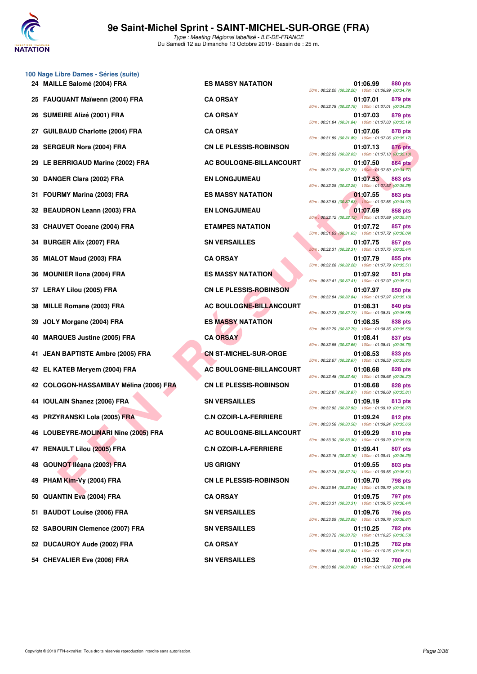

**100 Nage Libre Dames - Séries (suite)**

Type : Meeting Régional labellisé - ILE-DE-FRANCE Du Samedi 12 au Dimanche 13 Octobre 2019 - Bassin de : 25 m.

| 24 MAILLE Salomé (2004) FRA            | <b>ES MASSY NATATION</b>      | 01:06.99<br>880 pts<br>50m: 00:32.20 (00:32.20) 100m: 01:06.99 (00:34.79)                                                       |
|----------------------------------------|-------------------------------|---------------------------------------------------------------------------------------------------------------------------------|
| 25 FAUQUANT Maïwenn (2004) FRA         | <b>CA ORSAY</b>               | 01:07.01<br>879 pts<br>50m: 00:32.78 (00:32.78) 100m: 01:07.01 (00:34.23)                                                       |
| 26 SUMEIRE Alizé (2001) FRA            | <b>CA ORSAY</b>               | 01:07.03<br>879 pts<br>50m: 00:31.84 (00:31.84) 100m: 01:07.03 (00:35.19)                                                       |
| 27 GUILBAUD Charlotte (2004) FRA       | <b>CA ORSAY</b>               | 01:07.06<br>878 pts<br>50m: 00:31.89 (00:31.89) 100m: 01:07.06 (00:35.17)                                                       |
| 28 SERGEUR Nora (2004) FRA             | <b>CN LE PLESSIS-ROBINSON</b> | 01:07.13<br>876 pts<br>50m: 00:32.03 (00:32.03) 100m: 01:07.13 (00:35.10)                                                       |
| 29 LE BERRIGAUD Marine (2002) FRA      | AC BOULOGNE-BILLANCOURT       | 01:07.50<br><b>864 pts</b><br>50m: 00:32.73 (00:32.73) 100m: 01:07.50 (00:34.77)                                                |
| 30 DANGER Clara (2002) FRA             | <b>EN LONGJUMEAU</b>          | 01:07.53<br>863 pts<br>50m: 00:32.25 (00:32.25) 100m: 01:07.53 (00:35.28)                                                       |
| 31 FOURMY Marina (2003) FRA            | <b>ES MASSY NATATION</b>      | 01:07.55<br>863 pts<br>50m: 00:32.63 (00:32.63) 100m: 01:07.55 (00:34.92)                                                       |
| 32 BEAUDRON Leann (2003) FRA           | <b>EN LONGJUMEAU</b>          | 01:07.69<br>858 pts<br>50m: 00:32.12 (00:32.12) 100m: 01:07.69 (00:35.57)                                                       |
| 33 CHAUVET Oceane (2004) FRA           | <b>ETAMPES NATATION</b>       | 01:07.72<br>857 pts<br>50m: 00:31.63 (00:31.63) 100m: 01:07.72 (00:36.09)                                                       |
| 34 BURGER Alix (2007) FRA              | <b>SN VERSAILLES</b>          | 01:07.75<br>857 pts<br>50m: 00:32.31 (00:32.31) 100m: 01:07.75 (00:35.44)                                                       |
| 35 MIALOT Maud (2003) FRA              | <b>CA ORSAY</b>               | 01:07.79<br>855 pts<br>50m: 00:32.28 (00:32.28) 100m: 01:07.79 (00:35.51)                                                       |
| 36 MOUNIER IIona (2004) FRA            | <b>ES MASSY NATATION</b>      | 01:07.92<br>851 pts<br>50m: 00:32.41 (00:32.41) 100m: 01:07.92 (00:35.51)                                                       |
| 37 LERAY Lilou (2005) FRA              | <b>CN LE PLESSIS-ROBINSON</b> | 01:07.97<br>850 pts<br>50m: 00:32.84 (00:32.84) 100m: 01:07.97 (00:35.13)                                                       |
| 38 MILLE Romane (2003) FRA             | AC BOULOGNE-BILLANCOURT       | 01:08.31<br>840 pts<br>50m: 00:32.73 (00:32.73) 100m: 01:08.31 (00:35.58)                                                       |
| 39 JOLY Morgane (2004) FRA             | <b>ES MASSY NATATION</b>      | 01:08.35<br>838 pts                                                                                                             |
| 40 MARQUES Justine (2005) FRA          | <b>CA ORSAY</b>               | 50m: 00:32.79 (00:32.79) 100m: 01:08.35 (00:35.56)<br>01:08.41<br>837 pts<br>50m: 00:32.65 (00:32.65) 100m: 01:08.41 (00:35.76) |
| 41 JEAN BAPTISTE Ambre (2005) FRA      | <b>CN ST-MICHEL-SUR-ORGE</b>  | 01:08.53<br>833 pts<br>50m: 00:32.67 (00:32.67) 100m: 01:08.53 (00:35.86)                                                       |
| 42 EL KATEB Meryem (2004) FRA          | AC BOULOGNE-BILLANCOURT       | 01:08.68<br><b>828 pts</b><br>50m: 00:32.48 (00:32.48) 100m: 01:08.68 (00:36.20)                                                |
| 42 COLOGON-HASSAMBAY Mélina (2006) FRA | <b>CN LE PLESSIS-ROBINSON</b> | 01:08.68<br>828 pts<br>50m: 00:32.87 (00:32.87) 100m: 01:08.68 (00:35.81)                                                       |
| 44 IOULAIN Shanez (2006) FRA           | <b>SN VERSAILLES</b>          | 01:09.19<br>813 pts<br>50m: 00:32.92 (00:32.92) 100m: 01:09.19 (00:36.27)                                                       |
| 45 PRZYRANSKI Lola (2005) FRA          | <b>C.N OZOIR-LA-FERRIERE</b>  | 01:09.24<br>812 pts<br>50m: 00:33.58 (00:33.58) 100m: 01:09.24 (00:35.66)                                                       |
| 46 LOUBEYRE-MOLINARI Nine (2005) FRA   | AC BOULOGNE-BILLANCOURT       | 01:09.29<br>810 pts<br>50m: 00:33.30 (00:33.30) 100m: 01:09.29 (00:35.99)                                                       |
| 47 RENAULT Lilou (2005) FRA            | <b>C.N OZOIR-LA-FERRIERE</b>  | 01:09.41<br>807 pts<br>50m: 00:33.16 (00:33.16) 100m: 01:09.41 (00:36.25)                                                       |
| 48 GOUNOT Iléana (2003) FRA            | <b>US GRIGNY</b>              | 01:09.55<br>803 pts<br>50m: 00:32.74 (00:32.74) 100m: 01:09.55 (00:36.81)                                                       |
| 49 PHAM Kim-Vy (2004) FRA              | <b>CN LE PLESSIS-ROBINSON</b> | 01:09.70<br><b>798 pts</b><br>50m: 00:33.54 (00:33.54) 100m: 01:09.70 (00:36.16)                                                |
| 50 QUANTIN Eva (2004) FRA              | <b>CA ORSAY</b>               | 01:09.75<br><b>797 pts</b><br>50m: 00:33.31 (00:33.31) 100m: 01:09.75 (00:36.44)                                                |
| 51 BAUDOT Louise (2006) FRA            | <b>SN VERSAILLES</b>          | 01:09.76<br>796 pts<br>50m: 00:33.09 (00:33.09) 100m: 01:09.76 (00:36.67)                                                       |
| 52 SABOURIN Clemence (2007) FRA        | <b>SN VERSAILLES</b>          | 01:10.25<br><b>782 pts</b><br>50m: 00:33.72 (00:33.72) 100m: 01:10.25 (00:36.53)                                                |
| 52 DUCAUROY Aude (2002) FRA            | <b>CA ORSAY</b>               | 01:10.25<br>782 pts<br>50m: 00:33.44 (00:33.44) 100m: 01:10.25 (00:36.81)                                                       |
|                                        |                               |                                                                                                                                 |

|                          | 01:06.99<br>50m: 00:32.20 (00:32.20) 100m: 01:06.99 (00:34.79) | <b>880 pts</b> |
|--------------------------|----------------------------------------------------------------|----------------|
| 50m: 00:32.78 (00:32.78) | 01:07.01<br>100m: 01:07.01 (00:34.23)                          | 879 pts        |
| 50m: 00:31.84 (00:31.84) | 01:07.03<br>100m: 01:07.03 (00:35.19)                          | 879 pts        |
| 50m: 00:31.89 (00:31.89) | 01:07.06<br>100m: 01:07.06 (00:35.17)                          | 878 pts        |
| 50m: 00:32.03 (00:32.03) | 01:07.13<br>100m: 01:07.13 (00:35.10)                          | <b>876 pts</b> |
| 50m: 00:32.73 (00:32.73) | 01:07.50<br>100m: 01:07.50 (00:34.77)                          | <b>864 pts</b> |
| 50m: 00:32.25 (00:32.25) | 01:07.53<br>100m: 01:07.53 (00:35.28)                          | <b>863 pts</b> |
|                          | 01:07.55<br>50m: 00:32.63 (00:32.63) 100m: 01:07.55 (00:34.92) | 863 pts        |
|                          | 01:07.69<br>50m: 00:32.12 (00:32.12) 100m: 01:07.69 (00:35.57) | <b>858 pts</b> |
|                          | 01:07.72<br>50m: 00:31.63 (00:31.63) 100m: 01:07.72 (00:36.09) | 857 pts        |
| 50m: 00:32.31 (00:32.31) | 01:07.75<br>100m: 01:07.75 (00:35.44)                          | 857 pts        |
| 50m: 00:32.28 (00:32.28) | 01:07.79<br>100m: 01:07.79 (00:35.51)                          | 855 pts        |
|                          | 01:07.92<br>50m: 00:32.41 (00:32.41) 100m: 01:07.92 (00:35.51) | <b>851 pts</b> |
|                          | 01:07.97                                                       | 850 pts        |
|                          | 50m: 00:32.84 (00:32.84) 100m: 01:07.97 (00:35.13)<br>01:08.31 | <b>840 pts</b> |
| 50m: 00:32.73 (00:32.73) | 100m: 01:08.31 (00:35.58)<br>01:08.35                          | 838 pts        |
| 50m: 00:32.79 (00:32.79) | 100m: 01:08.35 (00:35.56)<br>01:08.41                          | 837 pts        |
|                          | 50m: 00:32.65 (00:32.65) 100m: 01:08.41 (00:35.76)<br>01:08.53 | 833 pts        |
| 50m: 00:32.67 (00:32.67) | 100m: 01:08.53 (00:35.86)<br>01:08.68                          | 828 pts        |
| 50m: 00:32.48 (00:32.48) | 100m: 01:08.68 (00:36.20)<br>01:08.68                          | <b>828 pts</b> |
| 50m: 00:32.87 (00:32.87) | 100m: 01:08.68 (00:35.81)<br>01:09.19                          | 813 pts        |
| 50m: 00:32.92 (00:32.92) | 100m: 01:09.19 (00:36.27)<br>01:09.24                          | 812 pts        |
| 50m: 00:33.58 (00:33.58) | 100m: 01:09.24 (00:35.66)<br>01:09.29                          | 810 pts        |
|                          | 50m: 00:33.30 (00:33.30) 100m: 01:09.29 (00:35.99)<br>01:09.41 | 807 pts        |
|                          | 50m: 00:33.16 (00:33.16) 100m: 01:09.41 (00:36.25)<br>01:09.55 | 803 pts        |
|                          | 50m: 00:32.74 (00:32.74) 100m: 01:09.55 (00:36.81)<br>01:09.70 | 798 pts        |
|                          | 50m: 00:33.54 (00:33.54) 100m: 01:09.70 (00:36.16)<br>01:09.75 | 797 pts        |
|                          | 50m: 00:33.31 (00:33.31) 100m: 01:09.75 (00:36.44)<br>01:09.76 | 796 pts        |
|                          | 50m: 00:33.09 (00:33.09) 100m: 01:09.76 (00:36.67)<br>01:10.25 | 782 pts        |
|                          | 50m: 00:33.72 (00:33.72) 100m: 01:10.25 (00:36.53)<br>01:10.25 | 782 pts        |
|                          | 50m: 00:33.44 (00:33.44) 100m: 01:10.25 (00:36.81)<br>01:10.32 | 780 pts        |
|                          | 50m: 00:33.88 (00:33.88) 100m: 01:10.32 (00:36.44)             |                |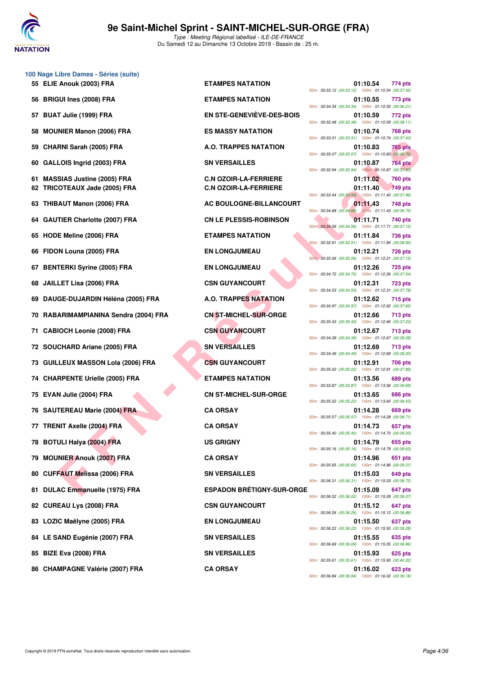

| <b>BRIGUI Ines (2008) FRA</b><br>56          | <b>ETAMPES NATATION</b>          | 01:10.55<br>773 pts<br>50m: 00:34.34 (00:34.34) 100m: 01:10.55 (00:36.21)        |
|----------------------------------------------|----------------------------------|----------------------------------------------------------------------------------|
| <b>BUAT Julie (1999) FRA</b><br>57           | <b>EN STE-GENEVIÈVE-DES-BOIS</b> | 01:10.59<br>772 pts<br>50m: 00:32.48 (00:32.48) 100m: 01:10.59 (00:38.11)        |
| <b>MOUNIER Manon (2006) FRA</b><br>58        | <b>ES MASSY NATATION</b>         | 01:10.74<br><b>768 pts</b><br>50m: 00:33.31 (00:33.31) 100m: 01:10.74 (00:37.43) |
| <b>CHARNI Sarah (2005) FRA</b><br>59         | A.O. TRAPPES NATATION            | 01:10.83<br>765 pts<br>50m: 00:35.07 (00:35.07) 100m: 01:10.83 (00:35.76)        |
| GALLOIS Ingrid (2003) FRA<br>60              | <b>SN VERSAILLES</b>             | 01:10.87<br><b>764 pts</b><br>50m: 00:32.94 (00:32.94) 100m: 01:10.87 (00:37.93) |
| <b>MASSIAS Justine (2005) FRA</b><br>61      | <b>C.N OZOIR-LA-FERRIERE</b>     | 01:11.02<br><b>760 pts</b>                                                       |
| <b>TRICOTEAUX Jade (2005) FRA</b><br>62      | <b>C.N OZOIR-LA-FERRIERE</b>     | 01:11.40<br><b>749 pts</b><br>50m: 00:33.44 (00:33.44) 100m: 01:11.40 (00:37.96) |
| <b>THIBAUT Manon (2006) FRA</b><br>63        | AC BOULOGNE-BILLANCOURT          | 01:11.43<br>748 pts<br>50m: 00:34.68 (00:34.68) 100m: 01:11.43 (00:36.75)        |
| <b>GAUTIER Charlotte (2007) FRA</b><br>64    | <b>CN LE PLESSIS-ROBINSON</b>    | 01:11.71<br>740 pts<br>50m : 00:34.56 (00:34.56) 100m : 01:11.71 (00:37.15)      |
| HODE Meline (2006) FRA<br>65                 | <b>ETAMPES NATATION</b>          | 01:11.84<br><b>736 pts</b>                                                       |
|                                              |                                  | 50m: 00:32.91 (00:32.91) 100m: 01:11.84 (00:38.93)                               |
| FIDON Louna (2005) FRA<br>66                 | <b>EN LONGJUMEAU</b>             | 01:12.21<br><b>726 pts</b>                                                       |
|                                              |                                  | 50m : 00:35.06 (00:35.06) 100m : 01:12.21 (00:37.15)<br>01:12.26                 |
| <b>BENTERKI Syrine (2005) FRA</b><br>67      | <b>EN LONGJUMEAU</b>             | <b>725 pts</b><br>50m: 00:34.72 (00:34.72) 100m: 01:12.26 (00:37.54)             |
| <b>JAILLET Lisa (2006) FRA</b><br>68         | <b>CSN GUYANCOURT</b>            | 01:12.31<br>723 pts                                                              |
|                                              |                                  | 50m: 00:34.53 (00:34.53) 100m: 01:12.31 (00:37.78)                               |
| DAUGE-DUJARDIN Héléna (2005) FRA<br>69       | <b>A.O. TRAPPES NATATION</b>     | 01:12.62<br><b>715 pts</b><br>50m: 00:34.97 (00:34.97) 100m: 01:12.62 (00:37.65) |
| RABARIMAMPIANINA Sendra (2004) FRA<br>70     | <b>CN ST-MICHEL-SUR-ORGE</b>     | 01:12.66<br><b>713 pts</b><br>50m: 00:35.43 (00:35.43) 100m: 01:12.66 (00:37.23) |
| <b>CABIOCH Leonie (2008) FRA</b><br>71       | <b>CSN GUYANCOURT</b>            | 01:12.67<br><b>713 pts</b><br>50m: 00:34.39 (00:34.39) 100m: 01:12.67 (00:38.28) |
| SOUCHARD Ariane (2005) FRA<br>72             | <b>SN VERSAILLES</b>             | 01:12.69<br><b>713 pts</b><br>50m: 00:34.49 (00:34.49) 100m: 01:12.69 (00:38.20) |
| <b>GUILLEUX MASSON Lola (2006) FRA</b><br>73 | <b>CSN GUYANCOURT</b>            | 01:12.91<br><b>706 pts</b><br>50m: 00:35.02 (00:35.02) 100m: 01:12.91 (00:37.89) |
| <b>CHARPENTE Urielle (2005) FRA</b><br>74    | <b>ETAMPES NATATION</b>          | 01:13.56<br>689 pts                                                              |
| EVAN Julie (2004) FRA<br>75                  | <b>CN ST-MICHEL-SUR-ORGE</b>     | 50m: 00:33.87 (00:33.87) 100m: 01:13.56 (00:39.69)<br>01:13.65<br><b>686 pts</b> |
| <b>SAUTEREAU Marie (2004) FRA</b><br>76      | <b>CA ORSAY</b>                  | 50m: 00:35.22 (00:35.22) 100m: 01:13.65 (00:38.43)<br>01:14.28<br>669 pts        |
|                                              |                                  | 50m: 00:35.57 (00:35.57) 100m: 01:14.28 (00:38.71)                               |
| <b>TRENIT Axelle (2004) FRA</b><br>77        | <b>CA ORSAY</b>                  | 01:14.73<br>657 pts                                                              |
|                                              |                                  | 50m: 00:35.40 (00:35.40) 100m: 01:14.73 (00:39.33)                               |
| <b>BOTULI Halya (2004) FRA</b><br>78         | <b>US GRIGNY</b>                 | 01:14.79<br>655 pts<br>50m: 00:35.16 (00:35.16) 100m: 01:14.79 (00:39.63)        |
| <b>MOUNIER Anouk (2007) FRA</b><br>79        | <b>CA ORSAY</b>                  | 01:14.96<br>651 pts<br>50m: 00:35.65 (00:35.65) 100m: 01:14.96 (00:39.31)        |
| <b>CUFFAUT Melissa (2006) FRA</b><br>80      | <b>SN VERSAILLES</b>             | 01:15.03<br>649 pts<br>50m: 00:36.31 (00:36.31) 100m: 01:15.03 (00:38.72)        |
| 81 DULAC Emmanuelle (1975) FRA               | <b>ESPADON BRÉTIGNY-SUR-ORGE</b> | 01:15.09<br>647 pts                                                              |

**100 Nage Libre Dames - Séries (suite)**

- **81 DULAC Emmanuelle (1975) FRA ESPADON BRÉTIGNY-SUR-ORGE 01:15.09 647 pts**
- 
- 
- 
- 
- **86 CHAMPAGNE Valérie (2007) FRA CA ORSAY 01:16.02 623 pts**

**55 ELIE Anouk (2003) FRA ETAMPES NATATION 01:10.54 774 pts** 50m : 00:33.12 (00:33.12) 100m : 01:10.54 (00:37.42) **56 BRIGUI Ines (2008) FRA ETAMPES NATATION 01:10.55 773 pts** 50m : 00:34.34 (00:34.34) 100m : 01:10.55 (00:36.21) **EN STE-GENEVIÈVE-DES-BOIS 01:10.59 772 pts** 50m : 00:32.48 (00:32.48) 100m : 01:10.59 (00:38.11) **58 MASSY NATATION 61:10.74 768 pts** 50m : 00:33.31 (00:33.31) 100m : 01:10.74 (00:37.43) **59 A.O. TRAPPES NATATION CHARGIST OF STATE OF STATE OF STATE OF STATE OF STATE OF STATE OF STATE OF STATE OF STATE OF STATE OF STATE OF STATE OF STATE OF STATE OF STATE OF STATE OF STATE OF STATE OF STATE OF STATE OF ST** 50m : 00:35.07 (00:35.07) 100m : 01:10.83 (00:35.76) **60 GALLOIS Ingrid (2003) FRA SN VERSAILLES 01:10.87 764 pts** 50m : 00:32.94 (00:32.94) 100m : 01:10.87 (00:37.93) **62.N OZOIR-LA-FERRIERE** 01:11.02 **760 pts 62 TRICOTE C.N OZOIR-LA-FERRIERE** 01:11.40 **749 pts** 50m : 00:33.44 (00:33.44) 100m : 01:11.40 (00:37.96) **63 AC BOULOGNE-BILLANCOURT 61:11.43** 748 pts 50m : 00:34.68 (00:34.68) 100m : 01:11.43 (00:36.75) **64 CN LE PLESSIS-ROBINSON 01:11.71** 740 pts 50m : 00:34.56 (00:34.56) 100m : 01:11.71 (00:37.15) **65 ETAMPES NATATION 65 Mag 101:11.84 1236 pts** 50m : 00:32.91 (00:32.91) 100m : 01:11.84 (00:38.93) **66 FIN LONGJUMEAU 61:12.21** 726 pts 50m : 00:35.06 (00:35.06) 100m : 01:12.21 (00:37.15) **67 BENTER EN LONGJUMEAU CONGITER SYSTEM** 50m : 00:34.72 (00:34.72) 100m : 01:12.26 (00:37.54) **68 CSN GUYANCOURT 68 DELANT CONGLUYANCOURT 01:12.31 723 pts** 50m : 00:34.53 (00:34.53) 100m : 01:12.31 (00:37.78) **69 DAUGE-DUJARDIN Héléna (2005) FRA A.O. TRAPPES NATATION 01:12.62 715 pts** 50m : 00:34.97 (00:34.97) 100m : 01:12.62 (00:37.65) **CN ST-MICHEL-SUR-ORGE 01:12.66 713 pts** 50m : 00:35.43 (00:35.43) 100m : 01:12.66 (00:37.23) **713 pts** CSN GUYANCOURT 01:12.67 713 pts 50m : 00:34.39 (00:34.39) 100m : 01:12.67 (00:38.28) **713 pts 713 pts** 50m : 00:34.49 (00:34.49) 100m : 01:12.69 (00:38.20) **706 BUILDERS CSN GUYANCOURT CSN** 50m : 00:35.02 (00:35.02) 100m : 01:12.91 (00:37.89) **74 CHARPES NATATION 689 pts** 01:13.56 **689 pts** 50m : 00:33.87 (00:33.87) 100m : 01:13.56 (00:39.69) **75 CN ST-MICHEL-SUR-ORGE 01:13.65** 686 pts 50m : 00:35.22 (00:35.22) 100m : 01:13.65 (00:38.43) 50m : 00:35.57 (00:35.57) 100m : 01:14.28 (00:38.71) **77 TRENIT Axelle (2004) FRA CA ORSAY 01:14.73** 657 pts 50m : 00:35.40 (00:35.40) 100m : 01:14.73 (00:39.33) 50m : 00:35.16 (00:35.16) 100m : 01:14.79 (00:39.63) 50m : 00:35.65 (00:35.65) 100m : 01:14.96 (00:39.31) 50m : 00:36.31 (00:36.31) 100m : 01:15.03 (00:38.72) 50m : 00:36.02 (00:36.02) 100m : 01:15.09 (00:39.07) **82 CUREAU Lys (2008) FRA CSN GUYANCOURT 01:15.12 647 pts** 50m : 00:36.26 (00:36.26) 100m : 01:15.12 (00:38.86) **83 LOZIC Maëlyne (2005) FRA EN LONGJUMEAU 01:15.50 637 pts** 50m : 00:36.22 (00:36.22) 100m : 01:15.50 (00:39.28) **84 LE SAND Eugénie (2007) FRA SN VERSAILLES 01:15.55 635 pts** 50m : 00:36.69 (00:36.69) 100m : 01:15.55 (00:38.86) **85 BIZE Eva (2008) FRA SN VERSAILLES 01:15.93 625 pts** 50m : 00:35.61 (00:35.61) 100m : 01:15.93 (00:40.32) 50m : 00:36.84 (00:36.84) 100m : 01:16.02 (00:39.18)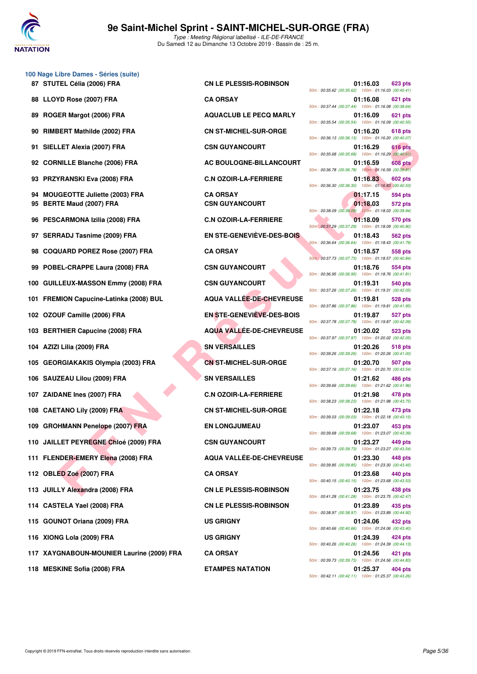

|          | 100 Nage Libre Dames - Séries (suite)<br>87 STUTEL Célia (2006) FRA  | <b>CN LE PLESSIS-ROBINSON</b>            | 01:16.03<br>623 pts                                                              |
|----------|----------------------------------------------------------------------|------------------------------------------|----------------------------------------------------------------------------------|
|          | 88 LLOYD Rose (2007) FRA                                             | <b>CA ORSAY</b>                          | 50m: 00:35.62 (00:35.62) 100m: 01:16.03 (00:40.41)<br>01:16.08<br>621 pts        |
| 89       | ROGER Margot (2006) FRA                                              | <b>AQUACLUB LE PECQ MARLY</b>            | 50m: 00:37.44 (00:37.44) 100m: 01:16.08 (00:38.64)<br>01:16.09<br>621 pts        |
| 90       | RIMBERT Mathilde (2002) FRA                                          | <b>CN ST-MICHEL-SUR-ORGE</b>             | 50m: 00:35.54 (00:35.54) 100m: 01:16.09 (00:40.55)<br>01:16.20<br><b>618 pts</b> |
|          |                                                                      |                                          | 50m: 00:36.13 (00:36.13) 100m: 01:16.20 (00:40.07)                               |
| 91       | SIELLET Alexia (2007) FRA                                            | <b>CSN GUYANCOURT</b>                    | 01:16.29<br><b>616 pts</b><br>50m: 00:35.68 (00:35.68) 100m: 01:16.29 (00:40.61) |
|          | 92 CORNILLE Blanche (2006) FRA                                       | AC BOULOGNE-BILLANCOURT                  | 01:16.59<br><b>608 pts</b><br>50m: 00:36.78 (00:36.78) 100m: 01:16.59 (00:39.81) |
| 93       | <b>PRZYRANSKI Eva (2008) FRA</b>                                     | <b>C.N OZOIR-LA-FERRIERE</b>             | 01:16.83<br><b>602 pts</b><br>50m: 00:36.30 (00:36.30) 100m: 01:16.83 (00:40.53) |
| 94<br>95 | <b>MOUGEOTTE Juliette (2003) FRA</b><br><b>BERTE Maud (2007) FRA</b> | <b>CA ORSAY</b><br><b>CSN GUYANCOURT</b> | 01:17.15<br>594 pts<br>01:18.03<br><b>572 pts</b>                                |
| 96       | <b>PESCARMONA Izilia (2008) FRA</b>                                  | <b>C.N OZOIR-LA-FERRIERE</b>             | 50m: 00:38.09 (00:38.09) 100m: 01:18.03 (00:39.94)<br>01:18.09<br>570 pts        |
| 97       | <b>SERRADJ Tasnime (2009) FRA</b>                                    | EN STE-GENEVIÈVE-DES-BOIS                | 50m: 00:37.29 (00:37.29) 100m: 01:18.09 (00:40.80)<br>01:18.43<br>562 pts        |
|          |                                                                      |                                          | 50m: 00:36.64 (00:36.64) 100m: 01:18.43 (00:41.79)                               |
| 98       | <b>COQUARD POREZ Rose (2007) FRA</b>                                 | <b>CA ORSAY</b>                          | 01:18.57<br>558 pts<br>50m : 00:37.73 (00:37.73) 100m : 01:18.57 (00:40.84)      |
| 99       | POBEL-CRAPPE Laura (2008) FRA                                        | <b>CSN GUYANCOURT</b>                    | 01:18.76<br>554 pts<br>50m: 00:36.95 (00:36.95) 100m: 01:18.76 (00:41.81)        |
|          | 100 GUILLEUX-MASSON Emmy (2008) FRA                                  | <b>CSN GUYANCOURT</b>                    | 01:19.31<br>540 pts<br>50m: 00:37.26 (00:37.26) 100m: 01:19.31 (00:42.05)        |
|          | 101 FREMION Capucine-Latinka (2008) BUL                              | AQUA VALLÉE-DE-CHEVREUSE                 | 01:19.81<br>528 pts<br>50m: 00:37.86 (00:37.86) 100m: 01:19.81 (00:41.95)        |
|          | 102 OZOUF Camille (2006) FRA                                         | <b>EN STE-GENEVIÈVE-DES-BOIS</b>         | 01:19.87<br>527 pts<br>50m: 00:37.78 (00:37.78) 100m: 01:19.87 (00:42.09)        |
|          | 103 BERTHIER Capucine (2008) FRA                                     | <b>AQUA VALLÉE-DE-CHEVREUSE</b>          | 01:20.02<br><b>523 pts</b><br>50m: 00:37.97 (00:37.97) 100m: 01:20.02 (00:42.05) |
| 104      | AZIZI Lilia (2009) FRA                                               | <b>SN VERSAILLES</b>                     | 01:20.26<br><b>518 pts</b><br>50m: 00:39.26 (00:39.26) 100m: 01:20.26 (00:41.00) |
|          | 105 GEORGIAKAKIS Olympia (2003) FRA                                  | <b>CN ST-MICHEL-SUR-ORGE</b>             | 01:20.70<br>507 pts                                                              |
|          | 106 SAUZEAU Lilou (2009) FRA                                         | <b>SN VERSAILLES</b>                     | 50m: 00:37.16 (00:37.16) 100m: 01:20.70 (00:43.54)<br>01:21.62<br>486 pts        |
|          | 107 ZAIDANE Ines (2007) FRA                                          | <b>C.N OZOIR-LA-FERRIERE</b>             | 50m: 00:39.66 (00:39.66) 100m: 01:21.62 (00:41.96)<br>01:21.98<br>478 pts        |
|          | 108 CAETANO Lily (2009) FRA                                          | <b>CN ST-MICHEL-SUR-ORGE</b>             | 50m: 00:38.23 (00:38.23) 100m: 01:21.98 (00:43.75)<br>01:22.18<br>473 pts        |
|          | 109 GROHMANN Penelope (2007) FRA                                     | <b>EN LONGJUMEAU</b>                     | 50m: 00:39.03 (00:39.03) 100m: 01:22.18 (00:43.15)<br>01:23.07<br>453 pts        |
|          | 110 JAILLET PEYREGNE Chloé (2009) FRA                                | <b>CSN GUYANCOURT</b>                    | 50m: 00:39.68 (00:39.68) 100m: 01:23.07 (00:43.39)<br>01:23.27<br>449 pts        |
|          | 111 FLENDER-EMERY Elena (2008) FRA                                   | AQUA VALLÉE-DE-CHEVREUSE                 | 50m: 00:39.73 (00:39.73) 100m: 01:23.27 (00:43.54)<br>01:23.30<br>448 pts        |
|          |                                                                      | <b>CA ORSAY</b>                          | 50m: 00:39.85 (00:39.85) 100m: 01:23.30 (00:43.45)                               |
|          | 112 OBLED Zoé (2007) FRA                                             |                                          | 01:23.68<br>440 pts<br>50m: 00:40.15 (00:40.15) 100m: 01:23.68 (00:43.53)        |
|          | 113 JUILLY Alexandra (2008) FRA                                      | <b>CN LE PLESSIS-ROBINSON</b>            | 01:23.75<br>438 pts<br>50m: 00:41.28 (00:41.28) 100m: 01:23.75 (00:42.47)        |
|          | 114 CASTELA Yael (2008) FRA                                          | <b>CN LE PLESSIS-ROBINSON</b>            | 01:23.89<br>435 pts<br>50m: 00:38.97 (00:38.97) 100m: 01:23.89 (00:44.92)        |
|          | 115 GOUNOT Oriana (2009) FRA                                         | <b>US GRIGNY</b>                         | 01:24.06<br>432 pts<br>50m: 00:40.66 (00:40.66) 100m: 01:24.06 (00:43.40)        |
|          | 116 XIONG Lola (2009) FRA                                            | <b>US GRIGNY</b>                         | 01:24.39<br>424 pts<br>50m: 00:40.26 (00:40.26) 100m: 01:24.39 (00:44.13)        |
|          | 117 XAYGNABOUN-MOUNIER Laurine (2009) FRA                            | <b>CA ORSAY</b>                          | 01:24.56<br>421 pts                                                              |

118 MESKINE Sofia (2008) FRA **ETAMPES NATATION** 

| 01:16.03<br>623 pts<br>50m: 00:35.62 (00:35.62)<br>100m: 01:16.03 (00:40.41)        |
|-------------------------------------------------------------------------------------|
| 01:16.08<br>621 pts<br>50m: 00:37.44 (00:37.44)<br>100m: 01:16.08 (00:38.64)        |
| 01:16.09<br>621 pts<br>50m: 00:35.54 (00:35.54)<br>100m: 01:16.09 (00:40.55)        |
| 01:16.20<br>618 pts<br>50m: 00:36.13 (00:36.13)<br>100m: 01:16.20 (00:40.07)        |
| 01:16.29<br>616 pts<br>50m: 00:35.68 (00:35.68)<br>100m: 01:16.29 (00:40.61)        |
| 01:16.59<br>608 pts<br>50m: 00:36.78 (00:36.78)<br>100m: 01:16.59 (00:39.81)        |
| 01:16.83<br><b>602 pts</b><br>50m: 00:36.30 (00:36.30)<br>100m: 01:16.83 (00:40.53) |
| 01:17.15<br>594 pts                                                                 |
| 01:18.03<br>572 pts<br>50m: 00:38.09 (00:38.09)<br>100m: 01:18.03 (00:39.94)        |
| 01:18.09<br>570 pts<br>50m: 00:37.29 (00:37.29)<br>100m: 01:18.09 (00:40.80)        |
| 01:18.43<br>562 pts<br>50m: 00:36.64 (00:36.64)<br>100m: 01:18.43 (00:41.79)        |
| 01:18.57<br>558 pts<br>50m: 00:37.73 (00:37.73)<br>100m: 01:18.57 (00:40.84)        |
| 01:18.76<br><b>554 pts</b><br>50m: 00:36.95 (00:36.95)<br>100m: 01:18.76 (00:41.81) |
| 01:19.31<br>540 pts<br>50m: 00:37.26 (00:37.26)<br>100m: 01:19.31 (00:42.05)        |
| 01:19.81<br>528 pts<br>50m: 00:37.86 (00:37.86)<br>100m: 01:19.81 (00:41.95)        |
| 01:19.87<br>527 pts<br>50m: 00:37.78 (00:37.78)<br>100m: 01:19.87 (00:42.09)        |
| 01:20.02<br>523 pts<br>50m: 00:37.97 (00:37.97)<br>100m: 01:20.02 (00:42.05)        |
| 01:20.26<br>518 pts<br>50m: 00:39.26 (00:39.26)<br>100m: 01:20.26 (00:41.00)        |
| 01:20.70<br>507 pts<br>50m: 00:37.16 (00:37.16)<br>100m: 01:20.70 (00:43.54)        |
| 01:21.62<br>486 pts<br>50m: 00:39.66 (00:39.66)<br>100m: 01:21.62 (00:41.96)        |
| 01:21.98<br>478 pts<br>50m: 00:38.23 (00:38.23)<br>100m: 01:21.98 (00:43.75)        |
| 01:22.18<br>473 pts<br>50m: 00:39.03 (00:39.03)<br>100m: 01:22.18 (00:43.15)        |
| 01:23.07<br>453 pts<br>50m: 00:39.68 (00:39.68)<br>100m: 01:23.07 (00:43.39)        |
| 01:23.27<br>449 pts<br>50m: 00:39.73 (00:39.73) 100m: 01:23.27 (00:43.54)           |
| 01:23.30<br>448 pts<br>50m: 00:39.85 (00:39.85)<br>100m: 01:23.30 (00:43.45)        |
| 01:23.68<br>440 pts<br>50m: 00:40.15 (00:40.15) 100m: 01:23.68 (00:43.53)           |
| 01:23.75<br>438 pts<br>50m: 00:41.28 (00:41.28) 100m: 01:23.75 (00:42.47)           |
| 01:23.89<br>435 pts<br>50m: 00:38.97 (00:38.97) 100m: 01:23.89 (00:44.92)           |
| 01:24.06<br>432 pts<br>50m: 00:40.66 (00:40.66) 100m: 01:24.06 (00:43.40)           |
| 01:24.39<br><b>424 pts</b><br>50m: 00:40.26 (00:40.26) 100m: 01:24.39 (00:44.13)    |
| 01:24.56<br>421 pts<br>50m: 00:39.73 (00:39.73) 100m: 01:24.56 (00:44.83)           |
| 01:25.37<br>404 pts<br>$50m \cdot 00.4211 (00.4211) 100m \cdot 01.2537 (00.43.26)$  |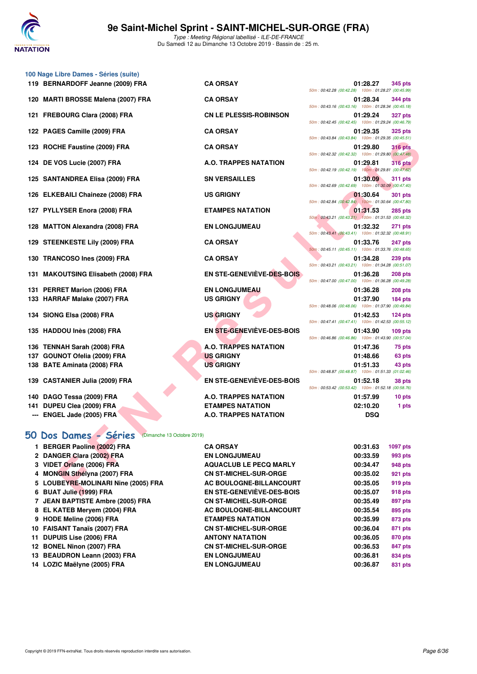

**100 Nage Libre Dames - Séries (suite)**

Type : Meeting Régional labellisé - ILE-DE-FRANCE Du Samedi 12 au Dimanche 13 Octobre 2019 - Bassin de : 25 m.

|     | 119 BERNARDOFF Jeanne (2009) FRA                               | <b>CA ORSAY</b>                                               | 01:28.27<br>345 pts                                                              |
|-----|----------------------------------------------------------------|---------------------------------------------------------------|----------------------------------------------------------------------------------|
|     | 120 MARTI BROSSE Malena (2007) FRA                             | <b>CA ORSAY</b>                                               | 50m: 00:42.28 (00:42.28) 100m: 01:28.27 (00:45.99)<br>01:28.34<br>344 pts        |
|     | 121 FREBOURG Clara (2008) FRA                                  | <b>CN LE PLESSIS-ROBINSON</b>                                 | 50m: 00:43.16 (00:43.16) 100m: 01:28.34 (00:45.18)<br>01:29.24<br><b>327 pts</b> |
|     | 122 PAGES Camille (2009) FRA                                   | <b>CA ORSAY</b>                                               | 50m: 00:42.45 (00:42.45) 100m: 01:29.24 (00:46.79)<br>01:29.35<br><b>325 pts</b> |
|     |                                                                | <b>CA ORSAY</b>                                               | 50m: 00:43.84 (00:43.84) 100m: 01:29.35 (00:45.51)                               |
| 123 | ROCHE Faustine (2009) FRA                                      |                                                               | 01:29.80<br><b>316 pts</b><br>50m: 00:42.32 (00:42.32) 100m: 01:29.80 (00:47.48) |
| 124 | DE VOS Lucie (2007) FRA                                        | A.O. TRAPPES NATATION                                         | 01:29.81<br><b>316 pts</b><br>50m: 00:42.19 (00:42.19) 100m: 01:29.81 (00:47.62) |
|     | 125 SANTANDREA Elisa (2009) FRA                                | <b>SN VERSAILLES</b>                                          | 01:30.09<br><b>311 pts</b><br>50m: 00:42.69 (00:42.69) 100m: 01:30.09 (00:47.40) |
|     | 126 ELKEBAILI Chaineze (2008) FRA                              | <b>US GRIGNY</b>                                              | 01:30.64<br><b>301 pts</b>                                                       |
|     | 127 PYLLYSER Enora (2008) FRA                                  | <b>ETAMPES NATATION</b>                                       | 50m: 00:42.84 (00:42.84) 100m: 01:30.64 (00:47.80)<br>01:31.53<br><b>285 pts</b> |
|     | 128 MATTON Alexandra (2008) FRA                                | <b>EN LONGJUMEAU</b>                                          | 50m: 00:43.21 (00:43.21) 100m: 01:31.53 (00:48.32)<br>01:32.32<br><b>271 pts</b> |
|     | 129 STEENKESTE Lily (2009) FRA                                 | <b>CA ORSAY</b>                                               | 50m: 00:43.41 (00:43.41) 100m: 01:32.32 (00:48.91)<br>01:33.76<br>247 pts        |
|     |                                                                |                                                               | 50m: 00:45.11 (00:45.11) 100m: 01:33.76 (00:48.65)                               |
|     | 130 TRANCOSO Ines (2009) FRA                                   | <b>CA ORSAY</b>                                               | 01:34.28<br><b>239 pts</b><br>50m: 00:43.21 (00:43.21) 100m: 01:34.28 (00:51.07) |
|     | 131 MAKOUTSING Elisabeth (2008) FRA                            | EN STE-GENEVIÈVE-DES-BOIS                                     | 01:36.28<br><b>208 pts</b><br>50m: 00:47.00 (00:47.00) 100m: 01:36.28 (00:49.28) |
| 131 | <b>PERRET Marion (2006) FRA</b>                                | <b>EN LONGJUMEAU</b>                                          | 01:36.28<br><b>208 pts</b>                                                       |
|     | 133 HARRAF Malake (2007) FRA                                   | <b>US GRIGNY</b>                                              | 01:37.90<br>184 pts<br>50m: 00:48.06 (00:48.06) 100m: 01:37.90 (00:49.84)        |
|     | 134 SIONG Elsa (2008) FRA                                      | <b>US GRIGNY</b>                                              | 01:42.53<br>$124$ pts<br>50m: 00:47.41 (00:47.41) 100m: 01:42.53 (00:55.12)      |
|     | 135 HADDOU Inès (2008) FRA                                     | <b>EN STE-GENEVIÈVE-DES-BOIS</b>                              | 01:43.90<br>$109$ pts<br>50m: 00:46.86 (00:46.86) 100m: 01:43.90 (00:57.04)      |
|     | 136 TENNAH Sarah (2008) FRA                                    | A.O. TRAPPES NATATION                                         | 01:47.36<br>75 pts                                                               |
| 137 | <b>GOUNOT Ofelia (2009) FRA</b>                                | <b>US GRIGNY</b>                                              | 01:48.66<br>63 pts                                                               |
|     | 138 BATE Aminata (2008) FRA                                    | <b>US GRIGNY</b>                                              | 01:51.33<br>43 pts<br>50m: 00:48.87 (00:48.87) 100m: 01:51.33 (01:02.46)         |
|     | 139 CASTANIER Julia (2009) FRA                                 | EN STE-GENEVIÈVE-DES-BOIS                                     | 01:52.18<br>38 pts<br>50m: 00:53.42 (00:53.42) 100m: 01:52.18 (00:58.76)         |
| 140 | DAGO Tessa (2009) FRA                                          | A.O. TRAPPES NATATION                                         | 01:57.99<br>10 pts                                                               |
| 141 | DUPEU Clea (2009) FRA                                          | <b>ETAMPES NATATION</b>                                       | 02:10.20<br>1 pts                                                                |
|     |                                                                |                                                               |                                                                                  |
|     | ENGEL Jade (2005) FRA                                          | A.O. TRAPPES NATATION                                         | <b>DSQ</b>                                                                       |
|     |                                                                |                                                               |                                                                                  |
|     | 50 Dos Dames - Séries<br>(Dimanche 13 Octobre 2019)            |                                                               |                                                                                  |
|     | 1 BERGER Paoline (2002) FRA                                    | <b>CA ORSAY</b>                                               | 00:31.63<br>1097 pts                                                             |
|     | 2 DANGER Clara (2002) FRA                                      | <b>EN LONGJUMEAU</b>                                          | 00:33.59<br>993 pts                                                              |
|     | 3 VIDET Oriane (2006) FRA                                      | <b>AQUACLUB LE PECQ MARLY</b><br><b>CN ST-MICHEL-SUR-ORGE</b> | 00:34.47<br>948 pts                                                              |
|     | 4 MONGIN Sthélyna (2007) FRA                                   | AC BOULOGNE-BILLANCOURT                                       | 00:35.02<br>921 pts<br>00:35.05<br>919 pts                                       |
|     | 5 LOUBEYRE-MOLINARI Nine (2005) FRA<br>6 BUAT Julie (1999) FRA | <b>EN STE-GENEVIEVE-DES-BOIS</b>                              | 00:35.07<br>918 pts                                                              |
|     | 7 JEAN BAPTISTE Ambre (2005) FRA                               | <b>CN ST-MICHEL-SUR-ORGE</b>                                  | 00:35.49<br>897 pts                                                              |
|     | 8 EL KATEB Meryem (2004) FRA                                   |                                                               | 00:35.54<br>895 pts                                                              |
|     | 9 HODE Meline (2006) FRA                                       | AC BOULOGNE-BILLANCOURT<br><b>ETAMPES NATATION</b>            | 00:35.99<br>873 pts                                                              |
|     | 10 FAISANT Tanaïs (2007) FRA                                   | <b>CN ST-MICHEL-SUR-ORGE</b>                                  | 00:36.04<br>871 pts                                                              |
| 11  | <b>DUPUIS Lise (2006) FRA</b>                                  | <b>ANTONY NATATION</b>                                        | 00:36.05<br>870 pts                                                              |
|     |                                                                | <b>CN ST-MICHEL-SUR-ORGE</b>                                  | 00:36.53<br>847 pts                                                              |
|     | 12 BONEL Ninon (2007) FRA<br>13 BEAUDRON Leann (2003) FRA      | <b>EN LONGJUMEAU</b>                                          | 00:36.81<br>834 pts                                                              |

| <b>ORSAY</b>                   | 01:28.27<br>50m: 00:42.28 (00:42.28) 100m: 01:28.27 (00:45.99) | 345 pts          |
|--------------------------------|----------------------------------------------------------------|------------------|
| <b>ORSAY</b>                   | 01:28.34                                                       | <b>344 pts</b>   |
| <b>LE PLESSIS-ROBINSON</b>     | 50m: 00:43.16 (00:43.16) 100m: 01:28.34 (00:45.18)<br>01:29.24 | <b>327 pts</b>   |
|                                | 50m: 00:42.45 (00:42.45) 100m: 01:29.24 (00:46.79)             |                  |
| <b>ORSAY</b>                   | 01:29.35<br>50m: 00:43.84 (00:43.84) 100m: 01:29.35 (00:45.51) | <b>325 pts</b>   |
| <b>ORSAY</b>                   | 01:29.80                                                       | <b>316 pts</b>   |
| ). TRAPPES NATATION            | 50m: 00:42.32 (00:42.32) 100m: 01:29.80 (00:47.48)<br>01:29.81 | <b>316 pts</b>   |
|                                | 50m: 00:42.19 (00:42.19) 100m: 01:29.81 (00:47.62)             |                  |
| <b>VERSAILLES</b>              | 01:30.09<br>50m: 00:42.69 (00:42.69) 100m: 01:30.09 (00:47.40) | <b>311 pts</b>   |
| <b>GRIGNY</b>                  | 01:30.64                                                       | <b>301 pts</b>   |
| AMPES NATATION                 | 50m: 00:42.84 (00:42.84) 100m: 01:30.64 (00:47.80)<br>01:31.53 | 285 pts          |
|                                | 50m: 00:43.21 (00:43.21) 100m: 01:31.53 (00:48.32)             |                  |
| <b>LONGJUMEAU</b>              | 01:32.32<br>50m: 00:43.41 (00:43.41) 100m: 01:32.32 (00:48.91) | <b>271 pts</b>   |
| <b>ORSAY</b>                   | 01:33.76                                                       | 247 pts          |
| <b>ORSAY</b>                   | 50m: 00:45.11 (00:45.11) 100m: 01:33.76 (00:48.65)<br>01:34.28 | <b>239 pts</b>   |
|                                | 50m: 00:43.21 (00:43.21) 100m: 01:34.28 (00:51.07)             |                  |
| <b>STE-GENEVIÈVE-DES-BOIS</b>  | 01:36.28<br>50m: 00:47.00 (00:47.00) 100m: 01:36.28 (00:49.28) | 208 pts          |
| <b>LONGJUMEAU</b>              | 01:36.28                                                       | 208 pts          |
| <b>GRIGNY</b>                  | 01:37.90<br>50m: 00:48.06 (00:48.06) 100m: 01:37.90 (00:49.84) | 184 pts          |
| <b>GRIGNY</b>                  | 01:42.53                                                       | 124 pts          |
| <b>STE-GENEVIÈVE-DES-BOIS</b>  | 50m: 00:47.41 (00:47.41) 100m: 01:42.53 (00:55.12)<br>01:43.90 | $109$ pts        |
|                                | 50m: 00:46.86 (00:46.86) 100m: 01:43.90 (00:57.04)             |                  |
| ). TRAPPES NATATION            | 01:47.36                                                       | 75 pts           |
| <b>GRIGNY</b><br><b>GRIGNY</b> | 01:48.66<br>01:51.33                                           | 63 pts<br>43 pts |
|                                | 50m: 00:48.87 (00:48.87) 100m: 01:51.33 (01:02.46)             |                  |
| <b>STE-GENEVIÈVE-DES-BOIS</b>  | 01:52.18<br>50m: 00:53.42 (00:53.42) 100m: 01:52.18 (00:58.76) | 38 pts           |
| ). TRAPPES NATATION            | 01:57.99                                                       | 10 pts           |
| <b>AMPES NATATION</b>          | 02:10.20                                                       | 1 pts            |
| ). TRAPPES NATATION            | <b>DSQ</b>                                                     |                  |
|                                |                                                                |                  |

| 00:31.63 | 1097 pts       |
|----------|----------------|
| 00:33.59 | 993 pts        |
| 00:34.47 | <b>948 pts</b> |
| 00:35.02 | 921 pts        |
| 00:35.05 | 919 pts        |
| 00:35.07 | 918 pts        |
| 00:35.49 | <b>897 pts</b> |
| 00:35.54 | 895 pts        |
| 00:35.99 | 873 pts        |
| 00:36.04 | 871 pts        |
| 00:36.05 | 870 pts        |
| 00:36.53 | 847 pts        |
| 00:36.81 | 834 pts        |
| 00:36.87 | 831 pts        |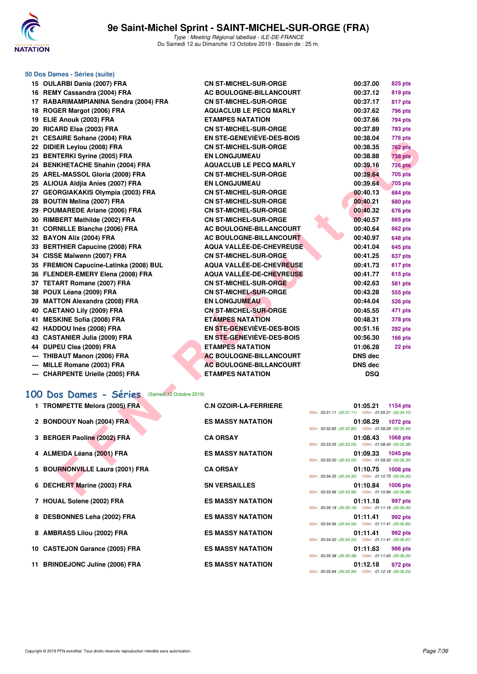

### **50 Dos Dames - Séries (suite)**

| 15 OULARBI Dania (2007) FRA                       | <b>CN ST-MICHEL-SUR-ORGE</b>     | 00:37.00                                                       | 825 pts         |
|---------------------------------------------------|----------------------------------|----------------------------------------------------------------|-----------------|
| 16 REMY Cassandra (2004) FRA                      | AC BOULOGNE-BILLANCOURT          | 00:37.12                                                       | 819 pts         |
| 17 RABARIMAMPIANINA Sendra (2004) FRA             | <b>CN ST-MICHEL-SUR-ORGE</b>     | 00:37.17                                                       | 817 pts         |
| 18 ROGER Margot (2006) FRA                        | <b>AQUACLUB LE PECQ MARLY</b>    | 00:37.62                                                       | 796 pts         |
| 19 ELIE Anouk (2003) FRA                          | <b>ETAMPES NATATION</b>          | 00:37.66                                                       | 794 pts         |
| 20 RICARD Elsa (2003) FRA                         | <b>CN ST-MICHEL-SUR-ORGE</b>     | 00:37.89                                                       | <b>783 pts</b>  |
| 21 CESAIRE Sohane (2004) FRA                      | <b>EN STE-GENEVIÈVE-DES-BOIS</b> | 00:38.04                                                       | 776 pts         |
| 22 DIDIER Leylou (2008) FRA                       | <b>CN ST-MICHEL-SUR-ORGE</b>     | 00:38.35                                                       | <b>762 pts</b>  |
| 23 BENTERKI Syrine (2005) FRA                     | <b>EN LONGJUMEAU</b>             | 00:38.88                                                       | <b>738 pts</b>  |
| 24 BENKHETACHE Shahin (2004) FRA                  | <b>AQUACLUB LE PECQ MARLY</b>    | 00:39.16                                                       | 726 pts         |
| 25 AREL-MASSOL Gloria (2008) FRA                  | <b>CN ST-MICHEL-SUR-ORGE</b>     | 00:39.64                                                       | <b>705 pts</b>  |
| 25 ALIOUA Aldjia Anies (2007) FRA                 | <b>EN LONGJUMEAU</b>             | 00:39.64                                                       | <b>705 pts</b>  |
| 27 GEORGIAKAKIS Olympia (2003) FRA                | <b>CN ST-MICHEL-SUR-ORGE</b>     | 00:40.13                                                       | 684 pts         |
| 28 BOUTIN Melina (2007) FRA                       | <b>CN ST-MICHEL-SUR-ORGE</b>     | 00:40.21                                                       | <b>680 pts</b>  |
| 29 POUMAREDE Ariane (2006) FRA                    | <b>CN ST-MICHEL-SUR-ORGE</b>     | 00:40.32                                                       | 676 pts         |
| 30 RIMBERT Mathilde (2002) FRA                    | <b>CN ST-MICHEL-SUR-ORGE</b>     | 00:40.57                                                       | 665 pts         |
| 31 CORNILLE Blanche (2006) FRA                    | AC BOULOGNE-BILLANCOURT          | 00:40.64                                                       | <b>662 pts</b>  |
| 32 BAYON Alix (2004) FRA                          | AC BOULOGNE-BILLANCOURT          | 00:40.97                                                       | 648 pts         |
| 33 BERTHIER Capucine (2008) FRA                   | AQUA VALLÉE-DE-CHEVREUSE         | 00:41.04                                                       | <b>645 pts</b>  |
| 34 CISSE Maïwenn (2007) FRA                       | <b>CN ST-MICHEL-SUR-ORGE</b>     | 00:41.25                                                       | 637 pts         |
| 35 FREMION Capucine-Latinka (2008) BUL            | <b>AQUA VALLÉE-DE-CHEVREUSE</b>  | 00:41.73                                                       | 617 pts         |
| 36 FLENDER-EMERY Elena (2008) FRA                 | <b>AQUA VALLÉE-DE-CHEVREUSE</b>  | 00:41.77                                                       | 615 pts         |
| 37 TETART Romane (2007) FRA                       | <b>CN ST-MICHEL-SUR-ORGE</b>     | 00:42.63                                                       | <b>581 pts</b>  |
| 38 POUX Léana (2009) FRA                          | <b>CN ST-MICHEL-SUR-ORGE</b>     | 00:43.28                                                       | 555 pts         |
| 39 MATTON Alexandra (2008) FRA                    | <b>EN LONGJUMEAU</b>             | 00:44.04                                                       | 526 pts         |
| 40 CAETANO Lily (2009) FRA                        | <b>CN ST-MICHEL-SUR-ORGE</b>     | 00:45.55                                                       | 471 pts         |
| 41 MESKINE Sofia (2008) FRA                       | <b>ETAMPES NATATION</b>          | 00:48.31                                                       | 378 pts         |
| 42 HADDOU Inès (2008) FRA                         | EN STE-GENEVIEVE-DES-BOIS        | 00:51.16                                                       | 292 pts         |
| 43 CASTANIER Julia (2009) FRA                     | <b>EN STE-GENEVIÈVE-DES-BOIS</b> | 00:56.30                                                       | 166 pts         |
| 44 DUPEU Clea (2009) FRA                          | <b>ETAMPES NATATION</b>          | 01:06.28                                                       | 22 pts          |
| --- THIBAUT Manon (2006) FRA                      | AC BOULOGNE-BILLANCOURT          | <b>DNS dec</b>                                                 |                 |
| --- MILLE Romane (2003) FRA                       | <b>AC BOULOGNE-BILLANCOURT</b>   | <b>DNS dec</b>                                                 |                 |
| --- CHARPENTE Urielle (2005) FRA                  | <b>ETAMPES NATATION</b>          | <b>DSQ</b>                                                     |                 |
|                                                   |                                  |                                                                |                 |
| 00 Dos Dames - Séries<br>(Samedi 12 Octobre 2019) |                                  |                                                                |                 |
| 1 TROMPETTE Melora (2005) FRA                     | <b>C.N OZOIR-LA-FERRIERE</b>     | 01:05.21                                                       | 1154 pts        |
|                                                   |                                  | 50m: 00:31.11 (00:31.11) 100m: 01:05.21 (00:34.10)             |                 |
| 2 BONDOUY Noah (2004) FRA                         | <b>ES MASSY NATATION</b>         | 01:08.29                                                       | 1072 pts        |
|                                                   |                                  | 50m: 00:32.85 (00:32.85) 100m: 01:08.29 (00:35.44)             |                 |
| 3 BERGER Paoline (2002) FRA                       | <b>CA ORSAY</b>                  | 01:08.43                                                       | 1068 pts        |
|                                                   |                                  | 50m: 00:33.05 (00:33.05) 100m: 01:08.43 (00:35.38)             |                 |
| 4 ALMEIDA Léana (2001) FRA                        | <b>ES MASSY NATATION</b>         | 01:09.33<br>50m: 00:33.00 (00:33.00) 100m: 01:09.33 (00:36.33) | <b>1045 pts</b> |
| 5 BOURNONVILLE Laura (2001) FRA                   | <b>CA ORSAY</b>                  | 01:10.75                                                       | <b>1008 pts</b> |
|                                                   |                                  | 50m: 00:34.35 (00:34.35) 100m: 01:10.75 (00:36.40)             |                 |
| 6 DECHERT Marine (2003) FRA                       | <b>SN VERSAILLES</b>             | 01:10.84                                                       | <b>1006 pts</b> |
|                                                   |                                  | 50m: 00:33.96 (00:33.96) 100m: 01:10.84 (00:36.88)             |                 |

# **[100 Dos Dames - Séries](http://www.ffnatation.fr/webffn/resultats.php?idact=nat&go=epr&idcpt=62045&idepr=12)** (Samedi 12 Octobre 2019)

| 1 TROMPETTE Melora (2005) FRA   | <b>C.N OZOIR-LA-FERRIERE</b> | 50m: 00:31.11 (00:31.11) 100m: 01:05.21 (00:34.10) | 01:05.21 1154 pts |         |
|---------------------------------|------------------------------|----------------------------------------------------|-------------------|---------|
| 2 BONDOUY Noah (2004) FRA       | <b>ES MASSY NATATION</b>     | 50m: 00:32.85 (00:32.85) 100m: 01:08.29 (00:35.44) | 01:08.29 1072 pts |         |
| 3 BERGER Paoline (2002) FRA     | <b>CA ORSAY</b>              | 50m: 00:33.05 (00:33.05) 100m: 01:08.43 (00:35.38) | 01:08.43 1068 pts |         |
| 4 ALMEIDA Léana (2001) FRA      | <b>ES MASSY NATATION</b>     | 50m: 00:33.00 (00:33.00) 100m: 01:09.33 (00:36.33) | 01:09.33 1045 pts |         |
| 5 BOURNONVILLE Laura (2001) FRA | <b>CA ORSAY</b>              | 50m: 00:34.35 (00:34.35) 100m: 01:10.75 (00:36.40) | 01:10.75 1008 pts |         |
| 6 DECHERT Marine (2003) FRA     | <b>SN VERSAILLES</b>         | 50m: 00:33.96 (00:33.96) 100m: 01:10.84 (00:36.88) | 01:10.84 1006 pts |         |
| 7 HOUAL Solene (2002) FRA       | <b>ES MASSY NATATION</b>     | 50m: 00:35.18 (00:35.18) 100m: 01:11.18 (00:36.00) | 01:11.18          | 997 pts |
| 8 DESBONNES Leha (2002) FRA     | <b>ES MASSY NATATION</b>     | 50m: 00:34.56 (00:34.56) 100m: 01:11.41 (00:36.85) | 01:11.41          | 992 pts |
| 8 AMBRASS Lilou (2002) FRA      | <b>ES MASSY NATATION</b>     | 50m: 00:34.50 (00:34.50) 100m: 01:11.41 (00:36.91) | 01:11.41          | 992 pts |
| 10 CASTEJON Garance (2005) FRA  | <b>ES MASSY NATATION</b>     | 50m: 00:35.38 (00:35.38) 100m: 01:11.63 (00:36.25) | 01:11.63          | 986 pts |
| 11 BRINDEJONC Juline (2006) FRA | <b>ES MASSY NATATION</b>     | 50m: 00:35.94 (00:35.94) 100m: 01:12.18 (00:36.24) | 01:12.18          | 972 pts |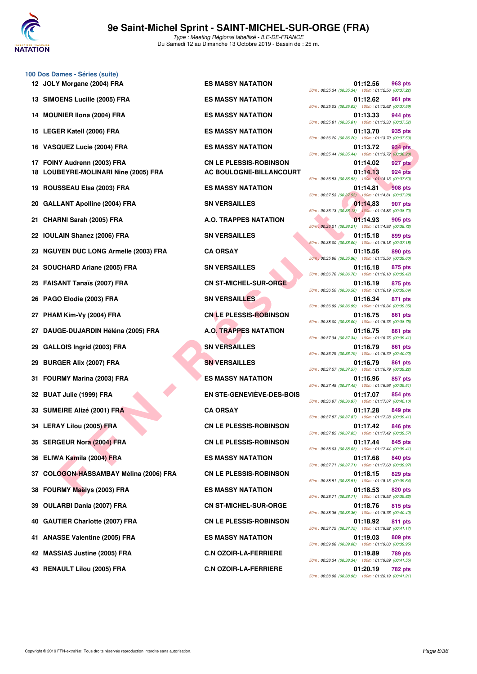

|     | 100 Dos Dames - Séries (suite)<br>12 JOLY Morgane (2004) FRA | <b>ES MASSY NATATION</b>         | 01:12.56<br>963 pts                                                              |
|-----|--------------------------------------------------------------|----------------------------------|----------------------------------------------------------------------------------|
| 13. | <b>SIMOENS Lucille (2005) FRA</b>                            | <b>ES MASSY NATATION</b>         | 50m: 00:35.34 (00:35.34) 100m: 01:12.56 (00:37.22)<br>01:12.62<br>961 pts        |
| 14  | <b>MOUNIER IIona (2004) FRA</b>                              | <b>ES MASSY NATATION</b>         | 50m: 00:35.03 (00:35.03) 100m: 01:12.62 (00:37.59)<br>01:13.33<br>944 pts        |
|     | 15 LEGER Katell (2006) FRA                                   | <b>ES MASSY NATATION</b>         | 50m: 00:35.81 (00:35.81) 100m: 01:13.33 (00:37.52)<br>01:13.70<br>935 pts        |
|     | 16 VASQUEZ Lucie (2004) FRA                                  | <b>ES MASSY NATATION</b>         | 50m: 00:36.20 (00:36.20) 100m: 01:13.70 (00:37.50)<br>934 pts<br>01:13.72        |
|     | 17 FOINY Audrenn (2003) FRA                                  | <b>CN LE PLESSIS-ROBINSON</b>    | 50m: 00:35.44 (00:35.44) 100m: 01:13.72 (00:38.28)<br>01:14.02<br>927 pts        |
|     | 18 LOUBEYRE-MOLINARI Nine (2005) FRA                         | AC BOULOGNE-BILLANCOURT          | 01:14.13<br><b>924 pts</b><br>50m: 00:36.53 (00:36.53) 100m: 01:14.13 (00:37.60) |
| 19  | <b>ROUSSEAU Elsa (2003) FRA</b>                              | <b>ES MASSY NATATION</b>         | 01:14.81<br><b>908 pts</b><br>50m: 00:37.53 (00:37.53) 100m: 01:14.81 (00:37.28) |
|     | 20 GALLANT Apolline (2004) FRA                               | <b>SN VERSAILLES</b>             | 01:14.83<br>907 pts<br>50m: 00:36.13 (00:36.13) 100m: 01:14.83 (00:38.70)        |
| 21  | <b>CHARNI Sarah (2005) FRA</b>                               | A.O. TRAPPES NATATION            | 01:14.93<br>905 pts<br>50m: 00:36.21 (00:36.21) 100m: 01:14.93 (00:38.72)        |
|     | 22 IOULAIN Shanez (2006) FRA                                 | <b>SN VERSAILLES</b>             | 01:15.18<br>899 pts<br>50m: 00:38.00 (00:38.00) 100m: 01:15.18 (00:37.18)        |
|     | 23 NGUYEN DUC LONG Armelle (2003) FRA                        | <b>CA ORSAY</b>                  | 01:15.56<br>890 pts<br>50m : 00:35.96 (00:35.96) 100m : 01:15.56 (00:39.60)      |
|     | 24 SOUCHARD Ariane (2005) FRA                                | <b>SN VERSAILLES</b>             | 01:16.18<br>875 pts<br>50m: 00:36.76 (00:36.76) 100m: 01:16.18 (00:39.42)        |
|     | 25 FAISANT Tanaïs (2007) FRA                                 | <b>CN ST-MICHEL-SUR-ORGE</b>     | 01:16.19<br>875 pts<br>50m: 00:36.50 (00:36.50) 100m: 01:16.19 (00:39.69)        |
|     | 26 PAGO Elodie (2003) FRA                                    | <b>SN VERSAILLES</b>             | 01:16.34<br>871 pts<br>50m: 00:36.99 (00:36.99) 100m: 01:16.34 (00:39.35)        |
| 27  | PHAM Kim-Vy (2004) FRA                                       | <b>CN LE PLESSIS-ROBINSON</b>    | 01:16.75<br>861 pts<br>50m: 00:38.00 (00:38.00) 100m: 01:16.75 (00:38.75)        |
| 27  | DAUGE-DUJARDIN Héléna (2005) FRA                             | <b>A.O. TRAPPES NATATION</b>     | 01:16.75<br>861 pts<br>50m: 00:37.34 (00:37.34) 100m: 01:16.75 (00:39.41)        |
| 29  | GALLOIS Ingrid (2003) FRA                                    | <b>SN VERSAILLES</b>             | 01:16.79<br>861 pts<br>50m: 00:36.79 (00:36.79) 100m: 01:16.79 (00:40.00)        |
| 29  | <b>BURGER Alix (2007) FRA</b>                                | <b>SN VERSAILLES</b>             | 01:16.79<br>861 pts<br>50m: 00:37.57 (00:37.57) 100m: 01:16.79 (00:39.22)        |
|     | 31 FOURMY Marina (2003) FRA                                  | <b>ES MASSY NATATION</b>         | 01:16.96<br>857 pts<br>50m: 00:37.45 (00:37.45) 100m: 01:16.96 (00:39.51)        |
|     | 32 BUAT Julie (1999) FRA                                     | <b>EN STE-GENEVIÈVE-DES-BOIS</b> | 01:17.07<br>854 pts<br>50m: 00:36.97 (00:36.97) 100m: 01:17.07 (00:40.10)        |
|     | 33 SUMEIRE Alizé (2001) FRA                                  | <b>CA ORSAY</b>                  | 01:17.28<br>849 pts<br>50m: 00:37.87 (00:37.87) 100m: 01:17.28 (00:39.41)        |
|     | 34 LERAY Lilou (2005) FRA                                    | <b>CN LE PLESSIS-ROBINSON</b>    | 01:17.42<br>846 pts<br>50m: 00:37.85 (00:37.85) 100m: 01:17.42 (00:39.57)        |
|     | 35 SERGEUR Nora (2004) FRA                                   | <b>CN LE PLESSIS-ROBINSON</b>    | 01:17.44<br>845 pts                                                              |
|     | 36 ELIWA Kamila (2004) FRA                                   | <b>ES MASSY NATATION</b>         | 50m: 00:38.03 (00:38.03) 100m: 01:17.44 (00:39.41)<br>01:17.68<br>840 pts        |
|     | 37 COLOGON-HASSAMBAY Mélina (2006) FRA                       | <b>CN LE PLESSIS-ROBINSON</b>    | 50m: 00:37.71 (00:37.71) 100m: 01:17.68 (00:39.97)<br>01:18.15<br>829 pts        |
|     | 38 FOURMY Maëlys (2003) FRA                                  | <b>ES MASSY NATATION</b>         | 50m: 00:38.51 (00:38.51) 100m: 01:18.15 (00:39.64)<br>01:18.53<br>820 pts        |
| 39  | <b>OULARBI Dania (2007) FRA</b>                              | <b>CN ST-MICHEL-SUR-ORGE</b>     | 50m: 00:38.71 (00:38.71) 100m: 01:18.53 (00:39.82)<br>01:18.76<br>815 pts        |
|     | 40 GAUTIER Charlotte (2007) FRA                              | <b>CN LE PLESSIS-ROBINSON</b>    | 50m: 00:38.36 (00:38.36) 100m: 01:18.76 (00:40.40)<br>01:18.92<br>811 pts        |
|     | 41 ANASSE Valentine (2005) FRA                               | <b>ES MASSY NATATION</b>         | 50m: 00:37.75 (00:37.75) 100m: 01:18.92 (00:41.17)<br>01:19.03<br>809 pts        |
|     | 42 MASSIAS Justine (2005) FRA                                | <b>C.N OZOIR-LA-FERRIERE</b>     | 50m: 00:39.08 (00:39.08) 100m: 01:19.03 (00:39.95)<br>01:19.89<br>789 pts        |
|     | 43 RENAULT Lilou (2005) FRA                                  | <b>C.N OZOIR-LA-FERRIERE</b>     | 50m: 00:38.34 (00:38.34) 100m: 01:19.89 (00:41.55)<br>01:20.19<br>782 pts        |

| ES MASSY NATATION                                 |
|---------------------------------------------------|
| <b>ES MASSY NATATION</b>                          |
| <b>ES MASSY NATATION</b>                          |
| <b>ES MASSY NATATION</b>                          |
| <b>ES MASSY NATATION</b>                          |
| CN LE PLESSIS-ROBINSON<br>AC BOULOGNE-BILLANCOURT |
| <b>ES MASSY NATATION</b>                          |
| <b>SN VERSAILLES</b>                              |
| <b>A.O. TRAPPES NATATION</b>                      |
| <b>SN VERSAILLES</b>                              |
| <b>CA ORSAY</b>                                   |
| <b>SN VERSAILLES</b>                              |
| <b>CN ST-MICHEL-SUR-ORGE</b>                      |
| <b>SN VERSAILLES</b>                              |
| <b>CN LE PLESSIS-ROBINSON</b>                     |
| <b>A.O. TRAPPES NATATION</b>                      |
| <b>SN VERSAILLES</b>                              |
| <b>SN VERSAILLES</b>                              |
| <b>ES MASSY NATATION</b>                          |
| <b>EN STE-GENEVIÈVE-DES-BOIS</b>                  |
| <b>CA ORSAY</b>                                   |
| <b>CN LE PLESSIS-ROBINSON</b>                     |
| <b>CN LE PLESSIS-ROBINSON</b>                     |
| <b>ES MASSY NATATION</b>                          |
| <b>CN LE PLESSIS-ROBINSON</b>                     |
| <b>ES MASSY NATATION</b>                          |
| <b>CN ST-MICHEL-SUR-ORGE</b>                      |
| <b>CN LE PLESSIS-ROBINSON</b>                     |
| <b>ES MASSY NATATION</b>                          |
| <b>C.N OZOIR-LA-FERRIERE</b>                      |
| <b>C.N OZOIR-LA-FERRIERE</b>                      |
|                                                   |

| 50m: 00:35.34 (00:35.34) |                           | 01:12.56<br>100m: 01:12.56 (00:37.22)                                      | 963 pts                   |
|--------------------------|---------------------------|----------------------------------------------------------------------------|---------------------------|
|                          | 50m: 00:35.03 (00:35.03)  | 01:12.62<br>100m: 01:12.62 (00:37.59)                                      | 961 pts                   |
|                          | 50m: 00:35.81 (00:35.81)  | 01:13.33<br>100m: 01:13.33 (00:37.52)                                      | 944 pts                   |
| 50m: 00:36.20 (00:36.20) |                           | 01:13.70<br>100m: 01:13.70 (00:37.50)                                      | 935 pts                   |
|                          |                           | 01:13.72<br>50m: 00:35.44 (00:35.44) 100m: 01:13.72 (00:38.28)             | 934 pts                   |
|                          |                           | 01:14.02                                                                   | 927 pts                   |
|                          | 50m: 00:36.53 (00:36.53)  | 01:14.13<br>100m: 01:14.13 (00:37.60)                                      | 924 pts                   |
|                          |                           | 01:14.81<br>50m: 00:37.53 (00:37.53) 100m: 01:14.81 (00:37.28)             | <b>908 pts</b>            |
| 50m: 00:36.13 (00:36.13) |                           | 01:14.83<br>100m: 01:14.83 (00:38.70)                                      | 907 pts                   |
|                          |                           | 01:14.93<br>50m: 00:36.21 (00:36.21) 100m: 01:14.93 (00:38.72)             | 905 pts                   |
| 50m: 00:38.00 (00:38.00) |                           | 01:15.18<br>100m: 01:15.18 (00:37.18)                                      | 899 pts                   |
|                          | 50m : 00:35.96 (00:35.96) | 01:15.56<br>100m: 01:15.56 (00:39.60)                                      | 890 pts                   |
|                          | 50m: 00:36.76 (00:36.76)  | 01:16.18<br>100m: 01:16.18 (00:39.42)                                      | 875 pts                   |
| 50m: 00:36.50 (00:36.50) |                           | 01:16.19<br>100m: 01:16.19 (00:39.69)                                      | 875 pts                   |
|                          |                           | 01:16.34<br>50m: 00:36.99 (00:36.99) 100m: 01:16.34 (00:39.35)             | 871 pts                   |
|                          |                           | 01:16.75<br>50m: 00:38.00 (00:38.00) 100m: 01:16.75 (00:38.75)             | 861 pts                   |
|                          | 50m: 00:37.34 (00:37.34)  | 01:16.75<br>100m: 01:16.75 (00:39.41)                                      | <b>861 pts</b>            |
|                          | 50m: 00:36.79 (00:36.79)  | 01:16.79<br>100m: 01:16.79 (00:40.00)                                      | <b>861 pts</b>            |
|                          |                           | 01:16.79<br>50m: 00:37.57 (00:37.57) 100m: 01:16.79 (00:39.22)             | 861 pts                   |
|                          |                           | 01:16.96<br>50m: 00:37.45 (00:37.45) 100m: 01:16.96 (00:39.51)             | 857 pts                   |
| 50m: 00:36.97 (00:36.97) |                           | 01:17.07<br>100m: 01:17.07 (00:40.10)                                      | <b>854 pts</b>            |
|                          |                           | 01:17.28<br>50m: 00:37.87 (00:37.87) 100m: 01:17.28 (00:39.41)<br>01:17.42 | 849 pts<br><b>846 pts</b> |
|                          |                           | 50m: 00:37.85 (00:37.85) 100m: 01:17.42 (00:39.57)<br>01:17.44             | 845 pts                   |
|                          |                           | 50m: 00:38.03 (00:38.03) 100m: 01:17.44 (00:39.41)<br>01:17.68             | 840 pts                   |
|                          | 50m: 00:37.71 (00:37.71)  | 100m: 01:17.68 (00:39.97)<br>01:18.15                                      | <b>829 pts</b>            |
|                          |                           | 50m: 00:38.51 (00:38.51) 100m: 01:18.15 (00:39.64)<br>01:18.53             | <b>820 pts</b>            |
|                          |                           | 50m: 00:38.71 (00:38.71) 100m: 01:18.53 (00:39.82)<br>01:18.76             | 815 pts                   |
|                          |                           | 50m: 00:38.36 (00:38.36) 100m: 01:18.76 (00:40.40)<br>01:18.92             | 811 pts                   |
|                          |                           | 50m: 00:37.75 (00:37.75) 100m: 01:18.92 (00:41.17)<br>01:19.03             | 809 pts                   |
|                          |                           | 50m: 00:39.08 (00:39.08) 100m: 01:19.03 (00:39.95)<br>01:19.89             | 789 pts                   |
|                          |                           | 50m: 00:38.34 (00:38.34) 100m: 01:19.89 (00:41.55)<br>01:20.19             | 782 pts                   |
|                          |                           | 50m: 00:38.98 (00:38.98) 100m: 01:20.19 (00:41.21)                         |                           |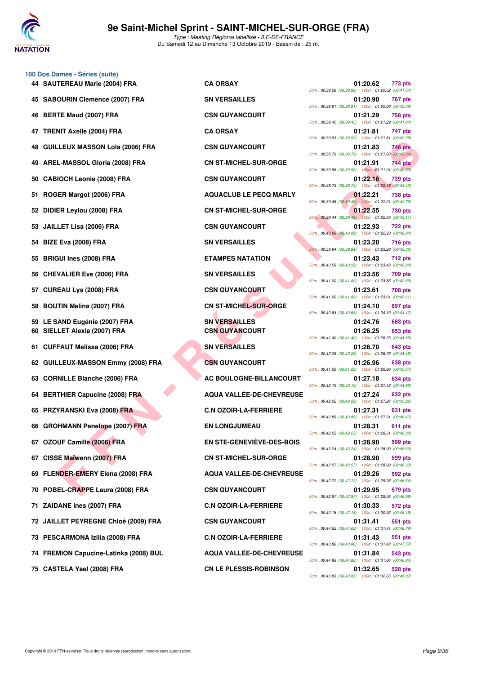

|    | 100 Dos Dames - Séries (suite)         |                                  |                                                                                  |
|----|----------------------------------------|----------------------------------|----------------------------------------------------------------------------------|
|    | 44 SAUTEREAU Marie (2004) FRA          | <b>CA ORSAY</b>                  | 01:20.62<br>773 pts<br>50m: 00:39.08 (00:39.08) 100m: 01:20.62 (00:41.54)        |
| 45 | <b>SABOURIN Clemence (2007) FRA</b>    | <b>SN VERSAILLES</b>             | 01:20.90<br>767 pts<br>50m: 00:38.81 (00:38.81) 100m: 01:20.90 (00:42.09)        |
| 46 | <b>BERTE Maud (2007) FRA</b>           | <b>CSN GUYANCOURT</b>            | 01:21.29<br>758 pts<br>50m: 00:39.45 (00:39.45) 100m: 01:21.29 (00:41.84)        |
| 47 | <b>TRENIT Axelle (2004) FRA</b>        | <b>CA ORSAY</b>                  | 01:21.81<br>747 pts<br>50m: 00:39.53 (00:39.53) 100m: 01:21.81 (00:42.28)        |
| 48 | <b>GUILLEUX MASSON Lola (2006) FRA</b> | <b>CSN GUYANCOURT</b>            | 01:21.83<br>746 pts<br>50m: 00:38.79 (00:38.79) 100m: 01:21.83 (00:43.04)        |
| 49 | AREL-MASSOL Gloria (2008) FRA          | <b>CN ST-MICHEL-SUR-ORGE</b>     | 744 pts<br>01:21.91<br>50m: 00:39.58 (00:39.58) 100m: 01:21.91 (00:42.33)        |
| 50 | <b>CABIOCH Leonie (2008) FRA</b>       | <b>CSN GUYANCOURT</b>            | 01:22.16<br>739 pts<br>50m: 00:38.73 (00:38.73) 100m: 01:22.16 (00:43.43)        |
| 51 | ROGER Margot (2006) FRA                | <b>AQUACLUB LE PECQ MARLY</b>    | 01:22.21<br>738 pts<br>50m: 00:39.45 (00:39.45) 100m: 01:22.21 (00:42.76)        |
| 52 | DIDIER Leylou (2008) FRA               | <b>CN ST-MICHEL-SUR-ORGE</b>     | 01:22.55<br>730 pts<br>50m: 00:39.44 (00:39.44) 100m: 01:22.55 (00:43.11)        |
| 53 | <b>JAILLET Lisa (2006) FRA</b>         | <b>CSN GUYANCOURT</b>            | 01:22.93<br><b>722 pts</b><br>50m: 00:40.09 (00:40.09) 100m: 01:22.93 (00:42.84) |
| 54 | <b>BIZE Eva (2008) FRA</b>             | <b>SN VERSAILLES</b>             | 01:23.20<br>716 pts<br>50m: 00:39.84 (00:39.84) 100m: 01:23.20 (00:43.36)        |
| 55 | <b>BRIGUI Ines (2008) FRA</b>          | <b>ETAMPES NATATION</b>          | 01:23.43<br><b>712 pts</b><br>50m: 00:40.59 (00:40.59) 100m: 01:23.43 (00:42.84) |
| 56 | <b>CHEVALIER Eve (2006) FRA</b>        | <b>SN VERSAILLES</b>             | 01:23.56<br>709 pts<br>50m: 00:41.00 (00:41.00) 100m: 01:23.56 (00:42.56)        |
| 57 | <b>CUREAU Lys (2008) FRA</b>           | <b>CSN GUYANCOURT</b>            | 01:23.61<br>708 pts<br>50m: 00:41.00 (00:41.00) 100m: 01:23.61 (00:42.61)        |
| 58 | <b>BOUTIN Melina (2007) FRA</b>        | <b>CN ST-MICHEL-SUR-ORGE</b>     | 01:24.10<br>697 pts<br>50m: 00:40.63 (00:40.63) 100m: 01:24.10 (00:43.47)        |
|    | 59 LE SAND Eugénie (2007) FRA          | <b>SN VERSAILLES</b>             | 01:24.76<br>683 pts                                                              |
|    | 60 SIELLET Alexia (2007) FRA           | <b>CSN GUYANCOURT</b>            | 01:26.25<br>653 pts<br>50m: 00:41.40 (00:41.40) 100m: 01:26.25 (00:44.85)        |
| 61 | <b>CUFFAUT Melissa (2006) FRA</b>      | <b>SN VERSAILLES</b>             | 01:26.70<br>643 pts<br>50m: 00:42.25 (00:42.25) 100m: 01:26.70 (00:44.45)        |
|    | 62 GUILLEUX-MASSON Emmy (2008) FRA     | <b>CSN GUYANCOURT</b>            | 01:26.96<br>638 pts<br>50m: 00:41.29 (00:41.29) 100m: 01:26.96 (00:45.67)        |
| 63 | <b>CORNILLE Blanche (2006) FRA</b>     | AC BOULOGNE-BILLANCOURT          | 01:27.18<br>634 pts<br>50m: 00:42.19 (00:42.19) 100m: 01:27.18 (00:44.99)        |
| 64 | <b>BERTHIER Capucine (2008) FRA</b>    | <b>AQUA VALLEE-DE-CHEVREUSE</b>  | 01:27.24<br>632 pts<br>50m: 00:42.02 (00:42.02) 100m: 01:27.24 (00:45.22)        |
|    | 65 PRZYRANSKI Eva (2008) FRA           | <b>C.N OZOIR-LA-FERRIERE</b>     | 01:27.31<br>631 pts<br>50m: 00:40.89 (00:40.89) 100m: 01:27.31 (00:46.42)        |
|    | 66 GROHMANN Penelope (2007) FRA        | <b>EN LONGJUMEAU</b>             | 01:28.31<br>611 pts<br>50m: 00:42.23 (00:42.23) 100m: 01:28.31 (00:46.08)        |
|    | 67 OZOUF Camille (2006) FRA            | <b>EN STE-GENEVIÈVE-DES-BOIS</b> | 01:28.90<br>599 pts<br>50m: 00:43.24 (00:43.24) 100m: 01:28.90 (00:45.66)        |
| 67 | CISSE Maïwenn (2007) FRA               | <b>CN ST-MICHEL-SUR-ORGE</b>     | 01:28.90<br>599 pts<br>50m: 00:42.57 (00:42.57) 100m: 01:28.90 (00:46.33)        |
|    | 69 FLENDER-EMERY Elena (2008) FRA      | AQUA VALLÉE-DE-CHEVREUSE         | 01:29.26<br>592 pts<br>50m: 00:42.72 (00:42.72) 100m: 01:29.26 (00:46.54)        |
|    | 70 POBEL-CRAPPE Laura (2008) FRA       | <b>CSN GUYANCOURT</b>            | 01:29.95<br>579 pts<br>50m: 00:42.97 (00:42.97) 100m: 01:29.95 (00:46.98)        |
| 71 | ZAIDANE Ines (2007) FRA                | <b>C.N OZOIR-LA-FERRIERE</b>     | 01:30.33<br>572 pts<br>50m: 00:42.18 (00:42.18) 100m: 01:30.33 (00:48.15)        |
|    | 72 JAILLET PEYREGNE Chloé (2009) FRA   | <b>CSN GUYANCOURT</b>            | 01:31.41<br>551 pts<br>50m: 00:44.62 (00:44.62) 100m: 01:31.41 (00:46.79)        |
|    | 73 PESCARMONA Izilia (2008) FRA        | <b>C.N OZOIR-LA-FERRIERE</b>     | 01:31.43<br>551 pts<br>50m: 00:43.86 (00:43.86) 100m: 01:31.43 (00:47.57)        |
|    | 74 FREMION Capucine-Latinka (2008) BUL | AQUA VALLÉE-DE-CHEVREUSE         | 01:31.84<br>543 pts<br>50m: 00:44.88 (00:44.88) 100m: 01:31.84 (00:46.96)        |
|    |                                        |                                  |                                                                                  |

| 50m: 00:39.08 (00:39.08)                           | 01:20.62<br>100m: 01:20.62 (00:41.54) | 773 pts        |
|----------------------------------------------------|---------------------------------------|----------------|
| 50m: 00:38.81 (00:38.81)                           | 01:20.90<br>100m: 01:20.90 (00:42.09) | 767 pts        |
| 50m: 00:39.45 (00:39.45)                           | 01:21.29<br>100m: 01:21.29 (00:41.84) | 758 pts        |
| 50m: 00:39.53 (00:39.53)                           | 01:21.81<br>100m: 01:21.81 (00:42.28) | 747 pts        |
| 50m: 00:38.79 (00:38.79)                           | 01:21.83<br>100m: 01:21.83 (00:43.04) | 746 pts        |
| 50m: 00:39.58 (00:39.58)                           | 01:21.91<br>100m: 01:21.91 (00:42.33) | 744 pts        |
| 50m: 00:38.73 (00:38.73) 100m: 01:22.16 (00:43.43) | 01:22.16                              | 739 pts        |
| 50m: 00:39.45 (00:39.45) 100m: 01:22.21 (00:42.76) | 01:22.21                              | 738 pts        |
| 50m : 00:39.44 (00:39.44)                          | 01:22.55<br>100m: 01:22.55 (00:43.11) | 730 pts        |
|                                                    | 01:22.93                              | 722 pts        |
| 50m: 00:40.09 (00:40.09)                           | 100m: 01:22.93 (00:42.84)<br>01:23.20 | 716 pts        |
| 50m: 00:39.84 (00:39.84)                           | 100m: 01:23.20 (00:43.36)             |                |
| 50m: 00:40.59 (00:40.59)                           | 01:23.43<br>100m: 01:23.43 (00:42.84) | 712 pts        |
| 50m: 00:41.00 (00:41.00)                           | 01:23.56<br>100m: 01:23.56 (00:42.56) | 709 pts        |
| 50m: 00:41.00 (00:41.00)                           | 01:23.61<br>100m: 01:23.61 (00:42.61) | <b>708 pts</b> |
| 50m: 00:40.63 (00:40.63)                           | 01:24.10<br>100m: 01:24.10 (00:43.47) | 697 pts        |
|                                                    | 01:24.76                              | 683 pts        |
|                                                    | 01:26.25                              | 653 pts        |
| 50m: 00:41.40 (00:41.40)                           | 100m: 01:26.25 (00:44.85)<br>01:26.70 | 643 pts        |
| 50m: 00:42.25 (00:42.25)                           | 100m: 01:26.70 (00:44.45)<br>01:26.96 | <b>638 pts</b> |
| 50m: 00:41.29 (00:41.29)                           | 100m: 01:26.96 (00:45.67)             |                |
| 50m: 00:42.19 (00:42.19)                           | 01:27.18<br>100m: 01:27.18 (00:44.99) | 634 pts        |
| 50m: 00:42.02 (00:42.02)                           | 01:27.24<br>100m: 01:27.24 (00:45.22) | 632 pts        |
| 50m: 00:40.89 (00:40.89)                           | 01:27.31<br>100m: 01:27.31 (00:46.42) | 631 pts        |
| 50m: 00:42.23 (00:42.23)                           | 01:28.31<br>100m: 01:28.31 (00:46.08) | 611 pts        |
| 50m: 00:43.24 (00:43.24) 100m: 01:28.90 (00:45.66) | 01:28.90                              | 599 pts        |
| 50m: 00:42.57 (00:42.57) 100m: 01:28.90 (00:46.33) | 01:28.90                              | 599 pts        |
| 50m: 00:42.72 (00:42.72) 100m: 01:29.26 (00:46.54) | 01:29.26                              | 592 pts        |
|                                                    | 01:29.95                              | 579 pts        |
| 50m: 00:42.97 (00:42.97) 100m: 01:29.95 (00:46.98) | 01:30.33                              | 572 pts        |
| 50m: 00:42.18 (00:42.18) 100m: 01:30.33 (00:48.15) | 01:31.41                              | 551 pts        |
| 50m: 00:44.62 (00:44.62) 100m: 01:31.41 (00:46.79) | 01:31.43                              | 551 pts        |
| 50m: 00:43.86 (00:43.86) 100m: 01:31.43 (00:47.57) | 01:31.84                              | 543 pts        |
| 50m: 00:44.88 (00:44.88) 100m: 01:31.84 (00:46.96) |                                       |                |
| 50m: 00:43.83 (00:43.83) 100m: 01:32.65 (00:48.82) | 01:32.65                              | 528 pts        |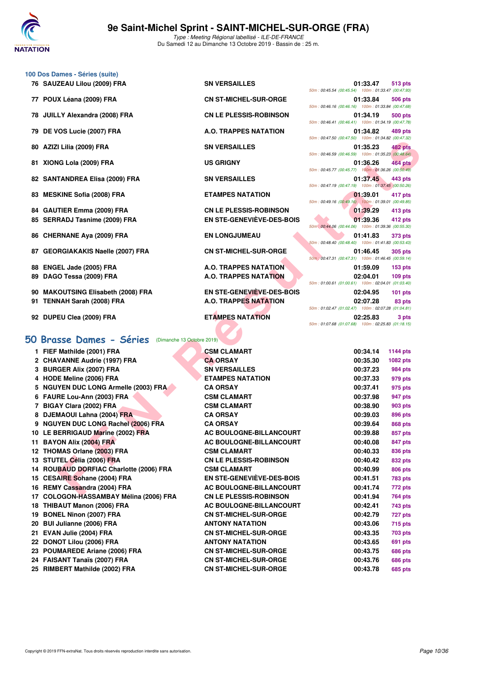

- **100 Dos Dames Séries (suite)**
	- 76 SAUZEAU Lilou (2009) FRA SN VERSAILLES
	-
	-

79 DE VOS Lucie (2007) FRA A.O. TRAPPES NATATION

- 80 AZIZI Lilia (2009) FRA SN VERSAILLES
- 81 XIONG Lola (2009) FRA US GRIGNY
- 82 SANTANDREA Elisa (2009) FRA SN VERSAILLES
- 83 MESKINE Sofia (2008) FRA **ETAMPES NATATION**
- 84 GAUTIER Emma (2009) FRA CN LE PLESSIS-ROBINSON 85 SERRADJ Tasnime (2009) FRA EN STE-GENEVIÈVE-DES-BOIS

- 87 GEORGIAKAKIS Naelle (2007) FRA CN ST-MICHEL-SUR-ORGE
- 
- **90 MAKOUTSING Elisabeth (2008) FRA EN STE-GENEVIÈVE-DES-BOIS 02:04.95 101 pts**
- 91 TENNAH Sarah (2008) FRA A.O. TRAPPES NATATION
- 92 DUPEU Clea (2009) FRA **ETAMPES NATATION**

## **[50 Brasse Dames - Séries](http://www.ffnatation.fr/webffn/resultats.php?idact=nat&go=epr&idcpt=62045&idepr=21)** (Dimanche 13 Octobre 2019)

77 POUX Léana (2009) FRA CN ST-MICHEL-SUR-ORGE 78 JUILLY Alexandra (2008) FRA CN LE PLESSIS-ROBINSON

- 
- 88 ENGEL Jade (2005) FRA A.O. TRAPPES NATATION 89 DAGO Tessa (2009) FRA A.O. TRAPPES NATATION

| 01:33.47 513 pts                                     |        |
|------------------------------------------------------|--------|
| 50m: 00:45.54 (00:45.54) 100m: 01:33.47 (00:47.93)   |        |
| 01:33.84 506 pts                                     |        |
| 50m: 00:46.16 (00:46.16) 100m: 01:33.84 (00:47.68)   |        |
| 01:34.19 500 pts                                     |        |
| 50m: 00:46.41 (00:46.41) 100m: 01:34.19 (00:47.78)   |        |
| 01:34.82 489 pts                                     |        |
| 50m: 00:47.50 (00:47.50) 100m: 01:34.82 (00:47.32)   |        |
| 01:35.23 482 pts                                     |        |
| 50m: 00:46.59 (00:46.59) 100m: 01:35.23 (00:48.64)   |        |
| 01:36.26 464 pts                                     |        |
| 50m: 00:45.77 (00:45.77) 100m: 01:36.26 (00:50.49)   |        |
| 01:37.45 443 pts                                     |        |
| 50m: 00:47.19 (00:47.19) 100m: 01:37.45 (00:50.26)   |        |
| 01:39.01 417 pts                                     |        |
| 50m: 00:49.16 (00:49.16) 100m: 01:39.01 (00:49.85)   |        |
| 01:39.29 413 pts                                     |        |
| 01:39.36 412 pts                                     |        |
| 50m: 00:44.06 (00:44.06) 100m: 01:39.36 (00:55.30)   |        |
| 01:41.83 373 pts                                     |        |
| 50m: 00:48.40 (00:48.40) 100m: 01:41.83 (00:53.43)   |        |
| 01:46.45 305 pts                                     |        |
| 50m : 00:47.31 (00:47.31) 100m : 01:46.45 (00:59.14) |        |
| 01:59.09 153 pts                                     |        |
| 02:04.01 109 pts                                     |        |
| 50m: 01:00.61 (01:00.61) 100m: 02:04.01 (01:03.40)   |        |
| 02:04.95 101 pts                                     |        |
| 02:07.28                                             | 83 pts |
| 50m: 01:02.47 (01:02.47) 100m: 02:07.28 (01:04.81)   |        |
| 02:25.83                                             | 3 pts  |

|                                                       |                               | , 20, 100.47.30 (00.47.30) (00.47.30) (00.47.32)                 |                             |
|-------------------------------------------------------|-------------------------------|------------------------------------------------------------------|-----------------------------|
| 80 AZIZI Lilia (2009) FRA                             | <b>SN VERSAILLES</b>          | 01:35.23<br>50m: 00:46.59 (00:46.59) 100m: 01:35.23 (00:48.64)   | <b>482 pts</b>              |
| 81 XIONG Lola (2009) FRA                              | <b>US GRIGNY</b>              | 01:36.26                                                         | <b>464 pts</b>              |
|                                                       |                               | 50m: 00:45.77 (00:45.77) 100m: 01:36.26 (00:50.49)               |                             |
| 82 SANTANDREA Elisa (2009) FRA                        | <b>SN VERSAILLES</b>          | 01:37.45<br>50m: 00:47.19 (00:47.19) 100m: 01:37.45 (00:50.26)   | 443 pts                     |
| 83 MESKINE Sofia (2008) FRA                           | <b>ETAMPES NATATION</b>       | 01:39.01<br>50m: 00:49.16 (00:49.16) 100m: 01:39.01 (00:49.85)   | 417 pts                     |
| 84 GAUTIER Emma (2009) FRA                            | <b>CN LE PLESSIS-ROBINSON</b> | 01:39.29                                                         | 413 pts                     |
| 85 SERRADJ Tasnime (2009) FRA                         | EN STE-GENEVIÈVE-DES-BOIS     | 01:39.36                                                         | 412 pts                     |
|                                                       |                               | 50m: 00:44.06 (00:44.06) 100m: 01:39.36 (00:55.30)               |                             |
| 86 CHERNANE Aya (2009) FRA                            | <b>EN LONGJUMEAU</b>          | 01:41.83                                                         | 373 pts                     |
|                                                       |                               | 50m: 00:48.40 (00:48.40) 100m: 01:41.83 (00:53.43)               |                             |
| 87 GEORGIAKAKIS Naelle (2007) FRA                     | <b>CN ST-MICHEL-SUR-ORGE</b>  | 01:46.45                                                         | 305 pts                     |
| 88 ENGEL Jade (2005) FRA                              | <b>A.O. TRAPPES NATATION</b>  | 50m : 00:47.31 (00:47.31) 100m : 01:46.45 (00:59.14)<br>01:59.09 |                             |
| 89 DAGO Tessa (2009) FRA                              | A.O. TRAPPES NATATION         | 02:04.01                                                         | <b>153 pts</b><br>$109$ pts |
|                                                       |                               | 50m: 01:00.61 (01:00.61) 100m: 02:04.01 (01:03.40)               |                             |
| 90 MAKOUTSING Elisabeth (2008) FRA                    | EN STE-GENEVIÈVE-DES-BOIS     | 02:04.95                                                         | $101$ pts                   |
| 91 TENNAH Sarah (2008) FRA                            | <b>A.O. TRAPPES NATATION</b>  | 02:07.28                                                         | 83 pts                      |
|                                                       |                               | 50m: 01:02.47 (01:02.47) 100m: 02:07.28 (01:04.81)               |                             |
| 92 DUPEU Clea (2009) FRA                              | <b>ETAMPES NATATION</b>       | 02:25.83                                                         | 3 pts                       |
|                                                       |                               | 50m: 01:07.68 (01:07.68) 100m: 02:25.83 (01:18.15)               |                             |
| 0 Brasse Dames - Séries<br>(Dimanche 13 Octobre 2019) |                               |                                                                  |                             |
| 1 FIEF Mathilde (2001) FRA                            | <b>CSM CLAMART</b>            | 00:34.14                                                         | <b>1144 pts</b>             |
| 2 CHAVANNE Audrie (1997) FRA                          | <b>CA ORSAY</b>               | 00:35.30                                                         | <b>1082 pts</b>             |
| 3 BURGER Alix (2007) FRA                              | <b>SN VERSAILLES</b>          | 00:37.23                                                         | 984 pts                     |
| 4 HODE Meline (2006) FRA                              | <b>ETAMPES NATATION</b>       | 00:37.33                                                         | 979 pts                     |
| 5 NGUYEN DUC LONG Armelle (2003) FRA                  | <b>CA ORSAY</b>               | 00:37.41                                                         | 975 pts                     |
| 6 FAURE Lou-Ann (2003) FRA                            | <b>CSM CLAMART</b>            | 00:37.98                                                         | 947 pts                     |
| 7 BIGAY Clara (2002) FRA                              | <b>CSM CLAMART</b>            | 00:38.90                                                         | 903 pts                     |
| 8 DJEMAOUI Lahna (2004) FRA                           | <b>CA ORSAY</b>               | 00:39.03                                                         | 896 pts                     |
| 9 NGUYEN DUC LONG Rachel (2006) FRA                   | <b>CA ORSAY</b>               | 00:39.64                                                         | <b>868 pts</b>              |
| 10 LE BERRIGAUD Marine (2002) FRA                     | AC BOULOGNE-BILLANCOURT       | 00:39.88                                                         | 857 pts                     |
| 11 BAYON Alix (2004) FRA                              | AC BOULOGNE-BILLANCOURT       | 00:40.08                                                         | 847 pts                     |
| 12 THOMAS Orlane (2003) FRA                           | <b>CSM CLAMART</b>            | 00:40.33                                                         | 836 pts                     |
| 13 STUTEL Célia (2006) FRA                            | <b>CN LE PLESSIS-ROBINSON</b> | 00:40.42                                                         | 832 pts                     |
| 14 ROUBAUD DORFIAC Charlotte (2006) FRA               | <b>CSM CLAMART</b>            | 00:40.99                                                         | 806 pts                     |
| 15 CESAIRE Sohane (2004) FRA                          | EN STE-GENEVIÈVE-DES-BOIS     | 00:41.51                                                         | 783 pts                     |
| 16 REMY Cassandra (2004) FRA                          | AC BOULOGNE-BILLANCOURT       | 00:41.74                                                         | 772 pts                     |
| 17 COLOGON-HASSAMBAY Mélina (2006) FRA                | <b>CN LE PLESSIS-ROBINSON</b> | 00:41.94                                                         | 764 pts                     |
| 18 THIBAUT Manon (2006) FRA                           | AC BOULOGNE-BILLANCOURT       | 00:42.41                                                         | 743 pts                     |
| 19 BONEL Ninon (2007) FRA                             | <b>CN ST-MICHEL-SUR-ORGE</b>  | 00:42.79                                                         | 727 pts                     |
| 20 BUI Julianne (2006) FRA                            | <b>ANTONY NATATION</b>        | 00:43.06                                                         | <b>715 pts</b>              |
| 21 EVAN Julie (2004) FRA                              | <b>CN ST-MICHEL-SUR-ORGE</b>  | 00:43.35                                                         | 703 pts                     |
| 22 DONOT Lilou (2006) FRA                             | <b>ANTONY NATATION</b>        | 00:43.65                                                         | 691 pts                     |
| 23 POUMAREDE Ariane (2006) FRA                        | <b>CN ST-MICHEL-SUR-ORGE</b>  | 00:43.75                                                         | <b>686 pts</b>              |
| 24 FAISANT Tanaïs (2007) FRA                          | <b>CN ST-MICHEL-SUR-ORGE</b>  | 00:43.76                                                         | <b>686 pts</b>              |
| 25 RIMBERT Mathilde (2002) FRA                        | <b>CN ST-MICHEL-SUR-ORGE</b>  | 00:43.78                                                         | 685 pts                     |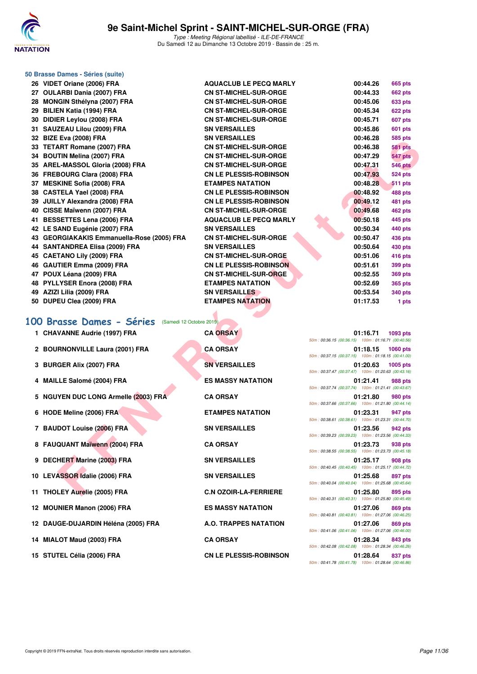

|        | 50 Brasse Dames - Séries (suite)           |                               |          |                |
|--------|--------------------------------------------|-------------------------------|----------|----------------|
|        | 26 VIDET Oriane (2006) FRA                 | <b>AQUACLUB LE PECQ MARLY</b> | 00:44.26 | <b>665 pts</b> |
|        | 27 OULARBI Dania (2007) FRA                | <b>CN ST-MICHEL-SUR-ORGE</b>  | 00:44.33 | <b>662 pts</b> |
|        | 28 MONGIN Sthélyna (2007) FRA              | <b>CN ST-MICHEL-SUR-ORGE</b>  | 00:45.06 | <b>633 pts</b> |
| 29     | <b>BILIEN Katia (1994) FRA</b>             | <b>CN ST-MICHEL-SUR-ORGE</b>  | 00:45.34 | 622 pts        |
|        | 30 DIDIER Levlou (2008) FRA                | <b>CN ST-MICHEL-SUR-ORGE</b>  | 00:45.71 | 607 pts        |
| 31     | SAUZEAU Lilou (2009) FRA                   | <b>SN VERSAILLES</b>          | 00:45.86 | <b>601 pts</b> |
|        | 32 BIZE Eva (2008) FRA                     | <b>SN VERSAILLES</b>          | 00:46.28 | <b>585 pts</b> |
|        | 33 TETART Romane (2007) FRA                | <b>CN ST-MICHEL-SUR-ORGE</b>  | 00:46.38 | <b>581 pts</b> |
|        | 34 BOUTIN Melina (2007) FRA                | <b>CN ST-MICHEL-SUR-ORGE</b>  | 00:47.29 | 547 pts        |
|        | 35 AREL-MASSOL Gloria (2008) FRA           | <b>CN ST-MICHEL-SUR-ORGE</b>  | 00:47.31 | <b>546 pts</b> |
|        | 36 FREBOURG Clara (2008) FRA               | <b>CN LE PLESSIS-ROBINSON</b> | 00:47.93 | <b>524 pts</b> |
| 37     | <b>MESKINE Sofia (2008) FRA</b>            | <b>ETAMPES NATATION</b>       | 00:48.28 | 511 pts        |
|        | 38 CASTELA Yael (2008) FRA                 | <b>CN LE PLESSIS-ROBINSON</b> | 00:48.92 | 488 pts        |
| 39     | <b>JUILLY Alexandra (2008) FRA</b>         | <b>CN LE PLESSIS-ROBINSON</b> | 00:49.12 | <b>481 pts</b> |
| 40     | CISSE Maïwenn (2007) FRA                   | <b>CN ST-MICHEL-SUR-ORGE</b>  | 00:49.68 | 462 pts        |
| 41     | <b>BESSETTES Lena (2006) FRA</b>           | <b>AQUACLUB LE PECQ MARLY</b> | 00:50.18 | 445 pts        |
|        | 42 LE SAND Eugénie (2007) FRA              | <b>SN VERSAILLES</b>          | 00:50.34 | 440 pts        |
|        | 43 GEORGIAKAKIS Emmanuella-Rose (2005) FRA | <b>CN ST-MICHEL-SUR-ORGE</b>  | 00:50.47 | <b>436 pts</b> |
|        | 44 SANTANDREA Elisa (2009) FRA             | <b>SN VERSAILLES</b>          | 00:50.64 | 430 pts        |
|        | 45 CAETANO Lily (2009) FRA                 | <b>CN ST-MICHEL-SUR-ORGE</b>  | 00:51.06 | 416 pts        |
|        | 46 GAUTIER Emma (2009) FRA                 | <b>CN LE PLESSIS-ROBINSON</b> | 00:51.61 | 399 pts        |
|        | 47 POUX Léana (2009) FRA                   | <b>CN ST-MICHEL-SUR-ORGE</b>  | 00:52.55 | <b>369 pts</b> |
|        | 48 PYLLYSER Enora (2008) FRA               | <b>ETAMPES NATATION</b>       | 00:52.69 | <b>365 pts</b> |
|        | 49 AZIZI Lilia (2009) FRA                  | <b>SN VERSAILLES</b>          | 00:53.54 | 340 pts        |
|        | 50 DUPEU Clea (2009) FRA                   | <b>ETAMPES NATATION</b>       | 01:17.53 | 1 pts          |
| $\sim$ |                                            |                               |          |                |

|  |  |  |  |  | 100 Brasse Dames - Séries (Samedi 12 Octobre 2019) |  |
|--|--|--|--|--|----------------------------------------------------|--|
|--|--|--|--|--|----------------------------------------------------|--|

| JE DILE EVA (ZUVO) FRA                             | งพ ง แกงผเแแนว                | <b>00.40.40</b><br>ບບບ µເວ                                                        |
|----------------------------------------------------|-------------------------------|-----------------------------------------------------------------------------------|
| 33 TETART Romane (2007) FRA                        | <b>CN ST-MICHEL-SUR-ORGE</b>  | 00:46.38<br><b>581 pts</b>                                                        |
| 34 BOUTIN Melina (2007) FRA                        | <b>CN ST-MICHEL-SUR-ORGE</b>  | 00:47.29<br><b>547 pts</b>                                                        |
| 35 AREL-MASSOL Gloria (2008) FRA                   | <b>CN ST-MICHEL-SUR-ORGE</b>  | 00:47.31<br><b>546 pts</b>                                                        |
| 36 FREBOURG Clara (2008) FRA                       | <b>CN LE PLESSIS-ROBINSON</b> | 00:47.93<br><b>524 pts</b>                                                        |
| 37 MESKINE Sofia (2008) FRA                        | <b>ETAMPES NATATION</b>       | 00:48.28<br><b>511 pts</b>                                                        |
| 38 CASTELA Yael (2008) FRA                         | <b>CN LE PLESSIS-ROBINSON</b> | 00:48.92<br>488 pts                                                               |
| 39 JUILLY Alexandra (2008) FRA                     | <b>CN LE PLESSIS-ROBINSON</b> | 00:49.12<br>481 pts                                                               |
| 40 CISSE Maïwenn (2007) FRA                        | <b>CN ST-MICHEL-SUR-ORGE</b>  | 00:49.68<br>462 pts                                                               |
| 41 BESSETTES Lena (2006) FRA                       | <b>AQUACLUB LE PECQ MARLY</b> | 00:50.18<br>445 pts                                                               |
| 42 LE SAND Eugénie (2007) FRA                      | <b>SN VERSAILLES</b>          | 00:50.34<br>440 pts                                                               |
| 43 GEORGIAKAKIS Emmanuella-Rose (2005) FRA         | <b>CN ST-MICHEL-SUR-ORGE</b>  | 00:50.47<br>436 pts                                                               |
| 44 SANTANDREA Elisa (2009) FRA                     | <b>SN VERSAILLES</b>          | 00:50.64<br>430 pts                                                               |
| 45 CAETANO Lily (2009) FRA                         | <b>CN ST-MICHEL-SUR-ORGE</b>  | 00:51.06<br>416 pts                                                               |
| 46 GAUTIER Emma (2009) FRA                         | <b>CN LE PLESSIS-ROBINSON</b> | 00:51.61<br>399 pts                                                               |
| 47 POUX Léana (2009) FRA                           | <b>CN ST-MICHEL-SUR-ORGE</b>  | 00:52.55<br><b>369 pts</b>                                                        |
| 48 PYLLYSER Enora (2008) FRA                       | <b>ETAMPES NATATION</b>       | 00:52.69<br><b>365 pts</b>                                                        |
| 49 AZIZI Lilia (2009) FRA                          | <b>SN VERSAILLES</b>          | 00:53.54<br>340 pts                                                               |
| 50 DUPEU Clea (2009) FRA                           | <b>ETAMPES NATATION</b>       | 01:17.53<br>1 pts                                                                 |
|                                                    |                               |                                                                                   |
| 100 Brasse Dames - Séries (Samedi 12 Octobre 2019) |                               |                                                                                   |
| 1 CHAVANNE Audrie (1997) FRA                       | <b>CA ORSAY</b>               | 01:16.71<br>1093 pts                                                              |
|                                                    |                               | 50m: 00:36.15 (00:36.15) 100m: 01:16.71 (00:40.56)                                |
| 2 BOURNONVILLE Laura (2001) FRA                    | <b>CA ORSAY</b>               | 01:18.15<br><b>1060 pts</b><br>50m: 00:37.15 (00:37.15) 100m: 01:18.15 (00:41.00) |
| 3 BURGER Alix (2007) FRA                           | <b>SN VERSAILLES</b>          | 01:20.63<br>1005 pts                                                              |
|                                                    |                               | 50m: 00:37.47 (00:37.47) 100m: 01:20.63 (00:43.16)                                |
| 4 MAILLE Salomé (2004) FRA                         | <b>ES MASSY NATATION</b>      | 01:21.41<br>988 pts                                                               |
|                                                    |                               | 50m: 00:37.74 (00:37.74) 100m: 01:21.41 (00:43.67)                                |
| 5 NGUYEN DUC LONG Armelle (2003) FRA               | <b>CA ORSAY</b>               | 01:21.80<br>980 pts<br>50m: 00:37.66 (00:37.66) 100m: 01:21.80 (00:44.14)         |
| 6 HODE Meline (2006) FRA                           | <b>ETAMPES NATATION</b>       | 01:23.31<br>947 pts                                                               |
|                                                    |                               | 50m: 00:38.61 (00:38.61) 100m: 01:23.31 (00:44.70)                                |
| 7 BAUDOT Louise (2006) FRA                         | <b>SN VERSAILLES</b>          | 01:23.56<br>942 pts                                                               |
|                                                    |                               | 50m: 00:39.23 (00:39.23) 100m: 01:23.56 (00:44.33)                                |
| 8 FAUQUANT Maïwenn (2004) FRA                      | <b>CA ORSAY</b>               | 01:23.73<br>938 pts                                                               |
|                                                    |                               | 50m: 00:38.55 (00:38.55) 100m: 01:23.73 (00:45.18)                                |
| 9 DECHERT Marine (2003) FRA                        | <b>SN VERSAILLES</b>          | 01:25.17<br>908 pts<br>50m: 00:40.45 (00:40.45) 100m: 01:25.17 (00:44.72)         |
| 10 LEVASSOR Idalie (2006) FRA                      | <b>SN VERSAILLES</b>          | 01:25.68<br>897 pts                                                               |
|                                                    |                               | 50m: 00:40.04 (00:40.04) 100m: 01:25.68 (00:45.64)                                |
| 11 THOLEY Aurelie (2005) FRA                       | <b>C.N OZOIR-LA-FERRIERE</b>  | 01:25.80<br>895 pts                                                               |
|                                                    |                               | 50m: 00:40.31 (00:40.31) 100m: 01:25.80 (00:45.49)                                |
| 12 MOUNIER Manon (2006) FRA                        | <b>ES MASSY NATATION</b>      | 01:27.06<br>869 pts                                                               |
| 12 DAUGE-DUJARDIN Héléna (2005) FRA                | A.O. TRAPPES NATATION         | 50m: 00:40.81 (00:40.81) 100m: 01:27.06 (00:46.25)<br>01:27.06<br>869 pts         |
|                                                    |                               | 50m: 00:41.06 (00:41.06) 100m: 01:27.06 (00:46.00)                                |
| 14 MIALOT Maud (2003) FRA                          | <b>CA ORSAY</b>               | 01:28.34<br>843 pts                                                               |
|                                                    |                               | 50m: 00:42.08 (00:42.08) 100m: 01:28.34 (00:46.26)                                |
| 15 STUTEL Célia (2006) FRA                         | <b>CN LE PLESSIS-ROBINSON</b> | 01:28.64<br>837 pts                                                               |

|                                                    | 01:16.71 1093 pts |
|----------------------------------------------------|-------------------|
| 50m: 00:36.15 (00:36.15) 100m: 01:16.71 (00:40.56) |                   |
|                                                    | 01:18.15 1060 pts |
| 50m: 00:37.15 (00:37.15) 100m: 01:18.15 (00:41.00) |                   |
|                                                    | 01:20.63 1005 pts |
| 50m: 00:37.47 (00:37.47) 100m: 01:20.63 (00:43.16) |                   |
|                                                    | 01:21.41 988 pts  |
| 50m: 00:37.74 (00:37.74) 100m: 01:21.41 (00:43.67) |                   |
|                                                    | 01:21.80 980 pts  |
| 50m: 00:37.66 (00:37.66) 100m: 01:21.80 (00:44.14) |                   |
|                                                    | 01:23.31 947 pts  |
| 50m: 00:38.61 (00:38.61) 100m: 01:23.31 (00:44.70) |                   |
|                                                    | 01:23.56 942 pts  |
| 50m: 00:39.23 (00:39.23) 100m: 01:23.56 (00:44.33) |                   |
|                                                    | 01:23.73 938 pts  |
| 50m: 00:38.55 (00:38.55) 100m: 01:23.73 (00:45.18) |                   |
|                                                    | 01:25.17 908 pts  |
| 50m: 00:40.45 (00:40.45) 100m: 01:25.17 (00:44.72) |                   |
|                                                    | 01:25.68 897 pts  |
| 50m: 00:40.04 (00:40.04) 100m: 01:25.68 (00:45.64) |                   |
|                                                    | 01:25.80 895 pts  |
| 50m: 00:40.31 (00:40.31) 100m: 01:25.80 (00:45.49) |                   |
|                                                    | 01:27.06 869 pts  |
| 50m: 00:40.81 (00:40.81) 100m: 01:27.06 (00:46.25) |                   |
|                                                    | 01:27.06 869 pts  |
| 50m: 00:41.06 (00:41.06) 100m: 01:27.06 (00:46.00) |                   |
|                                                    | 01:28.34 843 pts  |
| 50m: 00:42.08 (00:42.08) 100m: 01:28.34 (00:46.26) |                   |
|                                                    | 01:28.64 837 pts  |
| 50m: 00:41.78 (00:41.78) 100m: 01:28.64 (00:46.86) |                   |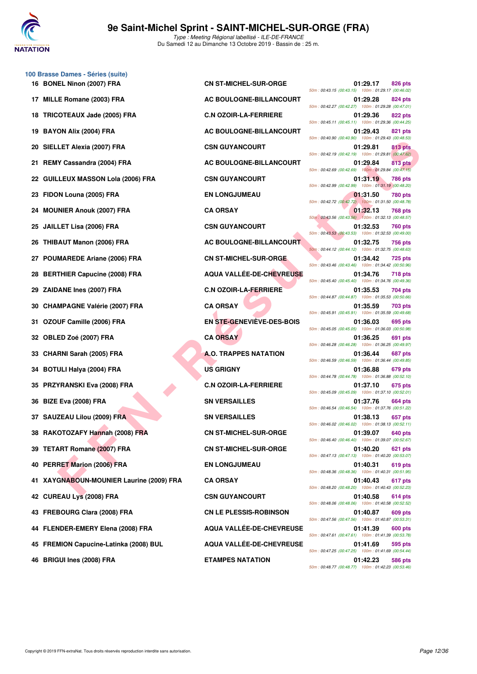

|    | 100 Brasse Dames - Séries (suite)<br>16 BONEL Ninon (2007) FRA | <b>CN ST-MICHEL-SUR-ORGE</b>    | 01:29.17<br>826 pts                                                              |
|----|----------------------------------------------------------------|---------------------------------|----------------------------------------------------------------------------------|
| 17 | <b>MILLE Romane (2003) FRA</b>                                 | AC BOULOGNE-BILLANCOURT         | 50m: 00:43.15 (00:43.15) 100m: 01:29.17 (00:46.02)<br>01:29.28<br>824 pts        |
| 18 | TRICOTEAUX Jade (2005) FRA                                     | <b>C.N OZOIR-LA-FERRIERE</b>    | 50m: 00:42.27 (00:42.27) 100m: 01:29.28 (00:47.01)<br>01:29.36<br>822 pts        |
|    |                                                                |                                 | 50m: 00:45.11 (00:45.11) 100m: 01:29.36 (00:44.25)                               |
| 19 | <b>BAYON Alix (2004) FRA</b>                                   | AC BOULOGNE-BILLANCOURT         | 01:29.43<br>821 pts<br>50m: 00:40.90 (00:40.90) 100m: 01:29.43 (00:48.53)        |
| 20 | SIELLET Alexia (2007) FRA                                      | <b>CSN GUYANCOURT</b>           | 01:29.81<br>813 pts<br>50m: 00:42.19 (00:42.19) 100m: 01:29.81 (00:47.62)        |
| 21 | REMY Cassandra (2004) FRA                                      | <b>AC BOULOGNE-BILLANCOURT</b>  | 01:29.84<br><b>813 pts</b><br>50m: 00:42.69 (00:42.69) 100m: 01:29.84 (00:47.15) |
| 22 | <b>GUILLEUX MASSON Lola (2006) FRA</b>                         | <b>CSN GUYANCOURT</b>           | 01:31.19<br><b>786 pts</b><br>50m: 00:42.99 (00:42.99) 100m: 01:31.19 (00:48.20) |
| 23 | FIDON Louna (2005) FRA                                         | <b>EN LONGJUMEAU</b>            | 01:31.50<br><b>780 pts</b><br>50m: 00:42.72 (00:42.72) 100m: 01:31.50 (00:48.78) |
| 24 | <b>MOUNIER Anouk (2007) FRA</b>                                | <b>CA ORSAY</b>                 | 01:32.13<br>768 pts<br>50m: 00:43.56 (00:43.56) 100m: 01:32.13 (00:48.57)        |
| 25 | JAILLET Lisa (2006) FRA                                        | <b>CSN GUYANCOURT</b>           | 01:32.53<br>760 pts<br>50m: 00:43.53 (00:43.53) 100m: 01:32.53 (00:49.00)        |
| 26 | <b>THIBAUT Manon (2006) FRA</b>                                | AC BOULOGNE-BILLANCOURT         | 01:32.75<br>756 pts<br>50m: 00:44.12 (00:44.12) 100m: 01:32.75 (00:48.63)        |
|    | <b>POUMAREDE Ariane (2006) FRA</b>                             | <b>CN ST-MICHEL-SUR-ORGE</b>    | 01:34.42<br><b>725 pts</b><br>50m: 00:43.46 (00:43.46) 100m: 01:34.42 (00:50.96) |
| 28 | <b>BERTHIER Capucine (2008) FRA</b>                            | <b>AQUA VALLÉE-DE-CHEVREUSE</b> | 01:34.76<br><b>718 pts</b><br>50m: 00:45.40 (00:45.40) 100m: 01:34.76 (00:49.36) |
| 29 | ZAIDANE Ines (2007) FRA                                        | <b>C.N OZOIR-LA-FERRIERE</b>    | 01:35.53<br>704 pts<br>50m: 00:44.87 (00:44.87) 100m: 01:35.53 (00:50.66)        |
| 30 | <b>CHAMPAGNE Valérie (2007) FRA</b>                            | <b>CA ORSAY</b>                 | 01:35.59<br>703 pts<br>50m: 00:45.91 (00:45.91) 100m: 01:35.59 (00:49.68)        |
| 31 | OZOUF Camille (2006) FRA                                       | EN STE-GENEVIEVE-DES-BOIS       | 01:36.03<br>695 pts<br>50m: 00:45.05 (00:45.05) 100m: 01:36.03 (00:50.98)        |
| 32 | OBLED Zoé (2007) FRA                                           | <b>CA ORSAY</b>                 | 01:36.25<br>691 pts<br>50m: 00:46.28 (00:46.28) 100m: 01:36.25 (00:49.97)        |
| 33 | <b>CHARNI Sarah (2005) FRA</b>                                 | <b>A.O. TRAPPES NATATION</b>    | 01:36.44<br>687 pts                                                              |
| 34 | <b>BOTULI Halya (2004) FRA</b>                                 | <b>US GRIGNY</b>                | 50m: 00:46.59 (00:46.59) 100m: 01:36.44 (00:49.85)<br>01:36.88<br>679 pts        |
| 35 | <b>PRZYRANSKI Eva (2008) FRA</b>                               | <b>C.N OZOIR-LA-FERRIERE</b>    | 50m: 00:44.78 (00:44.78) 100m: 01:36.88 (00:52.10)<br>01:37.10<br>675 pts        |
| 36 | BIZE Eva (2008) FRA                                            | <b>SN VERSAILLES</b>            | 50m: 00:45.09 (00:45.09) 100m: 01:37.10 (00:52.01)<br>01:37.76<br>664 pts        |
|    | 37 SAUZEAU Lilou (2009) FRA                                    | <b>SN VERSAILLES</b>            | 50m: 00:46.54 (00:46.54) 100m: 01:37.76 (00:51.22)<br>01:38.13<br>657 pts        |
|    | 38 RAKOTOZAFY Hannah (2008) FRA                                | <b>CN ST-MICHEL-SUR-ORGE</b>    | 50m: 00:46.02 (00:46.02) 100m: 01:38.13 (00:52.11)<br>01:39.07<br>640 pts        |
| 39 | <b>TETART Romane (2007) FRA</b>                                | <b>CN ST-MICHEL-SUR-ORGE</b>    | 50m: 00:46.40 (00:46.40) 100m: 01:39.07 (00:52.67)<br>01:40.20<br>621 pts        |
|    | 40 PERRET Marion (2006) FRA                                    | <b>EN LONGJUMEAU</b>            | 50m: 00:47.13 (00:47.13) 100m: 01:40.20 (00:53.07)<br>01:40.31<br>619 pts        |
| 41 | XAYGNABOUN-MOUNIER Laurine (2009) FRA                          | <b>CA ORSAY</b>                 | 50m: 00:48.36 (00:48.36) 100m: 01:40.31 (00:51.95)<br>01:40.43<br>617 pts        |
| 42 | <b>CUREAU Lys (2008) FRA</b>                                   | <b>CSN GUYANCOURT</b>           | 50m: 00:48.20 (00:48.20) 100m: 01:40.43 (00:52.23)<br>01:40.58<br>614 pts        |
|    | 43 FREBOURG Clara (2008) FRA                                   | <b>CN LE PLESSIS-ROBINSON</b>   | 50m: 00:48.06 (00:48.06) 100m: 01:40.58 (00:52.52)<br>01:40.87<br>609 pts        |
| 44 | FLENDER-EMERY Elena (2008) FRA                                 | <b>AQUA VALLEE-DE-CHEVREUSE</b> | 50m: 00:47.56 (00:47.56) 100m: 01:40.87 (00:53.31)<br>01:41.39<br>600 pts        |
|    | 45 FREMION Capucine-Latinka (2008) BUL                         | AQUA VALLÉE-DE-CHEVREUSE        | 50m: 00:47.61 (00:47.61) 100m: 01:41.39 (00:53.78)<br>01:41.69<br>595 pts        |
|    |                                                                |                                 | 50m : 00:47.25 (00:47.25) 100m : 01:41.69 (00:54.44)                             |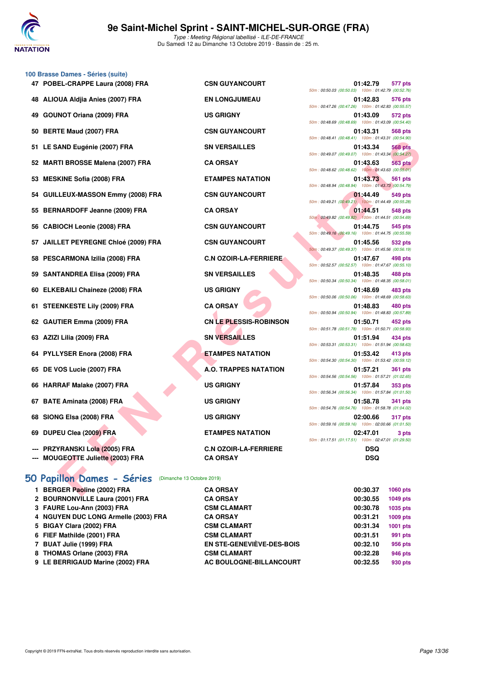

|    | 100 Brasse Dames - Séries (suite)                                         |                                                 |                                                                                                                                 |
|----|---------------------------------------------------------------------------|-------------------------------------------------|---------------------------------------------------------------------------------------------------------------------------------|
|    | 47 POBEL-CRAPPE Laura (2008) FRA                                          | <b>CSN GUYANCOURT</b>                           | 01:42.79<br>577 pts<br>50m: 00:50.03 (00:50.03) 100m: 01:42.79 (00:52.76)                                                       |
|    | 48 ALIOUA Aldjia Anies (2007) FRA                                         | <b>EN LONGJUMEAU</b>                            | 01:42.83<br>576 pts<br>50m: 00:47.26 (00:47.26) 100m: 01:42.83 (00:55.57)                                                       |
| 49 | <b>GOUNOT Oriana (2009) FRA</b>                                           | <b>US GRIGNY</b>                                | 01:43.09<br>572 pts<br>50m: 00:48.69 (00:48.69) 100m: 01:43.09 (00:54.40)                                                       |
| 50 | <b>BERTE Maud (2007) FRA</b>                                              | <b>CSN GUYANCOURT</b>                           | 01:43.31<br>568 pts<br>50m: 00:48.41 (00:48.41) 100m: 01:43.31 (00:54.90)                                                       |
|    | 51 LE SAND Eugénie (2007) FRA                                             | <b>SN VERSAILLES</b>                            | 01:43.34<br><b>568 pts</b>                                                                                                      |
|    | 52 MARTI BROSSE Malena (2007) FRA                                         | <b>CA ORSAY</b>                                 | 50m: 00:49.07 (00:49.07) 100m: 01:43.34 (00:54.27)<br>01:43.63<br>563 pts<br>50m: 00:48.62 (00:48.62) 100m: 01:43.63 (00:55.01) |
|    | 53 MESKINE Sofia (2008) FRA                                               | <b>ETAMPES NATATION</b>                         | 01:43.73<br>561 pts                                                                                                             |
|    | 54 GUILLEUX-MASSON Emmy (2008) FRA                                        | <b>CSN GUYANCOURT</b>                           | 50m: 00:48.94 (00:48.94) 100m: 01:43.73 (00:54.79)<br>01:44.49<br>549 pts                                                       |
|    | <b>BERNARDOFF Jeanne (2009) FRA</b>                                       | <b>CA ORSAY</b>                                 | 50m: 00:49.21 (00:49.21) 100m: 01:44.49 (00:55.28)<br>01:44.51<br>548 pts                                                       |
| 56 | <b>CABIOCH Leonie (2008) FRA</b>                                          | <b>CSN GUYANCOURT</b>                           | 50m: 00:49.82 (00:49.82) 100m: 01:44.51 (00:54.69)<br>01:44.75<br>545 pts                                                       |
|    | 57 JAILLET PEYREGNE Chloé (2009) FRA                                      | <b>CSN GUYANCOURT</b>                           | 50m: 00:49.16 (00:49.16) 100m: 01:44.75 (00:55.59)<br>01:45.56<br>532 pts                                                       |
|    | 58 PESCARMONA Izilia (2008) FRA                                           | <b>C.N OZOIR-LA-FERRIERE</b>                    | 50m: 00:49.37 (00:49.37) 100m: 01:45.56 (00:56.19)<br>01:47.67<br>498 pts                                                       |
|    | 59 SANTANDREA Elisa (2009) FRA                                            | <b>SN VERSAILLES</b>                            | 50m: 00:52.57 (00:52.57) 100m: 01:47.67 (00:55.10)<br>01:48.35<br>488 pts                                                       |
|    | 60 ELKEBAILI Chaineze (2008) FRA                                          | <b>US GRIGNY</b>                                | 50m: 00:50.34 (00:50.34) 100m: 01:48.35 (00:58.01)<br>01:48.69<br>483 pts                                                       |
|    | 61 STEENKESTE Lily (2009) FRA                                             | <b>CA ORSAY</b>                                 | 50m: 00:50.06 (00:50.06) 100m: 01:48.69 (00:58.63)<br>01:48.83<br>480 pts                                                       |
|    | 62 GAUTIER Emma (2009) FRA                                                | <b>CN LE PLESSIS-ROBINSON</b>                   | 50m: 00:50.94 (00:50.94) 100m: 01:48.83 (00:57.89)<br>01:50.71<br>452 pts                                                       |
| 63 | AZIZI Lilia (2009) FRA                                                    | <b>SN VERSAILLES</b>                            | 50m: 00:51.78 (00:51.78) 100m: 01:50.71 (00:58.93)<br>01:51.94<br>434 pts                                                       |
|    | 64 PYLLYSER Enora (2008) FRA                                              | <b>ETAMPES NATATION</b>                         | 50m: 00:53.31 (00:53.31) 100m: 01:51.94 (00:58.63)<br>01:53.42<br>413 pts                                                       |
|    | 65 DE VOS Lucie (2007) FRA                                                | A.O. TRAPPES NATATION                           | 50m: 00:54.30 (00:54.30) 100m: 01:53.42 (00:59.12)<br>01:57.21<br><b>361 pts</b>                                                |
|    | 66 HARRAF Malake (2007) FRA                                               | <b>US GRIGNY</b>                                | 50m: 00:54.56 (00:54.56) 100m: 01:57.21 (01:02.65)<br>01:57.84<br>353 pts                                                       |
|    | 67 BATE Aminata (2008) FRA                                                | <b>US GRIGNY</b>                                | 50m: 00:56.34 (00:56.34) 100m: 01:57.84 (01:01.50)<br>01:58.78<br><b>341 pts</b>                                                |
|    | 68 SIONG Elsa (2008) FRA                                                  | <b>US GRIGNY</b>                                | 50m: 00:54.76 (00:54.76) 100m: 01:58.78 (01:04.02)<br>02:00.66<br><b>317 pts</b>                                                |
|    | 69 DUPEU Clea (2009) FRA                                                  | <b>ETAMPES NATATION</b>                         | 50m: 00:59.16 (00:59.16) 100m: 02:00.66 (01:01.50)<br>02:47.01<br>3 pts                                                         |
|    | <b>PRZYRANSKI Lola (2005) FRA</b><br><b>MOUGEOTTE Juliette (2003) FRA</b> | <b>C.N OZOIR-LA-FERRIERE</b><br><b>CA ORSAY</b> | 50m: 01:17.51 (01:17.51) 100m: 02:47.01 (01:29.50)<br><b>DSQ</b><br><b>DSQ</b>                                                  |
|    | 50 Papillon Dames - Séries<br>(Dimanche 13 Octobre 2019)                  |                                                 |                                                                                                                                 |
|    | 1 BERGER Paoline (2002) FRA                                               | <b>CA ORSAY</b>                                 | 00:30.37<br>1060 pts                                                                                                            |
|    | 2 BOURNONVILLE Laura (2001) FRA                                           | <b>CA ORSAY</b>                                 | 00:30.55<br>1049 pts                                                                                                            |
|    | 3 FAURE Lou-Ann (2003) FRA                                                | <b>CSM CLAMART</b>                              | 00:30.78<br>1035 pts                                                                                                            |
|    | 4 NGUYEN DUC LONG Armelle (2003) FRA                                      | <b>CA ORSAY</b>                                 | 00:31.21<br>1009 pts                                                                                                            |
|    |                                                                           |                                                 |                                                                                                                                 |

- 5 BIGAY Clara (2002) FRA CSM CLAMART 6 FIEF Mathilde (2001) FRA CSM CLAMART 7 BUAT Julie (1999) FRA EN STE-GENEVIÈVE-DES-B
- 8 THOMAS Orlane (2003) FRA **CSM CLAMART**
- 9 LE BERRIGAUD Marine (2002) FRA **AC BOULOGNE-BILLANCOURT 00:32.55**

| <b>SN GUYANCOURT</b>               |
|------------------------------------|
| N LONGJUMEAU                       |
| <b>S GRIGNY</b>                    |
| SN GUYANCOURT                      |
| <b>N VERSAILLES</b>                |
| <b>A ORSAY</b>                     |
| <b>TAMPES NATATION</b>             |
| <b>SN GUYANCOURT</b>               |
| A ORSAY                            |
| <b>SN GUYANCOURT</b>               |
| <b>SN GUYANCOURT</b>               |
| N OZOIR-LA-FERRIERE.               |
| <b>N VERSAILLES</b>                |
| <b>S GRIGNY</b>                    |
| <b>A ORSAY</b>                     |
| N <mark>LE PLESSIS-ROBINSON</mark> |
| N VERSAILLES                       |
| <b>TAMPES NATATION</b>             |
| O. TRAPPES NATATION                |
|                                    |
| <b>S GRIGNY</b>                    |
| S GRIGNY                           |
| <b>S GRIGNY</b>                    |
| <b>TAMPES NATATION</b>             |

| <b>CSN GUYANCOURT</b>         |                          | 01:42.79<br>577 pts<br>50m: 00:50.03 (00:50.03) 100m: 01:42.79 (00:52.76)        |
|-------------------------------|--------------------------|----------------------------------------------------------------------------------|
| <b>EN LONGJUMEAU</b>          |                          | 01:42.83<br>576 pts                                                              |
| <b>US GRIGNY</b>              | 50m: 00:47.26 (00:47.26) | 100m: 01:42.83 (00:55.57)<br>01:43.09<br>572 pts                                 |
|                               | 50m: 00:48.69 (00:48.69) | 100m: 01:43.09 (00:54.40)                                                        |
| <b>CSN GUYANCOURT</b>         |                          | 01:43.31<br><b>568 pts</b><br>50m: 00:48.41 (00:48.41) 100m: 01:43.31 (00:54.90) |
| <b>SN VERSAILLES</b>          |                          | 01:43.34<br><b>568 pts</b><br>50m: 00:49.07 (00:49.07) 100m: 01:43.34 (00:54.27) |
| <b>CA ORSAY</b>               |                          | 01:43.63<br><b>563 pts</b>                                                       |
| <b>ETAMPES NATATION</b>       |                          | 50m: 00:48.62 (00:48.62) 100m: 01:43.63 (00:55.01)<br>01:43.73<br><b>561 pts</b> |
| <b>CSN GUYANCOURT</b>         |                          | 50m: 00:48.94 (00:48.94) 100m: 01:43.73 (00:54.79)<br>01:44.49<br>549 pts        |
|                               |                          | 50m: 00:49.21 (00:49.21) 100m: 01:44.49 (00:55.28)                               |
| <b>CA ORSAY</b>               |                          | 01:44.51<br>548 pts<br>50m: 00:49.82 (00:49.82) 100m: 01:44.51 (00:54.69)        |
| <b>CSN GUYANCOURT</b>         |                          | 01:44.75<br>545 pts<br>50m: 00:49.16 (00:49.16) 100m: 01:44.75 (00:55.59)        |
| <b>CSN GUYANCOURT</b>         |                          | 01:45.56<br>532 pts                                                              |
| <b>C.N OZOIR-LA-FERRIERE</b>  |                          | 50m: 00:49.37 (00:49.37) 100m: 01:45.56 (00:56.19)<br>01:47.67<br>498 pts        |
|                               |                          | 50m: 00:52.57 (00:52.57) 100m: 01:47.67 (00:55.10)                               |
| <b>SN VERSAILLES</b>          |                          | 01:48.35<br><b>488 pts</b><br>50m: 00:50.34 (00:50.34) 100m: 01:48.35 (00:58.01) |
| <b>US GRIGNY</b>              |                          | 01:48.69<br>483 pts<br>50m: 00:50.06 (00:50.06) 100m: 01:48.69 (00:58.63)        |
| <b>CA ORSAY</b>               |                          | 01:48.83<br>480 pts<br>50m: 00:50.94 (00:50.94) 100m: 01:48.83 (00:57.89)        |
| <b>CN LE PLESSIS-ROBINSON</b> |                          | 01:50.71<br>452 pts                                                              |
| <b>SN VERSAILLES</b>          |                          | 50m: 00:51.78 (00:51.78) 100m: 01:50.71 (00:58.93)<br>01:51.94<br>434 pts        |
|                               |                          | 50m: 00:53.31 (00:53.31) 100m: 01:51.94 (00:58.63)                               |
| <b>ETAMPES NATATION</b>       |                          | 01:53.42<br>413 pts<br>50m: 00:54.30 (00:54.30) 100m: 01:53.42 (00:59.12)        |
| <b>A.O. TRAPPES NATATION</b>  |                          | 01:57.21<br><b>361 pts</b><br>50m: 00:54.56 (00:54.56) 100m: 01:57.21 (01:02.65) |
| <b>US GRIGNY</b>              |                          | 01:57.84<br>353 pts                                                              |
| <b>US GRIGNY</b>              | 50m: 00:56.34 (00:56.34) | 100m: 01:57.84 (01:01.50)<br>01:58.78<br>341 pts                                 |
| <b>US GRIGNY</b>              |                          | 50m: 00:54.76 (00:54.76) 100m: 01:58.78 (01:04.02)                               |
|                               | 50m: 00:59.16 (00:59.16) | 02:00.66<br><b>317 pts</b><br>100m: 02:00.66 (01:01.50)                          |
| <b>ETAMPES NATATION</b>       |                          | 02:47.01<br>3 pts<br>50m: 01:17.51 (01:17.51) 100m: 02:47.01 (01:29.50)          |
| <b>C.N OZOIR-LA-FERRIERE</b>  |                          | <b>DSQ</b>                                                                       |
| <b>CA ORSAY</b>               |                          | <b>DSQ</b>                                                                       |

|             | 00:30.37 | <b>1060 pts</b> |
|-------------|----------|-----------------|
|             | 00:30.55 | <b>1049 pts</b> |
|             | 00:30.78 | 1035 pts        |
|             | 00:31.21 | 1009 pts        |
|             | 00:31.34 | 1001 pts        |
|             | 00:31.51 | 991 pts         |
| BOIS        | 00:32.10 | 956 pts         |
|             | 00:32.28 | <b>946 pts</b>  |
| <b>DURT</b> | 00:32.55 | 930 pts         |
|             |          |                 |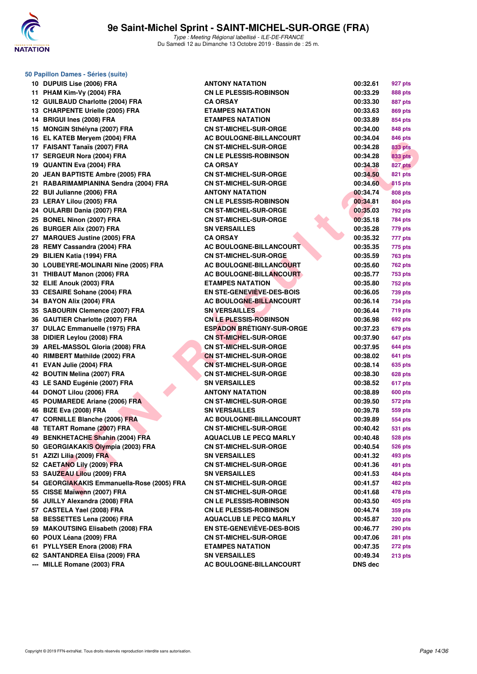

|    | 50 Papillon Dames - Séries (suite)         |                                  |          |                |
|----|--------------------------------------------|----------------------------------|----------|----------------|
|    | 10 DUPUIS Lise (2006) FRA                  | <b>ANTONY NATATION</b>           | 00:32.61 | 927 pts        |
|    | 11 PHAM Kim-Vy (2004) FRA                  | <b>CN LE PLESSIS-ROBINSON</b>    | 00:33.29 | 888 pts        |
|    | 12 GUILBAUD Charlotte (2004) FRA           | <b>CA ORSAY</b>                  | 00:33.30 | 887 pts        |
|    | 13 CHARPENTE Urielle (2005) FRA            | <b>ETAMPES NATATION</b>          | 00:33.63 | 869 pts        |
|    | 14 BRIGUI Ines (2008) FRA                  | <b>ETAMPES NATATION</b>          | 00:33.89 | 854 pts        |
|    | 15 MONGIN Sthélyna (2007) FRA              | <b>CN ST-MICHEL-SUR-ORGE</b>     | 00:34.00 | 848 pts        |
|    | 16 EL KATEB Meryem (2004) FRA              | AC BOULOGNE-BILLANCOURT          | 00:34.04 | 846 pts        |
|    | 17 FAISANT Tanaïs (2007) FRA               | <b>CN ST-MICHEL-SUR-ORGE</b>     | 00:34.28 | <b>833 pts</b> |
|    | 17 SERGEUR Nora (2004) FRA                 | <b>CN LE PLESSIS-ROBINSON</b>    | 00:34.28 | <b>833 pts</b> |
|    | 19 QUANTIN Eva (2004) FRA                  | <b>CA ORSAY</b>                  | 00:34.38 | 827 pts        |
|    | 20 JEAN BAPTISTE Ambre (2005) FRA          | <b>CN ST-MICHEL-SUR-ORGE</b>     | 00:34.50 | <b>821 pts</b> |
|    | 21 RABARIMAMPIANINA Sendra (2004) FRA      | <b>CN ST-MICHEL-SUR-ORGE</b>     | 00:34.60 | 815 pts        |
|    | 22 BUI Julianne (2006) FRA                 | <b>ANTONY NATATION</b>           | 00:34.74 | 808 pts        |
|    | 23 LERAY Lilou (2005) FRA                  | <b>CN LE PLESSIS-ROBINSON</b>    | 00:34.81 | 804 pts        |
|    | 24 OULARBI Dania (2007) FRA                | <b>CN ST-MICHEL-SUR-ORGE</b>     | 00:35.03 | 792 pts        |
|    | 25 BONEL Ninon (2007) FRA                  | <b>CN ST-MICHEL-SUR-ORGE</b>     | 00:35.18 | 784 pts        |
|    | 26 BURGER Alix (2007) FRA                  | <b>SN VERSAILLES</b>             | 00:35.28 | 779 pts        |
|    | 27 MARQUES Justine (2005) FRA              | <b>CA ORSAY</b>                  | 00:35.32 | 777 pts        |
|    | 28 REMY Cassandra (2004) FRA               | AC BOULOGNE-BILLANCOURT          | 00:35.35 | 775 pts        |
| 29 | <b>BILIEN Katia (1994) FRA</b>             | <b>CN ST-MICHEL-SUR-ORGE</b>     | 00:35.59 | 763 pts        |
|    | 30 LOUBEYRE-MOLINARI Nine (2005) FRA       | <b>AC BOULOGNE-BILLANCOURT</b>   | 00:35.60 | <b>762 pts</b> |
|    | 31 THIBAUT Manon (2006) FRA                | <b>AC BOULOGNE-BILLANCOURT</b>   | 00:35.77 | 753 pts        |
|    | 32 ELIE Anouk (2003) FRA                   | <b>ETAMPES NATATION</b>          | 00:35.80 | 752 pts        |
|    | 33 CESAIRE Sohane (2004) FRA               | EN STE-GENEVIÈVE-DES-BOIS        | 00:36.05 | 739 pts        |
|    | 34 BAYON Alix (2004) FRA                   | <b>AC BOULOGNE-BILLANCOURT</b>   | 00:36.14 | 734 pts        |
|    | 35 SABOURIN Clemence (2007) FRA            | <b>SN VERSAILLES</b>             | 00:36.44 | 719 pts        |
|    | 36 GAUTIER Charlotte (2007) FRA            | <b>CN LE PLESSIS-ROBINSON</b>    | 00:36.98 | <b>692 pts</b> |
|    | 37 DULAC Emmanuelle (1975) FRA             | <b>ESPADON BRÉTIGNY-SUR-ORGE</b> | 00:37.23 | 679 pts        |
|    | 38 DIDIER Leylou (2008) FRA                | <b>CN ST-MICHEL-SUR-ORGE</b>     | 00:37.90 | 647 pts        |
|    | 39 AREL-MASSOL Gloria (2008) FRA           | <b>CN ST-MICHEL-SUR-ORGE</b>     | 00:37.95 |                |
|    | 40 RIMBERT Mathilde (2002) FRA             | <b>CN ST-MICHEL-SUR-ORGE</b>     | 00:38.02 | 644 pts        |
|    |                                            |                                  |          | 641 pts        |
|    | 41 EVAN Julie (2004) FRA                   | <b>CN ST-MICHEL-SUR-ORGE</b>     | 00:38.14 | 635 pts        |
|    | 42 BOUTIN Melina (2007) FRA                | <b>CN ST-MICHEL-SUR-ORGE</b>     | 00:38.30 | <b>628 pts</b> |
|    | 43 LE SAND Eugénie (2007) FRA              | <b>SN VERSAILLES</b>             | 00:38.52 | 617 pts        |
|    | 44 DONOT Lilou (2006) FRA                  | <b>ANTONY NATATION</b>           | 00:38.89 | 600 pts        |
|    | 45 POUMAREDE Ariane (2006) FRA             | <b>CN ST-MICHEL-SUR-ORGE</b>     | 00:39.50 | 572 pts        |
|    | 46 BIZE Eva (2008) FRA                     | <b>SN VERSAILLES</b>             | 00:39.78 | 559 pts        |
|    | 47 CORNILLE Blanche (2006) FRA             | <b>AC BOULOGNE-BILLANCOURT</b>   | 00:39.89 | 554 pts        |
|    | 48 TETART Romane (2007) FRA                | <b>CN ST-MICHEL-SUR-ORGE</b>     | 00:40.42 | 531 pts        |
|    | 49 BENKHETACHE Shahin (2004) FRA           | <b>AQUACLUB LE PECQ MARLY</b>    | 00:40.48 | <b>528 pts</b> |
|    | 50 GEORGIAKAKIS Olympia (2003) FRA         | <b>CN ST-MICHEL-SUR-ORGE</b>     | 00:40.54 | <b>526 pts</b> |
|    | 51 AZIZI Lilia (2009) FRA                  | <b>SN VERSAILLES</b>             | 00:41.32 | 493 pts        |
|    | 52 CAETANO Lily (2009) FRA                 | <b>CN ST-MICHEL-SUR-ORGE</b>     | 00:41.36 | 491 pts        |
|    | 53 SAUZEAU Lilou (2009) FRA                | <b>SN VERSAILLES</b>             | 00:41.53 | 484 pts        |
|    | 54 GEORGIAKAKIS Emmanuella-Rose (2005) FRA | <b>CN ST-MICHEL-SUR-ORGE</b>     | 00:41.57 | 482 pts        |
|    | 55 CISSE Maïwenn (2007) FRA                | <b>CN ST-MICHEL-SUR-ORGE</b>     | 00:41.68 | 478 pts        |
|    | 56 JUILLY Alexandra (2008) FRA             | <b>CN LE PLESSIS-ROBINSON</b>    | 00:43.50 | 405 pts        |
|    | 57 CASTELA Yael (2008) FRA                 | <b>CN LE PLESSIS-ROBINSON</b>    | 00:44.74 | 359 pts        |
|    | 58 BESSETTES Lena (2006) FRA               | <b>AQUACLUB LE PECQ MARLY</b>    | 00:45.87 | <b>320 pts</b> |
|    | 59 MAKOUTSING Elisabeth (2008) FRA         | <b>EN STE-GENEVIEVE-DES-BOIS</b> | 00:46.77 | <b>290 pts</b> |
|    | 60 POUX Léana (2009) FRA                   | <b>CN ST-MICHEL-SUR-ORGE</b>     | 00:47.06 | <b>281 pts</b> |
|    | 61 PYLLYSER Enora (2008) FRA               | <b>ETAMPES NATATION</b>          | 00:47.35 | 272 pts        |
|    | 62 SANTANDREA Elisa (2009) FRA             | <b>SN VERSAILLES</b>             | 00:49.34 | <b>213 pts</b> |
|    | --- MILLE Romane (2003) FRA                | <b>AC BOULOGNE-BILLANCOURT</b>   | DNS dec  |                |

| 00:32.61 | 927 pts        |
|----------|----------------|
| 00:33.29 | <b>888 pts</b> |
| 00:33.30 | 887 pts        |
| 00:33.63 | 869 pts        |
| 00:33.89 | 854 pts        |
| 00:34.00 | <b>848 pts</b> |
| 00:34.04 | 846 pts        |
| 00:34.28 | 833 pts        |
| 00:34.28 | <b>833 pts</b> |
| 00:34.38 | <b>827 pts</b> |
| 00:34.50 | <b>821 pts</b> |
| 00:34.60 | 815 pts        |
| 00:34.74 | 808 pts        |
| 00:34.81 | 804 pts        |
| 00:35.03 | 792 pts        |
| 00:35.18 | <b>784 pts</b> |
| 00:35.28 | 779 pts        |
| 00:35.32 | 777 pts        |
| 00:35.35 | 775 pts        |
| 00:35.59 | 763 pts        |
| 00:35.60 | <b>762 pts</b> |
| 00:35.77 | <b>753 pts</b> |
| 00:35.80 | 752 pts        |
| 00:36.05 | <b>739 pts</b> |
| 00:36.14 | <b>734 pts</b> |
| 00:36.44 | <b>719 pts</b> |
| 00:36.98 | 692 pts        |
| 00:37.23 | 679 pts        |
| 00:37.90 | 647 pts        |
| 00:37.95 | 644 pts        |
| 00:38.02 | 641 pts        |
| 00:38.14 | 635 pts        |
| 00:38.30 | <b>628 pts</b> |
| 00:38.52 | 617 pts        |
| 00:38.89 | <b>600 pts</b> |
| 00:39.50 | 572 pts        |
| 00:39.78 | 559 pts        |
| 00:39.89 | 554 pts        |
| 00:40.42 | 531 pts        |
| 00:40.48 | 528 pts        |
| 00:40.54 | 526 pts        |
| 00:41.32 | <b>493 pts</b> |
| 00:41.36 | <b>491 pts</b> |
| 00:41.53 | 484 pts        |
| 00:41.57 | 482 pts        |
| 00:41.68 | 478 pts        |
| 00:43.50 | <b>405 pts</b> |
| 00:44.74 | <b>359 pts</b> |
| 00:45.87 | <b>320 pts</b> |
| 00:46.77 | 290 pts        |
| 00:47.06 | 281 pts        |
| 00:47.35 | 272 pts        |
| 00:49.34 | 213 pts        |
| DNS dec  |                |
|          |                |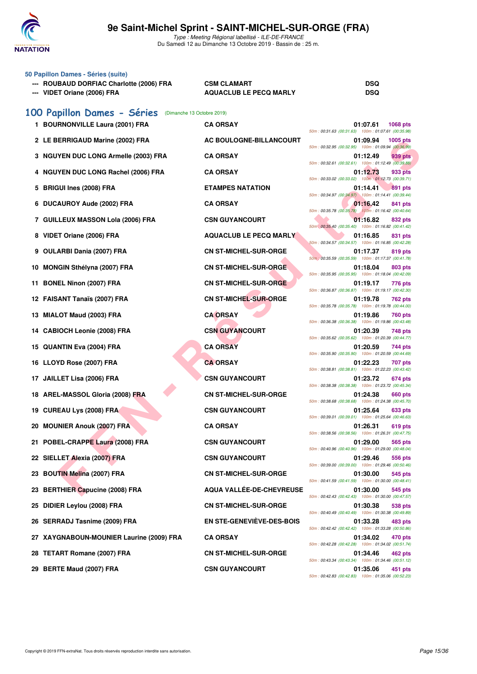

# **9e Saint-Michel Sprint - SAINT-MICHEL-SUR-ORGE (FRA)**

Type : Meeting Régional labellisé - ILE-DE-FRANCE Du Samedi 12 au Dimanche 13 Octobre 2019 - Bassin de : 25 m.

| 50 Papillon Dames - Séries (suite)<br>--- ROUBAUD DORFIAC Charlotte (2006) FRA<br>--- VIDET Oriane (2006) FRA | <b>CSM CLAMART</b><br><b>AQUACLUB LE PECQ MARLY</b> | <b>DSQ</b><br><b>DSQ</b>                                                          |
|---------------------------------------------------------------------------------------------------------------|-----------------------------------------------------|-----------------------------------------------------------------------------------|
| 100 Papillon Dames - Séries<br>(Dimanche 13 Octobre 2019)                                                     |                                                     |                                                                                   |
| 1 BOURNONVILLE Laura (2001) FRA                                                                               | <b>CA ORSAY</b>                                     | 01:07.61<br><b>1068 pts</b><br>50m: 00:31.63 (00:31.63) 100m: 01:07.61 (00:35.98) |
| 2 LE BERRIGAUD Marine (2002) FRA                                                                              | AC BOULOGNE-BILLANCOURT                             | 01:09.94<br>1005 pts<br>50m: 00:32.95 (00:32.95) 100m: 01:09.94 (00:36.99)        |
| 3 NGUYEN DUC LONG Armelle (2003) FRA                                                                          | <b>CA ORSAY</b>                                     | 01:12.49<br>939 pts<br>50m: 00:32.61 (00:32.61) 100m: 01:12.49 (00:39.88)         |
| <b>NGUYEN DUC LONG Rachel (2006) FRA</b>                                                                      | <b>CA ORSAY</b>                                     | 01:12.73<br>933 pts<br>50m: 00:33.02 (00:33.02) 100m: 01:12.73 (00:39.71)         |
| <b>BRIGUI Ines (2008) FRA</b><br>5                                                                            | <b>ETAMPES NATATION</b>                             | 01:14.41<br>891 pts<br>50m: 00:34.97 (00:34.97) 100m: 01:14.41 (00:39.44)         |
| <b>DUCAUROY Aude (2002) FRA</b><br>6                                                                          | <b>CA ORSAY</b>                                     | 01:16.42<br>841 pts<br>50m: 00:35.78 (00:35.78) 100m: 01:16.42 (00:40.64)         |
| 7 GUILLEUX MASSON Lola (2006) FRA                                                                             | <b>CSN GUYANCOURT</b>                               | 01:16.82<br>832 pts<br>50m: 00:35.40 (00:35.40) 100m: 01:16.82 (00:41.42)         |
| VIDET Oriane (2006) FRA<br>8                                                                                  | <b>AQUACLUB LE PECQ MARLY</b>                       | 01:16.85<br>831 pts<br>50m: 00:34.57 (00:34.57) 100m: 01:16.85 (00:42.28)         |
| <b>OULARBI Dania (2007) FRA</b><br>9                                                                          | <b>CN ST-MICHEL-SUR-ORGE</b>                        | 01:17.37<br>819 pts<br>50m : 00:35.59 (00:35.59) 100m : 01:17.37 (00:41.78)       |
| <b>MONGIN Sthélyna (2007) FRA</b><br>10                                                                       | CN ST-MICHEL-SUR-ORGE                               | 01:18.04<br>803 pts<br>50m: 00:35.95 (00:35.95) 100m: 01:18.04 (00:42.09)         |
| <b>BONEL Ninon (2007) FRA</b><br>11.                                                                          | <b>CN ST-MICHEL-SUR-ORGE</b>                        | 01:19.17<br>776 pts<br>50m: 00:36.87 (00:36.87) 100m: 01:19.17 (00:42.30)         |
| 12 FAISANT Tanaïs (2007) FRA                                                                                  | <b>CN ST-MICHEL-SUR-ORGE</b>                        | 01:19.78<br>762 pts                                                               |
| MIALOT Maud (2003) FRA<br>13.                                                                                 | <b>CA ORSAY</b>                                     | 50m: 00:35.78 (00:35.78) 100m: 01:19.78 (00:44.00)<br>01:19.86<br>760 pts         |
| 14 CABIOCH Leonie (2008) FRA                                                                                  | <b>CSN GUYANCOURT</b>                               | 50m: 00:36.38 (00:36.38) 100m: 01:19.86 (00:43.48)<br>01:20.39<br>748 pts         |
| <b>QUANTIN Eva (2004) FRA</b><br>15.                                                                          | <b>CA ORSAY</b>                                     | 50m: 00:35.62 (00:35.62) 100m: 01:20.39 (00:44.77)<br>01:20.59<br>744 pts         |
| 16 LLOYD Rose (2007) FRA                                                                                      | <b>CA ORSAY</b>                                     | 50m: 00:35.90 (00:35.90) 100m: 01:20.59 (00:44.69)<br>01:22.23<br>707 pts         |
| JAILLET Lisa (2006) FRA<br>17                                                                                 | <b>CSN GUYANCOURT</b>                               | 50m: 00:38.81 (00:38.81) 100m: 01:22.23 (00:43.42)<br>01:23.72<br>674 pts         |
| 18 AREL-MASSOL Gloria (2008) FRA                                                                              | <b>CN ST-MICHEL-SUR-ORGE</b>                        | 50m: 00:38.38 (00:38.38) 100m: 01:23.72 (00:45.34)<br>01:24.38<br>660 pts         |
| 19 CUREAU Lys (2008) FRA                                                                                      | <b>CSN GUYANCOURT</b>                               | 50m: 00:38.68 (00:38.68) 100m: 01:24.38 (00:45.70)<br>01:25.64<br>633 pts         |
| 20 MOUNIER Anouk (2007) FRA                                                                                   | <b>CA ORSAY</b>                                     | 50m: 00:39.01 (00:39.01) 100m: 01:25.64 (00:46.63)<br>01:26.31<br>619 pts         |
| 21 POBEL-CRAPPE Laura (2008) FRA                                                                              | <b>CSN GUYANCOURT</b>                               | 50m: 00:38.56 (00:38.56) 100m: 01:26.31 (00:47.75)<br>01:29.00<br>565 pts         |
| 22 SIELLET Alexia (2007) FRA                                                                                  | <b>CSN GUYANCOURT</b>                               | 50m: 00:40.96 (00:40.96) 100m: 01:29.00 (00:48.04)<br>01:29.46<br>556 pts         |
| <b>BOUTIN Melina (2007) FRA</b><br>23                                                                         | <b>CN ST-MICHEL-SUR-ORGE</b>                        | 50m: 00:39.00 (00:39.00) 100m: 01:29.46 (00:50.46)<br>01:30.00<br>545 pts         |
| <b>BERTHIER Capucine (2008) FRA</b><br>23                                                                     | AQUA VALLÉE-DE-CHEVREUSE                            | 50m: 00:41.59 (00:41.59) 100m: 01:30.00 (00:48.41)<br>01:30.00<br>545 pts         |
| DIDIER Leylou (2008) FRA<br>25                                                                                | <b>CN ST-MICHEL-SUR-ORGE</b>                        | 50m: 00:42.43 (00:42.43) 100m: 01:30.00 (00:47.57)<br>01:30.38<br>538 pts         |
| 26 SERRADJ Tasnime (2009) FRA                                                                                 | EN STE-GENEVIÈVE-DES-BOIS                           | 50m: 00:40.49 (00:40.49) 100m: 01:30.38 (00:49.89)<br>01:33.28<br>483 pts         |
| 27 XAYGNABOUN-MOUNIER Laurine (2009) FRA                                                                      | <b>CA ORSAY</b>                                     | 50m: 00:42.42 (00:42.42) 100m: 01:33.28 (00:50.86)<br>01:34.02<br>470 pts         |
| 28 TETART Romane (2007) FRA                                                                                   | <b>CN ST-MICHEL-SUR-ORGE</b>                        | 50m: 00:42.28 (00:42.28) 100m: 01:34.02 (00:51.74)<br>01:34.46<br>462 pts         |
|                                                                                                               |                                                     | 50m: 00:43.34 (00:43.34) 100m: 01:34.46 (00:51.12)                                |

**29 BERTE Maud (2007) FRA CSN GUYANCOURT 01:35.06 451 pts** 50m : 00:42.83 (00:42.83) 100m : 01:35.06 (00:52.23)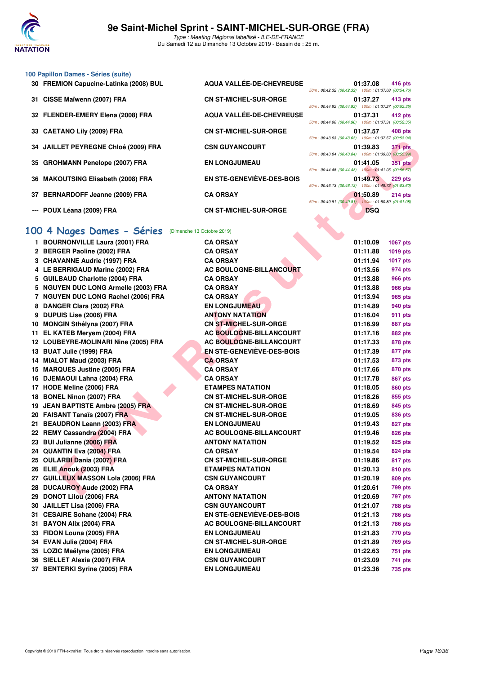

### **100 Papillon Dames - Séries (suite)**

- 30 FREMION Capucine-Latinka (2008) BUL AQUA VALLÉE-DE-CHEVREUSE
- 
- 32 FLENDER-EMERY Elena (2008) FRA **AQUA VALLÉE-DE-CHEVREUSE**
- 
- **34 JAILLET PEYREGNE Chloé (2009) FRA CSN GUYANCOURT**
- 35 GROHMANN Penelope (2007) FRA EN LONGJUMEAU
- **36 MAKOUTSING Elisabeth (2008) FRA EN STE-GENEVIÈVE-DES-BOIS 01:49.73 229 pts**
- 37 BERNARDOFF Jeanne (2009) FRA CA ORSAY
- 
- 31 CISSE Maïwenn (2007) FRA CN ST-MICHEL-SUR-ORGE **33 CAETANO Lily (2009) FRA CN ST-MICHEL-SUR-ORGE --- POUX Léana (2009) FRA** CN ST-MICHEL-SUR-ORGE

|                                                    | 01:37.08 416 pts |  |
|----------------------------------------------------|------------------|--|
| 50m: 00:42.32 (00:42.32) 100m: 01:37.08 (00:54.76) |                  |  |
|                                                    | 01:37.27 413 pts |  |
| 50m: 00:44.92 (00:44.92) 100m: 01:37.27 (00:52.35) |                  |  |
|                                                    | 01:37.31 412 pts |  |
| 50m: 00:44.96 (00:44.96) 100m: 01:37.31 (00:52.35) |                  |  |
|                                                    | 01:37.57 408 pts |  |
| 50m: 00:43.63 (00:43.63) 100m: 01:37.57 (00:53.94) |                  |  |
|                                                    | 01:39.83 371 pts |  |
| 50m: 00:43.84 (00:43.84) 100m: 01:39.83 (00:55.99) |                  |  |
|                                                    | 01:41.05 351 pts |  |
| 50m: 00:44.48 (00:44.48) 100m: 01:41.05 (00:56.57) |                  |  |
|                                                    | 01:49.73 229 pts |  |
| 50m: 00:46.13 (00:46.13) 100m: 01:49.73 (01:03.60) |                  |  |
|                                                    | 01:50.89 214 pts |  |
| 50m: 00:49.81 (00:49.81) 100m: 01:50.89 (01:01.08) |                  |  |
|                                                    | <b>DSQ</b>       |  |

# **[100 4 Nages Dames - Séries](http://www.ffnatation.fr/webffn/resultats.php?idact=nat&go=epr&idcpt=62045&idepr=40)** (Dimanche 13 Octobre 2019)

|                                                      |                                  | U(111, 00.40.00, 100.40.00)                                    | ודי הטהיטן וטהוטהוט ווווטטו |
|------------------------------------------------------|----------------------------------|----------------------------------------------------------------|-----------------------------|
| 34 JAILLET PEYREGNE Chloé (2009) FRA                 | <b>CSN GUYANCOURT</b>            | 01:39.83<br>50m: 00:43.84 (00:43.84) 100m: 01:39.83 (00:55.99) | 371 pts                     |
| 35 GROHMANN Penelope (2007) FRA                      | <b>EN LONGJUMEAU</b>             | 01:41.05                                                       | <b>351 pts</b>              |
|                                                      |                                  | 50m: 00:44.48 (00:44.48) 100m: 01:41.05 (00:56.57)             |                             |
| 36 MAKOUTSING Elisabeth (2008) FRA                   | EN STE-GENEVIÈVE-DES-BOIS        | 01:49.73<br>50m: 00:46.13 (00:46.13) 100m: 01:49.73 (01:03.60) | 229 pts                     |
| 37 BERNARDOFF Jeanne (2009) FRA                      | <b>CA ORSAY</b>                  | 01:50.89<br>50m: 00:49.81 (00:49.81) 100m: 01:50.89 (01:01.08) | $214$ pts                   |
| --- POUX Léana (2009) FRA                            | <b>CN ST-MICHEL-SUR-ORGE</b>     | <b>DSQ</b>                                                     |                             |
|                                                      |                                  |                                                                |                             |
| 00 4 Nages Dames - Séries (Dimanche 13 Octobre 2019) |                                  |                                                                |                             |
| 1 BOURNONVILLE Laura (2001) FRA                      | <b>CA ORSAY</b>                  | 01:10.09                                                       | <b>1067 pts</b>             |
| 2 BERGER Paoline (2002) FRA                          | <b>CA ORSAY</b>                  | 01:11.88                                                       | 1019 pts                    |
| 3 CHAVANNE Audrie (1997) FRA                         | <b>CA ORSAY</b>                  | 01:11.94                                                       | <b>1017 pts</b>             |
| 4 LE BERRIGAUD Marine (2002) FRA                     | AC BOULOGNE-BILLANCOURT          | 01:13.56                                                       | 974 pts                     |
| 5 GUILBAUD Charlotte (2004) FRA                      | <b>CA ORSAY</b>                  | 01:13.88                                                       | <b>966 pts</b>              |
| 5 NGUYEN DUC LONG Armelle (2003) FRA                 | <b>CA ORSAY</b>                  | 01:13.88                                                       | <b>966 pts</b>              |
| 7 NGUYEN DUC LONG Rachel (2006) FRA                  | <b>CA ORSAY</b>                  | 01:13.94                                                       | 965 pts                     |
| 8 DANGER Clara (2002) FRA                            | <b>EN LONGJUMEAU</b>             | 01:14.89                                                       | 940 pts                     |
| 9 DUPUIS Lise (2006) FRA                             | <b>ANTONY NATATION</b>           | 01:16.04                                                       | 911 pts                     |
| 10 MONGIN Sthélyna (2007) FRA                        | <b>CN ST-MICHEL-SUR-ORGE</b>     | 01:16.99                                                       | 887 pts                     |
| 11 EL KATEB Meryem (2004) FRA                        | <b>AC BOULOGNE-BILLANCOURT</b>   | 01:17.16                                                       | 882 pts                     |
| 12 LOUBEYRE-MOLINARI Nine (2005) FRA                 | <b>AC BOULOGNE-BILLANCOURT</b>   | 01:17.33                                                       | 878 pts                     |
| 13 BUAT Julie (1999) FRA                             | <b>EN STE-GENEVIÈVE-DES-BOIS</b> | 01:17.39                                                       | 877 pts                     |
| 14 MIALOT Maud (2003) FRA                            | <b>CA ORSAY</b>                  | 01:17.53                                                       | 873 pts                     |
| 15 MARQUES Justine (2005) FRA                        | <b>CA ORSAY</b>                  | 01:17.66                                                       | 870 pts                     |
| 16 DJEMAOUI Lahna (2004) FRA                         | <b>CA ORSAY</b>                  | 01:17.78                                                       | 867 pts                     |
| 17 HODE Meline (2006) FRA                            | <b>ETAMPES NATATION</b>          | 01:18.05                                                       | 860 pts                     |
| 18 BONEL Ninon (2007) FRA                            | <b>CN ST-MICHEL-SUR-ORGE</b>     | 01:18.26                                                       | 855 pts                     |
| 19 JEAN BAPTISTE Ambre (2005) FRA                    | <b>CN ST-MICHEL-SUR-ORGE</b>     | 01:18.69                                                       | 845 pts                     |
| 20 FAISANT Tanaïs (2007) FRA                         | <b>CN ST-MICHEL-SUR-ORGE</b>     | 01:19.05                                                       | 836 pts                     |
| 21 BEAUDRON Leann (2003) FRA                         | <b>EN LONGJUMEAU</b>             | 01:19.43                                                       | 827 pts                     |
| 22 REMY Cassandra (2004) FRA                         | <b>AC BOULOGNE-BILLANCOURT</b>   | 01:19.46                                                       | 826 pts                     |
| 23 BUI Julianne (2006) FRA                           | <b>ANTONY NATATION</b>           | 01:19.52                                                       | 825 pts                     |
| 24 QUANTIN Eva (2004) FRA                            | <b>CA ORSAY</b>                  | 01:19.54                                                       | 824 pts                     |
| 25 OULARBI Dania (2007) FRA                          | <b>CN ST-MICHEL-SUR-ORGE</b>     | 01:19.86                                                       | 817 pts                     |
| 26 ELIE Anouk (2003) FRA                             | <b>ETAMPES NATATION</b>          | 01:20.13                                                       | 810 pts                     |
| 27 GUILLEUX MASSON Lola (2006) FRA                   | <b>CSN GUYANCOURT</b>            | 01:20.19                                                       | 809 pts                     |
| 28 DUCAUROY Aude (2002) FRA                          | <b>CA ORSAY</b>                  | 01:20.61                                                       | 799 pts                     |
| 29 DONOT Lilou (2006) FRA                            | ANTONY NATATION                  | 01:20.69                                                       | 797 pts                     |
| 30 JAILLET Lisa (2006) FRA                           | <b>CSN GUYANCOURT</b>            | 01:21.07                                                       | <b>788 pts</b>              |
| 31 CESAIRE Sohane (2004) FRA                         | <b>EN STE-GENEVIÈVE-DES-BOIS</b> | 01:21.13                                                       | <b>786 pts</b>              |
| 31 BAYON Alix (2004) FRA                             | <b>AC BOULOGNE-BILLANCOURT</b>   | 01:21.13                                                       | 786 pts                     |
| 33 FIDON Louna (2005) FRA                            | <b>EN LONGJUMEAU</b>             | 01:21.83                                                       | 770 pts                     |
| 34 EVAN Julie (2004) FRA                             | <b>CN ST-MICHEL-SUR-ORGE</b>     | 01:21.89                                                       | <b>769 pts</b>              |
| 35 LOZIC Maëlyne (2005) FRA                          | <b>EN LONGJUMEAU</b>             | 01:22.63                                                       | <b>751 pts</b>              |
| 36 SIELLET Alexia (2007) FRA                         | <b>CSN GUYANCOURT</b>            | 01:23.09                                                       | 741 pts                     |
| 37 BENTERKI Syrine (2005) FRA                        | <b>EN LONGJUMEAU</b>             | 01:23.36                                                       | 735 pts                     |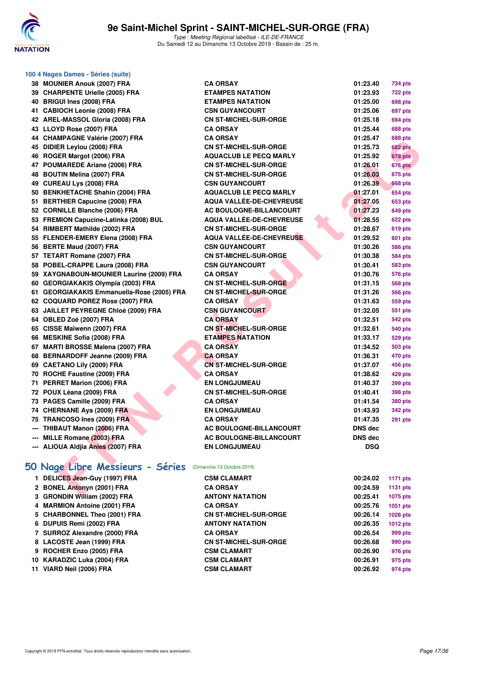

| 100 4 Nages Dames - Séries (suite)         |                                 |                 |                 |
|--------------------------------------------|---------------------------------|-----------------|-----------------|
| 38 MOUNIER Anouk (2007) FRA                | <b>CA ORSAY</b>                 | 01:23.40        | 734 pts         |
| 39 CHARPENTE Urielle (2005) FRA            | <b>ETAMPES NATATION</b>         | 01:23.93        | <b>722 pts</b>  |
| 40 BRIGUI Ines (2008) FRA                  | <b>ETAMPES NATATION</b>         | 01:25.00        | 698 pts         |
| 41 CABIOCH Leonie (2008) FRA               | <b>CSN GUYANCOURT</b>           | 01:25.06        | 697 pts         |
| 42 AREL-MASSOL Gloria (2008) FRA           | <b>CN ST-MICHEL-SUR-ORGE</b>    | 01:25.18        | 694 pts         |
| 43 LLOYD Rose (2007) FRA                   | <b>CA ORSAY</b>                 | 01:25.44        | <b>688 pts</b>  |
| 44 CHAMPAGNE Valérie (2007) FRA            | <b>CA ORSAY</b>                 | 01:25.47        | <b>688 pts</b>  |
| 45 DIDIER Leylou (2008) FRA                | <b>CN ST-MICHEL-SUR-ORGE</b>    | 01:25.73        | <b>682 pts</b>  |
| 46 ROGER Margot (2006) FRA                 | <b>AQUACLUB LE PECQ MARLY</b>   | 01:25.92        | 678 pts         |
| 47 POUMAREDE Ariane (2006) FRA             | <b>CN ST-MICHEL-SUR-ORGE</b>    | 01:26.01        | <b>676 pts</b>  |
| 48 BOUTIN Melina (2007) FRA                | <b>CN ST-MICHEL-SUR-ORGE</b>    | 01:26.03        | <b>675 pts</b>  |
| 49 CUREAU Lys (2008) FRA                   | <b>CSN GUYANCOURT</b>           | 01:26.39        | <b>668 pts</b>  |
| 50 BENKHETACHE Shahin (2004) FRA           | <b>AQUACLUB LE PECQ MARLY</b>   | 01:27.01        | 654 pts         |
| 51 BERTHIER Capucine (2008) FRA            | <b>AQUA VALLEE-DE-CHEVREUSE</b> | 01:27.05        | <b>653 pts</b>  |
| 52 CORNILLE Blanche (2006) FRA             | AC BOULOGNE-BILLANCOURT         | 01:27.23        | <b>649 pts</b>  |
| 53 FREMION Capucine-Latinka (2008) BUL     | <b>AQUA VALLEE-DE-CHEVREUSE</b> | 01:28.55        | 622 pts         |
| 54 RIMBERT Mathilde (2002) FRA             | <b>CN ST-MICHEL-SUR-ORGE</b>    | 01:28.67        | 619 pts         |
| 55 FLENDER-EMERY Elena (2008) FRA          | <b>AQUA VALLEE-DE-CHEVREUSE</b> | 01:29.52        | 601 pts         |
| 56 BERTE Maud (2007) FRA                   | <b>CSN GUYANCOURT</b>           | 01:30.26        | 586 pts         |
| 57 TETART Romane (2007) FRA                | <b>CN ST-MICHEL-SUR-ORGE</b>    | 01:30.38        | <b>584 pts</b>  |
| 58 POBEL-CRAPPE Laura (2008) FRA           | <b>CSN GUYANCOURT</b>           | 01:30.41        | <b>583 pts</b>  |
| 59 XAYGNABOUN-MOUNIER Laurine (2009) FRA   | <b>CA ORSAY</b>                 | 01:30.76        | 576 pts         |
| 60 GEORGIAKAKIS Olympia (2003) FRA         | <b>CN ST-MICHEL-SUR-ORGE</b>    | 01:31.15        | 568 pts         |
| 61 GEORGIAKAKIS Emmanuella-Rose (2005) FRA | <b>CN ST-MICHEL-SUR-ORGE</b>    | 01:31.26        | <b>566 pts</b>  |
| 62 COQUARD POREZ Rose (2007) FRA           | <b>CA ORSAY</b>                 | 01:31.63        | 559 pts         |
| 63 JAILLET PEYREGNE Chloé (2009) FRA       | <b>CSN GUYANCOURT</b>           | 01:32.05        | 551 pts         |
| 64 OBLED Zoé (2007) FRA                    | <b>CA ORSAY</b>                 | 01:32.51        | 542 pts         |
| 65 CISSE Maïwenn (2007) FRA                | <b>CN ST-MICHEL-SUR-ORGE</b>    | 01:32.61        | 540 pts         |
| 66 MESKINE Sofia (2008) FRA                | <b>ETAMPES NATATION</b>         | 01:33.17        | 529 pts         |
| 67 MARTI BROSSE Malena (2007) FRA          | <b>CA ORSAY</b>                 | 01:34.52        | 503 pts         |
| 68 BERNARDOFF Jeanne (2009) FRA            | <b>CA ORSAY</b>                 | 01:36.31        | 470 pts         |
| 69 CAETANO Lily (2009) FRA                 | <b>CN ST-MICHEL-SUR-ORGE</b>    | 01:37.07        | 456 pts         |
| 70 ROCHE Faustine (2009) FRA               | <b>CA ORSAY</b>                 | 01:38.62        | 429 pts         |
| 71 PERRET Marion (2006) FRA                | <b>EN LONGJUMEAU</b>            | 01:40.37        | 399 pts         |
| 72 POUX Léana (2009) FRA                   | <b>CN ST-MICHEL-SUR-ORGE</b>    | 01:40.41        | 398 pts         |
| 73 PAGES Camille (2009) FRA                | <b>CA ORSAY</b>                 | 01:41.54        | <b>380 pts</b>  |
| 74 CHERNANE Aya (2009) FRA                 | <b>EN LONGJUMEAU</b>            | 01:43.93        | 342 pts         |
| 75 TRANCOSO Ines (2009) FRA                | <b>CA ORSAY</b>                 | 01:47.35        | <b>291 pts</b>  |
| THIBAUT Manon (2006) FRA                   | <b>AC BOULOGNE-BILLANCOURT</b>  | DNS dec         |                 |
| --- MILLE Romane (2003) FRA                | AC BOULOGNE-BILLANCOURT         | <b>DNS dec</b>  |                 |
| --- ALIOUA Aldjia Anies (2007) FRA         | <b>EN LONGJUMEAU</b>            | <b>DSQ</b>      |                 |
|                                            |                                 |                 |                 |
| 50 Nage Libre Messieurs - Séries           | (Dimanche 13 Octobre 2019)      |                 |                 |
| 1 DELICES Jean-Guy (1997) FRA              | <b>CSM CLAMART</b>              | 00:24.02        | <b>1171 pts</b> |
| 2 BONEL Antonyn (2001) FRA                 | <b>CA ORSAY</b>                 | 00:24.59        | <b>1131 pts</b> |
| 2. CRONIDINI WELLOW (2002) EDA             | ANITONIV MATATION               | <b>00.05.44</b> | 4075            |

| 1 DELICES Jean-Guy (1997) FRA | <b>CSM CLAMART</b>           | 00:24.02 | 1171 pts        |
|-------------------------------|------------------------------|----------|-----------------|
| 2 BONEL Antonyn (2001) FRA    | <b>CA ORSAY</b>              | 00:24.59 | 1131 pts        |
| 3 GRONDIN William (2002) FRA  | <b>ANTONY NATATION</b>       | 00:25.41 | 1075 pts        |
| 4 MARMION Antoine (2001) FRA  | <b>CA ORSAY</b>              | 00:25.76 | 1051 pts        |
| 5 CHARBONNEL Theo (2001) FRA  | <b>CN ST-MICHEL-SUR-ORGE</b> | 00:26.14 | 1026 pts        |
| 6 DUPUIS Remi (2002) FRA      | <b>ANTONY NATATION</b>       | 00:26.35 | <b>1012 pts</b> |
| 7 SURROZ Alexandre (2000) FRA | <b>CA ORSAY</b>              | 00:26.54 | 999 pts         |
| 8 LACOSTE Jean (1999) FRA     | <b>CN ST-MICHEL-SUR-ORGE</b> | 00:26.68 | 990 pts         |
| 9 ROCHER Enzo (2005) FRA      | <b>CSM CLAMART</b>           | 00:26.90 | 976 pts         |
| 10 KARADZIC Luka (2004) FRA   | <b>CSM CLAMART</b>           | 00:26.91 | 975 pts         |
| 11 VIARD Neil (2006) FRA      | <b>CSM CLAMART</b>           | 00:26.92 | 974 pts         |
|                               |                              |          |                 |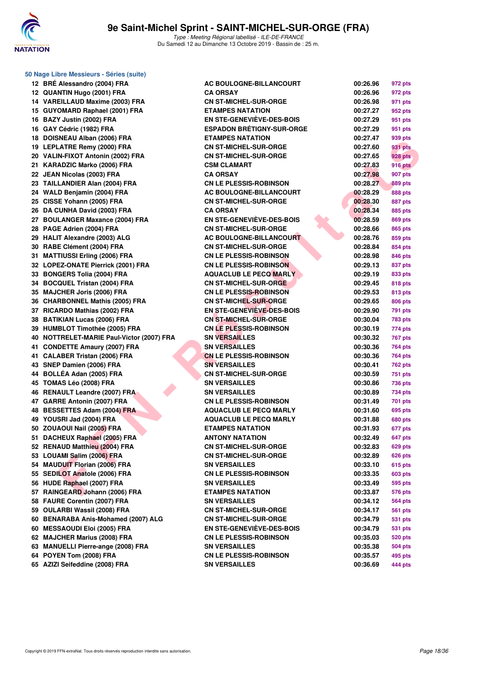

| 50 Nage Libre Messieurs - Séries (suite)  |                                  |          |                |
|-------------------------------------------|----------------------------------|----------|----------------|
| 12 BRÉ Alessandro (2004) FRA              | <b>AC BOULOGNE-BILLANCOURT</b>   | 00:26.96 | 972 pts        |
| 12 QUANTIN Hugo (2001) FRA                | <b>CA ORSAY</b>                  | 00:26.96 | 972 pts        |
| 14 VAREILLAUD Maxime (2003) FRA           | <b>CN ST-MICHEL-SUR-ORGE</b>     | 00:26.98 | 971 pts        |
| 15 GUYOMARD Raphael (2001) FRA            | <b>ETAMPES NATATION</b>          | 00:27.27 | 952 pts        |
| 16 BAZY Justin (2002) FRA                 | <b>EN STE-GENEVIÈVE-DES-BOIS</b> | 00:27.29 | 951 pts        |
| 16 GAY Cédric (1982) FRA                  | <b>ESPADON BRÉTIGNY-SUR-ORGE</b> | 00:27.29 | 951 pts        |
| 18 DOISNEAU Alban (2006) FRA              | <b>ETAMPES NATATION</b>          | 00:27.47 | 939 pts        |
| 19 LEPLATRE Remy (2000) FRA               | <b>CN ST-MICHEL-SUR-ORGE</b>     | 00:27.60 | <b>931 pts</b> |
| 20 VALIN-FIXOT Antonin (2002) FRA         | <b>CN ST-MICHEL-SUR-ORGE</b>     | 00:27.65 | <b>928 pts</b> |
| 21 KARADZIC Marko (2006) FRA              | <b>CSM CLAMART</b>               | 00:27.83 | <b>916 pts</b> |
| 22 JEAN Nicolas (2003) FRA                | <b>CA ORSAY</b>                  | 00:27.98 | <b>907 pts</b> |
| 23 TAILLANDIER Alan (2004) FRA            | <b>CN LE PLESSIS-ROBINSON</b>    | 00:28.27 | <b>889 pts</b> |
| 24 WALD Benjamin (2004) FRA               | <b>AC BOULOGNE-BILLANCOURT</b>   | 00:28.29 | 888 pts        |
| 25 CISSE Yohann (2005) FRA                | <b>CN ST-MICHEL-SUR-ORGE</b>     | 00:28.30 | <b>887 pts</b> |
| 26 DA CUNHA David (2003) FRA              | <b>CA ORSAY</b>                  | 00:28.34 | 885 pts        |
| 27 BOULANGER Maxance (2004) FRA           | <b>EN STE-GENEVIEVE-DES-BOIS</b> | 00:28.59 | 869 pts        |
| 28 PAGE Adrien (2004) FRA                 | <b>CN ST-MICHEL-SUR-ORGE</b>     | 00:28.66 | 865 pts        |
| 29 HALIT Alexandre (2003) ALG             | <b>AC BOULOGNE-BILLANCOURT</b>   | 00:28.76 | 859 pts        |
| 30 RABE Clément (2004) FRA                | <b>CN ST-MICHEL-SUR-ORGE</b>     | 00:28.84 | 854 pts        |
| 31 MATTIUSSI Erling (2006) FRA            | <b>CN LE PLESSIS-ROBINSON</b>    | 00:28.98 | 846 pts        |
| 32 LOPEZ-ONATE Pierrick (2001) FRA        | <b>CN LE PLESSIS-ROBINSON</b>    | 00:29.13 | 837 pts        |
| 33 BONGERS Tolia (2004) FRA               | <b>AQUACLUB LE PECQ MARLY</b>    | 00:29.19 | 833 pts        |
| 34 BOCQUEL Tristan (2004) FRA             | <b>CN ST-MICHEL-SUR-ORGE</b>     | 00:29.45 | 818 pts        |
| 35 MAJCHER Joris (2006) FRA               | <b>CN LE PLESSIS-ROBINSON</b>    | 00:29.53 | 813 pts        |
| 36 CHARBONNEL Mathis (2005) FRA           | <b>CN ST-MICHEL-SUR-ORGE</b>     | 00:29.65 | 806 pts        |
| 37 RICARDO Mathias (2002) FRA             | EN STE-GENEVIEVE-DES-BOIS        | 00:29.90 | 791 pts        |
| 38 BATIKIAN Lucas (2006) FRA              | <b>CN ST-MICHEL-SUR-ORGE</b>     | 00:30.04 | 783 pts        |
| 39 HUMBLOT Timothée (2005) FRA            | <b>CN LE PLESSIS-ROBINSON</b>    | 00:30.19 | 774 pts        |
| 40 NOTTRELET-MARIE Paul-Victor (2007) FRA | <b>SN VERSAILLES</b>             | 00:30.32 | <b>767 pts</b> |
| 41 CONDETTE Amaury (2007) FRA             | <b>SN VERSAILLES</b>             | 00:30.36 | 764 pts        |
| 41 CALABER Tristan (2006) FRA             | <b>CN LE PLESSIS-ROBINSON</b>    | 00:30.36 | <b>764 pts</b> |
| 43 SNEP Damien (2006) FRA                 | <b>SN VERSAILLES</b>             | 00:30.41 | 762 pts        |
| 44 BOLLÉA Adan (2005) FRA                 | <b>CN ST-MICHEL-SUR-ORGE</b>     | 00:30.59 | 751 pts        |
| 45 TOMAS Léo (2008) FRA                   | <b>SN VERSAILLES</b>             | 00:30.86 | 736 pts        |
| 46 RENAULT Leandre (2007) FRA             | <b>SN VERSAILLES</b>             | 00:30.89 | 734 pts        |
| 47 GARRE Antonin (2007) FRA               | <b>CN LE PLESSIS-ROBINSON</b>    | 00:31.49 | 701 pts        |
| 48 BESSETTES Adam (2004) FRA              | <b>AQUACLUB LE PECQ MARLY</b>    | 00:31.60 | 695 pts        |
| 49 YOUSRI Jad (2004) FRA                  | <b>AQUACLUB LE PECQ MARLY</b>    | 00:31.88 | <b>680 pts</b> |
| 50 ZOUAOUI Nail (2005) FRA                | <b>ETAMPES NATATION</b>          | 00:31.93 | 677 pts        |
| 51 DACHEUX Raphael (2005) FRA             | <b>ANTONY NATATION</b>           | 00:32.49 | 647 pts        |
| 52 RENAUD Matthieu (2004) FRA             | <b>CN ST-MICHEL-SUR-ORGE</b>     | 00:32.83 | <b>629 pts</b> |
| 53 LOUAMI Salim (2006) FRA                | <b>CN ST-MICHEL-SUR-ORGE</b>     | 00:32.89 | <b>626 pts</b> |
| 54 MAUDUIT Florian (2006) FRA             | <b>SN VERSAILLES</b>             | 00:33.10 | <b>615 pts</b> |
| 55 SEDILOT Anatole (2006) FRA             | <b>CN LE PLESSIS-ROBINSON</b>    | 00:33.35 | 603 pts        |
| 56 HUDE Raphael (2007) FRA                | <b>SN VERSAILLES</b>             | 00:33.49 | 595 pts        |
| 57 RAINGEARD Johann (2006) FRA            | <b>ETAMPES NATATION</b>          | 00:33.87 | <b>576 pts</b> |
| 58 FAURE Corentin (2007) FRA              | <b>SN VERSAILLES</b>             | 00:34.12 | <b>564 pts</b> |
| 59 OULARBI Wassil (2008) FRA              | <b>CN ST-MICHEL-SUR-ORGE</b>     | 00:34.17 | <b>561 pts</b> |
| 60 BENARABA Anis-Mohamed (2007) ALG       | <b>CN ST-MICHEL-SUR-ORGE</b>     | 00:34.79 | <b>531 pts</b> |
| 60 MESSAOUDI Eloi (2005) FRA              | <b>EN STE-GENEVIÈVE-DES-BOIS</b> | 00:34.79 | <b>531 pts</b> |
| 62 MAJCHER Marius (2008) FRA              | <b>CN LE PLESSIS-ROBINSON</b>    | 00:35.03 | <b>520 pts</b> |
| 63 MANUELLI Pierre-ange (2008) FRA        | <b>SN VERSAILLES</b>             | 00:35.38 | <b>504 pts</b> |
| 64 POYEN Tom (2008) FRA                   | <b>CN LE PLESSIS-ROBINSON</b>    | 00:35.57 | 495 pts        |
| 65 AZIZI Seifeddine (2008) FRA            | <b>SN VERSAILLES</b>             | 00:36.69 | 444 pts        |
|                                           |                                  |          |                |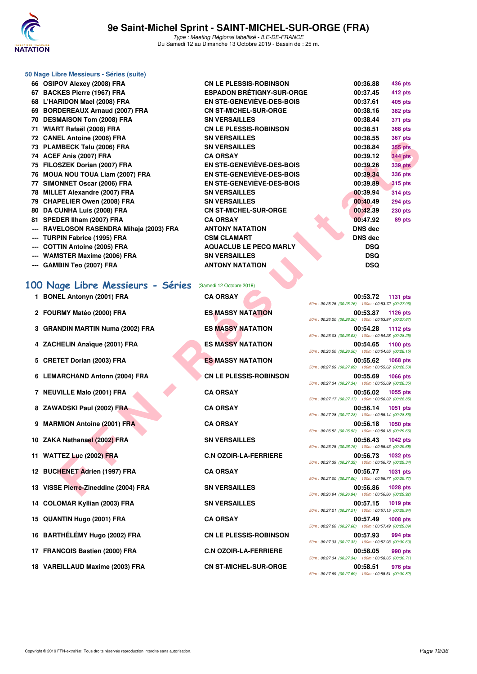

| 50 Nage Libre Messieurs - Séries (suite)                    |                                                      |                                                                                   |
|-------------------------------------------------------------|------------------------------------------------------|-----------------------------------------------------------------------------------|
| 66 OSIPOV Alexey (2008) FRA                                 | <b>CN LE PLESSIS-ROBINSON</b>                        | 00:36.88<br>436 pts                                                               |
| 67 BACKES Pierre (1967) FRA                                 | <b>ESPADON BRÉTIGNY-SUR-ORGE</b>                     | 00:37.45<br>412 pts                                                               |
| 68 L'HARIDON Mael (2008) FRA                                | EN STE-GENEVIEVE-DES-BOIS                            | 00:37.61<br>405 pts                                                               |
| 69 BORDEREAUX Arnaud (2007) FRA                             | <b>CN ST-MICHEL-SUR-ORGE</b>                         | 00:38.16<br><b>382 pts</b>                                                        |
| 70 DESMAISON Tom (2008) FRA                                 | <b>SN VERSAILLES</b>                                 | 00:38.44<br><b>371 pts</b>                                                        |
| 71 WIART Rafaël (2008) FRA                                  | <b>CN LE PLESSIS-ROBINSON</b>                        | 00:38.51<br><b>368 pts</b>                                                        |
| 72 CANEL Antoine (2006) FRA                                 | <b>SN VERSAILLES</b>                                 | 00:38.55<br><b>367 pts</b>                                                        |
| 73 PLAMBECK Talu (2006) FRA                                 | <b>SN VERSAILLES</b>                                 | 00:38.84<br><b>355 pts</b>                                                        |
| 74 ACEF Anis (2007) FRA                                     | <b>CA ORSAY</b>                                      | 00:39.12<br><b>344 pts</b>                                                        |
| 75 FILOSZEK Dorian (2007) FRA                               | EN STE-GENEVIEVE-DES-BOIS                            | 00:39.26<br><b>339 pts</b>                                                        |
| 76 MOUA NOU TOUA Liam (2007) FRA                            | EN STE-GENEVIÈVE-DES-BOIS                            | 00:39.34<br><b>336 pts</b>                                                        |
| 77 SIMONNET Oscar (2006) FRA                                | <b>EN STE-GENEVIÈVE-DES-BOIS</b>                     | 00:39.89<br><b>315 pts</b>                                                        |
| 78 MILLET Alexandre (2007) FRA                              | <b>SN VERSAILLES</b>                                 | 00:39.94<br><b>314 pts</b>                                                        |
| 79 CHAPELIER Owen (2008) FRA<br>80 DA CUNHA Luis (2008) FRA | <b>SN VERSAILLES</b><br><b>CN ST-MICHEL-SUR-ORGE</b> | 00:40.49<br><b>294 pts</b><br>00:42.39                                            |
| 81 SPEDER IIham (2007) FRA                                  | <b>CA ORSAY</b>                                      | <b>230 pts</b><br>00:47.92<br>89 pts                                              |
| --- RAVELOSON RASENDRA Mihaja (2003) FRA                    | <b>ANTONY NATATION</b>                               | DNS dec                                                                           |
| --- TURPIN Fabrice (1995) FRA                               | <b>CSM CLAMART</b>                                   | DNS dec                                                                           |
| --- COTTIN Antoine (2005) FRA                               | <b>AQUACLUB LE PECQ MARLY</b>                        | <b>DSQ</b>                                                                        |
| --- WAMSTER Maxime (2006) FRA                               | <b>SN VERSAILLES</b>                                 | <b>DSQ</b>                                                                        |
| --- GAMBIN Teo (2007) FRA                                   | <b>ANTONY NATATION</b>                               | <b>DSQ</b>                                                                        |
|                                                             |                                                      |                                                                                   |
| 100 Nage Libre Messieurs - Séries                           | (Samedi 12 Octobre 2019)                             |                                                                                   |
| 1 BONEL Antonyn (2001) FRA                                  | <b>CA ORSAY</b>                                      | 00:53.72<br>1131 pts                                                              |
|                                                             |                                                      | 50m: 00:25.76 (00:25.76) 100m: 00:53.72 (00:27.96)                                |
| 2 FOURMY Matéo (2000) FRA                                   | <b>ES MASSY NATATION</b>                             |                                                                                   |
|                                                             |                                                      | 00:53.87<br><b>1126 pts</b>                                                       |
|                                                             |                                                      | 50m: 00:26.20 (00:26.20) 100m: 00:53.87 (00:27.67)                                |
| 3 GRANDIN MARTIN Numa (2002) FRA                            | <b>ES MASSY NATATION</b>                             | 00:54.28<br><b>1112 pts</b>                                                       |
|                                                             |                                                      | 50m: 00:26.03 (00:26.03) 100m: 00:54.28 (00:28.25)                                |
| 4 ZACHELIN Anaïque (2001) FRA                               | <b>ES MASSY NATATION</b>                             | 00:54.65<br><b>1100 pts</b><br>50m: 00:26.50 (00:26.50) 100m: 00:54.65 (00:28.15) |
| 5 CRETET Dorian (2003) FRA                                  | <b>ES MASSY NATATION</b>                             | 00:55.62<br><b>1068 pts</b>                                                       |
|                                                             |                                                      | 50m: 00:27.09 (00:27.09) 100m: 00:55.62 (00:28.53)                                |
| 6 LEMARCHAND Antonn (2004) FRA                              | <b>CN LE PLESSIS-ROBINSON</b>                        | 00:55.69<br><b>1066 pts</b>                                                       |
|                                                             |                                                      | 50m: 00:27.34 (00:27.34) 100m: 00:55.69 (00:28.35)                                |
| 7 NEUVILLE Malo (2001) FRA                                  | <b>CA ORSAY</b>                                      | 00:56.02<br>1055 pts<br>50m: 00:27.17 (00:27.17) 100m: 00:56.02 (00:28.85)        |
| 8 ZAWADSKI Paul (2002) FRA                                  | <b>CA ORSAY</b>                                      | 00:56.14<br>1051 pts                                                              |
|                                                             |                                                      | 50m: 00:27.28 (00:27.28) 100m: 00:56.14 (00:28.86)                                |
| 9 MARMION Antoine (2001) FRA                                | <b>CA ORSAY</b>                                      | 00:56.18<br><b>1050 pts</b>                                                       |
|                                                             |                                                      | 50m: 00:26.52 (00:26.52) 100m: 00:56.18 (00:29.66)                                |
| 10 ZAKA Nathanael (2002) FRA                                | <b>SN VERSAILLES</b>                                 | 00:56.43<br><b>1042 pts</b><br>50m: 00:26.75 (00:26.75) 100m: 00:56.43 (00:29.68) |
| 11 WATTEZ Luc (2002) FRA                                    | <b>C.N OZOIR-LA-FERRIERE</b>                         | 00:56.73<br><b>1032 pts</b>                                                       |
|                                                             |                                                      | 50m: 00:27.39 (00:27.39) 100m: 00:56.73 (00:29.34)                                |
| 12 BUCHENET Adrien (1997) FRA                               | <b>CA ORSAY</b>                                      | 00:56.77<br><b>1031 pts</b>                                                       |
| 13 VISSE Pierre-Zineddine (2004) FRA                        | <b>SN VERSAILLES</b>                                 | 50m: 00:27.00 (00:27.00) 100m: 00:56.77 (00:29.77)<br>00:56.86<br><b>1028 pts</b> |

|  |  |  |  |  |  | 100 Nage Libre Messieurs - Séries (Samedi 12 Octobre 2019) |
|--|--|--|--|--|--|------------------------------------------------------------|
|--|--|--|--|--|--|------------------------------------------------------------|

| 1 BONEL Antonyn (2001) FRA           | <b>CA ORSAY</b>               | 00:53.72<br>1131 pts<br>50m: 00:25.76 (00:25.76) 100m: 00:53.72 (00:27.96)                                                       |
|--------------------------------------|-------------------------------|----------------------------------------------------------------------------------------------------------------------------------|
| 2 FOURMY Matéo (2000) FRA            | <b>ES MASSY NATATION</b>      | 00:53.87<br>1126 pts<br>50m: 00:26.20 (00:26.20) 100m: 00:53.87 (00:27.67)                                                       |
| 3 GRANDIN MARTIN Numa (2002) FRA     | <b>ES MASSY NATATION</b>      | 00:54.28<br><b>1112 pts</b><br>50m: 00:26.03 (00:26.03) 100m: 00:54.28 (00:28.25)                                                |
| 4 ZACHELIN Anaïque (2001) FRA        | <b>ES MASSY NATATION</b>      | 00:54.65<br>1100 pts<br>50m: 00:26.50 (00:26.50) 100m: 00:54.65 (00:28.15)                                                       |
| 5 CRETET Dorian (2003) FRA           | <b>ES MASSY NATATION</b>      | 00:55.62<br>1068 pts<br>50m: 00:27.09 (00:27.09) 100m: 00:55.62 (00:28.53)                                                       |
| 6 LEMARCHAND Antonn (2004) FRA       | <b>CN LE PLESSIS-ROBINSON</b> | 00:55.69<br><b>1066 pts</b><br>50m: 00:27.34 (00:27.34) 100m: 00:55.69 (00:28.35)                                                |
| 7 NEUVILLE Malo (2001) FRA           | <b>CA ORSAY</b>               | 00:56.02<br>1055 pts<br>50m: 00:27.17 (00:27.17) 100m: 00:56.02 (00:28.85)                                                       |
| 8 ZAWADSKI Paul (2002) FRA           | <b>CA ORSAY</b>               | 00:56.14<br>1051 pts<br>50m: 00:27.28 (00:27.28) 100m: 00:56.14 (00:28.86)                                                       |
| 9 MARMION Antoine (2001) FRA         | <b>CA ORSAY</b>               | 00:56.18<br>1050 pts<br>50m: 00:26.52 (00:26.52) 100m: 00:56.18 (00:29.66)                                                       |
| 10 ZAKA Nathanael (2002) FRA         | <b>SN VERSAILLES</b>          | 00:56.43<br><b>1042 pts</b><br>50m: 00:26.75 (00:26.75) 100m: 00:56.43 (00:29.68)                                                |
| 11 WATTEZ Luc (2002) FRA             | <b>C.N OZOIR-LA-FERRIERE</b>  | 00:56.73<br>1032 pts                                                                                                             |
| 12 BUCHENET Adrien (1997) FRA        | <b>CA ORSAY</b>               | 50m: 00:27.39 (00:27.39) 100m: 00:56.73 (00:29.34)<br>00:56.77<br>1031 pts<br>50m: 00:27.00 (00:27.00) 100m: 00:56.77 (00:29.77) |
| 13 VISSE Pierre-Zineddine (2004) FRA | <b>SN VERSAILLES</b>          | 00:56.86<br>1028 pts<br>50m: 00:26.94 (00:26.94) 100m: 00:56.86 (00:29.92)                                                       |
| 14 COLOMAR Kyllian (2003) FRA        | <b>SN VERSAILLES</b>          | 00:57.15<br>1019 pts<br>50m: 00:27.21 (00:27.21) 100m: 00:57.15 (00:29.94)                                                       |
| 15 QUANTIN Hugo (2001) FRA           | <b>CA ORSAY</b>               | 00:57.49<br>1008 pts<br>50m: 00:27.60 (00:27.60) 100m: 00:57.49 (00:29.89)                                                       |
| 16 BARTHÉLÉMY Hugo (2002) FRA        | <b>CN LE PLESSIS-ROBINSON</b> | 00:57.93<br><b>994 pts</b>                                                                                                       |
| 17 FRANCOIS Bastien (2000) FRA       | <b>C.N OZOIR-LA-FERRIERE</b>  | 50m: 00:27.33 (00:27.33) 100m: 00:57.93 (00:30.60)<br>00:58.05<br>990 pts                                                        |
| 18 VAREILLAUD Maxime (2003) FRA      | <b>CN ST-MICHEL-SUR-ORGE</b>  | 50m: 00:27.34 (00:27.34) 100m: 00:58.05 (00:30.71)<br>00:58.51<br>976 pts<br>50m: 00:27.69 (00:27.69) 100m: 00:58.51 (00:30.82)  |

50m : 00:25.76 (00:25.76) 100m : 00:53.72 (00:27.96) 50m : 00:26.20 (00:26.20) 100m : 00:53.87 (00:27.67) 50m : 00:26.03 (00:26.03) 100m : 00:54.28 (00:28.25) 50m : 00:26.50 (00:26.50) 100m : 00:54.65 (00:28.15) 50m : 00:27.09 (00:27.09) 100m : 00:55.62 (00:28.53) 50m : 00:27.34 (00:27.34) 100m : 00:55.69 (00:28.35) 50m : 00:27.17 (00:27.17) 100m : 00:56.02 (00:28.85) 50m : 00:27.28 (00:27.28) 100m : 00:56.14 (00:28.86) 50m : 00:26.52 (00:26.52) 100m : 00:56.18 (00:29.66) 50m : 00:26.75 (00:26.75) 100m : 00:56.43 (00:29.68) 50m : 00:27.39 (00:27.39) 100m : 00:56.73 (00:29.34) 50m : 00:27.00 (00:27.00) 100m : 00:56.77 (00:29.77) 50m : 00:26.94 (00:26.94) 100m : 00:56.86 (00:29.92) 50m : 00:27.21 (00:27.21) 100m : 00:57.15 (00:29.94) 50m : 00:27.60 (00:27.60) 100m : 00:57.49 (00:29.89) 50m : 00:27.33 (00:27.33) 100m : 00:57.93 (00:30.60) 50m : 00:27.34 (00:27.34) 100m : 00:58.05 (00:30.71) 50m : 00:27.69 (00:27.69) 100m : 00:58.51 (00:30.82)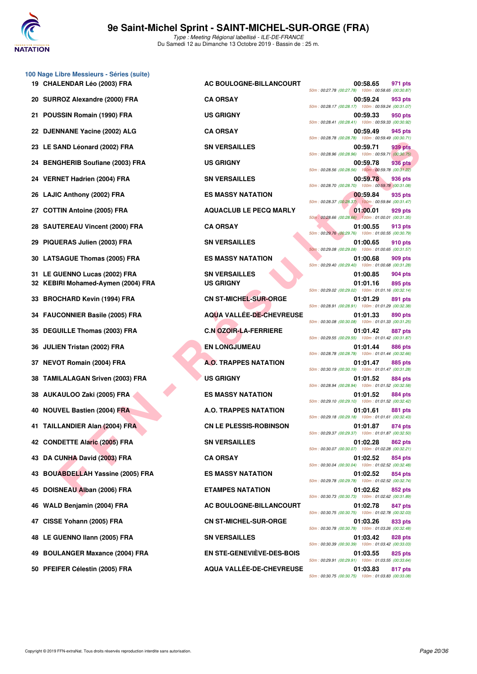

| 100 Nage Libre Messieurs - Séries (suite)<br>19 CHALENDAR Léo (2003) FRA | AC BOULOGNE-BILLANCOURT       |                                                    | 00:58.65 | 971 pts        |
|--------------------------------------------------------------------------|-------------------------------|----------------------------------------------------|----------|----------------|
| 20 SURROZ Alexandre (2000) FRA                                           | <b>CA ORSAY</b>               | 50m: 00:27.78 (00:27.78) 100m: 00:58.65 (00:30.87  | 00:59.24 | 953 pts        |
| 21 POUSSIN Romain (1990) FRA                                             |                               | 50m: 00:28.17 (00:28.17) 100m: 00:59.24 (00:31.07) |          |                |
|                                                                          | <b>US GRIGNY</b>              | 50m: 00:28.41 (00:28.41) 100m: 00:59.33 (00:30.92) | 00:59.33 | 950 pts        |
| 22 DJENNANE Yacine (2002) ALG                                            | <b>CA ORSAY</b>               | 50m: 00:28.78 (00:28.78) 100m: 00:59.49 (00:30.71) | 00:59.49 | 945 pts        |
| 23 LE SAND Léonard (2002) FRA                                            | <b>SN VERSAILLES</b>          | 50m: 00:28.96 (00:28.96) 100m: 00:59.71 (00:30.75  | 00:59.71 | 939 pts        |
| 24 BENGHERIB Soufiane (2003) FRA                                         | <b>US GRIGNY</b>              | 50m: 00:28.56 (00:28.56) 100m: 00:59.78 (00:31.22) | 00:59.78 | 936 pts        |
| 24 VERNET Hadrien (2004) FRA                                             | <b>SN VERSAILLES</b>          | 50m: 00:28.70 (00:28.70) 100m: 00:59.78 (00:31.08  | 00:59.78 | 936 pts        |
| 26 LAJIC Anthony (2002) FRA                                              | <b>ES MASSY NATATION</b>      | 50m: 00:28.37 (00:28.37) 100m: 00:59.84 (00:31.47) | 00:59.84 | 935 pts        |
| 27 COTTIN Antoine (2005) FRA                                             | <b>AQUACLUB LE PECQ MARLY</b> | 50m: 00:28.66 (00:28.66) 100m: 01:00.01 (00:31.35) | 01:00.01 | 929 pts        |
| 28 SAUTEREAU Vincent (2000) FRA                                          | <b>CA ORSAY</b>               |                                                    | 01:00.55 | 913 pts        |
| 29 PIQUERAS Julien (2003) FRA                                            | <b>SN VERSAILLES</b>          | 50m: 00:29.76 (00:29.76) 100m: 01:00.55 (00:30.79  | 01:00.65 | 910 pts        |
| 30 LATSAGUE Thomas (2005) FRA                                            | <b>ES MASSY NATATION</b>      | 50m: 00:29.08 (00:29.08) 100m: 01:00.65 (00:31.57  | 01:00.68 | 909 pts        |
| 31 LE GUENNO Lucas (2002) FRA                                            | <b>SN VERSAILLES</b>          | 50m: 00:29.40 (00:29.40) 100m: 01:00.68 (00:31.28) | 01:00.85 | 904 pts        |
| 32 KEBIRI Mohamed-Aymen (2004) FRA                                       | <b>US GRIGNY</b>              | 50m: 00:29.02 (00:29.02) 100m: 01:01.16 (00:32.14  | 01:01.16 | 895 pts        |
| 33 BROCHARD Kevin (1994) FRA                                             | <b>CN ST-MICHEL-SUR-ORGE</b>  | 50m: 00:28.91 (00:28.91) 100m: 01:01.29 (00:32.38  | 01:01.29 | 891 pts        |
| 34 FAUCONNIER Basile (2005) FRA                                          | AQUA VALLÉE-DE-CHEVREUSE      | 50m: 00:30.08 (00:30.08) 100m: 01:01.33 (00:31.25  | 01:01.33 | 890 pts        |
| 35 DEGUILLE Thomas (2003) FRA                                            | <b>C.N OZOIR-LA-FERRIERE</b>  | 50m: 00:29.55 (00:29.55) 100m: 01:01.42 (00:31.87) | 01:01.42 | 887 pts        |
| 36 JULIEN Tristan (2002) FRA                                             | <b>EN LONGJUMEAU</b>          |                                                    | 01:01.44 | 886 pts        |
| 37 NEVOT Romain (2004) FRA                                               | <b>A.O. TRAPPES NATATION</b>  | 50m: 00:28.78 (00:28.78) 100m: 01:01.44 (00:32.66  | 01:01.47 | 885 pts        |
| 38 TAMILALAGAN Sriven (2003) FRA                                         | <b>US GRIGNY</b>              | 50m: 00:30.19 (00:30.19) 100m: 01:01.47 (00:31.28  | 01:01.52 | 884 pts        |
| 38 AUKAULOO Zaki (2005) FRA                                              | <b>ES MASSY NATATION</b>      | 50m: 00:28.94 (00:28.94) 100m: 01:01.52 (00:32.58  | 01:01.52 | 884 pts        |
| 40 NOUVEL Bastien (2004) FRA                                             | A.O. TRAPPES NATATION         | 50m: 00:29.10 (00:29.10) 100m: 01:01.52 (00:32.42) | 01:01.61 | 881 pts        |
| 41 TAILLANDIER Alan (2004) FRA                                           | <b>CN LE PLESSIS-ROBINSON</b> | 50m: 00:29.18 (00:29.18) 100m: 01:01.61 (00:32.43) | 01:01.87 | 874 pts        |
| 42 CONDETTE Alaric (2005) FRA                                            | <b>SN VERSAILLES</b>          | 50m: 00:29.37 (00:29.37) 100m: 01:01.87 (00:32.50  | 01:02.28 | 862 pts        |
| 43 DA CUNHA David (2003) FRA                                             | <b>CA ORSAY</b>               | 50m: 00:30.07 (00:30.07) 100m: 01:02.28 (00:32.21  | 01:02.52 | 854 pts        |
|                                                                          |                               | 50m: 00:30.04 (00:30.04) 100m: 01:02.52 (00:32.48  |          |                |
| 43 BOUABDELLAH Yassine (2005) FRA                                        | <b>ES MASSY NATATION</b>      | 50m: 00:29.78 (00:29.78) 100m: 01:02.52 (00:32.74  | 01:02.52 | 854 pts        |
| 45 DOISNEAU Alban (2006) FRA                                             | <b>ETAMPES NATATION</b>       | 50m: 00:30.73 (00:30.73) 100m: 01:02.62 (00:31.89  | 01:02.62 | 852 pts        |
| 46 WALD Benjamin (2004) FRA                                              | AC BOULOGNE-BILLANCOURT       | 50m: 00:30.75 (00:30.75) 100m: 01:02.78 (00:32.03) | 01:02.78 | 847 pts        |
| 47 CISSE Yohann (2005) FRA                                               | <b>CN ST-MICHEL-SUR-ORGE</b>  | 50m: 00:30.78 (00:30.78) 100m: 01:03.26 (00:32.48) | 01:03.26 | 833 pts        |
| 48 LE GUENNO Ilann (2005) FRA                                            | <b>SN VERSAILLES</b>          | 50m: 00:30.39 (00:30.39) 100m: 01:03.42 (00:33.03) | 01:03.42 | 828 pts        |
| 49 BOULANGER Maxance (2004) FRA                                          | EN STE-GENEVIEVE-DES-BOIS     | 50m: 00:29.91 (00:29.91) 100m: 01:03.55 (00:33.64  | 01:03.55 | <b>825 pts</b> |
| 50 PFEIFER Célestin (2005) FRA                                           | AQUA VALLÉE-DE-CHEVREUSE      |                                                    | 01:03.83 | 817 pts        |

| <b>AC BOULOGNE-BILLANCOURT</b>           |
|------------------------------------------|
| <b>CA ORSAY</b>                          |
| US GRIGNY                                |
| <b>CA ORSAY</b>                          |
| <b>SN VERSAILLES</b>                     |
| US GRIGNY                                |
| <b>SN VERSAILLES</b>                     |
| <b>ES MASSY NATATION</b>                 |
| <b>AQUACLUB LE PECQ MARLY</b>            |
| <b>CA ORSAY</b>                          |
| <b>SN VERSAILLES</b>                     |
| ES MASSY NATATION                        |
| <b>SN VERSAILLES</b><br><b>US GRIGNY</b> |
| <b>CN ST-MICHEL-SUR-ORGE</b>             |
| AQUA VALLÉE-DE-CHEVREUSE                 |
| <b>C.N OZOIR-LA-FERRIERE</b>             |
| <b>EN LONGJUMEAU</b>                     |
| <b>A.O. TRAPPES NATATION</b>             |
| US GRIGNY                                |
| ES MASSY NATATION                        |
| A.O. TRAPPES NATATION                    |
| <b>CN LE PLESSIS-ROBINSON</b>            |
| SN VERSAILLES                            |
| <b>CA ORSAY</b>                          |
| <b>ES MASSY NATATION</b>                 |
| <b>ETAMPES NATATION</b>                  |
| AC BOULOGNE-BILLANCOURT                  |
| <b>CN ST-MICHEL-SUR-ORGE</b>             |
| <b>SN VERSAILLES</b>                     |
| <b>EN STE-GENEVIÈVE-DES-BOIS</b>         |
| <b>AQUA VALLÉE-DE-CHEVREUSE</b>          |

| <b>LENDAR Léo (2003) FRA</b>       | <b>AC BOULOGNE-BILLANCOURT</b>   | 00:58.65<br>971 pts                                                              |
|------------------------------------|----------------------------------|----------------------------------------------------------------------------------|
| ROZ Alexandre (2000) FRA           | <b>CA ORSAY</b>                  | 50m: 00:27.78 (00:27.78) 100m: 00:58.65 (00:30.87)<br>00:59.24<br>953 pts        |
| SSIN Romain (1990) FRA             | <b>US GRIGNY</b>                 | 50m: 00:28.17 (00:28.17) 100m: 00:59.24 (00:31.07)<br>00:59.33<br>950 pts        |
| <b>NNANE Yacine (2002) ALG</b>     | <b>CA ORSAY</b>                  | 50m: 00:28.41 (00:28.41) 100m: 00:59.33 (00:30.92)<br>00:59.49<br>945 pts        |
| AND Léonard (2002) FRA             | <b>SN VERSAILLES</b>             | 50m: 00:28.78 (00:28.78) 100m: 00:59.49 (00:30.71)<br>00:59.71<br>939 pts        |
| GHERIB Soufiane (2003) FRA         | <b>US GRIGNY</b>                 | 50m: 00:28.96 (00:28.96) 100m: 00:59.71 (00:30.75)<br>00:59.78<br>936 pts        |
| NET Hadrien (2004) FRA             | <b>SN VERSAILLES</b>             | 50m: 00:28.56 (00:28.56) 100m: 00:59.78 (00:31.22)<br>00:59.78<br>936 pts        |
| C Anthony (2002) FRA               | <b>ES MASSY NATATION</b>         | 50m: 00:28.70 (00:28.70) 100m: 00:59.78 (00:31.08)<br>00:59.84<br>935 pts        |
| TIN Antoine (2005) FRA             | <b>AQUACLUB LE PECQ MARLY</b>    | 50m: 00:28.37 (00:28.37) 100m: 00:59.84 (00:31.47)<br>01:00.01<br>929 pts        |
| TEREAU Vincent (2000) FRA          | <b>CA ORSAY</b>                  | 50m: 00:28.66 (00:28.66) 100m: 01:00.01 (00:31.35)<br>01:00.55<br>913 pts        |
| <b>JERAS Julien (2003) FRA</b>     | <b>SN VERSAILLES</b>             | 50m: 00:29.76 (00:29.76) 100m: 01:00.55 (00:30.79)<br>01:00.65<br>910 pts        |
| SAGUE Thomas (2005) FRA            | <b>ES MASSY NATATION</b>         | 50m: 00:29.08 (00:29.08) 100m: 01:00.65 (00:31.57)<br>01:00.68<br>909 pts        |
| <b>IUENNO Lucas (2002) FRA</b>     | <b>SN VERSAILLES</b>             | 50m: 00:29.40 (00:29.40) 100m: 01:00.68 (00:31.28)<br>01:00.85<br><b>904 pts</b> |
| IRI Mohamed-Aymen (2004) FRA       | <b>US GRIGNY</b>                 | 01:01.16<br>895 pts                                                              |
| CHARD Kevin (1994) FRA             | <b>CN ST-MICHEL-SUR-ORGE</b>     | 50m: 00:29.02 (00:29.02) 100m: 01:01.16 (00:32.14)<br>01:01.29<br>891 pts        |
| <b>CONNIER Basile (2005) FRA</b>   | <b>AQUA VALLÉE-DE-CHEVREUSE</b>  | 50m: 00:28.91 (00:28.91) 100m: 01:01.29 (00:32.38)<br>01:01.33<br>890 pts        |
| UILLE Thomas (2003) FRA            | <b>C.N OZOIR-LA-FERRIERE</b>     | 50m: 00:30.08 (00:30.08) 100m: 01:01.33 (00:31.25)<br>01:01.42<br>887 pts        |
| EN Tristan (2002) FRA              | <b>EN LONGJUMEAU</b>             | 50m: 00:29.55 (00:29.55) 100m: 01:01.42 (00:31.87)<br>01:01.44<br>886 pts        |
| OT Romain (2004) FRA               | <b>A.O. TRAPPES NATATION</b>     | 50m: 00:28.78 (00:28.78) 100m: 01:01.44 (00:32.66)<br>01:01.47<br>885 pts        |
| ILALAGAN Sriven (2003) FRA         | <b>US GRIGNY</b>                 | 50m: 00:30.19 (00:30.19) 100m: 01:01.47 (00:31.28)<br>01:01.52<br>884 pts        |
| AULOO Zaki (2005) FRA              | <b>ES MASSY NATATION</b>         | 50m: 00:28.94 (00:28.94) 100m: 01:01.52 (00:32.58)<br>01:01.52<br>884 pts        |
| VEL Bastien (2004) FRA             | A.O. TRAPPES NATATION            | 50m: 00:29.10 (00:29.10) 100m: 01:01.52 (00:32.42)<br>01:01.61<br>881 pts        |
| LANDIER Alan (2004) FRA            | <b>CN LE PLESSIS-ROBINSON</b>    | 50m: 00:29.18 (00:29.18) 100m: 01:01.61 (00:32.43)<br>01:01.87<br>874 pts        |
| DETTE Alaric (2005) FRA            | <b>SN VERSAILLES</b>             | 50m: 00:29.37 (00:29.37) 100m: 01:01.87 (00:32.50)<br>01:02.28<br>862 pts        |
| <b>CUNHA David (2003) FRA</b>      | <b>CA ORSAY</b>                  | 50m: 00:30.07 (00:30.07) 100m: 01:02.28 (00:32.21)<br>01:02.52<br>854 pts        |
| <b>ABDELLAH Yassine (2005) FRA</b> | <b>ES MASSY NATATION</b>         | 50m: 00:30.04 (00:30.04) 100m: 01:02.52 (00:32.48)<br>01:02.52<br>854 pts        |
| SNEAU Alban (2006) FRA             | <b>ETAMPES NATATION</b>          | 50m: 00:29.78 (00:29.78) 100m: 01:02.52 (00:32.74)<br>01:02.62<br>852 pts        |
| D Benjamin (2004) FRA              | AC BOULOGNE-BILLANCOURT          | 50m: 00:30.73 (00:30.73) 100m: 01:02.62 (00:31.89)<br>01:02.78<br><b>847 pts</b> |
| E Yohann (2005) FRA                | <b>CN ST-MICHEL-SUR-ORGE</b>     | 50m: 00:30.75 (00:30.75) 100m: 01:02.78 (00:32.03)<br>01:03.26<br>833 pts        |
| <b>IUENNO Ilann (2005) FRA</b>     | <b>SN VERSAILLES</b>             | 50m: 00:30.78 (00:30.78) 100m: 01:03.26 (00:32.48)<br>01:03.42<br>828 pts        |
| <b>LANGER Maxance (2004) FRA</b>   | <b>EN STE-GENEVIÈVE-DES-BOIS</b> | 50m: 00:30.39 (00:30.39) 100m: 01:03.42 (00:33.03)<br>01:03.55<br>825 pts        |
|                                    |                                  | 50m: 00:29.91 (00:29.91) 100m: 01:03.55 (00:33.64)                               |
| FER Célestin (2005) FRA            | AQUA VALLÉE-DE-CHEVREUSE         | 01:03.83<br>817 pts<br>50m: 00:30.75 (00:30.75) 100m: 01:03.83 (00:33.08)        |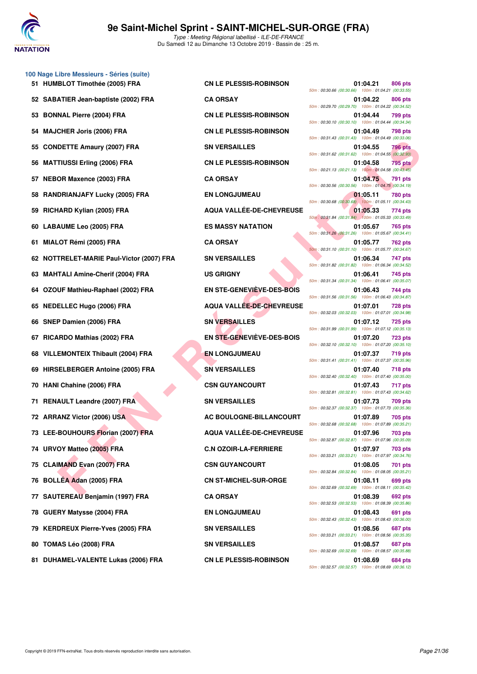

**100 Nage Libre Messieurs - Séries (suite)**

Type : Meeting Régional labellisé - ILE-DE-FRANCE Du Samedi 12 au Dimanche 13 Octobre 2019 - Bassin de : 25 m.

|     | 51 HUMBLOT Timothée (2005) FRA            | <b>CN LE PLESSIS-ROBINSON</b>   | 01:04.21<br><b>806 pts</b><br>50m: 00:30.66 (00:30.66) 100m: 01:04.21 (00:33.55) |
|-----|-------------------------------------------|---------------------------------|----------------------------------------------------------------------------------|
|     | 52 SABATIER Jean-baptiste (2002) FRA      | <b>CA ORSAY</b>                 | 01:04.22<br>806 pts<br>50m: 00:29.70 (00:29.70) 100m: 01:04.22 (00:34.52)        |
|     | <b>BONNAL Pierre (2004) FRA</b>           | <b>CN LE PLESSIS-ROBINSON</b>   | 01:04.44<br>799 pts<br>50m: 00:30.10 (00:30.10) 100m: 01:04.44 (00:34.34)        |
|     | 54 MAJCHER Joris (2006) FRA               | <b>CN LE PLESSIS-ROBINSON</b>   | 01:04.49<br>798 pts<br>50m: 00:31.43 (00:31.43) 100m: 01:04.49 (00:33.06)        |
|     | <b>CONDETTE Amaury (2007) FRA</b>         | <b>SN VERSAILLES</b>            | 01:04.55<br>796 pts<br>50m: 00:31.62 (00:31.62) 100m: 01:04.55 (00:32.93)        |
| 56  | <b>MATTIUSSI Erling (2006) FRA</b>        | <b>CN LE PLESSIS-ROBINSON</b>   | 795 pts<br>01:04.58<br>50m: 00:21.13 (00:21.13) 100m: 01:04.58 (00:43.45)        |
| 57. | <b>NEBOR Maxence (2003) FRA</b>           | <b>CA ORSAY</b>                 | 01:04.75<br>791 pts<br>50m: 00:30.56 (00:30.56) 100m: 01:04.75 (00:34.19)        |
|     | 58 RANDRIANJAFY Lucky (2005) FRA          | <b>EN LONGJUMEAU</b>            | 01:05.11<br>780 pts<br>50m: 00:30.68 (00:30.68) 100m: 01:05.11 (00:34.43)        |
|     | 59 RICHARD Kylian (2005) FRA              | AQUA VALLÉE-DE-CHEVREUSE        | 01:05.33<br>774 pts<br>50m: 00:31.84 (00:31.84) 100m: 01:05.33 (00:33.49)        |
| 60. | LABAUME Leo (2005) FRA                    | <b>ES MASSY NATATION</b>        | 01:05.67<br>765 pts<br>50m: 00:31.26 (00:31.26) 100m: 01:05.67 (00:34.41)        |
| 61  | MIALOT Rémi (2005) FRA                    | <b>CA ORSAY</b>                 | 01:05.77<br><b>762 pts</b><br>50m: 00:31.10 (00:31.10) 100m: 01:05.77 (00:34.67) |
|     | 62 NOTTRELET-MARIE Paul-Victor (2007) FRA | <b>SN VERSAILLES</b>            | 01:06.34<br>747 pts<br>50m: 00:31.82 (00:31.82) 100m: 01:06.34 (00:34.52)        |
|     | 63 MAHTALI Amine-Cherif (2004) FRA        | <b>US GRIGNY</b>                | 01:06.41<br>745 pts<br>50m: 00:31.34 (00:31.34) 100m: 01:06.41 (00:35.07)        |
|     | 64 OZOUF Mathieu-Raphael (2002) FRA       | EN STE-GENEVIÈVE-DES-BOIS       | 01:06.43<br>744 pts<br>50m: 00:31.56 (00:31.56) 100m: 01:06.43 (00:34.87)        |
|     | 65 NEDELLEC Hugo (2006) FRA               | <b>AQUA VALLEE-DE-CHEVREUSE</b> | 01:07.01<br><b>728 pts</b><br>50m: 00:32.03 (00:32.03) 100m: 01:07.01 (00:34.98) |
|     | 66 SNEP Damien (2006) FRA                 | <b>SN VERSAILLES</b>            | 01:07.12<br>725 pts<br>50m: 00:31.99 (00:31.99) 100m: 01:07.12 (00:35.13)        |
|     | 67 RICARDO Mathias (2002) FRA             | EN STE-GENEVIEVE-DES-BOIS       | 01:07.20<br><b>723 pts</b><br>50m: 00:32.10 (00:32.10) 100m: 01:07.20 (00:35.10) |
|     | 68 VILLEMONTEIX Thibault (2004) FRA       | <b>EN LONGJUMEAU</b>            | 01:07.37<br><b>719 pts</b><br>50m: 00:31.41 (00:31.41) 100m: 01:07.37 (00:35.96) |
|     | 69 HIRSELBERGER Antoine (2005) FRA        | <b>SN VERSAILLES</b>            | 01:07.40<br>718 pts<br>50m: 00:32.40 (00:32.40) 100m: 01:07.40 (00:35.00)        |
|     | 70 HANI Chahine (2006) FRA                | <b>CSN GUYANCOURT</b>           | 01:07.43<br>717 pts<br>50m: 00:32.81 (00:32.81) 100m: 01:07.43 (00:34.62)        |
|     | 71 RENAULT Leandre (2007) FRA             | <b>SN VERSAILLES</b>            | 01:07.73<br><b>709 pts</b><br>50m: 00:32.37 (00:32.37) 100m: 01:07.73 (00:35.36) |
|     | 72 ARRANZ Victor (2006) USA               | AC BOULOGNE-BILLANCOURT         | 01:07.89<br>705 pts<br>50m: 00:32.68 (00:32.68) 100m: 01:07.89 (00:35.21)        |
|     | 73 LEE-BOUHOURS Florian (2007) FRA        | <b>AQUA VALLÉE-DE-CHEVREUSE</b> | 01:07.96<br>703 pts<br>50m: 00:32.87 (00:32.87) 100m: 01:07.96 (00:35.09)        |
|     | 74 URVOY Matteo (2005) FRA                | <b>C.N OZOIR-LA-FERRIERE</b>    | 01:07.97<br><b>703 pts</b><br>50m: 00:33.21 (00:33.21) 100m: 01:07.97 (00:34.76) |
|     | 75 CLAIMAND Evan (2007) FRA               | <b>CSN GUYANCOURT</b>           | 01:08.05<br>701 pts<br>50m: 00:32.84 (00:32.84) 100m: 01:08.05 (00:35.21)        |
|     | 76 BOLLÉA Adan (2005) FRA                 | <b>CN ST-MICHEL-SUR-ORGE</b>    | 01:08.11<br>699 pts<br>50m: 00:32.69 (00:32.69) 100m: 01:08.11 (00:35.42)        |
|     | 77 SAUTEREAU Benjamin (1997) FRA          | <b>CA ORSAY</b>                 | 01:08.39<br>692 pts<br>50m: 00:32.53 (00:32.53) 100m: 01:08.39 (00:35.86)        |
|     | 78 GUERY Matysse (2004) FRA               | <b>EN LONGJUMEAU</b>            | 01:08.43<br>691 pts<br>50m: 00:32.43 (00:32.43) 100m: 01:08.43 (00:36.00)        |
|     | 79 KERDREUX Pierre-Yves (2005) FRA        | <b>SN VERSAILLES</b>            | 01:08.56<br>687 pts<br>50m: 00:33.21 (00:33.21) 100m: 01:08.56 (00:35.35)        |
|     | 80 TOMAS Léo (2008) FRA                   | <b>SN VERSAILLES</b>            | 01:08.57<br>687 pts<br>50m: 00:32.69 (00:32.69) 100m: 01:08.57 (00:35.88)        |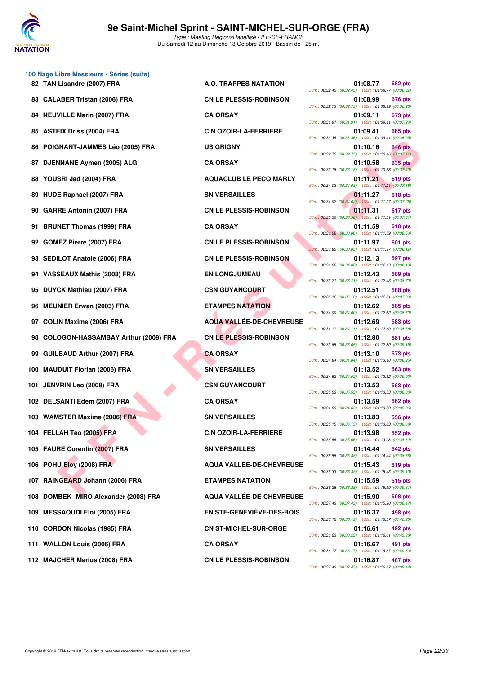

|     | 100 Nage Libre Messieurs - Séries (suite) |                                  |                                                                                  |
|-----|-------------------------------------------|----------------------------------|----------------------------------------------------------------------------------|
|     | 82 TAN Lisandre (2007) FRA                | A.O. TRAPPES NATATION            | 01:08.77<br><b>682 pts</b><br>50m: 00:32.45 (00:32.45) 100m: 01:08.77 (00:36.32) |
| 83  | <b>CALABER Tristan (2006) FRA</b>         | <b>CN LE PLESSIS-ROBINSON</b>    | 01:08.99<br>676 pts<br>50m: 00:32.73 (00:32.73) 100m: 01:08.99 (00:36.26)        |
| 84  | <b>NEUVILLE Marin (2007) FRA</b>          | <b>CA ORSAY</b>                  | 01:09.11<br>673 pts<br>50m: 00:31.91 (00:31.91) 100m: 01:09.11 (00:37.20)        |
| 85  | <b>ASTEIX Driss (2004) FRA</b>            | <b>C.N OZOIR-LA-FERRIERE</b>     | 01:09.41<br>665 pts<br>50m: 00:33.36 (00:33.36) 100m: 01:09.41 (00:36.05)        |
| 86  | POIGNANT-JAMMES Léo (2005) FRA            | <b>US GRIGNY</b>                 | 01:10.16<br>646 pts<br>50m: 00:32.75 (00:32.75) 100m: 01:10.16 (00:37.41)        |
| 87  | DJENNANE Aymen (2005) ALG                 | <b>CA ORSAY</b>                  | <b>635 pts</b><br>01:10.58<br>50m: 00:33.18 (00:33.18) 100m: 01:10.58 (00:37.40) |
| 88  | YOUSRI Jad (2004) FRA                     | <b>AQUACLUB LE PECQ MARLY</b>    | 01:11.21<br>619 pts<br>50m: 00:34.03 (00:34.03) 100m: 01:11.21 (00:37.18)        |
| 89  | HUDE Raphael (2007) FRA                   | <b>SN VERSAILLES</b>             | 01:11.27<br>618 pts<br>50m: 00:34.02 (00:34.02) 100m: 01:11.27 (00:37.25)        |
| 90  | <b>GARRE Antonin (2007) FRA</b>           | <b>CN LE PLESSIS-ROBINSON</b>    | 01:11.31<br>617 pts<br>50m: 00:33.50 (00:33.50) 100m: 01:11.31 (00:37.81)        |
| 91  | <b>BRUNET Thomas (1999) FRA</b>           | <b>CA ORSAY</b>                  | 01:11.59<br>610 pts<br>50m: 00:33.06 (00:33.06) 100m: 01:11.59 (00:38.53)        |
| 92  | GOMEZ Pierre (2007) FRA                   | <b>CN LE PLESSIS-ROBINSON</b>    | 01:11.97<br>601 pts<br>50m: 00:33.85 (00:33.85) 100m: 01:11.97 (00:38.12)        |
| 93. | <b>SEDILOT Anatole (2006) FRA</b>         | <b>CN LE PLESSIS-ROBINSON</b>    | 01:12.13<br>597 pts<br>50m: 00:34.00 (00:34.00) 100m: 01:12.13 (00:38.13)        |
|     | 94 VASSEAUX Mathis (2008) FRA             | <b>EN LONGJUMEAU</b>             | 01:12.43<br>589 pts<br>50m: 00:33.71 (00:33.71) 100m: 01:12.43 (00:38.72)        |
| 95  | DUYCK Mathieu (2007) FRA                  | <b>CSN GUYANCOURT</b>            | 01:12.51<br><b>588 pts</b><br>50m: 00:35.12 (00:35.12) 100m: 01:12.51 (00:37.39) |
| 96  | <b>MEUNIER Erwan (2003) FRA</b>           | <b>ETAMPES NATATION</b>          | 01:12.62<br>585 pts<br>50m: 00:34.00 (00:34.00) 100m: 01:12.62 (00:38.62)        |
| 97  | <b>COLIN Maxime (2006) FRA</b>            | <b>AQUA VALLÉE-DE-CHEVREUSE</b>  | 01:12.69<br>583 pts<br>50m: 00:34.11 (00:34.11) 100m: 01:12.69 (00:38.58)        |
| 98  | COLOGON-HASSAMBAY Arthur (2008) FRA       | <b>CN LE PLESSIS-ROBINSON</b>    | 01:12.80<br>581 pts<br>50m: 00:33.65 (00:33.65) 100m: 01:12.80 (00:39.15)        |
| 99  | <b>GUILBAUD Arthur (2007) FRA</b>         | <b>CA ORSAY</b>                  | 01:13.10<br>573 pts<br>50m: 00:34.84 (00:34.84) 100m: 01:13.10 (00:38.26)        |
| 100 | <b>MAUDUIT Florian (2006) FRA</b>         | <b>SN VERSAILLES</b>             | 01:13.52<br>563 pts<br>50m: 00:34.52 (00:34.52) 100m: 01:13.52 (00:39.00)        |
| 101 | <b>JENVRIN Leo (2008) FRA</b>             | <b>CSN GUYANCOURT</b>            | 01:13.53<br>563 pts<br>50m: 00:35.53 (00:35.53) 100m: 01:13.53 (00:38.00)        |
|     | 102 DELSANTI Edem (2007) FRA              | <b>CA ORSAY</b>                  | 01:13.59<br>562 pts<br>50m: 00:34.63 (00:34.63) 100m: 01:13.59 (00:38.96)        |
|     | 103 WAMSTER Maxime (2006) FRA             | <b>SN VERSAILLES</b>             | 01:13.83<br>556 pts<br>50m: 00:35.15 (00:35.15) 100m: 01:13.83 (00:38.68)        |
|     | 104 FELLAH Teo (2005) FRA                 | <b>C.N OZOIR-LA-FERRIERE</b>     | 01:13.98<br>552 pts<br>50m: 00:35.66 (00:35.66) 100m: 01:13.98 (00:38.32)        |
|     | 105 FAURE Corentin (2007) FRA             | <b>SN VERSAILLES</b>             | 01:14.44<br>542 pts<br>50m: 00:35.88 (00:35.88) 100m: 01:14.44 (00:38.56)        |
|     | 106 POHU Eloy (2008) FRA                  | AQUA VALLÉE-DE-CHEVREUSE         | 01:15.43<br>519 pts<br>50m: 00:36.33 (00:36.33) 100m: 01:15.43 (00:39.10)        |
|     | 107 RAINGEARD Johann (2006) FRA           | <b>ETAMPES NATATION</b>          | 01:15.59<br>515 pts<br>50m: 00:36.28 (00:36.28) 100m: 01:15.59 (00:39.31)        |
| 108 | DOMBEK--MIRO Alexander (2008) FRA         | AQUA VALLÉE-DE-CHEVREUSE         | 01:15.90<br>508 pts<br>50m: 00:37.43 (00:37.43) 100m: 01:15.90 (00:38.47)        |
| 109 | <b>MESSAOUDI Eloi (2005) FRA</b>          | <b>EN STE-GENEVIÈVE-DES-BOIS</b> | 01:16.37<br>498 pts<br>50m: 00:36.12 (00:36.12) 100m: 01:16.37 (00:40.25)        |
|     | 110 CORDON Nicolas (1985) FRA             | <b>CN ST-MICHEL-SUR-ORGE</b>     | 01:16.61<br>492 pts<br>50m: 00:33.23 (00:33.23) 100m: 01:16.61 (00:43.38)        |
|     | 111 WALLON Louis (2006) FRA               | <b>CA ORSAY</b>                  | 01:16.67<br>491 pts<br>50m: 00:36.17 (00:36.17) 100m: 01:16.67 (00:40.50)        |
|     |                                           |                                  |                                                                                  |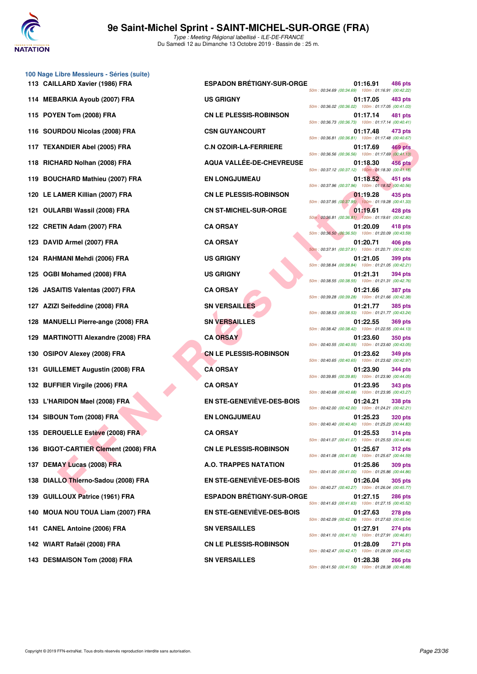

| 113 CAILLARD Xavier (1986) FRA       | <b>ESPADON BRÉTIGNY-SUR-ORGE</b> | 50m: 00:34.69 (00:34.69) 100m: 01:16.91 (00:42.22) | 01:16.91 | 486 pts        |
|--------------------------------------|----------------------------------|----------------------------------------------------|----------|----------------|
| 114 MEBARKIA Ayoub (2007) FRA        | <b>US GRIGNY</b>                 | 50m: 00:36.02 (00:36.02) 100m: 01:17.05 (00:41.03) | 01:17.05 | 483 pts        |
| 115 POYEN Tom (2008) FRA             | <b>CN LE PLESSIS-ROBINSON</b>    | 50m: 00:36.73 (00:36.73) 100m: 01:17.14 (00:40.41  | 01:17.14 | 481 pts        |
| 116 SOURDOU Nicolas (2008) FRA       | <b>CSN GUYANCOURT</b>            | 50m: 00:36.81 (00:36.81) 100m: 01:17.48 (00:40.67  | 01:17.48 | 473 pts        |
| 117 TEXANDIER Abel (2005) FRA        | <b>C.N OZOIR-LA-FERRIERE</b>     | 50m: 00:36.56 (00:36.56) 100m: 01:17.69 (00:41.13  | 01:17.69 | 469 pts        |
| 118 RICHARD Nolhan (2008) FRA        | <b>AQUA VALLEE-DE-CHEVREUSE</b>  | 50m: 00:37.12 (00:37.12) 100m: 01:18.30 (00:41.18  | 01:18.30 | <b>456 pts</b> |
| 119 BOUCHARD Mathieu (2007) FRA      | <b>EN LONGJUMEAU</b>             | 50m: 00:37.96 (00:37.96) 100m: 01:18.52 (00:40.56  | 01:18.52 | <b>451 pts</b> |
| 120 LE LAMER Killian (2007) FRA      | <b>CN LE PLESSIS-ROBINSON</b>    | 50m: 00:37.95 (00:37.95) 100m: 01:19.28 (00:41.33  | 01:19.28 | 435 pts        |
| 121 OULARBI Wassil (2008) FRA        | <b>CN ST-MICHEL-SUR-ORGE</b>     | 50m: 00:36.81 (00:36.81) 100m: 01:19.61 (00:42.80) | 01:19.61 | 428 pts        |
| 122 CRETIN Adam (2007) FRA           | <b>CA ORSAY</b>                  | 50m: 00:36.50 (00:36.50) 100m: 01:20.09 (00:43.59  | 01:20.09 | 418 pts        |
| 123 DAVID Armel (2007) FRA           | <b>CA ORSAY</b>                  | 50m: 00:37.91 (00:37.91) 100m: 01:20.71 (00:42.80) | 01:20.71 | 406 pts        |
| 124 RAHMANI Mehdi (2006) FRA         | <b>US GRIGNY</b>                 | 50m: 00:38.84 (00:38.84) 100m: 01:21.05 (00:42.21) | 01:21.05 | 399 pts        |
| 125 OGBI Mohamed (2008) FRA          | <b>US GRIGNY</b>                 | 50m: 00:38.55 (00:38.55) 100m: 01:21.31 (00:42.76  | 01:21.31 | 394 pts        |
| 126 JASAITIS Valentas (2007) FRA     | <b>CA ORSAY</b>                  | 50m: 00:39.28 (00:39.28) 100m: 01:21.66 (00:42.38  | 01:21.66 | <b>387 pts</b> |
| 127 AZIZI Seifeddine (2008) FRA      | <b>SN VERSAILLES</b>             | 50m: 00:38.53 (00:38.53) 100m: 01:21.77 (00:43.24) | 01:21.77 | <b>385 pts</b> |
| 128 MANUELLI Pierre-ange (2008) FRA  | <b>SN VERSAILLES</b>             | 50m: 00:38.42 (00:38.42) 100m: 01:22.55 (00:44.13  | 01:22.55 | <b>369 pts</b> |
| 129 MARTINOTTI Alexandre (2008) FRA  | <b>CA ORSAY</b>                  | 50m: 00:40.55 (00:40.55) 100m: 01:23.60 (00:43.05  | 01:23.60 | <b>350 pts</b> |
| 130 OSIPOV Alexey (2008) FRA         | <b>CN LE PLESSIS-ROBINSON</b>    | 50m: 00:40.65 (00:40.65) 100m: 01:23.62 (00:42.97  | 01:23.62 | 349 pts        |
| 131 GUILLEMET Augustin (2008) FRA    | <b>CA ORSAY</b>                  | 50m: 00:39.85 (00:39.85) 100m: 01:23.90 (00:44.05) | 01:23.90 | 344 pts        |
| 132 BUFFIER Virgile (2006) FRA       | <b>CA ORSAY</b>                  | 50m: 00:40.68 (00:40.68) 100m: 01:23.95 (00:43.27  | 01:23.95 | 343 pts        |
| 133 L'HARIDON Mael (2008) FRA        | <b>EN STE-GENEVIÈVE-DES-BOIS</b> | 50m: 00:42.00 (00:42.00) 100m: 01:24.21 (00:42.21) | 01:24.21 | 338 pts        |
| 134 SIBOUN Tom (2008) FRA            | <b>EN LONGJUMEAU</b>             | 50m: 00:40.40 (00:40.40) 100m: 01:25.23 (00:44.83  | 01:25.23 | <b>320 pts</b> |
| 135 DEROUELLE Estève (2008) FRA      | <b>CA ORSAY</b>                  | 50m: 00:41.07 (00:41.07) 100m: 01:25.53 (00:44.46) | 01:25.53 | <b>314 pts</b> |
| 136 BIGOT-CARTIER Clement (2008) FRA | <b>CN LE PLESSIS-ROBINSON</b>    | 50m: 00:41.08 (00:41.08) 100m: 01:25.67 (00:44.59  | 01:25.67 | <b>312 pts</b> |
| 137 DEMAY Lucas (2008) FRA           | <b>A.O. TRAPPES NATATION</b>     | 50m: 00:41.00 (00:41.00) 100m: 01:25.86 (00:44.86  | 01:25.86 | 309 pts        |
| 138 DIALLO Thierno-Sadou (2008) FRA  | <b>EN STE-GENEVIÈVE-DES-BOIS</b> | 50m: 00:40.27 (00:40.27) 100m: 01:26.04 (00:45.77) | 01:26.04 | 305 pts        |
| 139 GUILLOUX Patrice (1961) FRA      | <b>ESPADON BRÉTIGNY-SUR-ORGE</b> | 50m: 00:41.63 (00:41.63) 100m: 01:27.15 (00:45.52) | 01:27.15 | <b>286 pts</b> |
| 140 MOUA NOU TOUA Liam (2007) FRA    | <b>EN STE-GENEVIÈVE-DES-BOIS</b> | 50m: 00:42.09 (00:42.09) 100m: 01:27.63 (00:45.54  | 01:27.63 | <b>278 pts</b> |
| 141 CANEL Antoine (2006) FRA         | <b>SN VERSAILLES</b>             | 50m: 00:41.10 (00:41.10) 100m: 01:27.91 (00:46.81) | 01:27.91 | 274 pts        |
| 142 WIART Rafaël (2008) FRA          | <b>CN LE PLESSIS-ROBINSON</b>    | 50m: 00:42.47 (00:42.47) 100m: 01:28.09 (00:45.62) | 01:28.09 | 271 pts        |
| 143 DESMAISON Tom (2008) FRA         | <b>SN VERSAILLES</b>             |                                                    | 01:28.38 | <b>266 pts</b> |

**100 Nage Libre Messieurs - Séries (suite)**

**FARD (ANDIER ADIS (2005) FRA**<br> **FARD Molinari (2005) FRA**<br> **FARD Molinari (2007) FRA**<br> **FARD Molinari (2007) FRA**<br> **FARD Molinari (2007) FRA**<br> **FARD Molinari (2007) FRA**<br> **FARD Molinari (2007) FRA**<br> **FARD Molinari (2007) 115.91 CAILLARY ARRIVER ESPADON BRÉTIGNY-SUR-ORGE 01:16.91 486 pts** 50m : 00:34.69 (00:34.69) 100m : 01:16.91 (00:42.22) 50m : 00:36.02 (00:36.02) 100m : 01:17.05 (00:41.03) **115 PDINE PLESSIS-ROBINSON 61:17.14** 481 pts 50m : 00:36.73 (00:36.73) 100m : 01:17.14 (00:40.41) **117.48 CSN GUYANCOURT 61:17.48 473 pts** 50m : 00:36.81 (00:36.81) 100m : 01:17.48 (00:40.67) **117.69 C.N OZOIR-LA-FERRIERE 117.69 469 pts** 50m : 00:36.56 (00:36.56) 100m : 01:17.69 (00:41.13) **118 RICHARD Nolhan (2008) FRA AQUA VALLÉE-DE-CHEVREUSE 01:18.30 456 pts** 50m : 00:37.12 (00:37.12) 100m : 01:18.30 (00:41.18) **118.52 119.52 451 pts** 50m : 00:37.96 (00:37.96) 100m : 01:18.52 (00:40.56) **120 LE PLESSIS-ROBINSON 01:19.28** 435 pts 50m : 00:37.95 (00:37.95) 100m : 01:19.28 (00:41.33) **121 ON ST-MICHEL-SUR-ORGE 01:19.61 428 pts** 50m : 00:36.81 (00:36.81) 100m : 01:19.61 (00:42.80) 50m : 00:36.50 (00:36.50) 100m : 01:20.09 (00:43.59) 50m : 00:37.91 (00:37.91) 100m : 01:20.71 (00:42.80) 50m : 00:38.84 (00:38.84) 100m : 01:21.05 (00:42.21) **125 OFBIGNY 01:21.31 394 pts** 50m : 00:38.55 (00:38.55) 100m : 01:21.31 (00:42.76) 50m : 00:39.28 (00:39.28) 100m : 01:21.66 (00:42.38) **127 AZIZI SN VERSAILLES 127 AZIZI SN VERSAILLES 127 AZIZI SN VERSAILLES 1285** pts 50m : 00:38.53 (00:38.53) 100m : 01:21.77 (00:43.24) **122.55 89 pts** 50m : 00:38.42 (00:38.42) 100m : 01:22.55 (00:44.13) 50m : 00:40.55 (00:40.55) 100m : 01:23.60 (00:43.05) **130 CN LE PLESSIS-ROBINSON** 01:23.62 349 pts 50m : 00:40.65 (00:40.65) 100m : 01:23.62 (00:42.97) 50m : 00:39.85 (00:39.85) 100m : 01:23.90 (00:44.05) 50m : 00:40.68 (00:40.68) 100m : 01:23.95 (00:43.27) **1338 bts** EN STE-GENEVIÈVE-DES-BOIS 01:24.21 338 pts 50m : 00:42.00 (00:42.00) 100m : 01:24.21 (00:42.21) **134 SIBOUN TOM CONGJUMEAU 125.23 320 pts** 50m : 00:40.40 (00:40.40) 100m : 01:25.23 (00:44.83) 50m : 00:41.07 (00:41.07) 100m : 01:25.53 (00:44.46) **136 BIGOT-CARTIER CN LE PLESSIS-ROBINSON 01:25.67 312 pts** 50m : 00:41.08 (00:41.08) 100m : 01:25.67 (00:44.59) **137 DEMAY LUCAS CONSTRAPPES NATATION 01:25.86 309 pts** 50m : 00:41.00 (00:41.00) 100m : 01:25.86 (00:44.86) **138 EN STE-GENEVIÈVE-DES-BOIS 61:26.04** 305 pts 50m : 00:40.27 (00:40.27) 100m : 01:26.04 (00:45.77) **139 ESPADON BRÉTIGNY-SUR-ORGE 01:27.15** 286 pts 50m : 00:41.63 (00:41.63) 100m : 01:27.15 (00:45.52) **120 MOUA ADDERTIFICATE:** EN STE-GENEVIÈVE-DES-BOIS 01:27.63 278 pts 50m : 00:42.09 (00:42.09) 100m : 01:27.63 (00:45.54) **141 CANEL ANTISON VERSAILLES** 01:27.91 **274 pts** 50m : 00:41.10 (00:41.10) 100m : 01:27.91 (00:46.81) **1:28.09 PDF RAFAEL CN LE PLESSIS-ROBINSON 01:28.09 271 pts** 50m : 00:42.47 (00:42.47) 100m : 01:28.09 (00:45.62) **1:28.38 266 pts** 50m : 00:41.50 (00:41.50) 100m : 01:28.38 (00:46.88)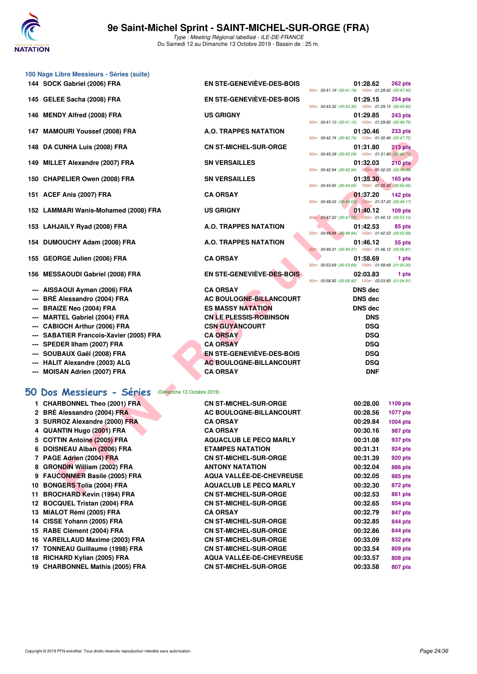

|                                   | 100 Nage Libre Messieurs - Séries (suite)                            |                                                   |                                                                                                                               |
|-----------------------------------|----------------------------------------------------------------------|---------------------------------------------------|-------------------------------------------------------------------------------------------------------------------------------|
|                                   | 144 SOCK Gabriel (2006) FRA                                          | EN STE-GENEVIEVE-DES-BOIS                         | 01:28.62<br><b>262 pts</b>                                                                                                    |
|                                   | 145 GELEE Sacha (2008) FRA                                           | EN STE-GENEVIEVE-DES-BOIS                         | 50m: 00:41.19 (00:41.19) 100m: 01:28.62 (00:47.43)<br>01:29.15<br><b>254 pts</b>                                              |
|                                   | 146 MENDY Alfred (2008) FRA                                          | <b>US GRIGNY</b>                                  | 50m: 00:43.32 (00:43.32) 100m: 01:29.15 (00:45.83)<br>01:29.85<br><b>243 pts</b>                                              |
|                                   | 147 MAMOURI Youssef (2008) FRA                                       | A.O. TRAPPES NATATION                             | 50m: 00:41.10 (00:41.10) 100m: 01:29.85 (00:48.75)<br>01:30.46<br><b>233 pts</b>                                              |
|                                   | 148 DA CUNHA Luis (2008) FRA                                         | <b>CN ST-MICHEL-SUR-ORGE</b>                      | 50m: 00:42.74 (00:42.74) 100m: 01:30.46 (00:47.72)<br>01:31.80<br>$213$ pts                                                   |
|                                   | 149 MILLET Alexandre (2007) FRA                                      | <b>SN VERSAILLES</b>                              | 50m: 00:45.09 (00:45.09) 100m: 01:31.80 (00:46.71)<br>01:32.03<br>210 pts                                                     |
|                                   | 150 CHAPELIER Owen (2008) FRA                                        | <b>SN VERSAILLES</b>                              | 50m: 00:42.94 (00:42.94) 100m: 01:32.03 (00:49.09)<br>01:35.30<br>$165$ pts                                                   |
|                                   | 151 ACEF Anis (2007) FRA                                             | <b>CA ORSAY</b>                                   | 50m: 00:44.65 (00:44.65) 100m: 01:35.30 (00:50.65)<br>01:37.20<br>$142$ pts                                                   |
|                                   |                                                                      |                                                   | 50m: 00:48.03 (00:48.03) 100m: 01:37.20 (00:49.17)                                                                            |
|                                   | 152 LAMMARI Wanis-Mohamed (2008) FRA                                 | <b>US GRIGNY</b>                                  | 01:40.12<br>$109$ pts<br>50m: 00:47.02 (00:47.02) 100m: 01:40.12 (00:53.10)                                                   |
|                                   | 153 LAHJAILY Ryad (2008) FRA                                         | <b>A.O. TRAPPES NATATION</b>                      | 01:42.53<br>85 pts<br>50m: 00:48.94 (00:48.94) 100m: 01:42.53 (00:53.59)                                                      |
|                                   | 154 DUMOUCHY Adam (2008) FRA                                         | A.O. TRAPPES NATATION                             | 01:46.12<br>55 pts<br>50m: 00:49.31 (00:49.31) 100m: 01:46.12 (00:56.81)                                                      |
|                                   | 155 GEORGE Julien (2006) FRA                                         | <b>CA ORSAY</b>                                   | 01:58.69<br>1 pts                                                                                                             |
| 156                               | <b>MESSAOUDI Gabriel (2008) FRA</b>                                  | EN STE-GENEVIÈVE-DES-BOIS                         | 50m: 00:53.69 (00:53.69) 100m: 01:58.69 (01:05.00)<br>02:03.83<br>1 pts<br>50m: 00:58.92 (00:58.92) 100m: 02:03.83 (01:04.91) |
|                                   | AISSAOUI Ayman (2006) FRA                                            | <b>CA ORSAY</b>                                   | <b>DNS</b> dec                                                                                                                |
|                                   | BRÉ Alessandro (2004) FRA                                            | AC BOULOGNE-BILLANCOURT                           | <b>DNS</b> dec                                                                                                                |
| ---                               | <b>BRAIZE Neo (2004) FRA</b>                                         | <b>ES MASSY NATATION</b>                          | <b>DNS dec</b>                                                                                                                |
|                                   | <b>MARTEL Gabriel (2004) FRA</b>                                     | <b>CN LE PLESSIS-ROBINSON</b>                     | <b>DNS</b>                                                                                                                    |
|                                   | <b>CABIOCH Arthur (2006) FRA</b>                                     | <b>CSN GUYANCOURT</b>                             | <b>DSQ</b>                                                                                                                    |
|                                   | <b>SABATIER Francois-Xavier (2005) FRA</b>                           | <b>CA ORSAY</b>                                   | <b>DSQ</b>                                                                                                                    |
|                                   | SPEDER IIham (2007) FRA                                              | <b>CA ORSAY</b>                                   | <b>DSQ</b>                                                                                                                    |
|                                   |                                                                      | <b>EN STE-GENEVIÈVE-DES-BOIS</b>                  | <b>DSQ</b>                                                                                                                    |
|                                   | SOUBAUX Gaël (2008) FRA                                              |                                                   |                                                                                                                               |
| $---$<br>$\overline{\phantom{a}}$ | <b>HALIT Alexandre (2003) ALG</b><br><b>MOISAN Adrien (2007) FRA</b> | <b>AC BOULOGNE-BILLANCOURT</b><br><b>CA ORSAY</b> | <b>DSQ</b><br><b>DNF</b>                                                                                                      |
|                                   | 50 Dos Messieurs - Séries<br>(Dimanche 13 Octobre 2019)              |                                                   |                                                                                                                               |
|                                   | 1 CHARBONNEL Theo (2001) FRA                                         | <b>CN ST-MICHEL-SUR-ORGE</b>                      | 00:28.00                                                                                                                      |
|                                   | 2 BRÉ Alessandro (2004) FRA                                          | AC BOULOGNE-BILLANCOURT                           | 1109 pts<br>00:28.56                                                                                                          |
|                                   | 3 SURROZ Alexandre (2000) FRA                                        | <b>CA ORSAY</b>                                   | <b>1077 pts</b><br>00:29.84<br>1004 pts                                                                                       |
|                                   |                                                                      |                                                   |                                                                                                                               |
|                                   | 4 QUANTIN Hugo (2001) FRA                                            | <b>CA ORSAY</b>                                   | 00:30.16<br>987 pts                                                                                                           |
|                                   | 5 COTTIN Antoine (2005) FRA                                          | <b>AQUACLUB LE PECQ MARLY</b>                     | 00:31.08<br>937 pts                                                                                                           |
|                                   | 6 DOISNEAU Alban (2006) FRA                                          | <b>ETAMPES NATATION</b>                           | 00:31.31<br>924 pts                                                                                                           |
|                                   | 7 PAGE Adrien (2004) FRA                                             | <b>CN ST-MICHEL-SUR-ORGE</b>                      | 00:31.39<br>920 pts                                                                                                           |
|                                   | 8 GRONDIN William (2002) FRA                                         | <b>ANTONY NATATION</b>                            | 00:32.04<br>886 pts                                                                                                           |
|                                   | 9 FAUCONNIER Basile (2005) FRA                                       | <b>AQUA VALLÉE-DE-CHEVREUSE</b>                   | 00:32.05<br>885 pts                                                                                                           |
|                                   | 10 BONGERS Tolia (2004) FRA                                          | <b>AQUACLUB LE PECQ MARLY</b>                     | 00:32.30<br>872 pts                                                                                                           |
|                                   | 11 BROCHARD Kevin (1994) FRA                                         | <b>CN ST-MICHEL-SUR-ORGE</b>                      | 00:32.53<br><b>861 pts</b>                                                                                                    |

**6 DOISNEAU Alban (2006) FRA ETAMPES NATATION 00:31.31 924 pts 7 PAGE Adrien (2004) FRA CN ST-MICHEL-SUR-ORGE 00:31.39 920 pts 8 GRONDIN William (2002) FRA ANTONY NATATION 00:32.04 886 pts 9 FAUCONNIER Basile (2005) FRA AQUA VALLÉE-DE-CHEVREUSE 00:32.05 885 pts 10 BONGERS Tolia (2004) FRA AQUACLUB LE PECQ MARLY 00:32.30 872 pts 11 BROCHARD Kevin (1994) FRA CN ST-MICHEL-SUR-ORGE 00:32.53 861 pts 12 BOCQUEL Tristan (2004) FRA CN ST-MICHEL-SUR-ORGE 00:32.65 854 pts 13 MIALOT Rémi (2005) FRA CA ORSAY 00:32.79 847 pts 14 CISSE Yohann (2005) FRA CN ST-MICHEL-SUR-ORGE 00:32.85 844 pts**

**15 RABE Clément (2004) FRA CN ST-MICHEL-SUR-ORGE 00:32.86 844 pts 16 VAREILLAUD Maxime (2003) FRA CN ST-MICHEL-SUR-ORGE 00:33.09 832 pts 17 TONNEAU Guillaume (1998) FRA CN ST-MICHEL-SUR-ORGE 00:33.54 809 pts 18 RICHARD Kylian (2005) FRA AQUA VALLÉE-DE-CHEVREUSE 00:33.57 808 pts 19 CHARBONNEL Mathis (2005) FRA CN ST-MICHEL-SUR-ORGE 00:33.58 807 pts**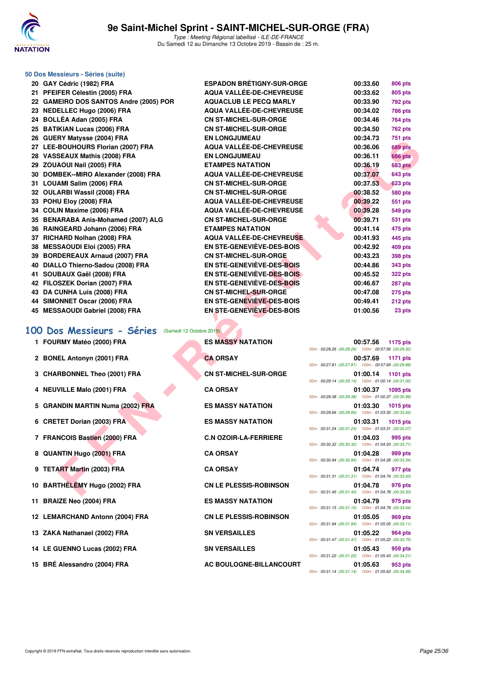

## **50 Dos Messieurs - Séries (suite)**

| 20 GAY Cédric (1982) FRA                               | <b>ESPADON BRETIGNY-SUR-ORGE</b> | 00:33.60<br>806 pts                                                        |
|--------------------------------------------------------|----------------------------------|----------------------------------------------------------------------------|
| 21 PFEIFER Célestin (2005) FRA                         | <b>AQUA VALLÉE-DE-CHEVREUSE</b>  | 00:33.62<br>805 pts                                                        |
| 22 GAMEIRO DOS SANTOS Andre (2005) POR                 | <b>AQUACLUB LE PECQ MARLY</b>    | 00:33.90<br><b>792 pts</b>                                                 |
| 23 NEDELLEC Hugo (2006) FRA                            | <b>AQUA VALLÉE-DE-CHEVREUSE</b>  | 00:34.02<br><b>786 pts</b>                                                 |
| 24 BOLLÉA Adan (2005) FRA                              | <b>CN ST-MICHEL-SUR-ORGE</b>     | 00:34.46<br><b>764 pts</b>                                                 |
| 25 BATIKIAN Lucas (2006) FRA                           | <b>CN ST-MICHEL-SUR-ORGE</b>     | 00:34.50<br><b>762 pts</b>                                                 |
| 26 GUERY Matysse (2004) FRA                            | <b>EN LONGJUMEAU</b>             | 00:34.73<br><b>751 pts</b>                                                 |
| 27 LEE-BOUHOURS Florian (2007) FRA                     | AQUA VALLÉE-DE-CHEVREUSE         | 00:36.06<br><b>689 pts</b>                                                 |
| 28 VASSEAUX Mathis (2008) FRA                          | <b>EN LONGJUMEAU</b>             | 00:36.11<br><b>686 pts</b>                                                 |
| 29 ZOUAOUI Nail (2005) FRA                             | <b>ETAMPES NATATION</b>          | 00:36.19<br><b>683 pts</b>                                                 |
| 30 DOMBEK--MIRO Alexander (2008) FRA                   | <b>AQUA VALLÉE-DE-CHEVREUSE</b>  | 00:37.07<br><b>643 pts</b>                                                 |
| 31 LOUAMI Salim (2006) FRA                             | <b>CN ST-MICHEL-SUR-ORGE</b>     | 00:37.53<br><b>623 pts</b>                                                 |
| 32 OULARBI Wassil (2008) FRA                           | <b>CN ST-MICHEL-SUR-ORGE</b>     | 00:38.52<br><b>580 pts</b>                                                 |
| 33 POHU Eloy (2008) FRA                                | AQUA VALLÉE-DE-CHEVREUSE         | 00:39.22<br>551 pts                                                        |
| 34 COLIN Maxime (2006) FRA                             | AQUA VALLÉE-DE-CHEVREUSE         | 00:39.28<br><b>549 pts</b>                                                 |
| 35 BENARABA Anis-Mohamed (2007) ALG                    | <b>CN ST-MICHEL-SUR-ORGE</b>     | 00:39.71<br><b>531 pts</b>                                                 |
| 36 RAINGEARD Johann (2006) FRA                         | <b>ETAMPES NATATION</b>          | 00:41.14<br>475 pts                                                        |
| 37 RICHARD Nolhan (2008) FRA                           | AQUA VALLÉE-DE-CHEVREUSE         | 00:41.93<br>445 pts                                                        |
| 38 MESSAOUDI Eloi (2005) FRA                           | <b>EN STE-GENEVIÈVE-DES-BOIS</b> | 00:42.92<br><b>409 pts</b>                                                 |
| 39 BORDEREAUX Arnaud (2007) FRA                        | <b>CN ST-MICHEL-SUR-ORGE</b>     | 00:43.23<br><b>398 pts</b>                                                 |
| 40 DIALLO Thierno-Sadou (2008) FRA                     | EN STE-GENEVIÈVE-DES-BOIS        | 00:44.86<br><b>343 pts</b>                                                 |
| 41 SOUBAUX Gaël (2008) FRA                             | EN STE-GENEVIÈVE-DES-BOIS        | 00:45.52<br><b>322 pts</b>                                                 |
| 42 FILOSZEK Dorian (2007) FRA                          | EN STE-GENEVIÈVE-DES-BOIS        | 00:46.67<br><b>287 pts</b>                                                 |
| 43 DA CUNHA Luis (2008) FRA                            | <b>CN ST-MICHEL-SUR-ORGE</b>     | 00:47.08<br><b>275 pts</b>                                                 |
| 44 SIMONNET Oscar (2006) FRA                           | <b>EN STE-GENEVIÈVE-DES-BOIS</b> | 00:49.41<br>212 pts                                                        |
| 45 MESSAOUDI Gabriel (2008) FRA                        | EN STE-GENEVIÈVE-DES-BOIS        | 01:00.56<br>23 pts                                                         |
|                                                        |                                  |                                                                            |
| 100 Dos Messieurs - Séries<br>(Samedi 12 Octobre 2019) |                                  |                                                                            |
| 1 FOURMY Matéo (2000) FRA                              | <b>ES MASSY NATATION</b>         | 00:57.56<br>1175 pts                                                       |
|                                                        |                                  | 50m: 00:28.26 (00:28.26) 100m: 00:57.56 (00:29.30)                         |
| 2 BONEL Antonyn (2001) FRA                             | <b>CA ORSAY</b>                  | 00:57.69<br><b>1171 pts</b>                                                |
|                                                        |                                  | 50m: 00:27.81 (00:27.81) 100m: 00:57.69 (00:29.88)                         |
| 3 CHARBONNEL Theo (2001) FRA                           | <b>CN ST-MICHEL-SUR-ORGE</b>     | 01:00.14<br>1101 pts                                                       |
|                                                        |                                  | 50m: 00:29.14 (00:29.14) 100m: 01:00.14 (00:31.00)                         |
| 4 NEUVILLE Malo (2001) FRA                             | <b>CA ORSAY</b>                  | 01:00.37<br>1095 pts<br>50m: 00:29.38 (00:29.38) 100m: 01:00.37 (00:30.99) |
| 5 GRANDIN MARTIN Numa (2002) FRA                       | <b>ES MASSY NATATION</b>         | 01:03.30<br>1015 pts                                                       |
|                                                        |                                  | 50m: 00:29.66 (00:29.66) 100m: 01:03.30 (00:33.64)                         |
| 6 CRETET Dorian (2003) FRA                             | <b>ES MASSY NATATION</b>         | 01:03.31<br>1015 pts                                                       |
|                                                        |                                  | 50m: 00:31.24 (00:31.24) 100m: 01:03.31 (00:32.07)                         |
| 7 FRANCOIS Bastien (2000) FRA                          | <b>C.N OZOIR-LA-FERRIERE</b>     | 01:04.03<br>995 pts                                                        |
|                                                        |                                  | $50m$ : 00:30.32 (00:30.32) 100m: 01:04.03 (00:33.71)                      |
| 8 QUANTIN Hugo (2001) FRA                              | <b>CA ORSAY</b>                  | 01:04.28<br>989 pts<br>50m: 00:30.94 (00:30.94) 100m: 01:04.28 (00:33.34)  |
| 9 TETART Martin (2003) FRA                             | <b>CA ORSAY</b>                  | 01:04.74<br>977 pts                                                        |
|                                                        |                                  | 50m: 00:31.31 (00:31.31) 100m: 01:04.74 (00:33.43)                         |
| 10 BARTHELEMY Hugo (2002) FRA                          | <b>CN LE PLESSIS-ROBINSON</b>    | 01:04.78<br>976 pts                                                        |
|                                                        |                                  | 50m: 00:31.45 (00:31.45) 100m: 01:04.78 (00:33.33)                         |

| 1 FOURMY Matéo (2000) FRA        | <b>ES MASSY NATATION</b>      | 00:57.56<br>1175 pts<br>50m: 00:28.26 (00:28.26) 100m: 00:57.56 (00:29.30) |
|----------------------------------|-------------------------------|----------------------------------------------------------------------------|
| 2 BONEL Antonyn (2001) FRA       | <b>CA ORSAY</b>               | 00:57.69<br>1171 pts<br>50m: 00:27.81 (00:27.81) 100m: 00:57.69 (00:29.88  |
| 3 CHARBONNEL Theo (2001) FRA     | <b>CN ST-MICHEL-SUR-ORGE</b>  | 01:00.14<br>1101 pts<br>50m: 00:29.14 (00:29.14) 100m: 01:00.14 (00:31.00  |
| 4 NEUVILLE Malo (2001) FRA       | <b>CA ORSAY</b>               | 01:00.37<br>1095 pts<br>50m: 00:29.38 (00:29.38) 100m: 01:00.37 (00:30.99) |
| 5 GRANDIN MARTIN Numa (2002) FRA | <b>ES MASSY NATATION</b>      | 01:03.30<br>1015 pts<br>50m: 00:29.66 (00:29.66) 100m: 01:03.30 (00:33.64  |
| 6 CRETET Dorian (2003) FRA       | <b>ES MASSY NATATION</b>      | 01:03.31<br>1015 pts<br>50m: 00:31.24 (00:31.24) 100m: 01:03.31 (00:32.07) |
| 7 FRANCOIS Bastien (2000) FRA    | <b>C.N OZOIR-LA-FERRIERE</b>  | 01:04.03<br>995 pts<br>50m: 00:30.32 (00:30.32) 100m: 01:04.03 (00:33.71   |
| 8 QUANTIN Hugo (2001) FRA        | <b>CA ORSAY</b>               | 01:04.28<br>989 pts<br>50m: 00:30.94 (00:30.94) 100m: 01:04.28 (00:33.34   |
| 9 TETART Martin (2003) FRA       | <b>CA ORSAY</b>               | 01:04.74<br>977 pts<br>50m: 00:31.31 (00:31.31) 100m: 01:04.74 (00:33.43)  |
| 10 BARTHÉLÉMY Hugo (2002) FRA    | <b>CN LE PLESSIS-ROBINSON</b> | 01:04.78<br>976 pts<br>50m: 00:31.45 (00:31.45) 100m: 01:04.78 (00:33.33   |
| 11 BRAIZE Neo (2004) FRA         | <b>ES MASSY NATATION</b>      | 01:04.79<br>975 pts<br>50m: 00:31.15 (00:31.15) 100m: 01:04.79 (00:33.64   |
| 12 LEMARCHAND Antonn (2004) FRA  | <b>CN LE PLESSIS-ROBINSON</b> | 01:05.05<br>969 pts<br>50m: 00:31.94 (00:31.94) 100m: 01:05.05 (00:33.11)  |
| 13 ZAKA Nathanael (2002) FRA     | <b>SN VERSAILLES</b>          | 01:05.22<br>964 pts<br>50m: 00:31.47 (00:31.47) 100m: 01:05.22 (00:33.75   |
| 14 LE GUENNO Lucas (2002) FRA    | <b>SN VERSAILLES</b>          | 01:05.43<br>959 pts<br>50m: 00:31.22 (00:31.22) 100m: 01:05.43 (00:34.21   |
| 15 BRÉ Alessandro (2004) FRA     | AC BOULOGNE-BILLANCOURT       | 01:05.63<br>953 pts<br>50m: 00:31.14 (00:31.14) 100m: 01:05.63 (00:34.49)  |
|                                  |                               |                                                                            |
|                                  |                               |                                                                            |

| 00:57.56 1175 pts                                  |
|----------------------------------------------------|
| 50m: 00:28.26 (00:28.26) 100m: 00:57.56 (00:29.30) |
| 00:57.69 1171 pts                                  |
| 50m: 00:27.81 (00:27.81) 100m: 00:57.69 (00:29.88) |
| 01:00.14 1101 pts                                  |
| 50m: 00:29.14 (00:29.14) 100m: 01:00.14 (00:31.00) |
| 01:00.37 1095 pts                                  |
| 50m: 00:29.38 (00:29.38) 100m: 01:00.37 (00:30.99) |
| 01:03.30 1015 pts                                  |
| 50m: 00:29.66 (00:29.66) 100m: 01:03.30 (00:33.64) |
| 01:03.31 1015 pts                                  |
| 50m: 00:31.24 (00:31.24) 100m: 01:03.31 (00:32.07) |
| 01:04.03 995 pts                                   |
| 50m: 00:30.32 (00:30.32) 100m: 01:04.03 (00:33.71) |
| 01:04.28 989 pts                                   |
| 50m: 00:30.94 (00:30.94) 100m: 01:04.28 (00:33.34) |
| 01:04.74 977 pts                                   |
| 50m: 00:31.31 (00:31.31) 100m: 01:04.74 (00:33.43) |
| 01:04.78 976 pts                                   |
| 50m: 00:31.45 (00:31.45) 100m: 01:04.78 (00:33.33) |
| 01:04.79 975 pts                                   |
| 50m: 00:31.15 (00:31.15) 100m: 01:04.79 (00:33.64) |
| 01:05.05 969 pts                                   |
| 50m: 00:31.94 (00:31.94) 100m: 01:05.05 (00:33.11) |
| 01:05.22 964 pts                                   |
| 50m: 00:31.47 (00:31.47) 100m: 01:05.22 (00:33.75) |
| 01:05.43<br>959 pts                                |
| 50m: 00:31.22 (00:31.22) 100m: 01:05.43 (00:34.21) |
| 01:05.63 953 pts                                   |
| 50m: 00:31.14 (00:31.14) 100m: 01:05.63 (00:34.49) |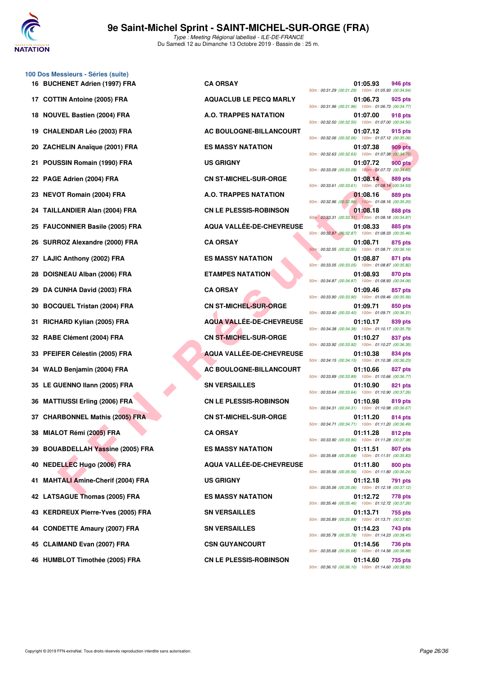

**100 Dos Messieurs - Séries (suite)**

Type : Meeting Régional labellisé - ILE-DE-FRANCE Du Samedi 12 au Dimanche 13 Octobre 2019 - Bassin de : 25 m.

|     | 16 BUCHENET Adrien (1997) FRA          | <b>CA ORSAY</b>                 | 01:05.93<br>946 pts<br>50m: 00:31.29 (00:31.29) 100m: 01:05.93 (00:34.64         |
|-----|----------------------------------------|---------------------------------|----------------------------------------------------------------------------------|
|     | 17 COTTIN Antoine (2005) FRA           | <b>AQUACLUB LE PECQ MARLY</b>   | 01:06.73<br>925 pts<br>50m: 00:31.96 (00:31.96) 100m: 01:06.73 (00:34.77         |
|     | 18 NOUVEL Bastien (2004) FRA           | A.O. TRAPPES NATATION           | 01:07.00<br>918 pts<br>50m: 00:32.50 (00:32.50) 100m: 01:07.00 (00:34.50         |
|     | 19 CHALENDAR Léo (2003) FRA            | AC BOULOGNE-BILLANCOURT         | 01:07.12<br>915 pts<br>50m: 00:32.06 (00:32.06) 100m: 01:07.12 (00:35.06)        |
|     | 20 ZACHELIN Anaïque (2001) FRA         | <b>ES MASSY NATATION</b>        | 01:07.38<br>909 pts<br>50m: 00:32.63 (00:32.63) 100m: 01:07.38 (00:34.75         |
|     | 21 POUSSIN Romain (1990) FRA           | <b>US GRIGNY</b>                | 01:07.72<br><b>900 pts</b><br>50m: 00:33.09 (00:33.09) 100m: 01:07.72 (00:34.63) |
|     | 22 PAGE Adrien (2004) FRA              | <b>CN ST-MICHEL-SUR-ORGE</b>    | 01:08.14<br>889 pts<br>50m: 00:33.61 (00:33.61) 100m: 01:08.14 (00:34.53)        |
|     | 23 NEVOT Romain (2004) FRA             | A.O. TRAPPES NATATION           | 01:08.16<br>889 pts<br>50m: 00:32.96 (00:32.96) 100m: 01:08.16 (00:35.20         |
|     | 24 TAILLANDIER Alan (2004) FRA         | <b>CN LE PLESSIS-ROBINSON</b>   | 01:08.18<br>888 pts<br>50m : 00:33.31 (00:33.31) 100m : 01:08.18 (00:34.87       |
|     | 25 FAUCONNIER Basile (2005) FRA        | AQUA VALLÉE-DE-CHEVREUSE        | 01:08.33<br>885 pts<br>50m: 00:32.87 (00:32.87) 100m: 01:08.33 (00:35.46)        |
|     | 26 SURROZ Alexandre (2000) FRA         | <b>CA ORSAY</b>                 | 01:08.71<br>875 pts<br>50m: 00:32.55 (00:32.55) 100m: 01:08.71 (00:36.16)        |
|     | 27 LAJIC Anthony (2002) FRA            | <b>ES MASSY NATATION</b>        | 01:08.87<br>871 pts<br>50m: 00:33.05 (00:33.05) 100m: 01:08.87 (00:35.82)        |
| 28. | DOISNEAU Alban (2006) FRA              | <b>ETAMPES NATATION</b>         | 01:08.93<br>870 pts<br>50m: 00:34.87 (00:34.87) 100m: 01:08.93 (00:34.06)        |
| 29  | DA CUNHA David (2003) FRA              | <b>CA ORSAY</b>                 | 01:09.46<br>857 pts<br>50m: 00:33.90 (00:33.90) 100m: 01:09.46 (00:35.56         |
|     | 30 BOCQUEL Tristan (2004) FRA          | <b>CN ST-MICHEL-SUR-ORGE</b>    | 01:09.71<br>850 pts<br>50m: 00:33.40 (00:33.40) 100m: 01:09.71 (00:36.31)        |
| 31. | RICHARD Kylian (2005) FRA              | <b>AQUA VALLEE-DE-CHEVREUSE</b> | 01:10.17<br>839 pts<br>50m: 00:34.38 (00:34.38) 100m: 01:10.17 (00:35.79)        |
|     | 32 RABE Clément (2004) FRA             | <b>CN ST-MICHEL-SUR-ORGE</b>    | 01:10.27<br>837 pts<br>50m: 00:33.92 (00:33.92) 100m: 01:10.27 (00:36.35         |
|     | 33 PFEIFER Célestin (2005) FRA         | <b>AQUA VALLÉE-DE-CHEVREUSE</b> | 01:10.38<br>834 pts<br>50m: 00:34.15 (00:34.15) 100m: 01:10.38 (00:36.23)        |
|     | 34 WALD Benjamin (2004) FRA            | AC BOULOGNE-BILLANCOURT         | 01:10.66<br>827 pts<br>50m: 00:33.89 (00:33.89) 100m: 01:10.66 (00:36.77         |
|     | 35 LE GUENNO Ilann (2005) FRA          | <b>SN VERSAILLES</b>            | 01:10.90<br>821 pts<br>50m: 00:33.64 (00:33.64) 100m: 01:10.90 (00:37.26)        |
|     | 36 MATTIUSSI Erling (2006) FRA         | <b>CN LE PLESSIS-ROBINSON</b>   | 01:10.98<br>819 pts<br>50m: 00:34.31 (00:34.31) 100m: 01:10.98 (00:36.67         |
|     | 37 CHARBONNEL Mathis (2005) FRA        | <b>CN ST-MICHEL-SUR-ORGE</b>    | 01:11.20<br>814 pts<br>50m: 00:34.71 (00:34.71) 100m: 01:11.20 (00:36.49)        |
|     | 38 MIALOT Rémi (2005) FRA              | <b>CA ORSAY</b>                 | 01:11.28<br>812 pts<br>50m: 00:33.90 (00:33.90) 100m: 01:11.28 (00:37.38         |
|     | 39 BOUABDELLAH Yassine (2005) FRA      | <b>ES MASSY NATATION</b>        | 01:11.51<br>807 pts<br>50m: 00:35.68 (00:35.68) 100m: 01:11.51 (00:35.83         |
|     | 40 NEDELLEC Hugo (2006) FRA            | AQUA VALLÉE-DE-CHEVREUSE        | 01:11.80<br>800 pts<br>50m: 00:35.56 (00:35.56) 100m: 01:11.80 (00:36.24)        |
| 41. | <b>MAHTALI Amine-Cherif (2004) FRA</b> | <b>US GRIGNY</b>                | 01:12.18<br>791 pts<br>50m: 00:35.06 (00:35.06) 100m: 01:12.18 (00:37.12)        |
|     | 42 LATSAGUE Thomas (2005) FRA          | <b>ES MASSY NATATION</b>        | 778 pts<br>01:12.72<br>50m: 00:35.46 (00:35.46) 100m: 01:12.72 (00:37.26)        |
|     | 43 KERDREUX Pierre-Yves (2005) FRA     | <b>SN VERSAILLES</b>            | 01:13.71<br>755 pts<br>50m: 00:35.89 (00:35.89) 100m: 01:13.71 (00:37.82)        |
|     | 44 CONDETTE Amaury (2007) FRA          | <b>SN VERSAILLES</b>            | 01:14.23<br>743 pts<br>50m: 00:35.78 (00:35.78) 100m: 01:14.23 (00:38.45)        |
|     | 45 CLAIMAND Evan (2007) FRA            | <b>CSN GUYANCOURT</b>           | 01:14.56<br>736 pts<br>50m: 00:35.68 (00:35.68) 100m: 01:14.56 (00:38.88         |
|     |                                        |                                 |                                                                                  |

| <b>HENET Adrien (1997) FRA</b>      | <b>CA ORSAY</b>                 | 01:05.93<br>946 pts<br>50m: 00:31.29 (00:31.29) 100m: 01:05.93 (00:34.64)        |
|-------------------------------------|---------------------------------|----------------------------------------------------------------------------------|
| TIN Antoine (2005) FRA              | <b>AQUACLUB LE PECQ MARLY</b>   | 01:06.73<br>925 pts<br>50m: 00:31.96 (00:31.96) 100m: 01:06.73 (00:34.77)        |
| VEL Bastien (2004) FRA              | A.O. TRAPPES NATATION           | 01:07.00<br>918 pts<br>50m: 00:32.50 (00:32.50) 100m: 01:07.00 (00:34.50)        |
| LENDAR Léo (2003) FRA               | AC BOULOGNE-BILLANCOURT         | 915 pts<br>01:07.12<br>50m: 00:32.06 (00:32.06) 100m: 01:07.12 (00:35.06)        |
| HELIN Anaïque (2001) FRA            | <b>ES MASSY NATATION</b>        | 01:07.38<br>909 pts<br>50m: 00:32.63 (00:32.63) 100m: 01:07.38 (00:34.75)        |
| SSIN Romain (1990) FRA              | <b>US GRIGNY</b>                | 01:07.72<br><b>900 pts</b><br>50m: 00:33.09 (00:33.09) 100m: 01:07.72 (00:34.63) |
| E Adrien (2004) FRA                 | <b>CN ST-MICHEL-SUR-ORGE</b>    | 01:08.14<br>889 pts<br>50m: 00:33.61 (00:33.61) 100m: 01:08.14 (00:34.53)        |
| OT Romain (2004) FRA                | A.O. TRAPPES NATATION           | 01:08.16<br>889 pts<br>50m: 00:32.96 (00:32.96) 100m: 01:08.16 (00:35.20)        |
| LANDIER Alan (2004) FRA             | <b>CN LE PLESSIS-ROBINSON</b>   | 01:08.18<br>888 pts<br>50m: 00:33.31 (00:33.31) 100m: 01:08.18 (00:34.87)        |
| CONNIER Basile (2005) FRA           | AQUA VALLÉE-DE-CHEVREUSE        | 01:08.33<br>885 pts<br>50m: 00:32.87 (00:32.87) 100m: 01:08.33 (00:35.46)        |
| ROZ Alexandre (2000) FRA            | <b>CA ORSAY</b>                 | 01:08.71<br>875 pts<br>50m: 00:32.55 (00:32.55) 100m: 01:08.71 (00:36.16)        |
| C Anthony (2002) FRA                | <b>ES MASSY NATATION</b>        | 01:08.87<br>871 pts<br>50m: 00:33.05 (00:33.05) 100m: 01:08.87 (00:35.82)        |
| SNEAU Alban (2006) FRA              | <b>ETAMPES NATATION</b>         | 01:08.93<br>870 pts<br>50m: 00:34.87 (00:34.87) 100m: 01:08.93 (00:34.06)        |
| <b>CUNHA David (2003) FRA</b>       | <b>CA ORSAY</b>                 | 01:09.46<br>857 pts<br>50m: 00:33.90 (00:33.90) 100m: 01:09.46 (00:35.56)        |
| QUEL Tristan (2004) FRA             | <b>CN ST-MICHEL-SUR-ORGE</b>    | 01:09.71<br>850 pts<br>50m: 00:33.40 (00:33.40) 100m: 01:09.71 (00:36.31)        |
| IARD Kylian (2005) FRA              | <b>AQUA VALLÉE-DE-CHEVREUSE</b> | 01:10.17<br>839 pts<br>50m: 00:34.38 (00:34.38) 100m: 01:10.17 (00:35.79)        |
| E Clément (2004) FRA                | <b>CN ST-MICHEL-SUR-ORGE</b>    | 01:10.27<br>837 pts<br>50m: 00:33.92 (00:33.92) 100m: 01:10.27 (00:36.35)        |
| FER Célestin (2005) FRA             | <b>AQUA VALLÉE-DE-CHEVREUSE</b> | 01:10.38<br>834 pts<br>50m: 00:34.15 (00:34.15) 100m: 01:10.38 (00:36.23)        |
| D Benjamin (2004) FRA               | AC BOULOGNE-BILLANCOURT         | 01:10.66<br>827 pts<br>50m: 00:33.89 (00:33.89) 100m: 01:10.66 (00:36.77)        |
| <b>IUENNO Ilann (2005) FRA</b>      | <b>SN VERSAILLES</b>            | 01:10.90<br>821 pts<br>50m: 00:33.64 (00:33.64) 100m: 01:10.90 (00:37.26)        |
| TIUSSI Erling (2006) FRA            | <b>CN LE PLESSIS-ROBINSON</b>   | 01:10.98<br>819 pts<br>50m: 00:34.31 (00:34.31) 100m: 01:10.98 (00:36.67)        |
| <b>RBONNEL Mathis (2005) FRA</b>    | <b>CN ST-MICHEL-SUR-ORGE</b>    | 01:11.20<br>814 pts<br>50m: 00:34.71 (00:34.71) 100m: 01:11.20 (00:36.49)        |
| .OT Rémi (2 <u>005)</u> FRA         | <b>CA ORSAY</b>                 | 01:11.28<br>812 pts<br>50m: 00:33.90 (00:33.90) 100m: 01:11.28 (00:37.38)        |
| <b>ABDELLAH Yassine (2005) FRA</b>  | <b>ES MASSY NATATION</b>        | 807 pts<br>01:11.51<br>50m: 00:35.68 (00:35.68) 100m: 01:11.51 (00:35.83)        |
| ELLEC Hugo (2006) FRA               | AQUA VALLÉE-DE-CHEVREUSE        | 01:11.80<br>800 pts<br>50m: 00:35.56 (00:35.56) 100m: 01:11.80 (00:36.24)        |
| TALI Amine-Cherif (2004) FRA        | <b>US GRIGNY</b>                | 01:12.18<br>791 pts<br>50m: 00:35.06 (00:35.06) 100m: 01:12.18 (00:37.12)        |
| SAGUE Thomas (2005) FRA             | <b>ES MASSY NATATION</b>        | 01:12.72<br>778 pts<br>50m: 00:35.46 (00:35.46) 100m: 01:12.72 (00:37.26)        |
| <b>DREUX Pierre-Yves (2005) FRA</b> | <b>SN VERSAILLES</b>            | 01:13.71<br>755 pts<br>50m: 00:35.89 (00:35.89) 100m: 01:13.71 (00:37.82)        |
| DETTE Amaury (2007) FRA             | <b>SN VERSAILLES</b>            | 01:14.23<br>743 pts<br>50m: 00:35.78 (00:35.78) 100m: 01:14.23 (00:38.45)        |
| IMAND Evan (2007) FRA               | <b>CSN GUYANCOURT</b>           | 01:14.56<br>736 pts<br>50m: 00:35.68 (00:35.68) 100m: 01:14.56 (00:38.88)        |
| <b>IBLOT Timothée (2005) FRA</b>    | <b>CN LE PLESSIS-ROBINSON</b>   | 01:14.60<br>735 pts<br>50m: 00:36.10 (00:36.10) 100m: 01:14.60 (00:38.50)        |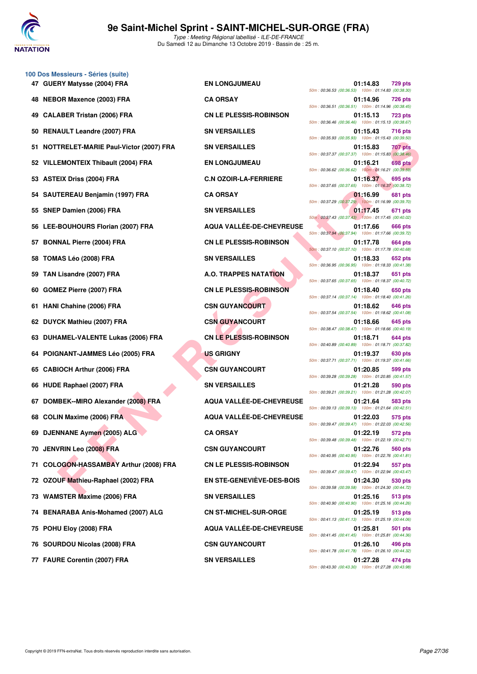

**100 Dos Messieurs - Séries (suite)**

Type : Meeting Régional labellisé - ILE-DE-FRANCE Du Samedi 12 au Dimanche 13 Octobre 2019 - Bassin de : 25 m.

|     | 47 GUERY Matysse (2004) FRA               | <b>EN LONGJUMEAU</b>          | 01:14.83<br><b>729 pts</b><br>50m: 00:36.53 (00:36.53) 100m: 01:14.83 (00:38.30) |
|-----|-------------------------------------------|-------------------------------|----------------------------------------------------------------------------------|
|     | <b>NEBOR Maxence (2003) FRA</b>           | <b>CA ORSAY</b>               | 01:14.96<br>726 pts<br>50m: 00:36.51 (00:36.51) 100m: 01:14.96 (00:38.45)        |
|     | 49 CALABER Tristan (2006) FRA             | <b>CN LE PLESSIS-ROBINSON</b> | 01:15.13<br><b>723 pts</b><br>50m: 00:36.46 (00:36.46) 100m: 01:15.13 (00:38.67) |
|     | 50 RENAULT Leandre (2007) FRA             | <b>SN VERSAILLES</b>          | 01:15.43<br><b>716 pts</b><br>50m: 00:35.93 (00:35.93) 100m: 01:15.43 (00:39.50) |
|     | 51 NOTTRELET-MARIE Paul-Victor (2007) FRA | <b>SN VERSAILLES</b>          | 01:15.83<br>707 pts<br>50m: 00:37.37 (00:37.37) 100m: 01:15.83 (00:38.46)        |
|     | 52 VILLEMONTEIX Thibault (2004) FRA       | <b>EN LONGJUMEAU</b>          | 01:16.21<br><b>698 pts</b><br>50m: 00:36.62 (00:36.62) 100m: 01:16.21 (00:39.59) |
|     | 53 ASTEIX Driss (2004) FRA                | <b>C.N OZOIR-LA-FERRIERE</b>  | 01:16.37<br><b>695 pts</b><br>50m: 00:37.65 (00:37.65) 100m: 01:16.37 (00:38.72) |
|     | 54 SAUTEREAU Benjamin (1997) FRA          | <b>CA ORSAY</b>               | 01:16.99<br>681 pts<br>50m: 00:37.29 (00:37.29) 100m: 01:16.99 (00:39.70)        |
|     | 55 SNEP Damien (2006) FRA                 | <b>SN VERSAILLES</b>          | 01:17.45<br>671 pts<br>50m: 00:37.43 (00:37.43) 100m: 01:17.45 (00:40.02)        |
|     | 56 LEE-BOUHOURS Florian (2007) FRA        | AQUA VALLÉE-DE-CHEVREUSE      | 01:17.66<br>666 pts<br>50m: 00:37.94 (00:37.94) 100m: 01:17.66 (00:39.72)        |
| 57. | <b>BONNAL Pierre (2004) FRA</b>           | <b>CN LE PLESSIS-ROBINSON</b> | 01:17.78<br>664 pts<br>50m: 00:37.10 (00:37.10) 100m: 01:17.78 (00:40.68)        |
|     | 58 TOMAS Léo (2008) FRA                   | <b>SN VERSAILLES</b>          | 01:18.33<br>652 pts<br>50m: 00:36.95 (00:36.95) 100m: 01:18.33 (00:41.38)        |
|     | 59 TAN Lisandre (2007) FRA                | <b>A.O. TRAPPES NATATION</b>  | 01:18.37<br>651 pts<br>50m: 00:37.65 (00:37.65) 100m: 01:18.37 (00:40.72)        |
| 60. | GOMEZ Pierre (2007) FRA                   | <b>CN LE PLESSIS-ROBINSON</b> | 01:18.40<br>650 pts<br>50m: 00:37.14 (00:37.14) 100m: 01:18.40 (00:41.26)        |
| 61. | HANI Chahine (2006) FRA                   | <b>CSN GUYANCOURT</b>         | 01:18.62<br><b>646 pts</b><br>50m: 00:37.54 (00:37.54) 100m: 01:18.62 (00:41.08) |
|     | 62 DUYCK Mathieu (2007) FRA               | <b>CSN GUYANCOURT</b>         | 01:18.66<br>645 pts<br>50m: 00:38.47 (00:38.47) 100m: 01:18.66 (00:40.19)        |
|     | 63 DUHAMEL-VALENTE Lukas (2006) FRA       | <b>CN LE PLESSIS-ROBINSON</b> | 01:18.71<br>644 pts<br>50m: 00:40.89 (00:40.89) 100m: 01:18.71 (00:37.82)        |
|     | 64 POIGNANT-JAMMES Léo (2005) FRA         | <b>US GRIGNY</b>              | 01:19.37<br>630 pts<br>50m: 00:37.71 (00:37.71) 100m: 01:19.37 (00:41.66)        |
|     | 65 CABIOCH Arthur (2006) FRA              | <b>CSN GUYANCOURT</b>         | 01:20.85<br>599 pts<br>50m: 00:39.28 (00:39.28) 100m: 01:20.85 (00:41.57)        |
|     | 66 HUDE Raphael (2007) FRA                | <b>SN VERSAILLES</b>          | 01:21.28<br><b>590 pts</b><br>50m: 00:39.21 (00:39.21) 100m: 01:21.28 (00:42.07) |
| 67  | DOMBEK--MIRO Alexander (2008) FRA         | AQUA VALLÉE-DE-CHEVREUSE      | 01:21.64<br><b>583 pts</b><br>50m: 00:39.13 (00:39.13) 100m: 01:21.64 (00:42.51) |
| 68  | <b>COLIN Maxime (2006) FRA</b>            | AQUA VALLÉE-DE-CHEVREUSE      | 01:22.03<br>575 pts<br>50m: 00:39.47 (00:39.47) 100m: 01:22.03 (00:42.56)        |
|     | 69 DJENNANE Aymen (2005) ALG              | <b>CA ORSAY</b>               | 01:22.19<br>572 pts<br>50m: 00:39.48 (00:39.48) 100m: 01:22.19 (00:42.71)        |
|     | 70 JENVRIN Leo (2008) FRA                 | <b>CSN GUYANCOURT</b>         | 01:22.76<br>560 pts<br>50m: 00:40.95 (00:40.95) 100m: 01:22.76 (00:41.81)        |
|     | 71 COLOGON-HASSAMBAY Arthur (2008) FRA    | <b>CN LE PLESSIS-ROBINSON</b> | 01:22.94<br>557 pts<br>50m: 00:39.47 (00:39.47) 100m: 01:22.94 (00:43.47)        |
|     | 72 OZOUF Mathieu-Raphael (2002) FRA       | EN STE-GENEVIEVE-DES-BOIS     | 01:24.30<br>530 pts<br>50m: 00:39.58 (00:39.58) 100m: 01:24.30 (00:44.72)        |
|     | 73 WAMSTER Maxime (2006) FRA              | <b>SN VERSAILLES</b>          | 01:25.16<br>513 pts<br>50m: 00:40.90 (00:40.90) 100m: 01:25.16 (00:44.26)        |
|     | 74 BENARABA Anis-Mohamed (2007) ALG       | <b>CN ST-MICHEL-SUR-ORGE</b>  | 01:25.19<br>513 pts<br>50m: 00:41.13 (00:41.13) 100m: 01:25.19 (00:44.06)        |
|     | 75 POHU Eloy (2008) FRA                   | AQUA VALLÉE-DE-CHEVREUSE      | 01:25.81<br>501 pts<br>50m: 00:41.45 (00:41.45) 100m: 01:25.81 (00:44.36)        |
|     | 76 SOURDOU Nicolas (2008) FRA             | <b>CSN GUYANCOURT</b>         | 01:26.10<br>496 pts<br>50m: 00:41.78 (00:41.78) 100m: 01:26.10 (00:44.32)        |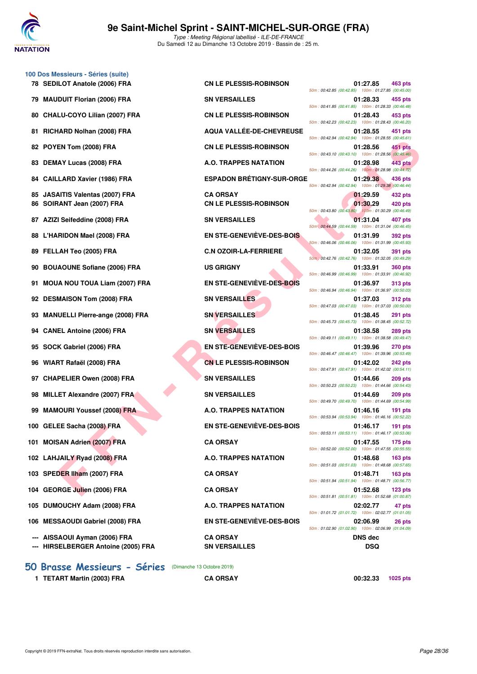

**100 Dos Messieurs - Séries (suite)**

Type : Meeting Régional labellisé - ILE-DE-FRANCE Du Samedi 12 au Dimanche 13 Octobre 2019 - Bassin de : 25 m.

|                                    |                                  | 50m: 00:42.85 (00:42.85) 100m: 01:27.85 (00:45.00   |                 |                    |
|------------------------------------|----------------------------------|-----------------------------------------------------|-----------------|--------------------|
| 79 MAUDUIT Florian (2006) FRA      | <b>SN VERSAILLES</b>             | 50m: 00:41.85 (00:41.85) 100m: 01:28.33 (00:46.48)  | 01:28.33        | 455 pts            |
| 80 CHALU-COYO Lilian (2007) FRA    | <b>CN LE PLESSIS-ROBINSON</b>    | 50m: 00:42.23 (00:42.23) 100m: 01:28.43 (00:46.20   | 01:28.43        | 453 pts            |
| 81 RICHARD Nolhan (2008) FRA       | AQUA VALLÉE-DE-CHEVREUSE         | 50m: 00:42.94 (00:42.94) 100m: 01:28.55 (00:45.61   | 01:28.55        | 451 pts            |
| 82 POYEN Tom (2008) FRA            | <b>CN LE PLESSIS-ROBINSON</b>    | 50m: 00:43.10 (00:43.10) 100m: 01:28.56 (00:45.46)  | 01:28.56        | 451 pts            |
| 83 DEMAY Lucas (2008) FRA          | A.O. TRAPPES NATATION            | 50m: 00:44.26 (00:44.26) 100m: 01:28.98 (00:44.72   | 01:28.98        | 443 pts            |
| 84 CAILLARD Xavier (1986) FRA      | <b>ESPADON BRÉTIGNY-SUR-ORGE</b> | 50m: 00:42.94 (00:42.94) 100m: 01:29.38 (00:46.44   | 01:29.38        | 436 pts            |
| 85 JASAITIS Valentas (2007) FRA    | <b>CA ORSAY</b>                  |                                                     | 01:29.59        | 432 pts            |
| 86 SOIRANT Jean (2007) FRA         | <b>CN LE PLESSIS-ROBINSON</b>    | 50m: 00:43.80 (00:43.80) 100m: 01:30.29 (00:46.49   | 01:30.29        | 420 pts            |
| 87 AZIZI Seifeddine (2008) FRA     | <b>SN VERSAILLES</b>             | 50m : 00:44.59 (00:44.59) 100m : 01:31.04 (00:46.45 | 01:31.04        | 407 pts            |
| 88 L'HARIDON Mael (2008) FRA       | EN STE-GENEVIÈVE-DES-BOIS        | 50m: 00:46.06 (00:46.06) 100m: 01:31.99 (00:45.93)  | 01:31.99        | 392 pts            |
| 89 FELLAH Teo (2005) FRA           | <b>C.N OZOIR-LA-FERRIERE</b>     | 50m : 00:42.76 (00:42.76) 100m : 01:32.05 (00:49.29 | 01:32.05        | 391 pts            |
| 90 BOUAOUNE Sofiane (2006) FRA     | <b>US GRIGNY</b>                 | 50m: 00:46.99 (00:46.99) 100m: 01:33.91 (00:46.92)  | 01:33.91        | <b>360 pts</b>     |
| 91 MOUA NOU TOUA Liam (2007) FRA   | EN STE-GENEVIÈVE-DES-BOIS        | 50m: 00:46.94 (00:46.94) 100m: 01:36.97 (00:50.03   | 01:36.97        | <b>313 pts</b>     |
| 92 DESMAISON Tom (2008) FRA        | <b>SN VERSAILLES</b>             | 50m: 00:47.03 (00:47.03) 100m: 01:37.03 (00:50.00   | 01:37.03        | <b>312 pts</b>     |
| 93 MANUELLI Pierre-ange (2008) FRA | <b>SN VERSAILLES</b>             | 50m: 00:45.73 (00:45.73) 100m: 01:38.45 (00:52.72)  | 01:38.45        | 291 pts            |
| 94 CANEL Antoine (2006) FRA        | <b>SN VERSAILLES</b>             | 50m: 00:49.11 (00:49.11) 100m: 01:38.58 (00:49.47   | 01:38.58        | 289 pts            |
| 95 SOCK Gabriel (2006) FRA         | EN STE-GENEVIEVE-DES-BOIS        | 50m: 00:46.47 (00:46.47) 100m: 01:39.96 (00:53.49   | 01:39.96        | <b>270 pts</b>     |
| 96 WIART Rafaël (2008) FRA         | <b>CN LE PLESSIS-ROBINSON</b>    | 50m: 00:47.91 (00:47.91) 100m: 01:42.02 (00:54.11   | 01:42.02        | 242 pts            |
| 97 CHAPELIER Owen (2008) FRA       | <b>SN VERSAILLES</b>             | 50m: 00:50.23 (00:50.23) 100m: 01:44.66 (00:54.43)  | 01:44.66        | <b>209 pts</b>     |
| 98 MILLET Alexandre (2007) FRA     | <b>SN VERSAILLES</b>             | 50m: 00:49.70 (00:49.70) 100m: 01:44.69 (00:54.99   | 01:44.69        | <b>209 pts</b>     |
| 99 MAMOURI Youssef (2008) FRA      | A.O. TRAPPES NATATION            | 50m: 00:53.94 (00:53.94) 100m: 01:46.16 (00:52.22)  | 01:46.16        | 191 pts            |
| 100 GELEE Sacha (2008) FRA         | <b>EN STE-GENEVIÈVE-DES-BOIS</b> | 50m: 00:53.11 (00:53.11) 100m: 01:46.17 (00:53.06)  | 01:46.17        | 191 pts            |
| 101 MOISAN Adrien (2007) FRA       | <b>CA ORSAY</b>                  | 50m: 00:52.00 (00:52.00) 100m: 01:47.55 (00:55.55)  | 01:47.55        | 175 pts            |
| 102 LAHJAILY Ryad (2008) FRA       | A.O. TRAPPES NATATION            | 50m: 00:51.03 (00:51.03) 100m: 01:48.68 (00:57.65   | 01:48.68        | <b>163 pts</b>     |
| 103 SPEDER Ilham (2007) FRA        | <b>CA ORSAY</b>                  | 50m: 00:51.94 (00:51.94) 100m: 01:48.71 (00:56.77   | 01:48.71        | <b>163 pts</b>     |
| 104 GEORGE Julien (2006) FRA       | <b>CA ORSAY</b>                  | 50m: 00:51.81 (00:51.81) 100m: 01:52.68 (01:00.87   | 01:52.68        | 123 <sub>pts</sub> |
| 105 DUMOUCHY Adam (2008) FRA       | A.O. TRAPPES NATATION            | 50m: 01:01.72 (01:01.72) 100m: 02:02.77 (01:01.05   | 02:02.77        | 47 pts             |
| 106 MESSAOUDI Gabriel (2008) FRA   | <b>EN STE-GENEVIÈVE-DES-BOIS</b> | 50m: 01:02.90 (01:02.90) 100m: 02:06.99 (01:04.09   | 02:06.99        | 26 pts             |
|                                    | $A$ $A$ $B$ $A$ $M$              |                                                     | <b>DAIO JAN</b> |                    |

**--- HIRSELBERGER Antoine (2005) FRA SN VERSAILLES DSQ**

**[50 Brasse Messieurs - Séries](http://www.ffnatation.fr/webffn/resultats.php?idact=nat&go=epr&idcpt=62045&idepr=71)** (Dimanche 13 Octobre 2019)

**1 TETART Martin (2003) FRA CA ORSAY 00:32.33 1025 pts**

EN Tom (2006) FRA CN LE PLESSIS-ROBINSON<br>
TAY Lucces (2006) FRA AC. TRAPPES NATATION<br>
LARD Xaviet (1860) FRA CA ORSAY (1879) CONFIDENTION<br>
LARD Xaviet (1860) FRA CN LE PLESSIS-ROBINSON<br>
IS SHEMING (2007) FRA CN LE PLESSIS-**78 SEDILOT Anatole (2006) FRA CN LE PLESSIS-ROBINSON 01:27.85 463 pts** 50m : 00:42.85 (00:42.85) 100m : 01:27.85 (00:45.00) **79 Mau DUIT FRA SN VERSAILLES 61:28.33 455 pts** 50m : 00:41.85 (00:41.85) 100m : 01:28.33 (00:46.48) **80 CN LE PLESSIS-ROBINSON 01:28.43** 453 pts 50m : 00:42.23 (00:42.23) 100m : 01:28.43 (00:46.20) **81 AQUA VALLÉE-DE-CHEVREUSE** 01:28.55 451 pts 50m : 00:42.94 (00:42.94) 100m : 01:28.55 (00:45.61) **82 CN LE PLESSIS-ROBINSON** 01:28.56 **451 pts** 50m : 00:43.10 (00:43.10) 100m : 01:28.56 (00:45.46) **83 DEMAY Lucas (2008) FRA A.O. TRAPPES NATATION 01:28.98 443 pts** 50m : 00:44.26 (00:44.26) 100m : 01:28.98 (00:44.72) **83 CAILLARY CAILLARD XAVIER CAILLARY FRA ESPADON BRÉTIGNY-SUR-ORGE 01:29.38** 436 pts 50m : 00:42.94 (00:42.94) 100m : 01:29.38 (00:46.44) **86 CN LE PLESSIS-ROBINSON 61:30.29 420 pts** 50m : 00:43.80 (00:43.80) 100m : 01:30.29 (00:46.49) **87 AZIZIES 67 AZIZI SN VERSAILLES 67:31.04 407 pts** 50m : 00:44.59 (00:44.59) 100m : 01:31.04 (00:46.45) **88 LEW STE-GENEVIÈVE-DES-BOIS 61:31.99 392 pts** 50m : 00:46.06 (00:46.06) 100m : 01:31.99 (00:45.93) **891 pts 891 pts 891 pts 891 pts 891 pts** 50m : 00:42.76 (00:42.76) 100m : 01:32.05 (00:49.29) 50m : 00:46.99 (00:46.99) 100m : 01:33.91 (00:46.92) **91 STE-GENEVIÈVE-DES-BOIS 01:36.97** 313 pts 50m : 00:46.94 (00:46.94) 100m : 01:36.97 (00:50.03) **92 DESMILLES** 01:37.03 312 pts 50m : 00:47.03 (00:47.03) 100m : 01:37.03 (00:50.00) **93 Manuel Pierre-anders (20138.45 PM)** FRA SN VERSAILLES 50m : 00:45.73 (00:45.73) 100m : 01:38.45 (00:52.72) **94 CANEL Antoine (2006) FRA SN VERSAILLES 01:38.58 289 pts** 50m : 00:49.11 (00:49.11) 100m : 01:38.58 (00:49.47) **91:39.96 PDE-GENEVIÈVE-DES-BOIS CONSTRANT ON STE-GENEVIÈVE-DES-BOIS** 50m : 00:46.47 (00:46.47) 100m : 01:39.96 (00:53.49) **91:42.02 CN LE PLESSIS-ROBINSON** 01:42.02 **242 pts** 50m : 00:47.91 (00:47.91) 100m : 01:42.02 (00:54.11) **97 CHAPELIER ON VERSAILLES** 01:44.66 **209 pts** 50m : 00:50.23 (00:50.23) 100m : 01:44.66 (00:54.43) **98 MILLET Alexandre (2008) FRA SN VERSAILLES 01:44.69 209 pts** 50m : 00:49.70 (00:49.70) 100m : 01:44.69 (00:54.99) **99 MADOURI MAMOURI A.O. TRAPPES NATATION 01:46.16 191 pts** 50m : 00:53.94 (00:53.94) 100m : 01:46.16 (00:52.22) **100 GENET STE-GENEVIÈVE-DES-BOIS 61:46.17 191 pts** 50m : 00:53.11 (00:53.11) 100m : 01:46.17 (00:53.06) 50m : 00:52.00 (00:52.00) 100m : 01:47.55 (00:55.55) **102 LAHJAILY Ryad (2008) FRA A.O. TRAPPES NATATION 01:48.68 163 pts** 50m : 00:51.03 (00:51.03) 100m : 01:48.68 (00:57.65) 50m : 00:51.94 (00:51.94) 100m : 01:48.71 (00:56.77) **104 GEORGE Julien (2006) FRA CA ORSAY 01:52.68 123 pts** 50m : 00:51.81 (00:51.81) 100m : 01:52.68 (01:00.87) **105 DUMOUCHY Adam (2008) FRA A.O. TRAPPES NATATION 02:02.77 47 pts** 50m : 01:01.72 (01:01.72) 100m : 02:02.77 (01:01.05) **106 MESS EN STE-GENEVIÈVE-DES-BOIS 62:06.99 26 pts** 50m : 01:02.90 (01:02.90) 100m : 02:06.99 (01:04.09) **--- AISSAOUI Ayman (2006) FRA CA ORSAY DNS dec**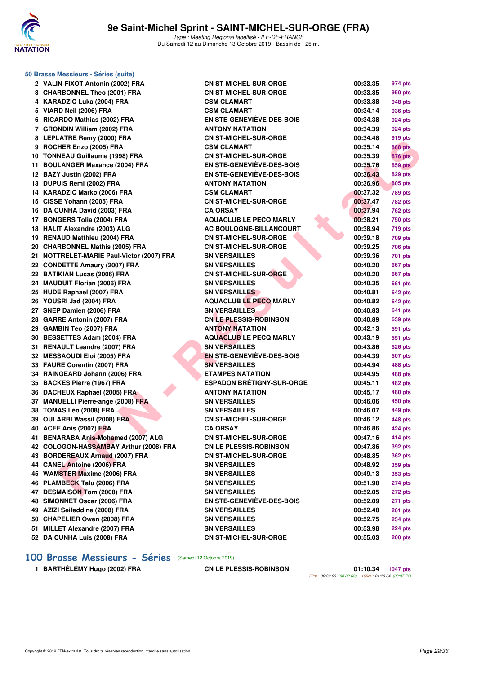

| 50 Brasse Messieurs - Séries (suite)      |                                  |          |                |  |  |
|-------------------------------------------|----------------------------------|----------|----------------|--|--|
| 2 VALIN-FIXOT Antonin (2002) FRA          | <b>CN ST-MICHEL-SUR-ORGE</b>     | 00:33.35 | 974 pts        |  |  |
| 3 CHARBONNEL Theo (2001) FRA              | <b>CN ST-MICHEL-SUR-ORGE</b>     | 00:33.85 | 950 pts        |  |  |
| 4 KARADZIC Luka (2004) FRA                | <b>CSM CLAMART</b>               | 00:33.88 | 948 pts        |  |  |
| 5 VIARD Neil (2006) FRA                   | <b>CSM CLAMART</b>               | 00:34.14 | 936 pts        |  |  |
| 6 RICARDO Mathias (2002) FRA              | EN STE-GENEVIEVE-DES-BOIS        | 00:34.38 | 924 pts        |  |  |
| 7 GRONDIN William (2002) FRA              | <b>ANTONY NATATION</b>           | 00:34.39 | 924 pts        |  |  |
| 8 LEPLATRE Remy (2000) FRA                | <b>CN ST-MICHEL-SUR-ORGE</b>     | 00:34.48 | 919 pts        |  |  |
| 9 ROCHER Enzo (2005) FRA                  | <b>CSM CLAMART</b>               | 00:35.14 | <b>888 pts</b> |  |  |
| 10 TONNEAU Guillaume (1998) FRA           | <b>CN ST-MICHEL-SUR-ORGE</b>     | 00:35.39 | <b>876 pts</b> |  |  |
| 11 BOULANGER Maxance (2004) FRA           | EN STE-GENEVIEVE-DES-BOIS        | 00:35.76 | <b>859 pts</b> |  |  |
| 12 BAZY Justin (2002) FRA                 | EN STE-GENEVIEVE-DES-BOIS        | 00:36.43 | 829 pts        |  |  |
| 13 DUPUIS Remi (2002) FRA                 | <b>ANTONY NATATION</b>           | 00:36.96 | 805 pts        |  |  |
| 14 KARADZIC Marko (2006) FRA              | <b>CSM CLAMART</b>               | 00:37.32 | <b>789 pts</b> |  |  |
| 15 CISSE Yohann (2005) FRA                | <b>CN ST-MICHEL-SUR-ORGE</b>     | 00:37.47 | <b>782 pts</b> |  |  |
| 16 DA CUNHA David (2003) FRA              | <b>CA ORSAY</b>                  | 00:37.94 | <b>762 pts</b> |  |  |
| 17 BONGERS Tolia (2004) FRA               | <b>AQUACLUB LE PECQ MARLY</b>    | 00:38.21 | <b>750 pts</b> |  |  |
| 18 HALIT Alexandre (2003) ALG             | <b>AC BOULOGNE-BILLANCOURT</b>   | 00:38.94 | <b>719 pts</b> |  |  |
| 19 RENAUD Matthieu (2004) FRA             | <b>CN ST-MICHEL-SUR-ORGE</b>     | 00:39.18 | <b>709 pts</b> |  |  |
| 20 CHARBONNEL Mathis (2005) FRA           | <b>CN ST-MICHEL-SUR-ORGE</b>     | 00:39.25 | <b>706 pts</b> |  |  |
| 21 NOTTRELET-MARIE Paul-Victor (2007) FRA | <b>SN VERSAILLES</b>             | 00:39.36 | 701 pts        |  |  |
| 22 CONDETTE Amaury (2007) FRA             | <b>SN VERSAILLES</b>             | 00:40.20 | <b>667 pts</b> |  |  |
| 22 BATIKIAN Lucas (2006) FRA              | <b>CN ST-MICHEL-SUR-ORGE</b>     | 00:40.20 | <b>667 pts</b> |  |  |
| 24 MAUDUIT Florian (2006) FRA             | <b>SN VERSAILLES</b>             | 00:40.35 | <b>661 pts</b> |  |  |
| 25 HUDE Raphael (2007) FRA                | <b>SN VERSAILLES</b>             | 00:40.81 | <b>642 pts</b> |  |  |
| 26 YOUSRI Jad (2004) FRA                  | <b>AQUACLUB LE PECQ MARLY</b>    | 00:40.82 | <b>642 pts</b> |  |  |
| 27 SNEP Damien (2006) FRA                 | <b>SN VERSAILLES</b>             | 00:40.83 | 641 pts        |  |  |
| 28 GARRE Antonin (2007) FRA               | <b>CN LE PLESSIS-ROBINSON</b>    | 00:40.89 | 639 pts        |  |  |
| 29 GAMBIN Teo (2007) FRA                  | <b>ANTONY NATATION</b>           | 00:42.13 | <b>591 pts</b> |  |  |
| 30 BESSETTES Adam (2004) FRA              | <b>AQUACLUB LE PECQ MARLY</b>    | 00:43.19 | 551 pts        |  |  |
| 31 RENAULT Leandre (2007) FRA             | <b>SN VERSAILLES</b>             | 00:43.86 | <b>526 pts</b> |  |  |
| 32 MESSAOUDI Eloi (2005) FRA              | <b>EN STE-GENEVIEVE-DES-BOIS</b> | 00:44.39 | <b>507 pts</b> |  |  |
| 33 FAURE Corentin (2007) FRA              | <b>SN VERSAILLES</b>             | 00:44.94 | 488 pts        |  |  |
| 34 RAINGEARD Johann (2006) FRA            | <b>ETAMPES NATATION</b>          | 00:44.95 | 488 pts        |  |  |
| 35 BACKES Pierre (1967) FRA               | <b>ESPADON BRÉTIGNY-SUR-ORGE</b> | 00:45.11 | <b>482 pts</b> |  |  |
| 36 DACHEUX Raphael (2005) FRA             | <b>ANTONY NATATION</b>           | 00:45.17 | 480 pts        |  |  |
| 37 MANUELLI Pierre-ange (2008) FRA        | <b>SN VERSAILLES</b>             | 00:46.06 | 450 pts        |  |  |
| 38 TOMAS Léo (2008) FRA                   | <b>SN VERSAILLES</b>             | 00:46.07 | 449 pts        |  |  |
| 39 OULARBI Wassil (2008) FRA              | <b>CN ST-MICHEL-SUR-ORGE</b>     | 00:46.12 | 448 pts        |  |  |
| 40 ACEF Anis (2007) FRA                   | <b>CA ORSAY</b>                  | 00:46.86 | 424 pts        |  |  |
| 41 BENARABA Anis-Mohamed (2007) ALG       | <b>CN ST-MICHEL-SUR-ORGE</b>     | 00:47.16 | 414 pts        |  |  |
| 42 COLOGON-HASSAMBAY Arthur (2008) FRA    | <b>CN LE PLESSIS-ROBINSON</b>    | 00:47.86 | <b>392 pts</b> |  |  |
| 43 BORDEREAUX Arnaud (2007) FRA           | <b>CN ST-MICHEL-SUR-ORGE</b>     | 00:48.85 | <b>362 pts</b> |  |  |
| 44 CANEL Antoine (2006) FRA               | <b>SN VERSAILLES</b>             | 00:48.92 | 359 pts        |  |  |
| 45 WAMSTER Maxime (2006) FRA              | <b>SN VERSAILLES</b>             | 00:49.13 | 353 pts        |  |  |
| 46 PLAMBECK Talu (2006) FRA               | <b>SN VERSAILLES</b>             | 00:51.98 | <b>274 pts</b> |  |  |
| 47 DESMAISON Tom (2008) FRA               | <b>SN VERSAILLES</b>             | 00:52.05 | 272 pts        |  |  |
| 48 SIMONNET Oscar (2006) FRA              | EN STE-GENEVIEVE-DES-BOIS        | 00:52.09 | 271 pts        |  |  |
| 49 AZIZI Seifeddine (2008) FRA            | <b>SN VERSAILLES</b>             | 00:52.48 | <b>261 pts</b> |  |  |
| 50 CHAPELIER Owen (2008) FRA              | <b>SN VERSAILLES</b>             | 00:52.75 | <b>254 pts</b> |  |  |
| 51 MILLET Alexandre (2007) FRA            | <b>SN VERSAILLES</b>             | 00:53.98 | 224 pts        |  |  |
| 52 DA CUNHA Luis (2008) FRA               | <b>CN ST-MICHEL-SUR-ORGE</b>     | 00:55.03 | 200 pts        |  |  |

## **[100 Brasse Messieurs - Séries](http://www.ffnatation.fr/webffn/resultats.php?idact=nat&go=epr&idcpt=62045&idepr=72)** (Samedi 12 Octobre 2019)

**1 BARTHÉLÉMY Hugo (2002) FRA CN LE PLESSIS-ROBINSON 01:10.34 1047 pts**

50m : 00:32.63 (00:32.63) 100m : 01:10.34 (00:37.71)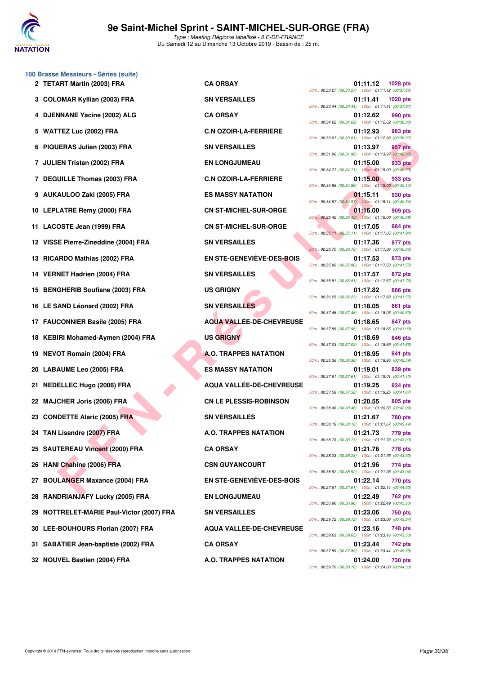

|    | 100 Brasse Messieurs - Séries (suite)<br>2 TETART Martin (2003) FRA | <b>CA ORSAY</b>                  | 01:11.12<br>1028 pts                                                              |
|----|---------------------------------------------------------------------|----------------------------------|-----------------------------------------------------------------------------------|
| 3  | <b>COLOMAR Kyllian (2003) FRA</b>                                   | <b>SN VERSAILLES</b>             | 50m: 00:33.27 (00:33.27) 100m: 01:11.12 (00:37.85)<br>01:11.41<br><b>1020 pts</b> |
|    | 4 DJENNANE Yacine (2002) ALG                                        | <b>CA ORSAY</b>                  | 50m: 00:33.44 (00:33.44) 100m: 01:11.41 (00:37.97)<br>01:12.62<br>990 pts         |
| 5  | <b>WATTEZ Luc (2002) FRA</b>                                        | <b>C.N OZOIR-LA-FERRIERE</b>     | 50m: 00:34.62 (00:34.62) 100m: 01:12.62 (00:38.00)<br>01:12.93<br>983 pts         |
|    |                                                                     | <b>SN VERSAILLES</b>             | 50m: 00:33.61 (00:33.61) 100m: 01:12.93 (00:39.32)                                |
|    | 6 PIQUERAS Julien (2003) FRA                                        |                                  | 01:13.97<br>957 pts<br>50m: 00:31.90 (00:31.90) 100m: 01:13.97 (00:42.07)         |
|    | 7 JULIEN Tristan (2002) FRA                                         | <b>EN LONGJUMEAU</b>             | 933 pts<br>01:15.00<br>50m: 00:34.71 (00:34.71) 100m: 01:15.00 (00:40.29)         |
|    | 7 DEGUILLE Thomas (2003) FRA                                        | <b>C.N OZOIR-LA-FERRIERE</b>     | 01:15.00<br>933 pts<br>50m: 00:34.86 (00:34.86) 100m: 01:15.00 (00:40.14)         |
| 9  | AUKAULOO Zaki (2005) FRA                                            | <b>ES MASSY NATATION</b>         | 01:15.11<br>930 pts<br>50m: 00:34.57 (00:34.57) 100m: 01:15.11 (00:40.54)         |
|    | 10 LEPLATRE Remy (2000) FRA                                         | <b>CN ST-MICHEL-SUR-ORGE</b>     | 01:16.00<br>909 pts<br>50m: 00:35.42 (00:35.42) 100m: 01:16.00 (00:40.58)         |
| 11 | LACOSTE Jean (1999) FRA                                             | <b>CN ST-MICHEL-SUR-ORGE</b>     | 01:17.05<br>884 pts<br>50m: 00:35.11 (00:35.11) 100m: 01:17.05 (00:41.94)         |
| 12 | VISSE Pierre-Zineddine (2004) FRA                                   | <b>SN VERSAILLES</b>             | 01:17.36<br>877 pts<br>50m: 00:36.70 (00:36.70) 100m: 01:17.36 (00:40.66)         |
|    | 13 RICARDO Mathias (2002) FRA                                       | <b>EN STE-GENEVIÈVE-DES-BOIS</b> | 01:17.53<br>873 pts<br>50m: 00:35.96 (00:35.96) 100m: 01:17.53 (00:41.57)         |
|    | 14 VERNET Hadrien (2004) FRA                                        | <b>SN VERSAILLES</b>             | 01:17.57<br>872 pts<br>50m: 00:35.81 (00:35.81) 100m: 01:17.57 (00:41.76)         |
|    | 15 BENGHERIB Soufiane (2003) FRA                                    | <b>US GRIGNY</b>                 | 01:17.82<br>866 pts<br>50m: 00:36.25 (00:36.25) 100m: 01:17.82 (00:41.57)         |
|    | 16 LE SAND Léonard (2002) FRA                                       | <b>SN VERSAILLES</b>             | 01:18.05<br>861 pts<br>50m: 00:37.46 (00:37.46) 100m: 01:18.05 (00:40.59)         |
|    | 17 FAUCONNIER Basile (2005) FRA                                     | <b>AQUA VALLÉE-DE-CHEVREUSE</b>  | 01:18.65<br>847 pts<br>50m: 00:37.56 (00:37.56) 100m: 01:18.65 (00:41.09)         |
| 18 | KEBIRI Mohamed-Aymen (2004) FRA                                     | <b>US GRIGNY</b>                 | 01:18.69<br>846 pts<br>50m: 00:37.03 (00:37.03) 100m: 01:18.69 (00:41.66)         |
| 19 | <b>NEVOT Romain (2004) FRA</b>                                      | <b>A.O. TRAPPES NATATION</b>     | 01:18.95<br>841 pts<br>50m: 00:36.36 (00:36.36) 100m: 01:18.95 (00:42.59)         |
| 20 | LABAUME Leo (2005) FRA                                              | <b>ES MASSY NATATION</b>         | 01:19.01<br>839 pts                                                               |
| 21 | <b>NEDELLEC Hugo (2006) FRA</b>                                     | AQUA VALLÉE-DE-CHEVREUSE         | 50m: 00:37.61 (00:37.61) 100m: 01:19.01 (00:41.40)<br>01:19.25<br>834 pts         |
|    | 22 MAJCHER Joris (2006) FRA                                         | <b>CN LE PLESSIS-ROBINSON</b>    | 50m: 00:37.58 (00:37.58) 100m: 01:19.25 (00:41.67)<br>01:20.55<br>805 pts         |
|    | 23 CONDETTE Alaric (2005) FRA                                       | <b>SN VERSAILLES</b>             | 50m: 00:38.46 (00:38.46) 100m: 01:20.55 (00:42.09)<br>01:21.67<br>780 pts         |
|    | 24 TAN Lisandre (2007) FRA                                          | <b>A.O. TRAPPES NATATION</b>     | 50m: 00:38.18 (00:38.18) 100m: 01:21.67 (00:43.49)<br>01:21.73<br>779 pts         |
|    | 25 SAUTEREAU Vincent (2000) FRA                                     | <b>CA ORSAY</b>                  | 50m: 00:38.73 (00:38.73) 100m: 01:21.73 (00:43.00)<br>01:21.76<br>778 pts         |
|    | 26 HANI Chahine (2006) FRA                                          | <b>CSN GUYANCOURT</b>            | 50m: 00:38.23 (00:38.23) 100m: 01:21.76 (00:43.53)<br>01:21.96<br>774 pts         |
| 27 | <b>BOULANGER Maxance (2004) FRA</b>                                 | <b>EN STE-GENEVIÈVE-DES-BOIS</b> | 50m: 00:38.92 (00:38.92) 100m: 01:21.96 (00:43.04)<br>01:22.14<br>770 pts         |
| 28 | <b>RANDRIANJAFY Lucky (2005) FRA</b>                                | <b>EN LONGJUMEAU</b>             | 50m: 00:37.61 (00:37.61) 100m: 01:22.14 (00:44.53)<br>01:22.49<br>762 pts         |
| 29 | NOTTRELET-MARIE Paul-Victor (2007) FRA                              | <b>SN VERSAILLES</b>             | 50m: 00:36.96 (00:36.96) 100m: 01:22.49 (00:45.53)<br>01:23.06<br><b>750 pts</b>  |
|    | 30 LEE-BOUHOURS Florian (2007) FRA                                  | <b>AQUA VALLEE-DE-CHEVREUSE</b>  | 50m: 00:39.72 (00:39.72) 100m: 01:23.06 (00:43.34)<br>01:23.16<br>748 pts         |
|    | 31 SABATIER Jean-baptiste (2002) FRA                                | <b>CA ORSAY</b>                  | 50m: 00:39.63 (00:39.63) 100m: 01:23.16 (00:43.53)<br>01:23.44<br>742 pts         |
|    |                                                                     |                                  | 50m: 00:37.89 (00:37.89) 100m: 01:23.44 (00:45.55)                                |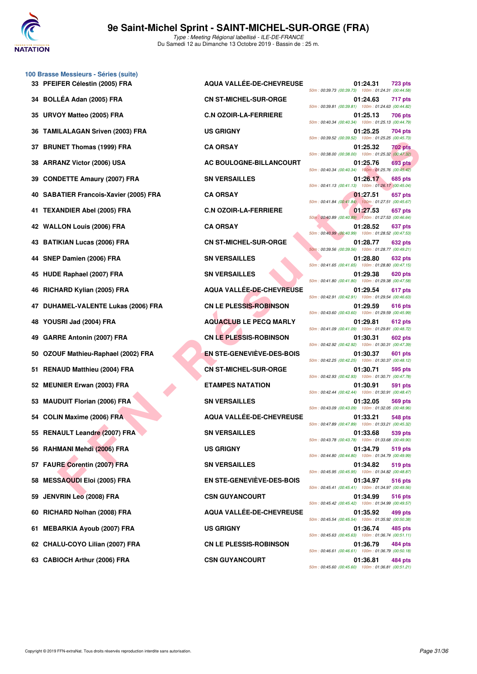

| 100 Brasse Messieurs - Séries (suite)  |                                  |                                                                                                        |          |                |
|----------------------------------------|----------------------------------|--------------------------------------------------------------------------------------------------------|----------|----------------|
| 33 PFEIFER Célestin (2005) FRA         | <b>AQUA VALLÉE-DE-CHEVREUSE</b>  | 50m: 00:39.73 (00:39.73) 100m: 01:24.31 (00:44.58                                                      | 01:24.31 | 723 pts        |
| 34 BOLLÉA Adan (2005) FRA              | <b>CN ST-MICHEL-SUR-ORGE</b>     | 50m: 00:39.81 (00:39.81) 100m: 01:24.63 (00:44.82)                                                     | 01:24.63 | 717 pts        |
| 35 URVOY Matteo (2005) FRA             | <b>C.N OZOIR-LA-FERRIERE</b>     | 50m: 00:40.34 (00:40.34) 100m: 01:25.13 (00:44.79                                                      | 01:25.13 | <b>706 pts</b> |
| 36 TAMILALAGAN Sriven (2003) FRA       | <b>US GRIGNY</b>                 | 50m: 00:39.52 (00:39.52) 100m: 01:25.25 (00:45.73)                                                     | 01:25.25 | 704 pts        |
| 37 BRUNET Thomas (1999) FRA            | <b>CA ORSAY</b>                  | 50m: 00:38.00 (00:38.00) 100m: 01:25.32 (00:47.32                                                      | 01:25.32 | 702 pts        |
| 38 ARRANZ Victor (2006) USA            | AC BOULOGNE-BILLANCOURT          | 50m: 00:40.34 (00:40.34) 100m: 01:25.76 (00:45.42)                                                     | 01:25.76 | 693 pts        |
| 39 CONDETTE Amaury (2007) FRA          | <b>SN VERSAILLES</b>             | 50m: 00:41.13 (00:41.13) 100m: 01:26.17 (00:45.04)                                                     | 01:26.17 | 685 pts        |
| 40 SABATIER Francois-Xavier (2005) FRA | <b>CA ORSAY</b>                  | 50m: 00:41.84 (00:41.84) 100m: 01:27.51 (00:45.67)                                                     | 01:27.51 | 657 pts        |
| 41 TEXANDIER Abel (2005) FRA           | <b>C.N OZOIR-LA-FERRIERE</b>     | 50m : 00:40.89 (00:40.89) 100m : 01:27.53 (00:46.64                                                    | 01:27.53 | 657 pts        |
| 42 WALLON Louis (2006) FRA             | <b>CA ORSAY</b>                  |                                                                                                        | 01:28.52 | 637 pts        |
| 43 BATIKIAN Lucas (2006) FRA           | <b>CN ST-MICHEL-SUR-ORGE</b>     | 50m: 00:40.99 (00:40.99) 100m: 01:28.52 (00:47.53<br>50m: 00:39.56 (00:39.56) 100m: 01:28.77 (00:49.21 | 01:28.77 | 632 pts        |
| 44 SNEP Damien (2006) FRA              | <b>SN VERSAILLES</b>             |                                                                                                        | 01:28.80 | 632 pts        |
| 45 HUDE Raphael (2007) FRA             | <b>SN VERSAILLES</b>             | 50m: 00:41.65 (00:41.65) 100m: 01:28.80 (00:47.15                                                      | 01:29.38 | 620 pts        |
| 46 RICHARD Kylian (2005) FRA           | <b>AQUA VALLÉE-DE-CHEVREUSE</b>  | 50m: 00:41.80 (00:41.80) 100m: 01:29.38 (00:47.58                                                      | 01:29.54 | 617 pts        |
| 47 DUHAMEL-VALENTE Lukas (2006) FRA    | <b>CN LE PLESSIS-ROBINSON</b>    | 50m: 00:42.91 (00:42.91) 100m: 01:29.54 (00:46.63                                                      | 01:29.59 | 616 pts        |
| 48 YOUSRI Jad (2004) FRA               | <b>AQUACLUB LE PECQ MARLY</b>    | 50m: 00:43.60 (00:43.60) 100m: 01:29.59 (00:45.99                                                      | 01:29.81 | 612 pts        |
| 49 GARRE Antonin (2007) FRA            | <b>CN LE PLESSIS-ROBINSON</b>    | 50m: 00:41.09 (00:41.09) 100m: 01:29.81 (00:48.72)                                                     | 01:30.31 | 602 pts        |
| 50 OZOUF Mathieu-Raphael (2002) FRA    | <b>EN STE-GENEVIÈVE-DES-BOIS</b> | 50m: 00:42.92 (00:42.92) 100m: 01:30.31 (00:47.39                                                      | 01:30.37 | 601 pts        |
| 51 RENAUD Matthieu (2004) FRA          | <b>CN ST-MICHEL-SUR-ORGE</b>     | 50m: 00:42.25 (00:42.25) 100m: 01:30.37 (00:48.12)                                                     | 01:30.71 | 595 pts        |
| 52 MEUNIER Erwan (2003) FRA            | <b>ETAMPES NATATION</b>          | 50m: 00:42.93 (00:42.93) 100m: 01:30.71 (00:47.78)                                                     | 01:30.91 | 591 pts        |
| 53 MAUDUIT Florian (2006) FRA          | <b>SN VERSAILLES</b>             | 50m: 00:42.44 (00:42.44) 100m: 01:30.91 (00:48.47)                                                     | 01:32.05 | 569 pts        |
| 54 COLIN Maxime (2006) FRA             | <b>AQUA VALLÉE-DE-CHEVREUSE</b>  | 50m: 00:43.09 (00:43.09) 100m: 01:32.05 (00:48.96                                                      | 01:33.21 | 548 pts        |
| 55 RENAULT Leandre (2007) FRA          | <b>SN VERSAILLES</b>             | 50m: 00:47.89 (00:47.89) 100m: 01:33.21 (00:45.32)                                                     | 01:33.68 | 539 pts        |
| 56 RAHMANI Mehdi (2006) FRA            | <b>US GRIGNY</b>                 | 50m: 00:43.78 (00:43.78) 100m: 01:33.68 (00:49.90                                                      | 01:34.79 | 519 pts        |
| 57 FAURE Corentin (2007) FRA           | <b>SN VERSAILLES</b>             | 50m: 00:44.80 (00:44.80) 100m: 01:34.79 (00:49.99                                                      | 01:34.82 | 519 pts        |
| 58 MESSAOUDI Eloi (2005) FRA           | <b>EN STE-GENEVIÈVE-DES-BOIS</b> | 50m: 00:45.95 (00:45.95) 100m: 01:34.82 (00:48.87                                                      | 01:34.97 | 516 pts        |
| 59 JENVRIN Leo (2008) FRA              | <b>CSN GUYANCOURT</b>            | 50m: 00:45.41 (00:45.41) 100m: 01:34.97 (00:49.56                                                      | 01:34.99 | 516 pts        |
| 60 RICHARD Nolhan (2008) FRA           | AQUA VALLÉE-DE-CHEVREUSE         | 50m: 00:45.42 (00:45.42) 100m: 01:34.99 (00:49.57                                                      | 01:35.92 | 499 pts        |
| 61 MEBARKIA Ayoub (2007) FRA           | <b>US GRIGNY</b>                 | 50m: 00:45.54 (00:45.54) 100m: 01:35.92 (00:50.38                                                      | 01:36.74 | 485 pts        |
| 62 CHALU-COYO Lilian (2007) FRA        | <b>CN LE PLESSIS-ROBINSON</b>    | 50m: 00:45.63 (00:45.63) 100m: 01:36.74 (00:51.11)                                                     | 01:36.79 | 484 pts        |
| 63 CABIOCH Arthur (2006) FRA           | <b>CSN GUYANCOURT</b>            | 50m: 00:46.61 (00:46.61) 100m: 01:36.79 (00:50.18                                                      | 01:36.81 | 484 pts        |

Copyright © 2019 FFN-extraNat. Tous droits réservés reproduction interdite sans autorisation. 
<br>
Copyright © 2019 FFN-extraNat. Tous droits réservés reproduction interdite sans autorisation.

| <b>AQUA VALLEE-DE-CHEVREUSE</b>  | 01:24.31<br><b>723 pts</b>                                                                                                                                                                      |
|----------------------------------|-------------------------------------------------------------------------------------------------------------------------------------------------------------------------------------------------|
| <b>CN ST-MICHEL-SUR-ORGE</b>     | 50m: 00:39.73 (00:39.73) 100m: 01:24.31 (00:44.58)<br>01:24.63<br>717 pts                                                                                                                       |
| <b>C.N OZOIR-LA-FERRIERE</b>     | 50m: 00:39.81 (00:39.81) 100m: 01:24.63 (00:44.82)<br>01:25.13<br>706 pts                                                                                                                       |
| <b>US GRIGNY</b>                 | 50m: 00:40.34 (00:40.34) 100m: 01:25.13 (00:44.79)<br>01:25.25<br>704 pts                                                                                                                       |
| <b>CA ORSAY</b>                  | 50m: 00:39.52 (00:39.52) 100m: 01:25.25 (00:45.73)<br>01:25.32<br>702 pts                                                                                                                       |
| AC BOULOGNE-BILLANCOURT          | 50m: 00:38.00 (00:38.00) 100m: 01:25.32 (00:47.32)<br><b>693 pts</b><br>01:25.76                                                                                                                |
| <b>SN VERSAILLES</b>             | 50m: 00:40.34 (00:40.34) 100m: 01:25.76 (00:45.42)<br>01:26.17<br>685 pts                                                                                                                       |
| <b>CA ORSAY</b>                  | 50m: 00:41.13 (00:41.13) 100m: 01:26.17 (00:45.04)<br>01:27.51<br>657 pts                                                                                                                       |
| <b>C.N OZOIR-LA-FERRIERE</b>     | 50m: 00:41.84 (00:41.84) 100m: 01:27.51 (00:45.67)<br>01:27.53<br>657 pts                                                                                                                       |
| <b>CA ORSAY</b>                  | 50m: 00:40.89 (00:40.89) 100m: 01:27.53 (00:46.64)<br>01:28.52<br>637 pts                                                                                                                       |
| <b>CN ST-MICHEL-SUR-ORGE</b>     | 50m: 00:40.99 (00:40.99) 100m: 01:28.52 (00:47.53)<br>01:28.77<br>632 pts                                                                                                                       |
| <b>SN VERSAILLES</b>             | 50m: 00:39.56 (00:39.56) 100m: 01:28.77 (00:49.21)<br>01:28.80<br><b>632 pts</b>                                                                                                                |
| <b>SN VERSAILLES</b>             | 50m: 00:41.65 (00:41.65) 100m: 01:28.80 (00:47.15)<br>01:29.38<br>620 pts                                                                                                                       |
|                                  | 50m: 00:41.80 (00:41.80) 100m: 01:29.38 (00:47.58)<br>01:29.54<br>617 pts                                                                                                                       |
|                                  | 50m: 00:42.91 (00:42.91) 100m: 01:29.54 (00:46.63)<br>01:29.59<br>616 pts                                                                                                                       |
|                                  | 50m: 00:43.60 (00:43.60) 100m: 01:29.59 (00:45.99)<br>01:29.81<br>612 pts                                                                                                                       |
|                                  | 50m: 00:41.09 (00:41.09) 100m: 01:29.81 (00:48.72)                                                                                                                                              |
|                                  | 01:30.31<br>602 pts<br>50m: 00:42.92 (00:42.92) 100m: 01:30.31 (00:47.39)                                                                                                                       |
|                                  | 01:30.37<br>601 pts<br>50m: 00:42.25 (00:42.25) 100m: 01:30.37 (00:48.12)                                                                                                                       |
| <b>CN ST-MICHEL-SUR-ORGE</b>     | 01:30.71<br>595 pts<br>50m: 00:42.93 (00:42.93) 100m: 01:30.71 (00:47.78)                                                                                                                       |
| <b>ETAMPES NATATION</b>          | 01:30.91<br>591 pts<br>50m: 00:42.44 (00:42.44) 100m: 01:30.91 (00:48.47)                                                                                                                       |
| <b>SN VERSAILLES</b>             | 01:32.05<br>569 pts<br>50m: 00:43.09 (00:43.09) 100m: 01:32.05 (00:48.96)                                                                                                                       |
| AQUA VALLÉE-DE-CHEVREUSE         | 01:33.21<br>548 pts<br>50m: 00:47.89 (00:47.89) 100m: 01:33.21 (00:45.32)                                                                                                                       |
| <b>SN VERSAILLES</b>             | 01:33.68<br>539 pts<br>50m: 00:43.78 (00:43.78) 100m: 01:33.68 (00:49.90)                                                                                                                       |
| <b>US GRIGNY</b>                 | 01:34.79<br>519 pts                                                                                                                                                                             |
| <b>SN VERSAILLES</b>             | 50m: 00:44.80 (00:44.80) 100m: 01:34.79 (00:49.99)<br>01:34.82<br>519 pts                                                                                                                       |
| <b>EN STE-GENEVIEVE-DES-BOIS</b> | 50m: 00:45.95 (00:45.95) 100m: 01:34.82 (00:48.87)<br>01:34.97<br>516 pts                                                                                                                       |
| <b>CSN GUYANCOURT</b>            | 50m: 00:45.41 (00:45.41) 100m: 01:34.97 (00:49.56)<br>01:34.99<br>516 pts                                                                                                                       |
| AQUA VALLÉE-DE-CHEVREUSE         | 50m: 00:45.42 (00:45.42) 100m: 01:34.99 (00:49.57)<br>01:35.92<br>499 pts                                                                                                                       |
| <b>US GRIGNY</b>                 | 50m: 00:45.54 (00:45.54) 100m: 01:35.92 (00:50.38)<br>01:36.74<br>485 pts                                                                                                                       |
| <b>CN LE PLESSIS-ROBINSON</b>    | 50m: 00:45.63 (00:45.63) 100m: 01:36.74 (00:51.11)<br>01:36.79<br>484 pts                                                                                                                       |
|                                  | 50m: 00:46.61 (00:46.61) 100m: 01:36.79 (00:50.18)<br>01:36.81<br>484 pts                                                                                                                       |
|                                  | <b>AQUA VALLEE-DE-CHEVREUSE</b><br><b>CN LE PLESSIS-ROBINSON</b><br><b>AQUACLUB LE PECQ MARLY</b><br><b>CN LE PLESSIS-ROBINSON</b><br><b>EN STE-GENEVIÈVE-DES-BOIS</b><br><b>CSN GUYANCOURT</b> |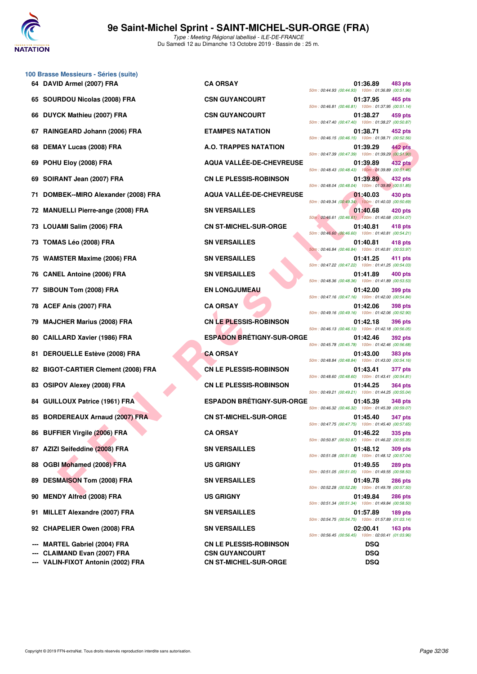

**100 Brasse Messieurs - Séries (suite)**

Type : Meeting Régional labellisé - ILE-DE-FRANCE Du Samedi 12 au Dimanche 13 Octobre 2019 - Bassin de : 25 m.

|     | 64 DAVID Armel (2007) FRA               | <b>CA ORSAY</b>                  | 01:36.89<br><b>483 pts</b><br>50m: 00:44.93 (00:44.93) 100m: 01:36.89 (00:51.96)                                                |
|-----|-----------------------------------------|----------------------------------|---------------------------------------------------------------------------------------------------------------------------------|
|     | 65 SOURDOU Nicolas (2008) FRA           | <b>CSN GUYANCOURT</b>            | 01:37.95<br>465 pts<br>50m: 00:46.81 (00:46.81) 100m: 01:37.95 (00:51.14)                                                       |
|     | 66 DUYCK Mathieu (2007) FRA             | <b>CSN GUYANCOURT</b>            | 01:38.27<br>459 pts<br>50m: 00:47.40 (00:47.40) 100m: 01:38.27 (00:50.87)                                                       |
| 67  | RAINGEARD Johann (2006) FRA             | <b>ETAMPES NATATION</b>          | 01:38.71<br>452 pts<br>50m: 00:46.15 (00:46.15) 100m: 01:38.71 (00:52.56)                                                       |
| 68. | DEMAY Lucas (2008) FRA                  | A.O. TRAPPES NATATION            | 442 pts<br>01:39.29                                                                                                             |
|     | 69 POHU Eloy (2008) FRA                 | <b>AQUA VALLÉE-DE-CHEVREUSE</b>  | 50m: 00:47.39 (00:47.39) 100m: 01:39.29 (00:51.90)<br>01:39.89<br>432 pts<br>50m: 00:48.43 (00:48.43) 100m: 01:39.89 (00:51.46) |
|     | 69 SOIRANT Jean (2007) FRA              | <b>CN LE PLESSIS-ROBINSON</b>    | 01:39.89<br>432 pts<br>50m: 00:48.04 (00:48.04) 100m: 01:39.89 (00:51.85)                                                       |
| 71. | DOMBEK--MIRO Alexander (2008) FRA       | AQUA VALLÉE-DE-CHEVREUSE         | 01:40.03<br>430 pts<br>50m: 00:49.34 (00:49.34) 100m: 01:40.03 (00:50.69)                                                       |
|     | 72 MANUELLI Pierre-ange (2008) FRA      | <b>SN VERSAILLES</b>             | 01:40.68<br>420 pts<br>50m: 00:46.61 (00:46.61) 100m: 01:40.68 (00:54.07)                                                       |
|     | 73 LOUAMI Salim (2006) FRA              | <b>CN ST-MICHEL-SUR-ORGE</b>     | 01:40.81<br>418 pts<br>50m: 00:46.60 (00:46.60) 100m: 01:40.81 (00:54.21)                                                       |
|     | 73 TOMAS Léo (2008) FRA                 | <b>SN VERSAILLES</b>             | 01:40.81<br>418 pts<br>50m: 00:46.84 (00:46.84) 100m: 01:40.81 (00:53.97)                                                       |
|     | 75 WAMSTER Maxime (2006) FRA            | <b>SN VERSAILLES</b>             | 01:41.25<br>411 pts<br>50m: 00:47.22 (00:47.22) 100m: 01:41.25 (00:54.03)                                                       |
|     | 76 CANEL Antoine (2006) FRA             | <b>SN VERSAILLES</b>             | 01:41.89<br>400 pts<br>50m: 00:48.36 (00:48.36) 100m: 01:41.89 (00:53.53)                                                       |
|     | 77 SIBOUN Tom (2008) FRA                | <b>EN LONGJUMEAU</b>             | 01:42.00<br>399 pts<br>50m: 00:47.16 (00:47.16) 100m: 01:42.00 (00:54.84)                                                       |
|     | 78 ACEF Anis (2007) FRA                 | <b>CA ORSAY</b>                  | 01:42.06<br><b>398 pts</b><br>50m: 00:49.16 (00:49.16) 100m: 01:42.06 (00:52.90)                                                |
|     | 79 MAJCHER Marius (2008) FRA            | <b>CN LE PLESSIS-ROBINSON</b>    | 01:42.18<br><b>396 pts</b><br>50m: 00:46.13 (00:46.13) 100m: 01:42.18 (00:56.05)                                                |
|     | 80 CAILLARD Xavier (1986) FRA           | <b>ESPADON BRÉTIGNY-SUR-ORGE</b> | 01:42.46<br><b>392 pts</b><br>50m: 00:45.78 (00:45.78) 100m: 01:42.46 (00:56.68)                                                |
|     | 81 DEROUELLE Estève (2008) FRA          | <b>CA ORSAY</b>                  | 01:43.00<br>383 pts<br>50m: 00:48.84 (00:48.84) 100m: 01:43.00 (00:54.16)                                                       |
| 82  | <b>BIGOT-CARTIER Clement (2008) FRA</b> | <b>CN LE PLESSIS-ROBINSON</b>    | 01:43.41<br>377 pts<br>50m: 00:48.60 (00:48.60) 100m: 01:43.41 (00:54.81)                                                       |
|     | 83 OSIPOV Alexey (2008) FRA             | <b>CN LE PLESSIS-ROBINSON</b>    | 01:44.25<br><b>364 pts</b><br>50m: 00:49.21 (00:49.21) 100m: 01:44.25 (00:55.04)                                                |
|     | 84 GUILLOUX Patrice (1961) FRA          | <b>ESPADON BRÉTIGNY-SUR-ORGE</b> | 01:45.39<br><b>348 pts</b><br>50m: 00:46.32 (00:46.32) 100m: 01:45.39 (00:59.07)                                                |
|     | 85 BORDEREAUX Arnaud (2007) FRA         | <b>CN ST-MICHEL-SUR-ORGE</b>     | 01:45.40<br><b>347 pts</b><br>50m: 00:47.75 (00:47.75) 100m: 01:45.40 (00:57.65)                                                |
|     | 86 BUFFIER Virgile (2006) FRA           | <b>CA ORSAY</b>                  | 01:46.22<br>335 pts<br>50m: 00:50.87 (00:50.87) 100m: 01:46.22 (00:55.35)                                                       |
|     | 87 AZIZI Seifeddine (2008) FRA          | <b>SN VERSAILLES</b>             | 01:48.12<br><b>309 pts</b><br>50m: 00:51.08 (00:51.08) 100m: 01:48.12 (00:57.04)                                                |
|     | 88 OGBI Mohamed (2008) FRA              | <b>US GRIGNY</b>                 | 01:49.55<br><b>289 pts</b><br>50m: 00:51.05 (00:51.05) 100m: 01:49.55 (00:58.50)                                                |
| 89  | <b>DESMAISON Tom (2008) FRA</b>         | <b>SN VERSAILLES</b>             | 01:49.78<br><b>286 pts</b><br>50m: 00:52.28 (00:52.28) 100m: 01:49.78 (00:57.50)                                                |
| 90  | <b>MENDY Alfred (2008) FRA</b>          | <b>US GRIGNY</b>                 | 01:49.84<br><b>286 pts</b><br>50m: 00:51.34 (00:51.34) 100m: 01:49.84 (00:58.50)                                                |
| 91. | <b>MILLET Alexandre (2007) FRA</b>      | <b>SN VERSAILLES</b>             | 01:57.89<br>189 pts<br>50m: 00:54.75 (00:54.75) 100m: 01:57.89 (01:03.14)                                                       |
|     | 92 CHAPELIER Owen (2008) FRA            | <b>SN VERSAILLES</b>             | 02:00.41<br><b>163 pts</b><br>50m: 00:56.45 (00:56.45) 100m: 02:00.41 (01:03.96)                                                |
|     | --- MARTEL Gabriel (2004) FRA           | <b>CN LE PLESSIS-ROBINSON</b>    | <b>DSQ</b>                                                                                                                      |
|     | $-$ CLAIMAND Fyan (2007) FRA            | <b>CSN GUYANCOURT</b>            | <b>DSQ</b>                                                                                                                      |

**--- VALIN-FIXOT Antonin (2002) FRA CN ST-MICHEL-SUR-ORGE DSQ**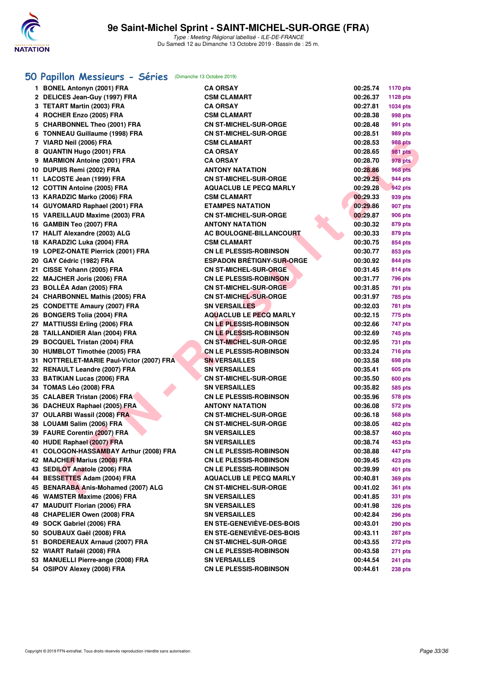

# **[50 Papillon Messieurs - Séries](http://www.ffnatation.fr/webffn/resultats.php?idact=nat&go=epr&idcpt=62045&idepr=81)** (Dimanche 13 Octobre 2019)

| 1 BONEL Antonyn (2001) FRA                | <b>CA ORSAY</b>                  | 00:25.74 | <b>1170 pts</b> |
|-------------------------------------------|----------------------------------|----------|-----------------|
| 2 DELICES Jean-Guy (1997) FRA             | <b>CSM CLAMART</b>               | 00:26.37 | 1128 pts        |
| 3 TETART Martin (2003) FRA                | <b>CA ORSAY</b>                  | 00:27.81 | 1034 pts        |
| 4 ROCHER Enzo (2005) FRA                  | <b>CSM CLAMART</b>               | 00:28.38 | 998 pts         |
| 5 CHARBONNEL Theo (2001) FRA              | <b>CN ST-MICHEL-SUR-ORGE</b>     | 00:28.48 | 991 pts         |
| 6 TONNEAU Guillaume (1998) FRA            | <b>CN ST-MICHEL-SUR-ORGE</b>     | 00:28.51 | 989 pts         |
| 7 VIARD Neil (2006) FRA                   | <b>CSM CLAMART</b>               | 00:28.53 | 988 pts         |
| 8 QUANTIN Hugo (2001) FRA                 | <b>CA ORSAY</b>                  | 00:28.65 | <b>981 pts</b>  |
| 9 MARMION Antoine (2001) FRA              | <b>CA ORSAY</b>                  | 00:28.70 | 978 pts         |
| 10 DUPUIS Remi (2002) FRA                 | <b>ANTONY NATATION</b>           | 00:28.86 | <b>968 pts</b>  |
| 11 LACOSTE Jean (1999) FRA                | <b>CN ST-MICHEL-SUR-ORGE</b>     | 00:29.25 | 944 pts         |
| 12 COTTIN Antoine (2005) FRA              | <b>AQUACLUB LE PECQ MARLY</b>    | 00:29.28 | 942 pts         |
| 13 KARADZIC Marko (2006) FRA              | <b>CSM CLAMART</b>               | 00:29.33 | 939 pts         |
| 14 GUYOMARD Raphael (2001) FRA            | <b>ETAMPES NATATION</b>          | 00:29.86 | 907 pts         |
| 15 VAREILLAUD Maxime (2003) FRA           | <b>CN ST-MICHEL-SUR-ORGE</b>     | 00:29.87 | 906 pts         |
| 16 GAMBIN Teo (2007) FRA                  | <b>ANTONY NATATION</b>           | 00:30.32 | 879 pts         |
| 17 HALIT Alexandre (2003) ALG             | <b>AC BOULOGNE-BILLANCOURT</b>   | 00:30.33 | 879 pts         |
| 18 KARADZIC Luka (2004) FRA               | <b>CSM CLAMART</b>               | 00:30.75 | 854 pts         |
| 19 LOPEZ-ONATE Pierrick (2001) FRA        | <b>CN LE PLESSIS-ROBINSON</b>    | 00:30.77 | 853 pts         |
| 20 GAY Cédric (1982) FRA                  | <b>ESPADON BRÉTIGNY-SUR-ORGE</b> | 00:30.92 | 844 pts         |
| 21 CISSE Yohann (2005) FRA                | <b>CN ST-MICHEL-SUR-ORGE</b>     | 00:31.45 | 814 pts         |
| 22 MAJCHER Joris (2006) FRA               | <b>CN LE PLESSIS-ROBINSON</b>    | 00:31.77 | 796 pts         |
| 23 BOLLÉA Adan (2005) FRA                 | <b>CN ST-MICHEL-SUR-ORGE</b>     | 00:31.85 | 791 pts         |
| 24 CHARBONNEL Mathis (2005) FRA           | <b>CN ST-MICHEL-SUR-ORGE</b>     | 00:31.97 | 785 pts         |
| 25 CONDETTE Amaury (2007) FRA             | <b>SN VERSAILLES</b>             | 00:32.03 | 781 pts         |
| 26 BONGERS Tolia (2004) FRA               | <b>AQUACLUB LE PECQ MARLY</b>    | 00:32.15 | 775 pts         |
| 27 MATTIUSSI Erling (2006) FRA            | <b>CN LE PLESSIS-ROBINSON</b>    | 00:32.66 | 747 pts         |
| 28 TAILLANDIER Alan (2004) FRA            | <b>CN LE PLESSIS-ROBINSON</b>    | 00:32.69 | 745 pts         |
| 29 BOCQUEL Tristan (2004) FRA             | <b>CN ST-MICHEL-SUR-ORGE</b>     | 00:32.95 | 731 pts         |
| 30 HUMBLOT Timothée (2005) FRA            | <b>CN LE PLESSIS-ROBINSON</b>    | 00:33.24 | 716 pts         |
| 31 NOTTRELET-MARIE Paul-Victor (2007) FRA | <b>SN VERSAILLES</b>             | 00:33.58 | 698 pts         |
| 32 RENAULT Leandre (2007) FRA             | <b>SN VERSAILLES</b>             | 00:35.41 | 605 pts         |
| 33 BATIKIAN Lucas (2006) FRA              | <b>CN ST-MICHEL-SUR-ORGE</b>     | 00:35.50 | 600 pts         |
| 34 TOMAS Léo (2008) FRA                   | <b>SN VERSAILLES</b>             | 00:35.82 | 585 pts         |
| 35 CALABER Tristan (2006) FRA             | <b>CN LE PLESSIS-ROBINSON</b>    | 00:35.96 | <b>578 pts</b>  |
| 36 DACHEUX Raphael (2005) FRA             | <b>ANTONY NATATION</b>           | 00:36.08 | <b>572 pts</b>  |
| 37 OULARBI Wassil (2008) FRA              | <b>CN ST-MICHEL-SUR-ORGE</b>     | 00:36.18 | 568 pts         |
| 38 LOUAMI Salim (2006) FRA                | <b>CN ST-MICHEL-SUR-ORGE</b>     | 00:38.05 | 482 pts         |
| 39 FAURE Corentin (2007) FRA              | <b>SN VERSAILLES</b>             | 00:38.57 | 460 pts         |
| 40 HUDE Raphael (2007) FRA                | <b>SN VERSAILLES</b>             | 00:38.74 | 453 pts         |
| 41 COLOGON-HASSAMBAY Arthur (2008) FRA    | <b>CN LE PLESSIS-ROBINSON</b>    | 00:38.88 | 447 pts         |
| 42 MAJCHER Marius (2008) FRA              | <b>CN LE PLESSIS-ROBINSON</b>    | 00:39.45 | 423 pts         |
| 43 SEDILOT Anatole (2006) FRA             | <b>CN LE PLESSIS-ROBINSON</b>    | 00:39.99 | 401 pts         |
| 44 BESSETTES Adam (2004) FRA              | <b>AQUACLUB LE PECQ MARLY</b>    |          |                 |
| 45 BENARABA Anis-Mohamed (2007) ALG       |                                  | 00:40.81 | 369 pts         |
|                                           | <b>CN ST-MICHEL-SUR-ORGE</b>     | 00:41.02 | 361 pts         |
| 46 WAMSTER Maxime (2006) FRA              | <b>SN VERSAILLES</b>             | 00:41.85 | 331 pts         |
| 47 MAUDUIT Florian (2006) FRA             | <b>SN VERSAILLES</b>             | 00:41.98 | 326 pts         |
| 48 CHAPELIER Owen (2008) FRA              | <b>SN VERSAILLES</b>             | 00:42.84 | <b>296 pts</b>  |
| 49 SOCK Gabriel (2006) FRA                | <b>EN STE-GENEVIÈVE-DES-BOIS</b> | 00:43.01 | <b>290 pts</b>  |
| 50 SOUBAUX Gaël (2008) FRA                | EN STE-GENEVIÈVE-DES-BOIS        | 00:43.11 | 287 pts         |
| 51 BORDEREAUX Arnaud (2007) FRA           | <b>CN ST-MICHEL-SUR-ORGE</b>     | 00:43.55 | 272 pts         |
| 52 WIART Rafaël (2008) FRA                | <b>CN LE PLESSIS-ROBINSON</b>    | 00:43.58 | 271 pts         |
| 53 MANUELLI Pierre-ange (2008) FRA        | <b>SN VERSAILLES</b>             | 00:44.54 | 241 pts         |
| 54 OSIPOV Alexey (2008) FRA               | <b>CN LE PLESSIS-ROBINSON</b>    | 00:44.61 | 238 pts         |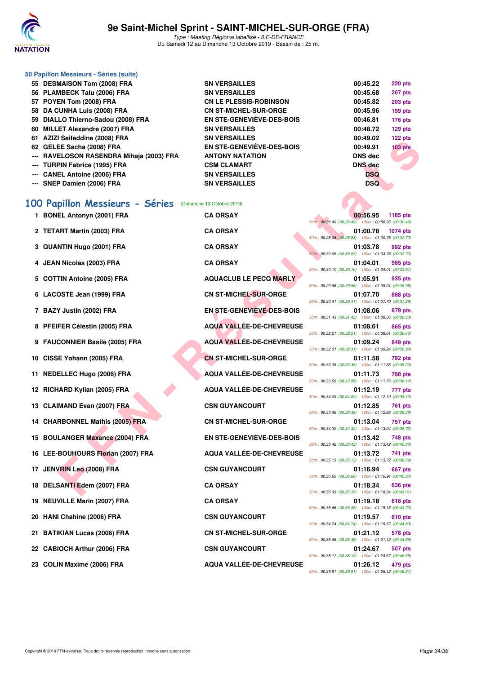

# **9e Saint-Michel Sprint - SAINT-MICHEL-SUR-ORGE (FRA)**

Type : Meeting Régional labellisé - ILE-DE-FRANCE Du Samedi 12 au Dimanche 13 Octobre 2019 - Bassin de : 25 m.

| 50 Papillon Messieurs - Séries (suite)                     |                                              |                                                                                   |
|------------------------------------------------------------|----------------------------------------------|-----------------------------------------------------------------------------------|
| 55 DESMAISON Tom (2008) FRA<br>56 PLAMBECK Talu (2006) FRA | <b>SN VERSAILLES</b><br><b>SN VERSAILLES</b> | 00:45.22<br><b>220 pts</b><br>00:45.68<br>207 pts                                 |
| 57 POYEN Tom (2008) FRA                                    | <b>CN LE PLESSIS-ROBINSON</b>                | 00:45.82<br><b>203 pts</b>                                                        |
| 58 DA CUNHA Luis (2008) FRA                                | <b>CN ST-MICHEL-SUR-ORGE</b>                 | 00:45.96<br>199 pts                                                               |
| 59 DIALLO Thierno-Sadou (2008) FRA                         | <b>EN STE-GENEVIEVE-DES-BOIS</b>             | 00:46.81<br><b>176 pts</b>                                                        |
| 60 MILLET Alexandre (2007) FRA                             | <b>SN VERSAILLES</b>                         | 00:48.72<br>$129$ pts                                                             |
| 61 AZIZI Seifeddine (2008) FRA                             | <b>SN VERSAILLES</b>                         | 00:49.02<br>122 pts                                                               |
| 62 GELEE Sacha (2008) FRA                                  | <b>EN STE-GENEVIÈVE-DES-BOIS</b>             | <b>103 pts</b><br>00:49.91                                                        |
| RAVELOSON RASENDRA Mihaja (2003) FRA                       | <b>ANTONY NATATION</b>                       | <b>DNS dec</b>                                                                    |
| <b>TURPIN Fabrice (1995) FRA</b>                           | <b>CSM CLAMART</b>                           | <b>DNS</b> dec                                                                    |
| <b>CANEL Antoine (2006) FRA</b>                            | <b>SN VERSAILLES</b>                         | DSQ                                                                               |
| --- SNEP Damien (2006) FRA                                 | <b>SN VERSAILLES</b>                         | <b>DSQ</b>                                                                        |
| 100 Papillon Messieurs - Séries                            | (Dimanche 13 Octobre 2019)                   |                                                                                   |
| 1 BONEL Antonyn (2001) FRA                                 | <b>CA ORSAY</b>                              | 00:56.95<br>1185 pts                                                              |
|                                                            |                                              | 50m: 00:26.49 (00:26.49) 100m: 00:56.95 (00:30.46)                                |
| 2 TETART Martin (2003) FRA                                 | <b>CA ORSAY</b>                              | 01:00.78<br><b>1074 pts</b><br>50m: 00:28.08 (00:28.08) 100m: 01:00.78 (00:32.70) |
| 3 QUANTIN Hugo (2001) FRA                                  | <b>CA ORSAY</b>                              | 01:03.78<br>992 pts                                                               |
|                                                            |                                              | 50m: 00:30.05 (00:30.05) 100m: 01:03.78 (00:33.73)                                |
| 4 JEAN Nicolas (2003) FRA                                  | <b>CA ORSAY</b>                              | 01:04.01<br>985 pts                                                               |
| 5 COTTIN Antoine (2005) FRA                                | <b>AQUACLUB LE PECQ MARLY</b>                | 50m: 00:30.10 (00:30.10) 100m: 01:04.01 (00:33.91)<br>01:05.91                    |
|                                                            |                                              | 935 pts<br>50m: 00:29.96 (00:29.96) 100m: 01:05.91 (00:35.95)                     |
| 6 LACOSTE Jean (1999) FRA                                  | <b>CN ST-MICHEL-SUR-ORGE</b>                 | 01:07.70<br>888 pts                                                               |
|                                                            |                                              | 50m: 00:30.41 (00:30.41) 100m: 01:07.70 (00:37.29)                                |
| 7 BAZY Justin (2002) FRA                                   | EN STE-GENEVIÈVE-DES-BOIS                    | 01:08.06<br>879 pts<br>50m: 00:31.43 (00:31.43) 100m: 01:08.06 (00:36.63)         |
| 8 PFEIFER Célestin (2005) FRA                              | <b>AQUA VALLÉE-DE-CHEVREUSE</b>              | 01:08.61<br>865 pts                                                               |
|                                                            |                                              | 50m: 00:32.21 (00:32.21) 100m: 01:08.61 (00:36.40)                                |
| 9 FAUCONNIER Basile (2005) FRA                             | <b>AQUA VALLÉE-DE-CHEVREUSE</b>              | 01:09.24<br>849 pts                                                               |
| 10 CISSE Yohann (2005) FRA                                 | <b>CN ST-MICHEL-SUR-ORGE</b>                 | 50m: 00:32.31 (00:32.31) 100m: 01:09.24 (00:36.93)<br>01:11.58<br>792 pts         |
|                                                            |                                              | 50m: 00:33.35 (00:33.35) 100m: 01:11.58 (00:38.23)                                |
| 11 NEDELLEC Hugo (2006) FRA                                | AQUA VALLÉE-DE-CHEVREUSE                     | 01:11.73<br><b>788 pts</b>                                                        |
|                                                            |                                              | 50m: 00:33.59 (00:33.59) 100m: 01:11.73 (00:38.14)                                |
| 12 RICHARD Kylian (2005) FRA                               | <b>AQUA VALLÉE-DE-CHEVREUSE</b>              | 01:12.19<br>777 pts<br>50m: 00:34.09 (00:34.09) 100m: 01:12.19 (00:38.10)         |
| 13 CLAIMAND Evan (2007) FRA                                | <b>CSN GUYANCOURT</b>                        | 01:12.85<br>761 pts                                                               |
|                                                            |                                              | 50m: 00:33.46 (00:33.46) 100m: 01:12.85 (00:39.39)                                |
| 14 CHARBONNEL Mathis (2005) FRA                            | <b>CN ST-MICHEL-SUR-ORGE</b>                 | 01:13.04<br>757 pts                                                               |
|                                                            | <b>EN STE-GENEVIÈVE-DES-BOIS</b>             | 50m: 00:34.32 (00:34.32) 100m: 01:13.04 (00:38.72)                                |
| 15 BOULANGER Maxance (2004) FRA                            |                                              | 01:13.42<br>748 pts<br>50m: 00:33.42 (00:33.42) 100m: 01:13.42 (00:40.00)         |
| 16 LEE-BOUHOURS Florian (2007) FRA                         | AQUA VALLÉE-DE-CHEVREUSE                     | 01:13.72<br>741 pts                                                               |
|                                                            |                                              | 50m: 00:35.13 (00:35.13) 100m: 01:13.72 (00:38.59)                                |
| 17 JENVRIN Leo (2008) FRA                                  | <b>CSN GUYANCOURT</b>                        | 01:16.94<br>667 pts<br>50m: 00:36.60 (00:36.60) 100m: 01:16.94 (00:40.34)         |
| 18 DELSANTI Edem (2007) FRA                                | <b>CA ORSAY</b>                              | 01:18.34<br>636 pts                                                               |
|                                                            |                                              | 50m: 00:35.33 (00:35.33) 100m: 01:18.34 (00:43.01)                                |
| 19 NEUVILLE Marin (2007) FRA                               | <b>CA ORSAY</b>                              | 01:19.18<br><b>618 pts</b>                                                        |
|                                                            |                                              | 50m: 00:35.45 (00:35.45) 100m: 01:19.18 (00:43.73)                                |
| 20 HANI Chahine (2006) FRA                                 | <b>CSN GUYANCOURT</b>                        | 01:19.57<br>610 pts<br>50m: 00:34.74 (00:34.74) 100m: 01:19.57 (00:44.83)         |
| 21 BATIKIAN Lucas (2006) FRA                               | <b>CN ST-MICHEL-SUR-ORGE</b>                 | 01:21.12<br>578 pts                                                               |
|                                                            |                                              | 50m: 00:36.46 (00:36.46) 100m: 01:21.12 (00:44.66)                                |
| 22 CABIOCH Arthur (2006) FRA                               | <b>CSN GUYANCOURT</b>                        | 01:24.67<br>507 pts                                                               |
|                                                            |                                              | 50m: 00:38.12 (00:38.12) 100m: 01:24.67 (00:46.55)                                |

23 COLIN Maxime (2006) FRA AQUA VALLÉE-DE-CHEVREUSE 01:26.12 479 pts

50m : 00:39.91 (00:39.91) 100m : 01:26.12 (00:46.21)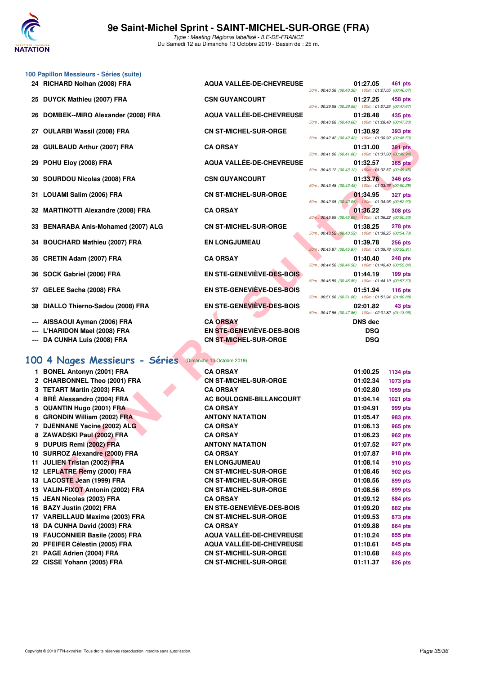

|  |  | 100 Papillon Messieurs - Séries (suite) |  |  |
|--|--|-----------------------------------------|--|--|
|--|--|-----------------------------------------|--|--|

- 
- 
- 
- 
- 
- 
- 
- 
- 
- **33 BENARABA Anis-Mohamed (2007) ALG CN ST-MICHEL-SUR-ORGE 01:38.25 278 pts**
- 
- 
- 
- 
- 
- 
- 
- 

## **[100 4 Nages Messieurs - Séries](http://www.ffnatation.fr/webffn/resultats.php?idact=nat&go=epr&idcpt=62045&idepr=90)** (Dimanche 13 Octobre 2019)

- **1 BONEL Antonyn (2001) FRA** 2 CHARBONNEL Theo (2001) FRA **3 TETART Martin (2003) FRA CA ORSAY 01:02.80 1059 pts 4 BRÉ Alessandro (2004) FRA 5 QUANTIN Hugo (2001) FRA 6 GRONDIN William (2002) FRA 7 DJENNANE Yacine (2002) ALG 8 ZAWADSKI Paul (2002) FRA 9 DUPUIS Remi (2002) FRA 10 SURROZ Alexandre (2000) FRA 11 JULIEN Tristan (2002) FRA 12 LEPLATRE Remy (2000) FRA 13 LACOSTE Jean (1999) FRA** 13 VALIN-FIXOT Antonin (2002) FRA **15 JEAN Nicolas (2003) FRA 16 BAZY Justin (2002) FRA 17 VAREILLAUD Maxime (2003) FRA 18 DA CUNHA David (2003) FRA 19 FAUCONNIER Basile (2005) FRA** 20 PFEIFER Célestin (2005) FRA 21 PAGE Adrien (2004) FRA 22 CISSE Yohann (2005) FRA
- **24 RICHARD Nolhan (2008) FRA AQUA VALLÉE-DE-CHEVREUSE 01:27.05 461 pts** 50m : 00:40.38 (00:40.38) 100m : 01:27.05 (00:46.67) **25 DUYCK Mathieu (2007) FRA CSN GUYANCOURT 01:27.25 458 pts** 50m : 00:39.58 (00:39.58) 100m : 01:27.25 (00:47.67) 26 DOMBEK--MIRO Alexander (2008) FRA AQUA VALLÉE-DE-CHEVREUSE 01:28.48 435 pts 50m : 00:40.68 (00:40.68) 100m : 01:28.48 (00:47.80) **27 OULARBI Wassil (2008) FRA CN ST-MICHEL-SUR-ORGE 01:30.92 393 pts** 50m : 00:42.42 (00:42.42) 100m : 01:30.92 (00:48.50) **28 GUILBAUD Arthur (2007) FRA CA ORSAY 01:31.00 391 pts** 50m : 00:41.06 (00:41.06) 100m : 01:31.00 (00:49.94) **29 POHU Eloy (2008) FRA AQUA VALLÉE-DE-CHEVREUSE 01:32.57 365 pts** 50m : 00:43.12 (00:43.12) 100m : 01:32.57 (00:49.45) **30 SOURDOU Nicolas (2008) FRA CSN GUYANCOURT 01:33.76 346 pts** 50m : 00:43.48 (00:43.48) 100m : 01:33.76 (00:50.28) **31 LOUAMI Salim (2006) FRA CN ST-MICHEL-SUR-ORGE 01:34.95 327 pts** 50m : 00:42.05 (00:42.05) 100m : 01:34.95 (00:52.90) **32 MARTINOTTI Alexandre (2008) FRA CA ORSAY 01:36.22 308 pts** 50m : 00:45.69 (00:45.69) 100m : 01:36.22 (00:50.53) 50m : 00:43.52 (00:43.52) 100m : 01:38.25 (00:54.73) **34 BOUCHARD Mathieu (2007) FRA EN LONGJUMEAU 01:39.78 256 pts** 50m : 00:45.87 (00:45.87) 100m : 01:39.78 (00:53.91) **35 CRETIN Adam (2007) FRA CA ORSAY 01:40.40 248 pts** 50m : 00:44.56 (00:44.56) 100m : 01:40.40 (00:55.84) **36 SOCK Gabriel (2006) FRA EN STE-GENEVIÈVE-DES-BOIS 01:44.19 199 pts** 50m : 00:46.89 (00:46.89) 100m : 01:44.19 (00:57.30) **37 GELEE Sacha (2008) FRA EN STE-GENEVIÈVE-DES-BOIS 01:51.94 116 pts** 50m : 00:51.06 (00:51.06) 100m : 01:51.94 (01:00.88) **38 DIALLO Thierno-Sadou (2008) FRA EN STE-GENEVIÈVE-DES-BOIS 02:01.82 43 pts** 50m : 00:47.86 (00:47.86) 100m : 02:01.82 (01:13.96) **--- AISSAOUI Ayman (2006) FRA CA ORSAY DNS dec --- L'HARIDON Mael (2008) FRA EN STE-GENEVIÈVE-DES-BOIS DSQ --- DA CUNHA Luis (2008) FRA CN ST-MICHEL-SUR-ORGE DSQ**

|                                                                              |                                  | $0.46.9011.00.42.42.00.42.42$ $0.0011.00.02.00.40.00$                                                                                  |
|------------------------------------------------------------------------------|----------------------------------|----------------------------------------------------------------------------------------------------------------------------------------|
| BAUD Arthur (2007) FRA.                                                      | <b>CA ORSAY</b>                  | 01:31.00<br><b>391 pts</b><br>50m: 00:41.06 (00:41.06) 100m: 01:31.00 (00:49.94)                                                       |
| <b>U Eloy (2008) FRA</b>                                                     | <b>AQUA VALLÉE-DE-CHEVREUSE</b>  | 01:32.57<br>365 pts                                                                                                                    |
| RDOU Nicolas (2008) FRA                                                      | <b>CSN GUYANCOURT</b>            | 50m: 00:43.12 (00:43.12) 100m: 01:32.57 (00:49.45)<br>01:33.76<br>346 pts                                                              |
| AMI Salim (2006) FRA                                                         | <b>CN ST-MICHEL-SUR-ORGE</b>     | 50m: 00:43.48 (00:43.48) 100m: 01:33.76 (00:50.28)<br>01:34.95<br><b>327 pts</b><br>50m: 00:42.05 (00:42.05) 100m: 01:34.95 (00:52.90) |
| TINOTTI Alexandre (2008) FRA                                                 | <b>CA ORSAY</b>                  | 01:36.22<br><b>308 pts</b><br>50m: 00:45.69 (00:45.69) 100m: 01:36.22 (00:50.53)                                                       |
| <b>ARABA Anis-Mohamed (2007) ALG</b>                                         | <b>CN ST-MICHEL-SUR-ORGE</b>     | 01:38.25<br>278 pts<br>50m: 00:43.52 (00:43.52) 100m: 01:38.25 (00:54.73)                                                              |
| CHARD Mathieu (2007) FRA                                                     | <b>EN LONGJUMEAU</b>             | 01:39.78<br><b>256 pts</b><br>50m: 00:45.87 (00:45.87) 100m: 01:39.78 (00:53.91)                                                       |
| TIN Adam (2007) FRA                                                          | <b>CA ORSAY</b>                  | 01:40.40<br>248 pts<br>50m: 00:44.56 (00:44.56) 100m: 01:40.40 (00:55.84)                                                              |
| K Gabriel (2006) FRA                                                         | EN STE-GENEVIÈVE-DES-BOIS        | 01:44.19<br>$199$ pts<br>50m: 00:46.89 (00:46.89) 100m: 01:44.19 (00:57.30)                                                            |
| EE Sacha (2008) FRA                                                          | EN STE-GENEVIÈVE-DES-BOIS        | 01:51.94<br>116 $pts$<br>50m: 00:51.06 (00:51.06) 100m: 01:51.94 (01:00.88)                                                            |
| LO Thierno-Sadou (2008) FRA                                                  | EN STE-GENEVIEVE-DES-BOIS        | 02:01.82<br>43 pts<br>50m: 00:47.86 (00:47.86) 100m: 02:01.82 (01:13.96)                                                               |
| AOUI Ayman (2006) FRA                                                        | <b>CA ORSAY</b>                  | <b>DNS</b> dec                                                                                                                         |
| RIDON Mael (2008) FRA                                                        | EN STE-GENEVIÈVE-DES-BOIS        | <b>DSQ</b>                                                                                                                             |
| <b>CUNHA Luis (2008) FRA</b>                                                 | <b>CN ST-MICHEL-SUR-ORGE</b>     | <b>DSQ</b>                                                                                                                             |
| Nages Messieurs - Séries (Dimanche 13 Octobre 2019)<br>EL Antonyn (2001) FRA | <b>CA ORSAY</b>                  |                                                                                                                                        |
| RBONNEL Theo (2001) FRA                                                      | <b>CN ST-MICHEL-SUR-ORGE</b>     | 01:00.25<br><b>1134 pts</b><br>01:02.34                                                                                                |
| <b>ART Martin (2003) FRA</b>                                                 | <b>CA ORSAY</b>                  | 1073 pts<br>01:02.80<br>1059 pts                                                                                                       |
| Alessandro (2004) FRA                                                        | AC BOULOGNE-BILLANCOURT          | 01:04.14<br>1021 pts                                                                                                                   |
| NTIN Hugo (2001) FRA                                                         | <b>CA ORSAY</b>                  | 01:04.91<br>999 pts                                                                                                                    |
| NDIN William (2002) FRA                                                      | <b>ANTONY NATATION</b>           | 01:05.47<br>983 pts                                                                                                                    |
| <b>NNANE Yacine (2002) ALG</b>                                               | <b>CA ORSAY</b>                  | 01:06.13<br>965 pts                                                                                                                    |
| 'ADSKI Paul (2002) FRA                                                       | <b>CA ORSAY</b>                  | 01:06.23<br><b>962 pts</b>                                                                                                             |
| UIS Remi (2002) FRA                                                          | <b>ANTONY NATATION</b>           | 01:07.52<br>927 pts                                                                                                                    |
| ROZ Alexandre (2000) FRA                                                     | <b>CA ORSAY</b>                  | 01:07.87<br><b>918 pts</b>                                                                                                             |
| EN Tristan (2002) FRA                                                        | <b>EN LONGJUMEAU</b>             | 01:08.14<br>910 pts                                                                                                                    |
| <b>ATRE Remy (2000) FRA</b>                                                  | <b>CN ST-MICHEL-SUR-ORGE</b>     | 01:08.46<br>902 pts                                                                                                                    |
| OSTE Jean (1999) FRA                                                         | <b>CN ST-MICHEL-SUR-ORGE</b>     | 01:08.56<br>899 pts                                                                                                                    |
| N-FIXOT Antonin (2002) FRA                                                   | <b>CN ST-MICHEL-SUR-ORGE</b>     | 01:08.56<br>899 pts                                                                                                                    |
| V Nicolas (2003) FRA                                                         | <b>CA ORSAY</b>                  | 01:09.12<br><b>884 pts</b>                                                                                                             |
| Y Justin (2002) FRA                                                          | <b>EN STE-GENEVIÈVE-DES-BOIS</b> | 01:09.20<br><b>882 pts</b>                                                                                                             |
| EILLAUD Maxime (2003) FRA                                                    | <b>CN ST-MICHEL-SUR-ORGE</b>     | 01:09.53<br>873 pts                                                                                                                    |
| <b>CUNHA David (2003) FRA</b>                                                | <b>CA ORSAY</b>                  | 01:09.88<br>864 pts                                                                                                                    |
| <b>CONNIER Basile (2005) FRA</b>                                             | <b>AQUA VALLÉE-DE-CHEVREUSE</b>  | 01:10.24<br>855 pts                                                                                                                    |
| FER Célestin (2005) FRA                                                      | <b>AQUA VALLEE-DE-CHEVREUSE</b>  | 01:10.61<br>845 pts                                                                                                                    |
| E Adrien (2004) FRA                                                          | <b>CN ST-MICHEL-SUR-ORGE</b>     | 01:10.68<br>843 pts                                                                                                                    |
| E Yohann (2005) FRA                                                          | <b>CN ST-MICHEL-SUR-ORGE</b>     | 01:11.37<br>826 pts                                                                                                                    |